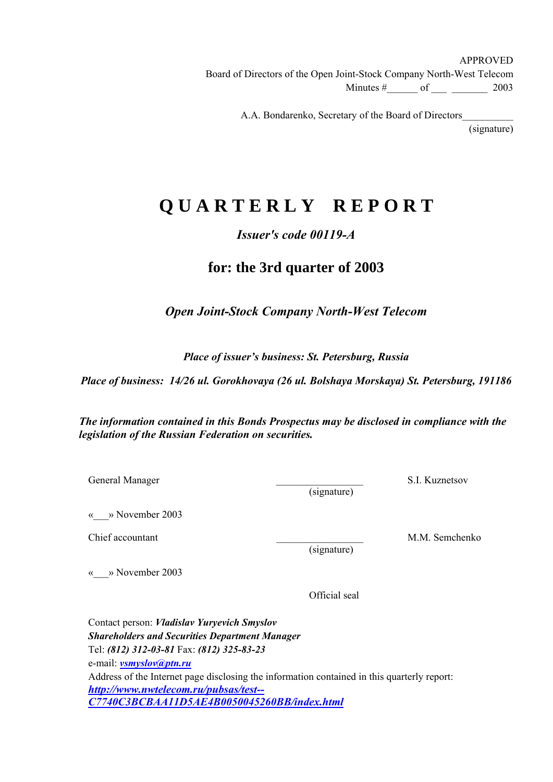APPROVED Board of Directors of the Open Joint-Stock Company North-West Telecom Minutes  $\#$  of  $2003$ 

A.A. Bondarenko, Secretary of the Board of Directors\_

(signature)

# **Q U A R T E R L Y R E P O R T**

## *Issuer's code 00119-A*

## **for: the 3rd quarter of 2003**

*Open Joint-Stock Company North-West Telecom* 

*Place of issuer's business: St. Petersburg, Russia* 

*Place of business: 14/26 ul. Gorokhovaya (26 ul. Bolshaya Morskaya) St. Petersburg, 191186*

*The information contained in this Bonds Prospectus may be disclosed in compliance with the legislation of the Russian Federation on securities.* 

General Manager S.I. Kuznetsov

(signature)

«\_\_\_» November 2003

Chief accountant and the contract of the contract of the contract of the M.M. Semchenko

(signature)

«\_\_\_» November 2003

Official seal

Contact person: *Vladislav Yuryevich Smyslov Shareholders and Securities Department Manager* Tel: *(812) 312-03-81* Fax: *(812) 325-83-23* e-mail: *vsmyslov@ptn.ru* Address of the Internet page disclosing the information contained in this quarterly report: *http://www.nwtelecom.ru/pubsas/test-- C7740C3BCBAA11D5AE4B0050045260BB/index.html*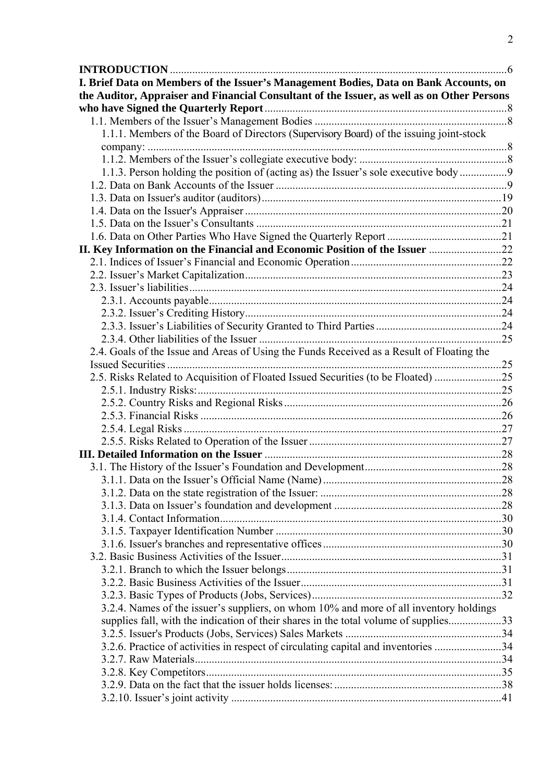| I. Brief Data on Members of the Issuer's Management Bodies, Data on Bank Accounts, on      |  |
|--------------------------------------------------------------------------------------------|--|
| the Auditor, Appraiser and Financial Consultant of the Issuer, as well as on Other Persons |  |
|                                                                                            |  |
|                                                                                            |  |
| 1.1.1. Members of the Board of Directors (Supervisory Board) of the issuing joint-stock    |  |
|                                                                                            |  |
|                                                                                            |  |
| 1.1.3. Person holding the position of (acting as) the Issuer's sole executive body9        |  |
|                                                                                            |  |
|                                                                                            |  |
|                                                                                            |  |
|                                                                                            |  |
|                                                                                            |  |
| II. Key Information on the Financial and Economic Position of the Issuer 22                |  |
|                                                                                            |  |
|                                                                                            |  |
|                                                                                            |  |
|                                                                                            |  |
|                                                                                            |  |
|                                                                                            |  |
|                                                                                            |  |
| 2.4. Goals of the Issue and Areas of Using the Funds Received as a Result of Floating the  |  |
|                                                                                            |  |
| 2.5. Risks Related to Acquisition of Floated Issued Securities (to be Floated) 25          |  |
|                                                                                            |  |
|                                                                                            |  |
|                                                                                            |  |
|                                                                                            |  |
|                                                                                            |  |
|                                                                                            |  |
|                                                                                            |  |
|                                                                                            |  |
|                                                                                            |  |
|                                                                                            |  |
|                                                                                            |  |
|                                                                                            |  |
|                                                                                            |  |
|                                                                                            |  |
|                                                                                            |  |
|                                                                                            |  |
|                                                                                            |  |
| 3.2.4. Names of the issuer's suppliers, on whom 10% and more of all inventory holdings     |  |
| supplies fall, with the indication of their shares in the total volume of supplies33       |  |
| 3.2.6. Practice of activities in respect of circulating capital and inventories 34         |  |
|                                                                                            |  |
|                                                                                            |  |
|                                                                                            |  |
|                                                                                            |  |
|                                                                                            |  |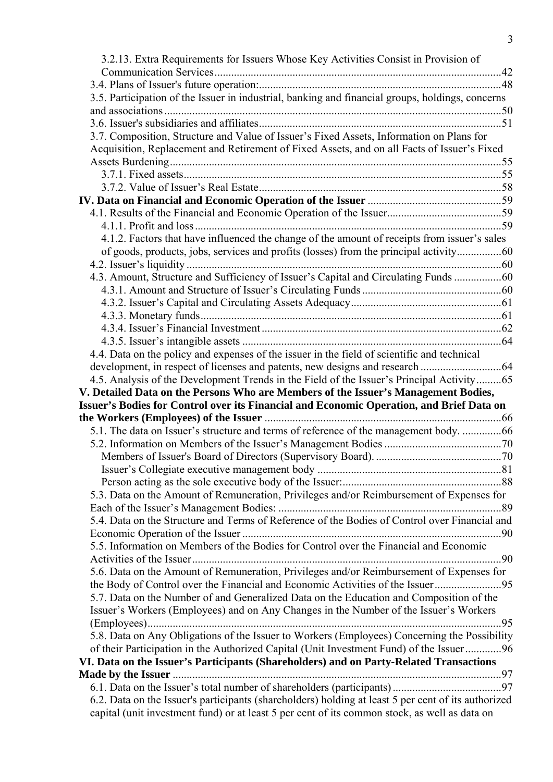| 3.2.13. Extra Requirements for Issuers Whose Key Activities Consist in Provision of                                                                                                                  |  |
|------------------------------------------------------------------------------------------------------------------------------------------------------------------------------------------------------|--|
|                                                                                                                                                                                                      |  |
|                                                                                                                                                                                                      |  |
| 3.5. Participation of the Issuer in industrial, banking and financial groups, holdings, concerns                                                                                                     |  |
|                                                                                                                                                                                                      |  |
|                                                                                                                                                                                                      |  |
| 3.7. Composition, Structure and Value of Issuer's Fixed Assets, Information on Plans for                                                                                                             |  |
| Acquisition, Replacement and Retirement of Fixed Assets, and on all Facts of Issuer's Fixed                                                                                                          |  |
|                                                                                                                                                                                                      |  |
|                                                                                                                                                                                                      |  |
|                                                                                                                                                                                                      |  |
|                                                                                                                                                                                                      |  |
|                                                                                                                                                                                                      |  |
|                                                                                                                                                                                                      |  |
| 4.1.2. Factors that have influenced the change of the amount of receipts from issuer's sales                                                                                                         |  |
|                                                                                                                                                                                                      |  |
|                                                                                                                                                                                                      |  |
| 4.3. Amount, Structure and Sufficiency of Issuer's Capital and Circulating Funds 60                                                                                                                  |  |
|                                                                                                                                                                                                      |  |
|                                                                                                                                                                                                      |  |
|                                                                                                                                                                                                      |  |
|                                                                                                                                                                                                      |  |
|                                                                                                                                                                                                      |  |
| 4.4. Data on the policy and expenses of the issuer in the field of scientific and technical                                                                                                          |  |
|                                                                                                                                                                                                      |  |
| 4.5. Analysis of the Development Trends in the Field of the Issuer's Principal Activity65                                                                                                            |  |
|                                                                                                                                                                                                      |  |
| V. Detailed Data on the Persons Who are Members of the Issuer's Management Bodies,                                                                                                                   |  |
| Issuer's Bodies for Control over its Financial and Economic Operation, and Brief Data on                                                                                                             |  |
|                                                                                                                                                                                                      |  |
| 5.1. The data on Issuer's structure and terms of reference of the management body. 66                                                                                                                |  |
|                                                                                                                                                                                                      |  |
|                                                                                                                                                                                                      |  |
|                                                                                                                                                                                                      |  |
|                                                                                                                                                                                                      |  |
| 5.3. Data on the Amount of Remuneration, Privileges and/or Reimbursement of Expenses for                                                                                                             |  |
|                                                                                                                                                                                                      |  |
| 5.4. Data on the Structure and Terms of Reference of the Bodies of Control over Financial and                                                                                                        |  |
|                                                                                                                                                                                                      |  |
| 5.5. Information on Members of the Bodies for Control over the Financial and Economic                                                                                                                |  |
|                                                                                                                                                                                                      |  |
| 5.6. Data on the Amount of Remuneration, Privileges and/or Reimbursement of Expenses for                                                                                                             |  |
| the Body of Control over the Financial and Economic Activities of the Issuer95                                                                                                                       |  |
| 5.7. Data on the Number of and Generalized Data on the Education and Composition of the                                                                                                              |  |
| Issuer's Workers (Employees) and on Any Changes in the Number of the Issuer's Workers                                                                                                                |  |
|                                                                                                                                                                                                      |  |
| 5.8. Data on Any Obligations of the Issuer to Workers (Employees) Concerning the Possibility                                                                                                         |  |
| of their Participation in the Authorized Capital (Unit Investment Fund) of the Issuer96                                                                                                              |  |
| VI. Data on the Issuer's Participants (Shareholders) and on Party-Related Transactions                                                                                                               |  |
|                                                                                                                                                                                                      |  |
|                                                                                                                                                                                                      |  |
| 6.2. Data on the Issuer's participants (shareholders) holding at least 5 per cent of its authorized<br>capital (unit investment fund) or at least 5 per cent of its common stock, as well as data on |  |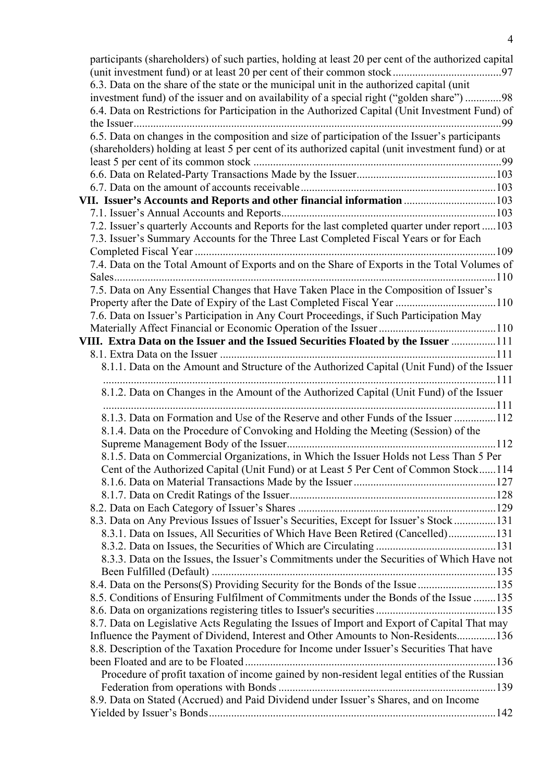| participants (shareholders) of such parties, holding at least 20 per cent of the authorized capital |  |
|-----------------------------------------------------------------------------------------------------|--|
| 6.3. Data on the share of the state or the municipal unit in the authorized capital (unit           |  |
| investment fund) of the issuer and on availability of a special right ("golden share") 98           |  |
| 6.4. Data on Restrictions for Participation in the Authorized Capital (Unit Investment Fund) of     |  |
|                                                                                                     |  |
|                                                                                                     |  |
| 6.5. Data on changes in the composition and size of participation of the Issuer's participants      |  |
| (shareholders) holding at least 5 per cent of its authorized capital (unit investment fund) or at   |  |
|                                                                                                     |  |
|                                                                                                     |  |
|                                                                                                     |  |
| VII. Issuer's Accounts and Reports and other financial information  103                             |  |
|                                                                                                     |  |
| 7.2. Issuer's quarterly Accounts and Reports for the last completed quarter under report  103       |  |
| 7.3. Issuer's Summary Accounts for the Three Last Completed Fiscal Years or for Each                |  |
|                                                                                                     |  |
| 7.4. Data on the Total Amount of Exports and on the Share of Exports in the Total Volumes of        |  |
|                                                                                                     |  |
| 7.5. Data on Any Essential Changes that Have Taken Place in the Composition of Issuer's             |  |
| Property after the Date of Expiry of the Last Completed Fiscal Year 110                             |  |
| 7.6. Data on Issuer's Participation in Any Court Proceedings, if Such Participation May             |  |
|                                                                                                     |  |
| VIII. Extra Data on the Issuer and the Issued Securities Floated by the Issuer 111                  |  |
|                                                                                                     |  |
| 8.1.1. Data on the Amount and Structure of the Authorized Capital (Unit Fund) of the Issuer         |  |
| 8.1.2. Data on Changes in the Amount of the Authorized Capital (Unit Fund) of the Issuer            |  |
|                                                                                                     |  |
| 8.1.3. Data on Formation and Use of the Reserve and other Funds of the Issuer 112                   |  |
| 8.1.4. Data on the Procedure of Convoking and Holding the Meeting (Session) of the                  |  |
|                                                                                                     |  |
| 8.1.5. Data on Commercial Organizations, in Which the Issuer Holds not Less Than 5 Per              |  |
| Cent of the Authorized Capital (Unit Fund) or at Least 5 Per Cent of Common Stock114                |  |
|                                                                                                     |  |
|                                                                                                     |  |
|                                                                                                     |  |
| 8.3. Data on Any Previous Issues of Issuer's Securities, Except for Issuer's Stock131               |  |
| 8.3.1. Data on Issues, All Securities of Which Have Been Retired (Cancelled)131                     |  |
|                                                                                                     |  |
|                                                                                                     |  |
|                                                                                                     |  |
| 8.3.3. Data on the Issues, the Issuer's Commitments under the Securities of Which Have not          |  |
|                                                                                                     |  |
| 8.4. Data on the Persons(S) Providing Security for the Bonds of the Issue 135                       |  |
| 8.5. Conditions of Ensuring Fulfilment of Commitments under the Bonds of the Issue  135             |  |
|                                                                                                     |  |
| 8.7. Data on Legislative Acts Regulating the Issues of Import and Export of Capital That may        |  |
| Influence the Payment of Dividend, Interest and Other Amounts to Non-Residents 136                  |  |
| 8.8. Description of the Taxation Procedure for Income under Issuer's Securities That have           |  |
|                                                                                                     |  |
| Procedure of profit taxation of income gained by non-resident legal entities of the Russian         |  |
|                                                                                                     |  |
| 8.9. Data on Stated (Accrued) and Paid Dividend under Issuer's Shares, and on Income                |  |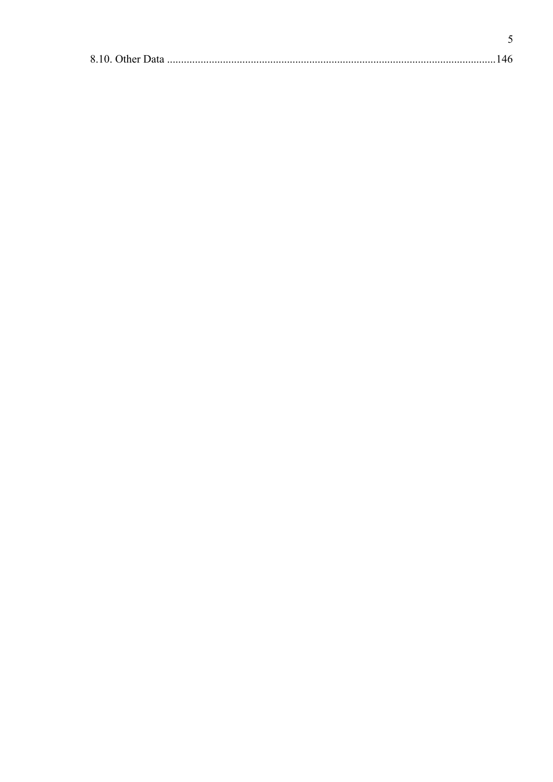$\overline{5}$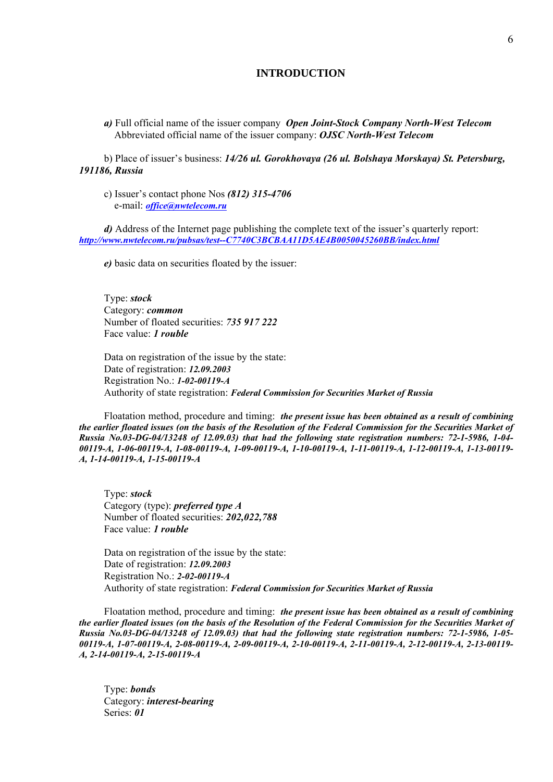#### **INTRODUCTION**

*a)* Full official name of the issuer company *Open Joint-Stock Company North-West Telecom* Abbreviated official name of the issuer company: *OJSC North-West Telecom* 

b) Place of issuer's business: *14/26 ul. Gorokhovaya (26 ul. Bolshaya Morskaya) St. Petersburg, 191186, Russia*

c) Issuer's contact phone Nos *(812) 315-4706* e-mail: *office@nwtelecom.ru*

*d*) Address of the Internet page publishing the complete text of the issuer's quarterly report: *http://www.nwtelecom.ru/pubsas/test--C7740C3BCBAA11D5AE4B0050045260BB/index.html*

*e)* basic data on securities floated by the issuer:

Type: *stock* Category: *common* Number of floated securities: *735 917 222*  Face value: *1 rouble*

Data on registration of the issue by the state: Date of registration: *12.09.2003* Registration No.: *1-02-00119-А* Authority of state registration: *Federal Commission for Securities Market of Russia*

Floatation method, procedure and timing: *the present issue has been obtained as a result of combining the earlier floated issues (on the basis of the Resolution of the Federal Commission for the Securities Market of Russia No.03-DG-04/13248 of 12.09.03) that had the following state registration numbers: 72-1-5986, 1-04- 00119-A, 1-06-00119-A, 1-08-00119-A, 1-09-00119-A, 1-10-00119-A, 1-11-00119-A, 1-12-00119-A, 1-13-00119- A, 1-14-00119-A, 1-15-00119-A*

Type: *stock* Category (type): *preferred type A* Number of floated securities: *202,022,788* Face value: *1 rouble*

Data on registration of the issue by the state: Date of registration: *12.09.2003* Registration No.: *2-02-00119-А* Authority of state registration: *Federal Commission for Securities Market of Russia*

Floatation method, procedure and timing: *the present issue has been obtained as a result of combining the earlier floated issues (on the basis of the Resolution of the Federal Commission for the Securities Market of Russia No.03-DG-04/13248 of 12.09.03) that had the following state registration numbers: 72-1-5986, 1-05- 00119-A, 1-07-00119-A, 2-08-00119-A, 2-09-00119-A, 2-10-00119-A, 2-11-00119-A, 2-12-00119-A, 2-13-00119- A, 2-14-00119-A, 2-15-00119-A*

Type: *bonds* Category: *interest-bearing* Series: *01*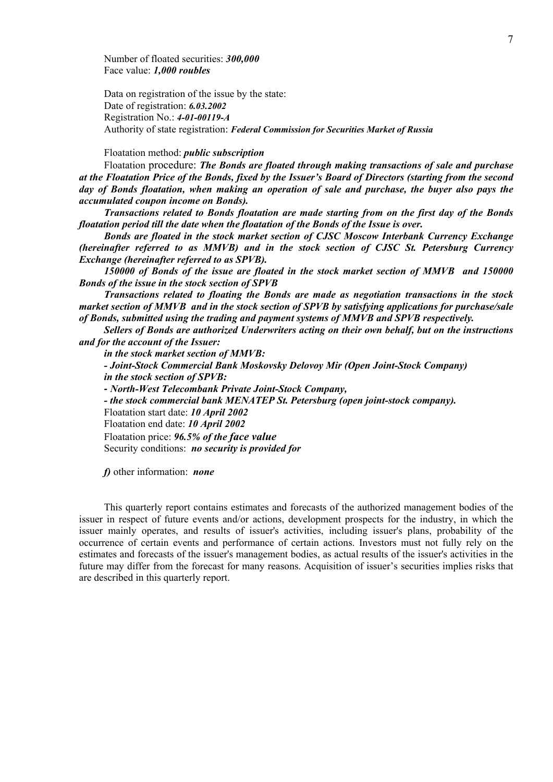Number of floated securities: *300,000* Face value: *1,000 roubles*

Data on registration of the issue by the state: Date of registration: *6.03.2002* Registration No.: *4-01-00119-A* Authority of state registration: *Federal Commission for Securities Market of Russia* 

Floatation method: *public subscription* 

Floatation procedure: *The Bonds are floated through making transactions of sale and purchase at the Floatation Price of the Bonds, fixed by the Issuer's Board of Directors (starting from the second day of Bonds floatation, when making an operation of sale and purchase, the buyer also pays the accumulated coupon income on Bonds).* 

*Transactions related to Bonds floatation are made starting from on the first day of the Bonds floatation period till the date when the floatation of the Bonds of the Issue is over.* 

*Bonds are floated in the stock market section of CJSC Moscow Interbank Currency Exchange (hereinafter referred to as MMVB) and in the stock section of CJSC St. Petersburg Currency Exchange (hereinafter referred to as SPVB).* 

*150000 of Bonds of the issue are floated in the stock market section of MMVB and 150000 Bonds of the issue in the stock section of SPVB* 

*Transactions related to floating the Bonds are made as negotiation transactions in the stock market section of MMVB and in the stock section of SPVB by satisfying applications for purchase/sale of Bonds, submitted using the trading and payment systems of MMVB and SPVB respectively.* 

*Sellers of Bonds are authorized Underwriters acting on their own behalf, but on the instructions and for the account of the Issuer:* 

*in the stock market section of MMVB:* 

*- Joint-Stock Commercial Bank Moskovsky Delovoy Mir (Open Joint-Stock Company) in the stock section of SPVB:* 

*- North-West Telecombank Private Joint-Stock Company,*

*- the stock commercial bank MENATEP St. Petersburg (open joint-stock company).* 

Floatation start date: *10 April 2002* 

Floatation end date: *10 April 2002* 

Floatation price: *96.5% of the face value*

Security conditions: *no security is provided for*

*f)* other information: *none*

This quarterly report contains estimates and forecasts of the authorized management bodies of the issuer in respect of future events and/or actions, development prospects for the industry, in which the issuer mainly operates, and results of issuer's activities, including issuer's plans, probability of the occurrence of certain events and performance of certain actions. Investors must not fully rely on the estimates and forecasts of the issuer's management bodies, as actual results of the issuer's activities in the future may differ from the forecast for many reasons. Acquisition of issuer's securities implies risks that are described in this quarterly report.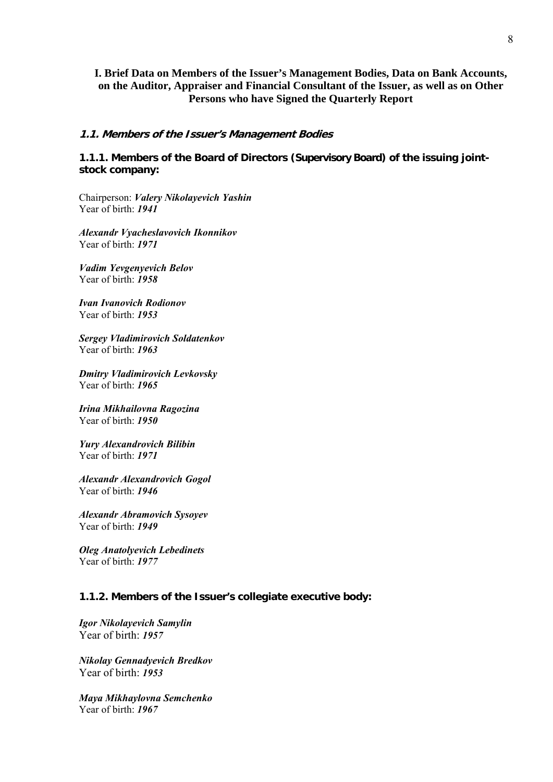## **I. Brief Data on Members of the Issuer's Management Bodies, Data on Bank Accounts, on the Auditor, Appraiser and Financial Consultant of the Issuer, as well as on Other Persons who have Signed the Quarterly Report**

### **1.1. Members of the Issuer's Management Bodies**

**1.1.1. Members of the Board of Directors (Supervisory Board) of the issuing jointstock company:** 

Chairperson: *Valery Nikolayevich Yashin* Year of birth: *1941*

*Alexandr Vyacheslavovich Ikonnikov* Year of birth: *1971*

*Vadim Yevgenyevich Belov* Year of birth: *1958*

*Ivan Ivanovich Rodionov* Year of birth: *1953*

*Sergey Vladimirovich Soldatenkov* Year of birth: *1963*

*Dmitry Vladimirovich Levkovsky* Year of birth: *1965*

*Irina Mikhailovna Ragozina* Year of birth: *1950*

*Yury Alexandrovich Bilibin* Year of birth: *1971*

*Alexandr Alexandrovich Gogol* Year of birth: *1946*

*Alexandr Abramovich Sysoyev* Year of birth: *1949*

*Oleg Anatolyevich Lebedinets* Year of birth: *1977*

## **1.1.2. Members of the Issuer's collegiate executive body:**

*Igor Nikolayevich Samylin* Year of birth: *1957* 

*Nikolay Gennadyevich Bredkov* Year of birth: *1953* 

*Maya Mikhaylovna Semchenko* Year of birth: *1967*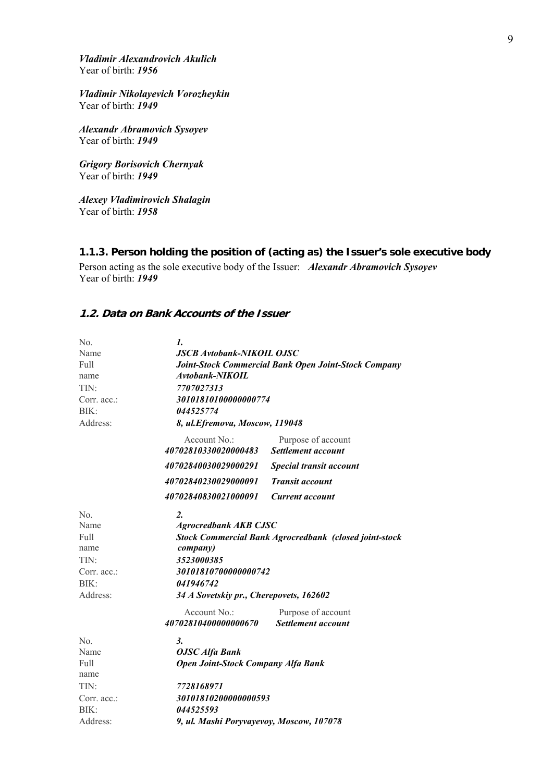*Vladimir Alexandrovich Akulich* Year of birth: *1956*

*Vladimir Nikolayevich Vorozheykin* Year of birth: *1949*

*Alexandr Abramovich Sysoyev* Year of birth: *1949*

*Grigory Borisovich Chernyak* Year of birth: *1949*

*Alexey Vladimirovich Shalagin* Year of birth: *1958*

## **1.1.3. Person holding the position of (acting as) the Issuer's sole executive body**

Person acting as the sole executive body of the Issuer: *Alexandr Abramovich Sysoyev* Year of birth: *1949*

## **1.2. Data on Bank Accounts of the Issuer**

| No.            | 1.                                                            |                                                 |  |
|----------------|---------------------------------------------------------------|-------------------------------------------------|--|
| Name           | <b>JSCB Avtobank-NIKOIL OJSC</b>                              |                                                 |  |
| Full           | Joint-Stock Commercial Bank Open Joint-Stock Company          |                                                 |  |
| name           | Avtobank-NIKOIL                                               |                                                 |  |
| TIN:           | 7707027313                                                    |                                                 |  |
| Corr. acc.:    | 30101810100000000774                                          |                                                 |  |
| BIK:           | 044525774                                                     |                                                 |  |
| Address:       | 8, ul. Efremova, Moscow, 119048                               |                                                 |  |
|                | Account No.:<br>40702810330020000483                          | Purpose of account<br>Settlement account        |  |
|                | 40702840030029000291                                          | Special transit account                         |  |
|                | 40702840230029000091                                          | <b>Transit account</b>                          |  |
|                | 40702840830021000091                                          | <b>Current account</b>                          |  |
| No.            | $\overline{2}$ .                                              |                                                 |  |
| Name           | <b>Agrocredbank AKB CJSC</b>                                  |                                                 |  |
| Full           | <b>Stock Commercial Bank Agrocredbank (closed joint-stock</b> |                                                 |  |
| name           | company)                                                      |                                                 |  |
| TIN:           | 3523000385                                                    |                                                 |  |
| Corr. acc.:    | 30101810700000000742                                          |                                                 |  |
| BIK:           | 041946742                                                     |                                                 |  |
| Address:       | 34 A Sovetskiy pr., Cherepovets, 162602                       |                                                 |  |
|                | Account No.:<br>40702810400000000670                          | Purpose of account<br><b>Settlement account</b> |  |
| N <sub>o</sub> | 3.                                                            |                                                 |  |
| Name           | <b>OJSC</b> Alfa Bank                                         |                                                 |  |
| Full           | <b>Open Joint-Stock Company Alfa Bank</b>                     |                                                 |  |
| name           |                                                               |                                                 |  |
| TIN:           | 7728168971                                                    |                                                 |  |
| Corr. acc.:    | 30101810200000000593                                          |                                                 |  |
| BIK:           | 044525593                                                     |                                                 |  |
| Address:       | 9, ul. Mashi Poryvayevoy, Moscow, 107078                      |                                                 |  |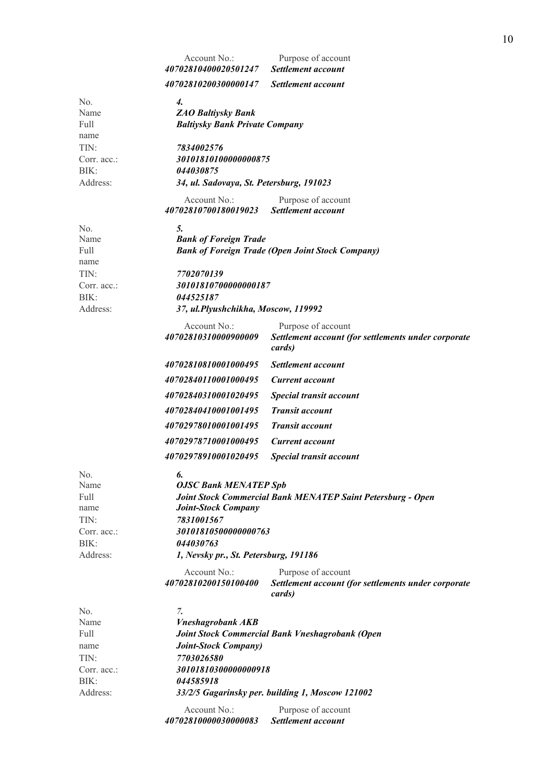|                                                                        | Account No.:<br>40702810400020501247                                                                                | Purpose of account<br>Settlement account                                                            |
|------------------------------------------------------------------------|---------------------------------------------------------------------------------------------------------------------|-----------------------------------------------------------------------------------------------------|
|                                                                        | <i>40702810200300000147</i>                                                                                         | Settlement account                                                                                  |
| No.<br>Name<br>Full<br>name<br>TIN:                                    | 4.<br><b>ZAO Baltiysky Bank</b><br><b>Baltiysky Bank Private Company</b><br>7834002576                              |                                                                                                     |
| Corr. acc.:<br>BIK:<br>Address:                                        | 30101810100000000875<br>044030875<br>34, ul. Sadovaya, St. Petersburg, 191023                                       |                                                                                                     |
|                                                                        | Account No.:<br>40702810700180019023                                                                                | Purpose of account<br>Settlement account                                                            |
| No.<br>Name<br>Full<br>name                                            | 5.<br><b>Bank of Foreign Trade</b>                                                                                  | <b>Bank of Foreign Trade (Open Joint Stock Company)</b>                                             |
| TIN:<br>Corr. $acc$ .:<br>BIK:<br>Address:                             | 7702070139<br>30101810700000000187<br>044525187<br>37, ul. Plyushchikha, Moscow, 119992                             |                                                                                                     |
|                                                                        | Account No.:<br>40702810310000900009                                                                                | Purpose of account<br>Settlement account (for settlements under corporate<br>cards)                 |
|                                                                        | 40702810810001000495                                                                                                | Settlement account                                                                                  |
|                                                                        | 40702840110001000495                                                                                                | <b>Current account</b>                                                                              |
|                                                                        | 40702840310001020495                                                                                                | Special transit account                                                                             |
|                                                                        | 40702840410001001495                                                                                                | <b>Transit account</b>                                                                              |
|                                                                        | 40702978010001001495                                                                                                | <b>Transit account</b>                                                                              |
|                                                                        | 40702978710001000495                                                                                                | <b>Current account</b>                                                                              |
|                                                                        | 40702978910001020495                                                                                                | Special transit account                                                                             |
| No.<br>Name<br>Full<br>name<br>TIN:<br>Corr. acc.:<br>BIK:             | 6.<br><b>OJSC Bank MENATEP Spb</b><br><b>Joint-Stock Company</b><br>7831001567<br>30101810500000000763<br>044030763 | Joint Stock Commercial Bank MENATEP Saint Petersburg - Open                                         |
| Address:                                                               | 1, Nevsky pr., St. Petersburg, 191186                                                                               |                                                                                                     |
|                                                                        | Account No.:<br>40702810200150100400                                                                                | Purpose of account<br>Settlement account (for settlements under corporate<br>cards)                 |
| No.<br>Name<br>Full<br>name<br>TIN:<br>Corr. acc.:<br>BIK:<br>Address: | 7.<br><b>Vneshagrobank AKB</b><br><b>Joint-Stock Company</b> )<br>7703026580<br>30101810300000000918<br>044585918   | Joint Stock Commercial Bank Vneshagrobank (Open<br>33/2/5 Gagarinsky per. building 1, Moscow 121002 |
|                                                                        | Account No.:<br>40702810000030000083                                                                                | Purpose of account<br>Settlement account                                                            |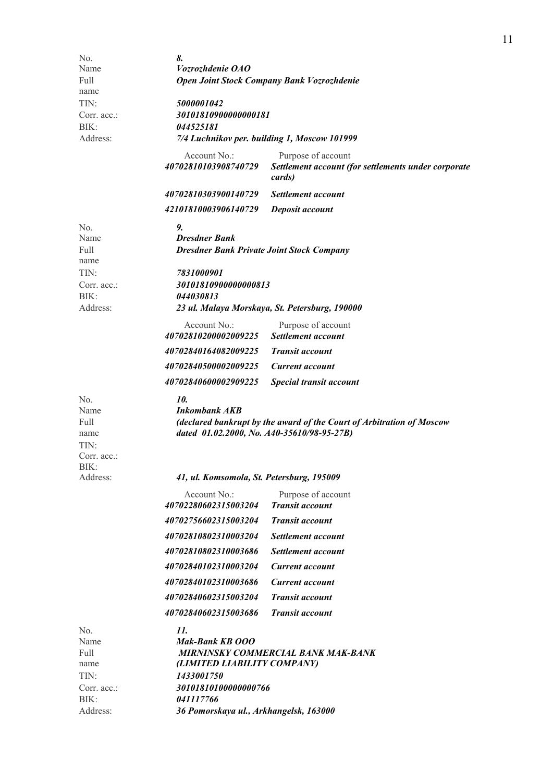| No.                                                | 8.                                                                  |                                                                                     |  |
|----------------------------------------------------|---------------------------------------------------------------------|-------------------------------------------------------------------------------------|--|
| Name                                               | <i>Vozrozhdenie OAO</i>                                             |                                                                                     |  |
| Full                                               | Open Joint Stock Company Bank Vozrozhdenie                          |                                                                                     |  |
| name                                               |                                                                     |                                                                                     |  |
| TIN:                                               | 5000001042                                                          |                                                                                     |  |
| Corr. acc.:                                        | 301018109000000000181                                               |                                                                                     |  |
| BIK:                                               | 044525181                                                           |                                                                                     |  |
| Address:                                           |                                                                     | 7/4 Luchnikov per. building 1, Moscow 101999                                        |  |
|                                                    | Account No.:<br>40702810103908740729                                | Purpose of account<br>Settlement account (for settlements under corporate<br>cards) |  |
|                                                    | 40702810303900140729                                                | Settlement account                                                                  |  |
|                                                    | 42101810003906140729                                                | Deposit account                                                                     |  |
|                                                    |                                                                     |                                                                                     |  |
| No.<br>Name                                        | 9.<br><b>Dresdner Bank</b>                                          |                                                                                     |  |
| Full                                               | <b>Dresdner Bank Private Joint Stock Company</b>                    |                                                                                     |  |
| name                                               |                                                                     |                                                                                     |  |
| TIN:                                               | 7831000901                                                          |                                                                                     |  |
| Corr. $acc$ .:                                     | 30101810900000000813                                                |                                                                                     |  |
| BIK:                                               | 044030813                                                           |                                                                                     |  |
| Address:                                           |                                                                     | 23 ul. Malaya Morskaya, St. Petersburg, 190000                                      |  |
|                                                    | Account No.:<br>40702810200002009225                                | Purpose of account<br><b>Settlement account</b>                                     |  |
|                                                    | 40702840164082009225                                                | <b>Transit account</b>                                                              |  |
|                                                    | 40702840500002009225                                                | <b>Current account</b>                                                              |  |
|                                                    | 40702840600002909225                                                | Special transit account                                                             |  |
| No.<br>Name<br>Full<br>name<br>TIN:<br>Corr. acc.: | 10.<br>Inkombank AKB<br>dated 01.02.2000, No. A40-35610/98-95-27B)  | (declared bankrupt by the award of the Court of Arbitration of Moscow               |  |
| BIK:<br>Address:                                   | 41, ul. Komsomola, St. Petersburg, 195009                           |                                                                                     |  |
|                                                    | Account No.:<br>40702280602315003204                                | Purpose of account<br><b>Transit account</b>                                        |  |
|                                                    |                                                                     |                                                                                     |  |
|                                                    | 40702756602315003204                                                | <b>Transit account</b>                                                              |  |
|                                                    | 40702810802310003204                                                | Settlement account                                                                  |  |
|                                                    | 40702810802310003686                                                | Settlement account                                                                  |  |
|                                                    | 40702840102310003204                                                | Current account                                                                     |  |
|                                                    | 40702840102310003686                                                | Current account                                                                     |  |
|                                                    | 40702840602315003204                                                | <b>Transit account</b>                                                              |  |
|                                                    | 40702840602315003686                                                | <b>Transit account</b>                                                              |  |
| No.<br>Name<br>Full<br>name<br>TIN:                | 11.<br>Mak-Bank KB 000<br>(LIMITED LIABILITY COMPANY)<br>1433001750 | <b>MIRNINSKY COMMERCIAL BANK MAK-BANK</b>                                           |  |
| Corr. acc.:                                        | 30101810100000000766                                                |                                                                                     |  |
| BIK:                                               | 041117766                                                           |                                                                                     |  |
| Address:                                           | 36 Pomorskaya ul., Arkhangelsk, 163000                              |                                                                                     |  |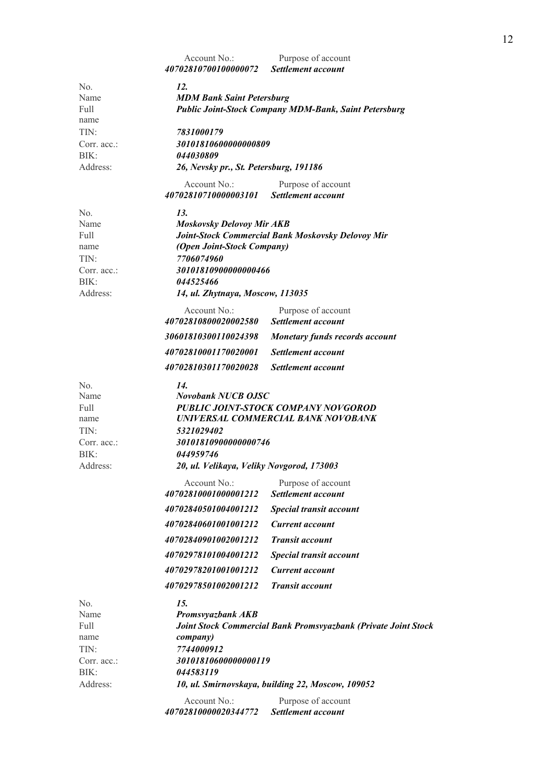|                                                            | Account No.:<br>40702810700100000072                                                                                                                | Purpose of account<br><b>Settlement account</b>                |  |  |
|------------------------------------------------------------|-----------------------------------------------------------------------------------------------------------------------------------------------------|----------------------------------------------------------------|--|--|
| No.                                                        | 12.                                                                                                                                                 |                                                                |  |  |
| Name<br>Full                                               | <b>MDM Bank Saint Petersburg</b>                                                                                                                    |                                                                |  |  |
| name                                                       | <b>Public Joint-Stock Company MDM-Bank, Saint Petersburg</b>                                                                                        |                                                                |  |  |
| TIN:                                                       | 7831000179                                                                                                                                          |                                                                |  |  |
| Corr. acc.:                                                | 30101810600000000809                                                                                                                                |                                                                |  |  |
| BIK:                                                       | 044030809                                                                                                                                           |                                                                |  |  |
| Address:                                                   | 26, Nevsky pr., St. Petersburg, 191186                                                                                                              |                                                                |  |  |
|                                                            | Account $No:$                                                                                                                                       | Purpose of account                                             |  |  |
|                                                            | 40702810710000003101                                                                                                                                | <b>Settlement account</b>                                      |  |  |
| No.                                                        | 13.                                                                                                                                                 |                                                                |  |  |
| Name                                                       | <b>Moskovsky Delovoy Mir AKB</b>                                                                                                                    |                                                                |  |  |
| Full                                                       |                                                                                                                                                     | Joint-Stock Commercial Bank Moskovsky Delovoy Mir              |  |  |
| name                                                       | (Open Joint-Stock Company)                                                                                                                          |                                                                |  |  |
| TIN:<br>Corr. acc.:                                        | 7706074960<br>30101810900000000466                                                                                                                  |                                                                |  |  |
| BIK:                                                       | 044525466                                                                                                                                           |                                                                |  |  |
| Address:                                                   | 14, ul. Zhytnaya, Moscow, 113035                                                                                                                    |                                                                |  |  |
|                                                            | Account No.:                                                                                                                                        | Purpose of account                                             |  |  |
|                                                            | 40702810800020002580                                                                                                                                | <b>Settlement account</b>                                      |  |  |
|                                                            | 30601810300110024398                                                                                                                                | <b>Monetary funds records account</b>                          |  |  |
|                                                            | 40702810001170020001                                                                                                                                | Settlement account                                             |  |  |
|                                                            | 40702810301170020028                                                                                                                                | Settlement account                                             |  |  |
| No.<br>Name<br>Full<br>name<br>TIN:<br>Corr. acc.:<br>BIK: | 14.<br><b>Novobank NUCB OJSC</b><br>PUBLIC JOINT-STOCK COMPANY NOVGOROD<br>UNIVERSAL COMMERCIAL BANK NOVOBANK<br>5321029402<br>30101810900000000746 |                                                                |  |  |
| Address:                                                   | 044959746<br>20, ul. Velikaya, Veliky Novgorod, 173003                                                                                              |                                                                |  |  |
|                                                            | Account No.:                                                                                                                                        | Purpose of account                                             |  |  |
|                                                            | 40702810001000001212                                                                                                                                | Settlement account                                             |  |  |
|                                                            | 40702840501004001212                                                                                                                                | Special transit account                                        |  |  |
|                                                            | 40702840601001001212                                                                                                                                | <b>Current account</b>                                         |  |  |
|                                                            | 40702840901002001212                                                                                                                                | <b>Transit account</b>                                         |  |  |
|                                                            | 40702978101004001212                                                                                                                                | Special transit account                                        |  |  |
|                                                            | 40702978201001001212                                                                                                                                | Current account                                                |  |  |
|                                                            | 40702978501002001212                                                                                                                                | <b>Transit account</b>                                         |  |  |
| No.<br>Name<br>Full<br>name<br>TIN:                        | 15.<br><b>Promsvyazbank AKB</b><br><i>company</i> )<br>7744000912                                                                                   | Joint Stock Commercial Bank Promsvyazbank (Private Joint Stock |  |  |
| Corr. acc.:                                                | 30101810600000000119                                                                                                                                |                                                                |  |  |
| BIK:                                                       | 044583119                                                                                                                                           |                                                                |  |  |
| Address:                                                   |                                                                                                                                                     | 10, ul. Smirnovskaya, building 22, Moscow, 109052              |  |  |
|                                                            | Account No.:<br>40702810000020344772                                                                                                                | Purpose of account<br>Settlement account                       |  |  |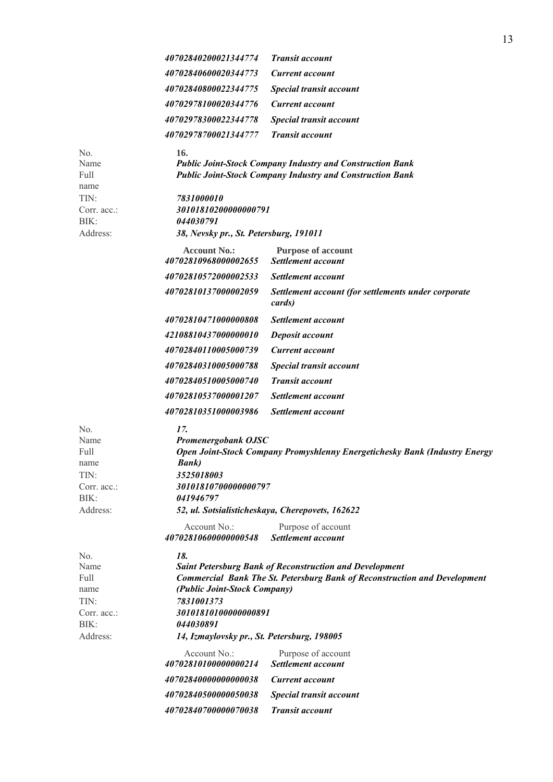|                                                                           | 40702840200021344774                                                                                                                  | <b>Transit account</b>                                                                                                                             |
|---------------------------------------------------------------------------|---------------------------------------------------------------------------------------------------------------------------------------|----------------------------------------------------------------------------------------------------------------------------------------------------|
|                                                                           | 40702840600020344773                                                                                                                  | <b>Current account</b>                                                                                                                             |
|                                                                           | 40702840800022344775                                                                                                                  | Special transit account                                                                                                                            |
|                                                                           | 40702978100020344776                                                                                                                  | <b>Current account</b>                                                                                                                             |
|                                                                           | 40702978300022344778                                                                                                                  | Special transit account                                                                                                                            |
|                                                                           | 40702978700021344777                                                                                                                  | <b>Transit account</b>                                                                                                                             |
| No.<br>Name<br>Full<br>name<br>TIN:<br>Corr. acc.:                        | 16.<br>7831000010<br>30101810200000000791                                                                                             | <b>Public Joint-Stock Company Industry and Construction Bank</b><br><b>Public Joint-Stock Company Industry and Construction Bank</b>               |
| BIK:                                                                      | 044030791                                                                                                                             |                                                                                                                                                    |
| Address:                                                                  | 38, Nevsky pr., St. Petersburg, 191011                                                                                                |                                                                                                                                                    |
|                                                                           | <b>Account No.:</b><br>40702810968000002655                                                                                           | <b>Purpose of account</b><br>Settlement account                                                                                                    |
|                                                                           | 40702810572000002533                                                                                                                  | Settlement account                                                                                                                                 |
|                                                                           | 40702810137000002059                                                                                                                  | Settlement account (for settlements under corporate<br>cards)                                                                                      |
|                                                                           | 40702810471000000808                                                                                                                  | Settlement account                                                                                                                                 |
|                                                                           | 42108810437000000010                                                                                                                  | Deposit account                                                                                                                                    |
|                                                                           | 40702840110005000739                                                                                                                  | <b>Current account</b>                                                                                                                             |
|                                                                           | 40702840310005000788                                                                                                                  | Special transit account                                                                                                                            |
|                                                                           | 40702840510005000740                                                                                                                  | <b>Transit account</b>                                                                                                                             |
|                                                                           | 40702810537000001207                                                                                                                  | Settlement account                                                                                                                                 |
|                                                                           | 40702810351000003986                                                                                                                  | Settlement account                                                                                                                                 |
| No.<br>Name<br>Full<br>name<br>TIN:<br>Corr. acc.:<br>BIK:<br>Address:    | 17.<br><b>Promenergobank OJSC</b><br><b>Bank</b> )<br>3525018003<br>30101810700000000797<br>041946797                                 | Open Joint-Stock Company Promyshlenny Energetichesky Bank (Industry Energy<br>52, ul. Sotsialisticheskaya, Cherepovets, 162622                     |
|                                                                           | Account No.:<br>40702810600000000548                                                                                                  | Purpose of account<br>Settlement account                                                                                                           |
| No.<br>Name<br>Full<br>name<br>TIN:<br>Corr. $acc$ .:<br>BIK:<br>Address: | 18.<br>(Public Joint-Stock Company)<br>7831001373<br>30101810100000000891<br>044030891<br>14, Izmaylovsky pr., St. Petersburg, 198005 | <b>Saint Petersburg Bank of Reconstruction and Development</b><br><b>Commercial Bank The St. Petersburg Bank of Reconstruction and Development</b> |
|                                                                           | Account No.:<br>40702810100000000214                                                                                                  | Purpose of account<br>Settlement account                                                                                                           |
|                                                                           | 40702840000000000038                                                                                                                  | <b>Current account</b>                                                                                                                             |
|                                                                           | 40702840500000050038                                                                                                                  | Special transit account                                                                                                                            |
|                                                                           | 40702840700000070038                                                                                                                  | <b>Transit account</b>                                                                                                                             |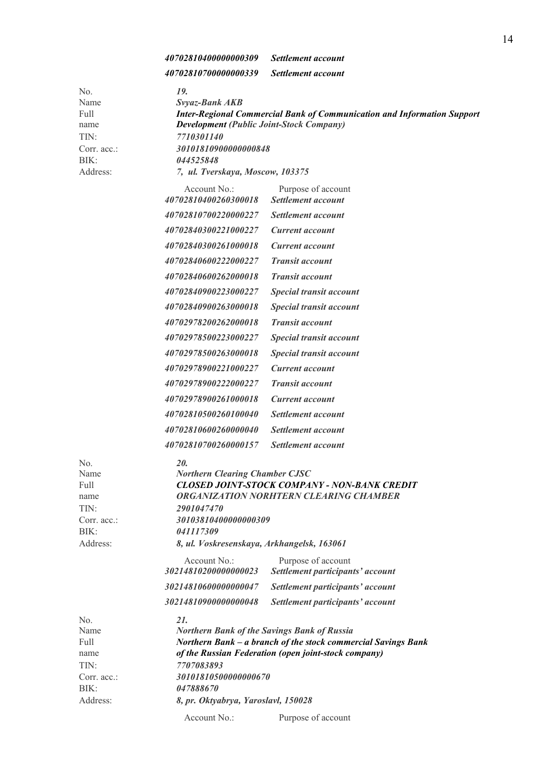*40702810400000000309 Settlement account* 

 *40702810700000000339 Settlement account* 

| No.<br>Name<br>Full<br>name<br>TIN:<br>Corr. acc.:<br>BIK:             | 19.<br>Svyaz-Bank AKB<br><b>Inter-Regional Commercial Bank of Communication and Information Support</b><br><b>Development (Public Joint-Stock Company)</b><br>7710301140<br>30101810900000000848<br>044525848                                                                        |
|------------------------------------------------------------------------|--------------------------------------------------------------------------------------------------------------------------------------------------------------------------------------------------------------------------------------------------------------------------------------|
| Address:                                                               | 7, ul. Tverskaya, Moscow, 103375                                                                                                                                                                                                                                                     |
|                                                                        | Account No.:<br>Purpose of account<br>40702810400260300018<br>Settlement account                                                                                                                                                                                                     |
|                                                                        | 40702810700220000227<br>Settlement account                                                                                                                                                                                                                                           |
|                                                                        | 40702840300221000227<br><b>Current account</b>                                                                                                                                                                                                                                       |
|                                                                        | 40702840300261000018<br><b>Current account</b>                                                                                                                                                                                                                                       |
|                                                                        | 40702840600222000227<br><b>Transit account</b>                                                                                                                                                                                                                                       |
|                                                                        | 40702840600262000018<br><b>Transit account</b>                                                                                                                                                                                                                                       |
|                                                                        | 40702840900223000227<br>Special transit account                                                                                                                                                                                                                                      |
|                                                                        | 40702840900263000018<br>Special transit account                                                                                                                                                                                                                                      |
|                                                                        | 40702978200262000018<br><b>Transit account</b>                                                                                                                                                                                                                                       |
|                                                                        | 40702978500223000227<br><b>Special transit account</b>                                                                                                                                                                                                                               |
|                                                                        | 40702978500263000018<br>Special transit account                                                                                                                                                                                                                                      |
|                                                                        | 40702978900221000227<br><b>Current account</b>                                                                                                                                                                                                                                       |
|                                                                        | 40702978900222000227<br><b>Transit account</b>                                                                                                                                                                                                                                       |
|                                                                        | 40702978900261000018<br><b>Current account</b>                                                                                                                                                                                                                                       |
|                                                                        | 40702810500260100040<br>Settlement account                                                                                                                                                                                                                                           |
|                                                                        | 40702810600260000040<br><b>Settlement account</b>                                                                                                                                                                                                                                    |
|                                                                        | 40702810700260000157<br>Settlement account                                                                                                                                                                                                                                           |
| No.<br>Name<br>Full<br>name<br>TIN:<br>Corr. acc.:<br>BIK:<br>Address: | 20.<br><b>Northern Clearing Chamber CJSC</b><br><b>CLOSED JOINT-STOCK COMPANY - NON-BANK CREDIT</b><br>ORGANIZATION NORHTERN CLEARING CHAMBER<br>2901047470<br>30103810400000000309<br>041117309<br>8, ul. Voskresenskaya, Arkhangelsk, 163061<br>Account No.:<br>Purpose of account |
|                                                                        | 30214810200000000023<br>Settlement participants' account                                                                                                                                                                                                                             |
|                                                                        | 30214810600000000047<br>Settlement participants' account                                                                                                                                                                                                                             |
|                                                                        | 30214810900000000048<br>Settlement participants' account                                                                                                                                                                                                                             |
| No.<br>Name<br>Full<br>name<br>TIN:<br>Corr. acc.:<br>BIK:<br>Address: | 21.<br><b>Northern Bank of the Savings Bank of Russia</b><br>Northern Bank - a branch of the stock commercial Savings Bank<br>of the Russian Federation (open joint-stock company)<br>7707083893<br>30101810500000000670<br>047888670<br>8, pr. Oktyabrya, Yaroslavl, 150028         |
|                                                                        | Purpose of account<br>Account No.:                                                                                                                                                                                                                                                   |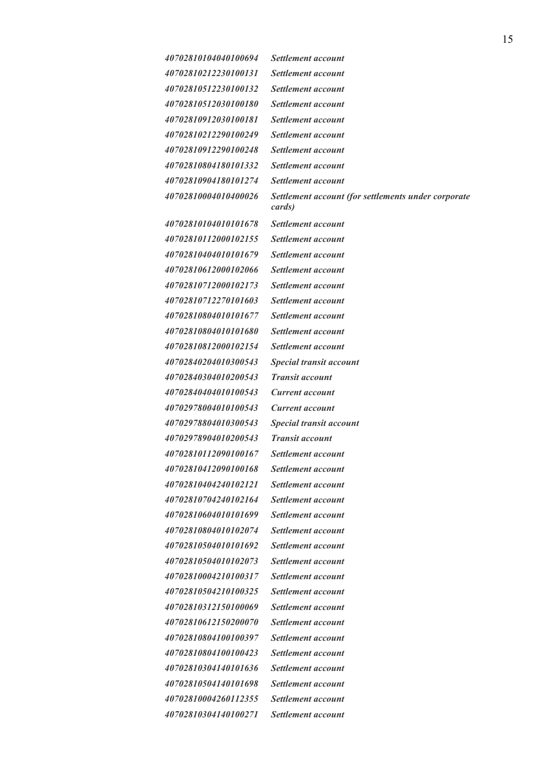| 40702810104040100694 | Settlement account                                  |
|----------------------|-----------------------------------------------------|
| 40702810212230100131 | Settlement account                                  |
| 40702810512230100132 | Settlement account                                  |
| 40702810512030100180 | Settlement account                                  |
| 40702810912030100181 | <i>Settlement account</i>                           |
| 40702810212290100249 | Settlement account                                  |
| 40702810912290100248 | Settlement account                                  |
| 40702810804180101332 | Settlement account                                  |
| 40702810904180101274 | Settlement account                                  |
| 40702810004010400026 | Settlement account (for settlements under corporate |

 *40702810104010101678 Settlement account 40702810112000102155 Settlement account 40702810404010101679 Settlement account 40702810612000102066 Settlement account 40702810712000102173 Settlement account 40702810712270101603 Settlement account 40702810804010101677 Settlement account 40702810804010101680 Settlement account 40702810812000102154 Settlement account 40702840204010300543 Special transit account 40702840304010200543 Transit account 40702840404010100543 Current account 40702978004010100543 Current account 40702978804010300543 Special transit account 40702978904010200543 Transit account 40702810112090100167 Settlement account 40702810412090100168 Settlement account 40702810404240102121 Settlement account 40702810704240102164 Settlement account 40702810604010101699 Settlement account 40702810804010102074 Settlement account 40702810504010101692 Settlement account 40702810504010102073 Settlement account 40702810004210100317 Settlement account 40702810504210100325 Settlement account 40702810312150100069 Settlement account 40702810612150200070 Settlement account 40702810804100100397 Settlement account 40702810804100100423 Settlement account 40702810304140101636 Settlement account 40702810504140101698 Settlement account 40702810004260112355 Settlement account 40702810304140100271 Settlement account* 

 *cards)*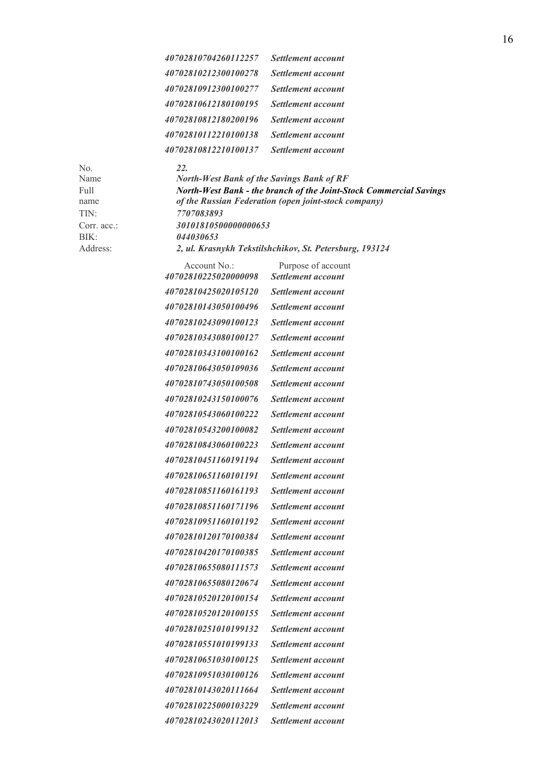| 40702810704260112257 | Settlement account |
|----------------------|--------------------|
| 40702810212300100278 | Settlement account |
| 40702810912300100277 | Settlement account |
| 40702810612180100195 | Settlement account |
| 40702810812180200196 | Settlement account |
| 40702810112210100138 | Settlement account |
| 40702810812210100137 | Settlement account |
|                      |                    |

No. *22.* 

Name *North-West Bank of the Savings Bank of RF* Full *North-West Bank - the branch of the Joint-Stock Commercial Savings* name *of the Russian Federation (open joint-stock company)* TIN: *7707083893*  Corr. acc.: *30101810500000000653* BIK: *044030653*  Address: *2, ul. Krasnykh Tekstilshchikov, St. Petersburg, 193124* 

Account No.: Purpose of account  *40702810225020000098 Settlement account 40702810425020105120 Settlement account 40702810143050100496 Settlement account 40702810243090100123 Settlement account 40702810343080100127 Settlement account 40702810343100100162 Settlement account 40702810643050109036 Settlement account 40702810743050100508 Settlement account 40702810243150100076 Settlement account 40702810543060100222 Settlement account 40702810543200100082 Settlement account 40702810843060100223 Settlement account 40702810451160191194 Settlement account 40702810651160101191 Settlement account 40702810851160161193 Settlement account 40702810851160171196 Settlement account 40702810951160101192 Settlement account 40702810120170100384 Settlement account 40702810420170100385 Settlement account 40702810655080111573 Settlement account 40702810655080120674 Settlement account 40702810520120100154 Settlement account 40702810520120100155 Settlement account 40702810251010199132 Settlement account 40702810551010199133 Settlement account 40702810651030100125 Settlement account 40702810951030100126 Settlement account 40702810143020111664 Settlement account 40702810225000103229 Settlement account 40702810243020112013 Settlement account*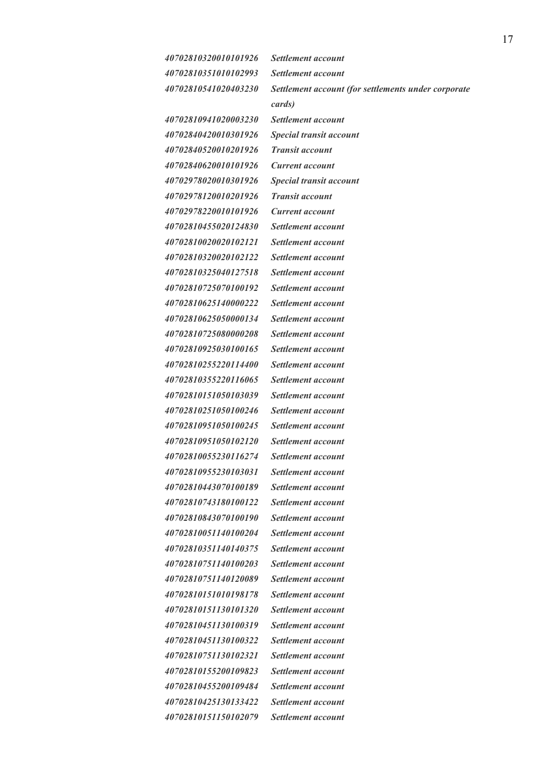*40702810320010101926 Settlement account 40702810351010102993 Settlement account* 

 *40702810941020003230 Settlement account 40702840420010301926 Special transit account 40702840520010201926 Transit account 40702840620010101926 Current account 40702978020010301926 Special transit account 40702978120010201926 Transit account 40702978220010101926 Current account 40702810455020124830 Settlement account 40702810020020102121 Settlement account 40702810320020102122 Settlement account 40702810325040127518 Settlement account 40702810725070100192 Settlement account 40702810625140000222 Settlement account 40702810625050000134 Settlement account 40702810725080000208 Settlement account 40702810925030100165 Settlement account 40702810255220114400 Settlement account 40702810355220116065 Settlement account 40702810151050103039 Settlement account 40702810251050100246 Settlement account 40702810951050100245 Settlement account 40702810951050102120 Settlement account 40702810055230116274 Settlement account 40702810955230103031 Settlement account 40702810443070100189 Settlement account 40702810743180100122 Settlement account 40702810843070100190 Settlement account 40702810051140100204 Settlement account 40702810351140140375 Settlement account 40702810751140100203 Settlement account 40702810751140120089 Settlement account 40702810151010198178 Settlement account 40702810151130101320 Settlement account 40702810451130100319 Settlement account 40702810451130100322 Settlement account 40702810751130102321 Settlement account 40702810155200109823 Settlement account 40702810455200109484 Settlement account 40702810425130133422 Settlement account 40702810151150102079 Settlement account* 

 *40702810541020403230 Settlement account (for settlements under corporate cards)*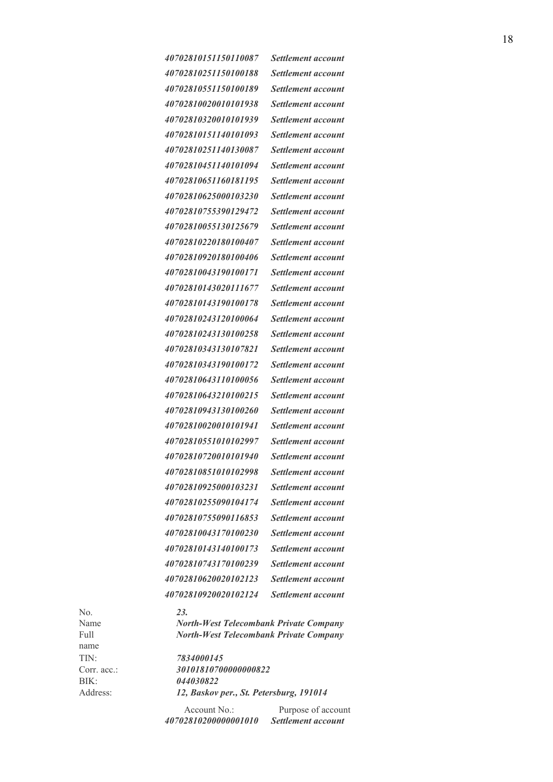|     | 40702810151150110087        | Settlement account        |
|-----|-----------------------------|---------------------------|
|     | <i>40702810251150100188</i> | Settlement account        |
|     | 40702810551150100189        | Settlement account        |
|     | 40702810020010101938        | <b>Settlement account</b> |
|     | 40702810320010101939        | <b>Settlement account</b> |
|     | 40702810151140101093        | Settlement account        |
|     | 40702810251140130087        | Settlement account        |
|     | 40702810451140101094        | Settlement account        |
|     | 40702810651160181195        | <b>Settlement account</b> |
|     | 40702810625000103230        | Settlement account        |
|     | 40702810755390129472        | Settlement account        |
|     | 40702810055130125679        | Settlement account        |
|     | 40702810220180100407        | <b>Settlement account</b> |
|     | <i>40702810920180100406</i> | Settlement account        |
|     | 40702810043190100171        | Settlement account        |
|     | 40702810143020111677        | Settlement account        |
|     | 40702810143190100178        | <b>Settlement account</b> |
|     | 40702810243120100064        | Settlement account        |
|     | 40702810243130100258        | Settlement account        |
|     | 40702810343130107821        | Settlement account        |
|     | 40702810343190100172        | <b>Settlement account</b> |
|     | 40702810643110100056        | Settlement account        |
|     | 40702810643210100215        | Settlement account        |
|     | 40702810943130100260        | Settlement account        |
|     | 40702810020010101941        | <b>Settlement account</b> |
|     | 40702810551010102997        | Settlement account        |
|     | <i>40702810720010101940</i> | Settlement account        |
|     | 40702810851010102998        | Settlement account        |
|     | 40702810925000103231        | <i>Settlement account</i> |
|     | 40702810255090104174        | Settlement account        |
|     | 40702810755090116853        | Settlement account        |
|     | 40702810043170100230        | Settlement account        |
|     | 40702810143140100173        | Settlement account        |
|     | 40702810743170100239        | Settlement account        |
|     | 40702810620020102123        | Settlement account        |
|     | 40702810920020102124        | Settlement account        |
| NL. | cr                          |                           |

No. *23.*  name TIN: *7834000145*

Name *North-West Telecombank Private Company*  Full *North-West Telecombank Private Company*

Corr. acc.: *30101810700000000822*  BIK: *044030822*  Address: *12, Baskov per., St. Petersburg, 191014* 

> Account No.: Purpose of account  *40702810200000001010 Settlement account*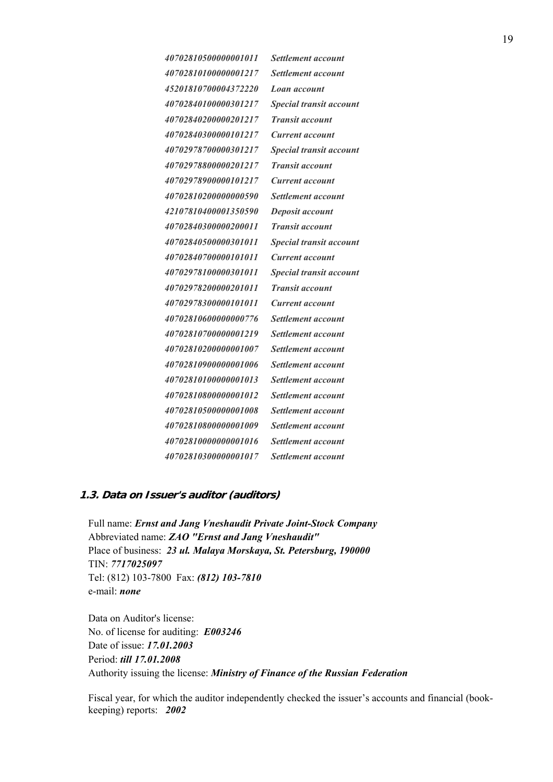| 40702810500000001011  | Settlement account             |
|-----------------------|--------------------------------|
| 40702810100000001217  | <i>Settlement account</i>      |
| 45201810700004372220  | Loan account                   |
| 40702840100000301217  | <b>Special transit account</b> |
| 40702840200000201217  | <b>Transit account</b>         |
| 40702840300000101217  | Current account                |
| 40702978700000301217  | Special transit account        |
| 40702978800000201217  | <b>Transit account</b>         |
| 40702978900000101217  | Current account                |
| 40702810200000000590  | <b>Settlement account</b>      |
| 42107810400001350590  | Deposit account                |
| 40702840300000200011  | <b>Transit account</b>         |
| 40702840500000301011  | Special transit account        |
| 40702840700000101011  | Current account                |
| 40702978100000301011  | <b>Special transit account</b> |
| 40702978200000201011  | <b>Transit account</b>         |
| 40702978300000101011  | Current account                |
| 40702810600000000776  | Settlement account             |
| 40702810700000001219  | <i>Settlement account</i>      |
| 40702810200000001007  | Settlement account             |
| 407028109000000001006 | Settlement account             |
| 40702810100000001013  | Settlement account             |
| 407028108000000001012 | <i>Settlement account</i>      |
| 40702810500000001008  | Settlement account             |
| 40702810800000001009  | Settlement account             |
| 407028100000000001016 | Settlement account             |
| 40702810300000001017  | <b>Settlement account</b>      |

## **1.3. Data on Issuer's auditor (auditors)**

Full name: *Ernst and Jang Vneshaudit Private Joint-Stock Company* Abbreviated name: *ZAO "Ernst and Jang Vneshaudit"* Place of business: *23 ul. Malaya Morskaya, St. Petersburg, 190000* TIN: *7717025097* Tel: (812) 103-7800 Fax: *(812) 103-7810* e-mail: *none*

Data on Auditor's license: No. of license for auditing: *Е003246* Date of issue: *17.01.2003* Period: *till 17.01.2008* Authority issuing the license: *Ministry of Finance of the Russian Federation*

Fiscal year, for which the auditor independently checked the issuer's accounts and financial (bookkeeping) reports: *2002*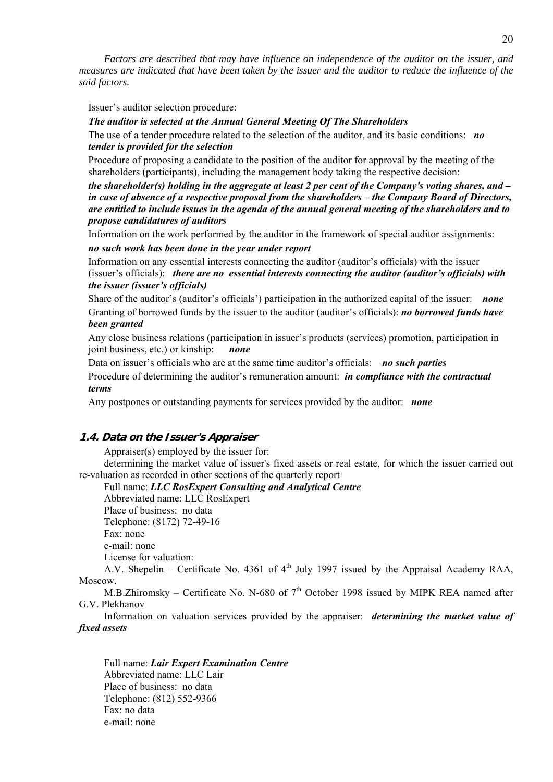*Factors are described that may have influence on independence of the auditor on the issuer, and measures are indicated that have been taken by the issuer and the auditor to reduce the influence of the said factors.* 

Issuer's auditor selection procedure:

#### *The auditor is selected at the Annual General Meeting Of The Shareholders*

The use of a tender procedure related to the selection of the auditor, and its basic conditions: *no tender is provided for the selection* 

Procedure of proposing a candidate to the position of the auditor for approval by the meeting of the shareholders (participants), including the management body taking the respective decision:

*the shareholder(s) holding in the aggregate at least 2 per cent of the Company's voting shares, and – in case of absence of a respective proposal from the shareholders – the Company Board of Directors, are entitled to include issues in the agenda of the annual general meeting of the shareholders and to propose candidatures of auditors* 

Information on the work performed by the auditor in the framework of special auditor assignments:

*no such work has been done in the year under report* 

Information on any essential interests connecting the auditor (auditor's officials) with the issuer (issuer's officials): *there are no essential interests connecting the auditor (auditor's officials) with the issuer (issuer's officials)* 

Share of the auditor's (auditor's officials') participation in the authorized capital of the issuer: *none* Granting of borrowed funds by the issuer to the auditor (auditor's officials): *no borrowed funds have been granted* 

Any close business relations (participation in issuer's products (services) promotion, participation in joint business, etc.) or kinship: *none*

Data on issuer's officials who are at the same time auditor's officials: *no such parties* 

Procedure of determining the auditor's remuneration amount: *in compliance with the contractual terms* 

Any postpones or outstanding payments for services provided by the auditor: *none*

#### **1.4. Data on the Issuer's Appraiser**

Appraiser(s) employed by the issuer for:

determining the market value of issuer's fixed assets or real estate, for which the issuer carried out re-valuation as recorded in other sections of the quarterly report

Full name: *LLC RosExpert Consulting and Analytical Centre* 

Abbreviated name: LLC RosExpert Place of business: no data Telephone: (8172) 72-49-16 Fax: none e-mail: none License for valuation:

A.V. Shepelin – Certificate No. 4361 of  $4<sup>th</sup>$  July 1997 issued by the Appraisal Academy RAA, Moscow.

M.B.Zhiromsky – Certificate No. N-680 of  $7<sup>th</sup>$  October 1998 issued by MIPK REA named after G.V. Plekhanov

Information on valuation services provided by the appraiser: *determining the market value of fixed assets* 

Full name: *Lair Expert Examination Centre* Abbreviated name: LLC Lair Place of business: no data Telephone: (812) 552-9366 Fax: no data e-mail: none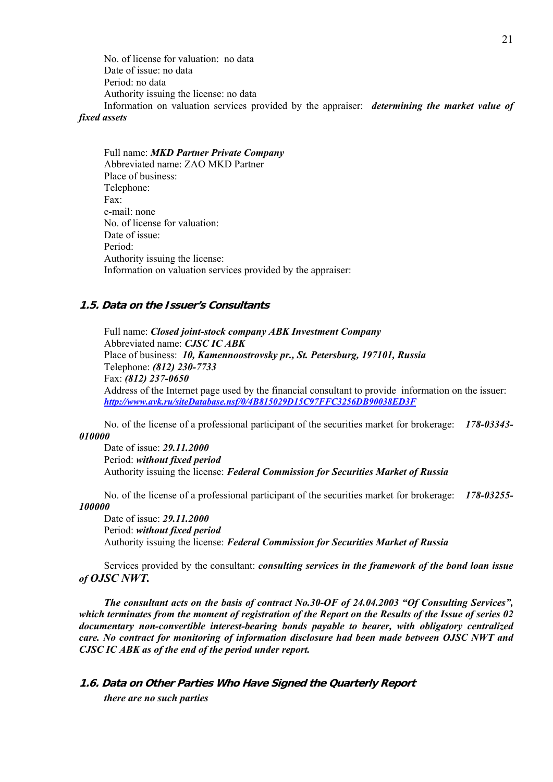No. of license for valuation: no data Date of issue: no data Period: no data Authority issuing the license: no data Information on valuation services provided by the appraiser: *determining the market value of* 

## *fixed assets*

Full name: *MKD Partner Private Company* Abbreviated name: ZAO MKD Partner Place of business: Telephone: Fax: e-mail: none No. of license for valuation: Date of issue: Period: Authority issuing the license: Information on valuation services provided by the appraiser:

## **1.5. Data on the Issuer's Consultants**

Full name: *Closed joint-stock company ABK Investment Company*  Abbreviated name: *CJSC IC ABK* Place of business: *10, Kamennoostrovsky pr., St. Petersburg, 197101, Russia* Telephone: *(812) 230-7733* Fax: *(812) 237-0650* Address of the Internet page used by the financial consultant to provide information on the issuer: *http://www.avk.ru/siteDatabase.nsf/0/4B815029D15C97FFC3256DB90038ED3F* 

No. of the license of a professional participant of the securities market for brokerage: *178-03343- 010000*

Date of issue: *29.11.2000* Period: *without fixed period* Authority issuing the license: *Federal Commission for Securities Market of Russia*

No. of the license of a professional participant of the securities market for brokerage: *178-03255- 100000*

Date of issue: *29.11.2000* Period: *without fixed period* Authority issuing the license: *Federal Commission for Securities Market of Russia*

Services provided by the consultant: *consulting services in the framework of the bond loan issue of OJSC NWT.*

*The consultant acts on the basis of contract No.30-OF of 24.04.2003 "Of Consulting Services", which terminates from the moment of registration of the Report on the Results of the Issue of series 02 documentary non-convertible interest-bearing bonds payable to bearer, with obligatory centralized care. No contract for monitoring of information disclosure had been made between OJSC NWT and CJSC IC ABK as of the end of the period under report.* 

## **1.6. Data on Other Parties Who Have Signed the Quarterly Report**  *there are no such parties*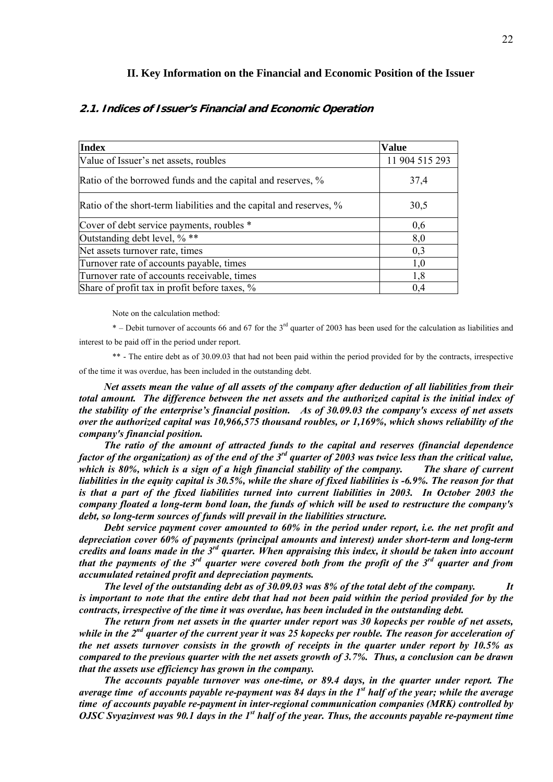#### **II. Key Information on the Financial and Economic Position of the Issuer**

| <b>Index</b>                                                        | <b>Value</b>   |
|---------------------------------------------------------------------|----------------|
| Value of Issuer's net assets, roubles                               | 11 904 515 293 |
| Ratio of the borrowed funds and the capital and reserves, %         | 37,4           |
| Ratio of the short-term liabilities and the capital and reserves, % | 30,5           |
| Cover of debt service payments, roubles *                           | 0,6            |
| Outstanding debt level, % **                                        | 8,0            |
| Net assets turnover rate, times                                     | 0,3            |
| Turnover rate of accounts payable, times                            | 1,0            |
| Turnover rate of accounts receivable, times                         | 1,8            |
| Share of profit tax in profit before taxes, %                       | 0.4            |

### **2.1. Indices of Issuer's Financial and Economic Operation**

Note on the calculation method:

\* – Debit turnover of accounts 66 and 67 for the 3rd quarter of 2003 has been used for the calculation as liabilities and interest to be paid off in the period under report.

\*\* - The entire debt as of 30.09.03 that had not been paid within the period provided for by the contracts, irrespective of the time it was overdue, has been included in the outstanding debt.

*Net assets mean the value of all assets of the company after deduction of all liabilities from their total amount. The difference between the net assets and the authorized capital is the initial index of the stability of the enterprise's financial position. As of 30.09.03 the company's excess of net assets over the authorized capital was 10,966,575 thousand roubles, or 1,169%, which shows reliability of the company's financial position.*

*The ratio of the amount of attracted funds to the capital and reserves (financial dependence factor of the organization) as of the end of the 3rd quarter of 2003 was twice less than the critical value, which is 80%, which is a sign of a high financial stability of the company. The share of current liabilities in the equity capital is 30.5%, while the share of fixed liabilities is -6.9%. The reason for that is that a part of the fixed liabilities turned into current liabilities in 2003. In October 2003 the company floated a long-term bond loan, the funds of which will be used to restructure the company's debt, so long-term sources of funds will prevail in the liabilities structure.* 

*Debt service payment cover amounted to 60% in the period under report, i.e. the net profit and depreciation cover 60% of payments (principal amounts and interest) under short-term and long-term credits and loans made in the 3rd quarter. When appraising this index, it should be taken into account that the payments of the 3rd quarter were covered both from the profit of the 3rd quarter and from accumulated retained profit and depreciation payments.*

*The level of the outstanding debt as of 30.09.03 was 8% of the total debt of the company. It is important to note that the entire debt that had not been paid within the period provided for by the contracts, irrespective of the time it was overdue, has been included in the outstanding debt.*

*The return from net assets in the quarter under report was 30 kopecks per rouble of net assets, while in the 2nd quarter of the current year it was 25 kopecks per rouble. The reason for acceleration of the net assets turnover consists in the growth of receipts in the quarter under report by 10.5% as compared to the previous quarter with the net assets growth of 3.7%. Thus, a conclusion can be drawn that the assets use efficiency has grown in the company.* 

*The accounts payable turnover was one-time, or 89.4 days, in the quarter under report. The average time of accounts payable re-payment was 84 days in the 1st half of the year; while the average time of accounts payable re-payment in inter-regional communication companies (MRK) controlled by OJSC Svyazinvest was 90.1 days in the 1st half of the year. Thus, the accounts payable re-payment time*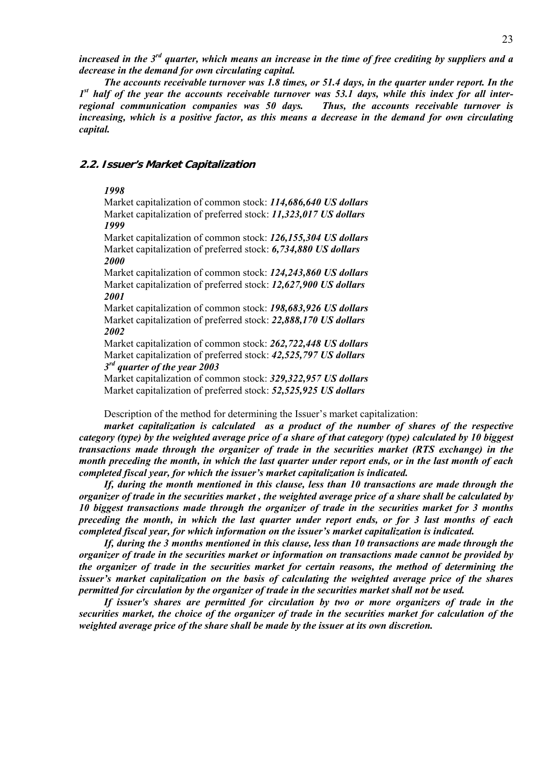*increased in the 3rd quarter, which means an increase in the time of free crediting by suppliers and a decrease in the demand for own circulating capital.*

*The accounts receivable turnover was 1.8 times, or 51.4 days, in the quarter under report. In the 1st half of the year the accounts receivable turnover was 53.1 days, while this index for all interregional communication companies was 50 days. Thus, the accounts receivable turnover is increasing, which is a positive factor, as this means a decrease in the demand for own circulating capital.*

#### **2.2. Issuer's Market Capitalization**

#### *1998*

Market capitalization of common stock: *114,686,640 US dollars* Market capitalization of preferred stock: *11,323,017 US dollars 1999* 

Market capitalization of common stock: *126,155,304 US dollars* Market capitalization of preferred stock: *6,734,880 US dollars 2000* 

Market capitalization of common stock: *124,243,860 US dollars* Market capitalization of preferred stock: *12,627,900 US dollars 2001* 

Market capitalization of common stock: *198,683,926 US dollars* Market capitalization of preferred stock: *22,888,170 US dollars 2002* 

Market capitalization of common stock: *262,722,448 US dollars* Market capitalization of preferred stock: *42,525,797 US dollars 3rd quarter of the year 2003* 

Market capitalization of common stock: *329,322,957 US dollars* Market capitalization of preferred stock: *52,525,925 US dollars*

Description of the method for determining the Issuer's market capitalization:

*market capitalization is calculated as a product of the number of shares of the respective category (type) by the weighted average price of a share of that category (type) calculated by 10 biggest transactions made through the organizer of trade in the securities market (RTS exchange) in the month preceding the month, in which the last quarter under report ends, or in the last month of each completed fiscal year, for which the issuer's market capitalization is indicated.* 

*If, during the month mentioned in this clause, less than 10 transactions are made through the organizer of trade in the securities market , the weighted average price of a share shall be calculated by 10 biggest transactions made through the organizer of trade in the securities market for 3 months preceding the month, in which the last quarter under report ends, or for 3 last months of each completed fiscal year, for which information on the issuer's market capitalization is indicated.* 

*If, during the 3 months mentioned in this clause, less than 10 transactions are made through the organizer of trade in the securities market or information on transactions made cannot be provided by the organizer of trade in the securities market for certain reasons, the method of determining the issuer's market capitalization on the basis of calculating the weighted average price of the shares permitted for circulation by the organizer of trade in the securities market shall not be used.* 

*If issuer's shares are permitted for circulation by two or more organizers of trade in the securities market, the choice of the organizer of trade in the securities market for calculation of the weighted average price of the share shall be made by the issuer at its own discretion.*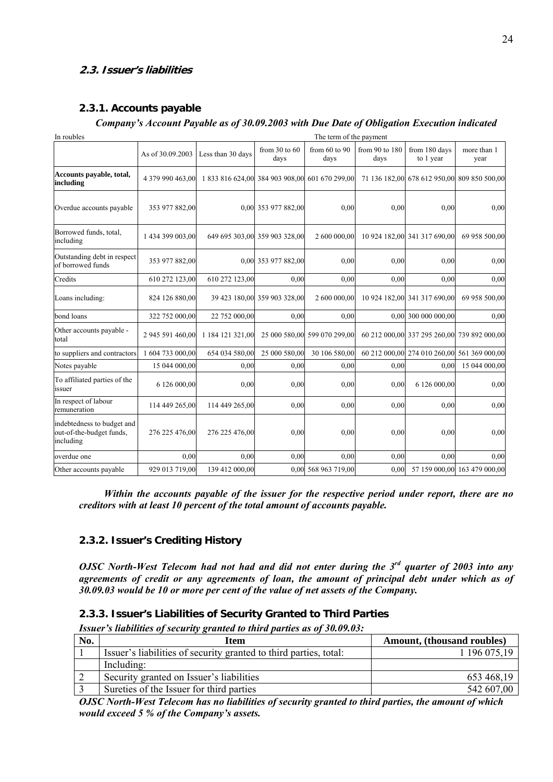## **2.3. Issuer's liabilities**

## **2.3.1. Accounts payable**

## *Company's Account Payable as of 30.09.2003 with Due Date of Obligation Execution indicated*

| In roubles                                                          |                  |                                                |                               | The term of the payment      |                        |                              |                                             |
|---------------------------------------------------------------------|------------------|------------------------------------------------|-------------------------------|------------------------------|------------------------|------------------------------|---------------------------------------------|
|                                                                     | As of 30,09,2003 | Less than 30 days                              | from $30$ to $60$<br>days     | from $60$ to $90$<br>days    | from 90 to 180<br>days | from 180 days<br>to 1 year   | more than 1<br>year                         |
| Accounts payable, total,<br>including                               | 4 379 990 463,00 | 1 833 816 624,00 384 903 908,00 601 670 299,00 |                               |                              |                        |                              | 71 136 182,00 678 612 950,00 809 850 500,00 |
| Overdue accounts payable                                            | 353 977 882,00   |                                                | 0,00 353 977 882,00           | 0,00                         | 0.00                   | 0.00                         | 0,00                                        |
| Borrowed funds, total,<br>including                                 | 1 434 399 003,00 |                                                | 649 695 303,00 359 903 328,00 | 2 600 000,00                 |                        | 10 924 182,00 341 317 690,00 | 69 958 500,00                               |
| Outstanding debt in respect<br>of borrowed funds                    | 353 977 882,00   |                                                | 0,00 353 977 882,00           | 0,00                         | 0,00                   | 0.00                         | 0,00                                        |
| Credits                                                             | 610 272 123,00   | 610 272 123,00                                 | 0,00                          | 0,00                         | 0.00                   | 0.00                         | 0,00                                        |
| Loans including:                                                    | 824 126 880,00   |                                                | 39 423 180,00 359 903 328,00  | 2 600 000,00                 |                        | 10 924 182,00 341 317 690,00 | 69 958 500,00                               |
| bond loans                                                          | 322 752 000,00   | 22 752 000,00                                  | 0,00                          | 0,00                         |                        | 0,00 300 000 000,00          | 0.00                                        |
| Other accounts payable -<br>total                                   | 2 945 591 460,00 | 1 184 121 321,00                               |                               | 25 000 580,00 599 070 299,00 |                        |                              | 60 212 000,00 337 295 260,00 739 892 000,00 |
| to suppliers and contractors                                        | 1 604 733 000,00 | 654 034 580,00                                 | 25 000 580,00                 | 30 106 580,00                |                        |                              | 60 212 000,00 274 010 260,00 561 369 000,00 |
| Notes payable                                                       | 15 044 000,00    | 0.00                                           | 0,00                          | 0,00                         | 0.00                   | 0.00                         | 15 044 000,00                               |
| To affiliated parties of the<br>issuer                              | 6 126 000,00     | 0.00                                           | 0,00                          | 0.00                         | 0,00                   | 6 126 000,00                 | 0,00                                        |
| In respect of labour<br>remuneration                                | 114 449 265,00   | 114 449 265,00                                 | 0,00                          | 0,00                         | 0,00                   | 0.00                         | 0,00                                        |
| indebtedness to budget and<br>out-of-the-budget funds,<br>including | 276 225 476,00   | 276 225 476,00                                 | 0,00                          | 0,00                         | 0,00                   | 0.00                         | 0,00                                        |
| overdue one                                                         | 0.00             | 0.00                                           | 0.00                          | 0.00                         | 0.00                   | 0.00                         | 0,00                                        |
| Other accounts payable                                              | 929 013 719,00   | 139 412 000,00                                 |                               | 0,00 568 963 719,00          | 0,00                   |                              | 57 159 000,00 163 479 000,00                |

*Within the accounts payable of the issuer for the respective period under report, there are no creditors with at least 10 percent of the total amount of accounts payable.* 

## **2.3.2. Issuer's Crediting History**

*OJSC North-West Telecom had not had and did not enter during the 3rd quarter of 2003 into any agreements of credit or any agreements of loan, the amount of principal debt under which as of 30.09.03 would be 10 or more per cent of the value of net assets of the Company.* 

## **2.3.3. Issuer's Liabilities of Security Granted to Third Parties**

*Issuer's liabilities of security granted to third parties as of 30.09.03:* 

| No. | Item                                                              | Amount, (thousand roubles) |
|-----|-------------------------------------------------------------------|----------------------------|
|     | Issuer's liabilities of security granted to third parties, total: | 196 075,19                 |
|     | Including:                                                        |                            |
| ∠   | Security granted on Issuer's liabilities                          | 653 468,19                 |
|     | Sureties of the Issuer for third parties                          | 542 607,00                 |

*OJSC North-West Telecom has no liabilities of security granted to third parties, the amount of which would exceed 5 % of the Company's assets.*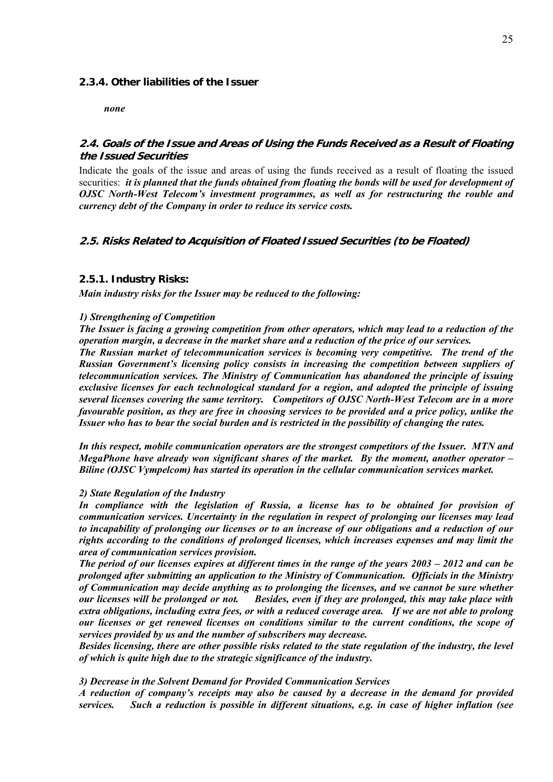#### **2.3.4. Other liabilities of the Issuer**

*none* 

## **2.4. Goals of the Issue and Areas of Using the Funds Received as a Result of Floating the Issued Securities**

Indicate the goals of the issue and areas of using the funds received as a result of floating the issued securities: *it is planned that the funds obtained from floating the bonds will be used for development of OJSC North-West Telecom's investment programmes, as well as for restructuring the rouble and currency debt of the Company in order to reduce its service costs.* 

## **2.5. Risks Related to Acquisition of Floated Issued Securities (to be Floated)**

#### **2.5.1. Industry Risks:**

*Main industry risks for the Issuer may be reduced to the following:* 

#### *1) Strengthening of Competition*

*The Issuer is facing a growing competition from other operators, which may lead to a reduction of the operation margin, a decrease in the market share and a reduction of the price of our services.* 

*The Russian market of telecommunication services is becoming very competitive. The trend of the Russian Government's licensing policy consists in increasing the competition between suppliers of telecommunication services. The Ministry of Communication has abandoned the principle of issuing exclusive licenses for each technological standard for a region, and adopted the principle of issuing several licenses covering the same territory. Competitors of OJSC North-West Telecom are in a more favourable position, as they are free in choosing services to be provided and a price policy, unlike the Issuer who has to bear the social burden and is restricted in the possibility of changing the rates.*

*In this respect, mobile communication operators are the strongest competitors of the Issuer. MTN and MegaPhone have already won significant shares of the market. By the moment, another operator – Biline (OJSC Vympelcom) has started its operation in the cellular communication services market.* 

#### *2) State Regulation of the Industry*

In compliance with the legislation of Russia, a license has to be obtained for provision of *communication services. Uncertainty in the regulation in respect of prolonging our licenses may lead to incapability of prolonging our licenses or to an increase of our obligations and a reduction of our rights according to the conditions of prolonged licenses, which increases expenses and may limit the area of communication services provision.*

*The period of our licenses expires at different times in the range of the years 2003 – 2012 and can be prolonged after submitting an application to the Ministry of Communication. Officials in the Ministry of Communication may decide anything as to prolonging the licenses, and we cannot be sure whether our licenses will be prolonged or not. Besides, even if they are prolonged, this may take place with extra obligations, including extra fees, or with a reduced coverage area. If we are not able to prolong our licenses or get renewed licenses on conditions similar to the current conditions, the scope of services provided by us and the number of subscribers may decrease.* 

*Besides licensing, there are other possible risks related to the state regulation of the industry, the level of which is quite high due to the strategic significance of the industry.* 

#### *3) Decrease in the Solvent Demand for Provided Communication Services*

*A reduction of company's receipts may also be caused by a decrease in the demand for provided services. Such a reduction is possible in different situations, e.g. in case of higher inflation (see*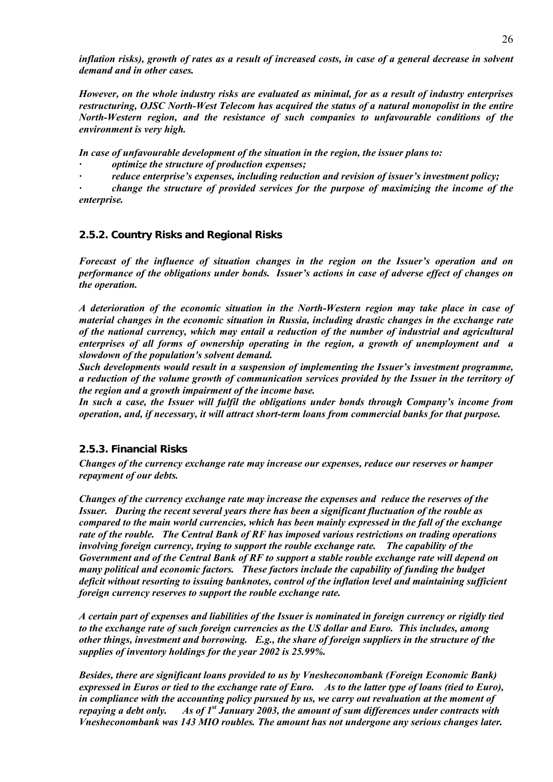*inflation risks), growth of rates as a result of increased costs, in case of a general decrease in solvent demand and in other cases.* 

*However, on the whole industry risks are evaluated as minimal, for as a result of industry enterprises restructuring, OJSC North-West Telecom has acquired the status of a natural monopolist in the entire North-Western region, and the resistance of such companies to unfavourable conditions of the environment is very high.* 

*In case of unfavourable development of the situation in the region, the issuer plans to:* 

- *· optimize the structure of production expenses;*
- *· reduce enterprise's expenses, including reduction and revision of issuer's investment policy;*

*· change the structure of provided services for the purpose of maximizing the income of the enterprise.* 

## **2.5.2. Country Risks and Regional Risks**

*Forecast of the influence of situation changes in the region on the Issuer's operation and on performance of the obligations under bonds. Issuer's actions in case of adverse effect of changes on the operation.* 

*A deterioration of the economic situation in the North-Western region may take place in case of material changes in the economic situation in Russia, including drastic changes in the exchange rate of the national currency, which may entail a reduction of the number of industrial and agricultural enterprises of all forms of ownership operating in the region, a growth of unemployment and a slowdown of the population's solvent demand.* 

*Such developments would result in a suspension of implementing the Issuer's investment programme, a reduction of the volume growth of communication services provided by the Issuer in the territory of the region and a growth impairment of the income base.* 

*In such a case, the Issuer will fulfil the obligations under bonds through Company's income from operation, and, if necessary, it will attract short-term loans from commercial banks for that purpose.* 

## **2.5.3. Financial Risks**

*Changes of the currency exchange rate may increase our expenses, reduce our reserves or hamper repayment of our debts.* 

*Changes of the currency exchange rate may increase the expenses and reduce the reserves of the Issuer. During the recent several years there has been a significant fluctuation of the rouble as compared to the main world currencies, which has been mainly expressed in the fall of the exchange rate of the rouble. The Central Bank of RF has imposed various restrictions on trading operations involving foreign currency, trying to support the rouble exchange rate. The capability of the Government and of the Central Bank of RF to support a stable rouble exchange rate will depend on many political and economic factors. These factors include the capability of funding the budget deficit without resorting to issuing banknotes, control of the inflation level and maintaining sufficient foreign currency reserves to support the rouble exchange rate.* 

*A certain part of expenses and liabilities of the Issuer is nominated in foreign currency or rigidly tied to the exchange rate of such foreign currencies as the US dollar and Euro. This includes, among other things, investment and borrowing. E.g., the share of foreign suppliers in the structure of the supplies of inventory holdings for the year 2002 is 25.99%.* 

*Besides, there are significant loans provided to us by Vnesheconombank (Foreign Economic Bank) expressed in Euros or tied to the exchange rate of Euro. As to the latter type of loans (tied to Euro), in compliance with the accounting policy pursued by us, we carry out revaluation at the moment of repaying a debt only.* As of 1<sup>st</sup> January 2003, the amount of sum differences under contracts with *Vnesheconombank was 143 MIO roubles. The amount has not undergone any serious changes later.*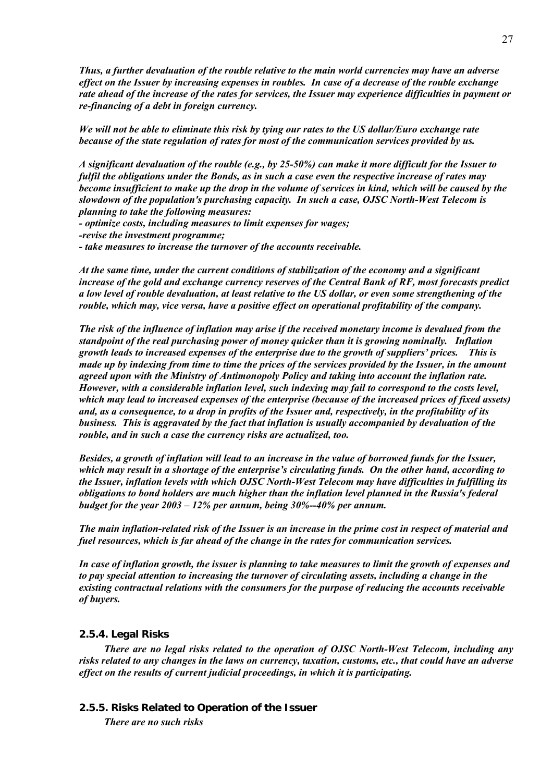*Thus, a further devaluation of the rouble relative to the main world currencies may have an adverse effect on the Issuer by increasing expenses in roubles. In case of a decrease of the rouble exchange rate ahead of the increase of the rates for services, the Issuer may experience difficulties in payment or re-financing of a debt in foreign currency.* 

*We will not be able to eliminate this risk by tying our rates to the US dollar/Euro exchange rate because of the state regulation of rates for most of the communication services provided by us.* 

*A significant devaluation of the rouble (e.g., by 25-50%) can make it more difficult for the Issuer to fulfil the obligations under the Bonds, as in such a case even the respective increase of rates may become insufficient to make up the drop in the volume of services in kind, which will be caused by the slowdown of the population's purchasing capacity. In such a case, OJSC North-West Telecom is planning to take the following measures:* 

*- optimize costs, including measures to limit expenses for wages;* 

*-revise the investment programme;* 

*- take measures to increase the turnover of the accounts receivable.* 

*At the same time, under the current conditions of stabilization of the economy and a significant increase of the gold and exchange currency reserves of the Central Bank of RF, most forecasts predict a low level of rouble devaluation, at least relative to the US dollar, or even some strengthening of the rouble, which may, vice versa, have a positive effect on operational profitability of the company.* 

*The risk of the influence of inflation may arise if the received monetary income is devalued from the standpoint of the real purchasing power of money quicker than it is growing nominally. Inflation growth leads to increased expenses of the enterprise due to the growth of suppliers' prices. This is made up by indexing from time to time the prices of the services provided by the Issuer, in the amount agreed upon with the Ministry of Antimonopoly Policy and taking into account the inflation rate. However, with a considerable inflation level, such indexing may fail to correspond to the costs level, which may lead to increased expenses of the enterprise (because of the increased prices of fixed assets) and, as a consequence, to a drop in profits of the Issuer and, respectively, in the profitability of its business. This is aggravated by the fact that inflation is usually accompanied by devaluation of the rouble, and in such a case the currency risks are actualized, too.* 

*Besides, a growth of inflation will lead to an increase in the value of borrowed funds for the Issuer, which may result in a shortage of the enterprise's circulating funds. On the other hand, according to the Issuer, inflation levels with which OJSC North-West Telecom may have difficulties in fulfilling its obligations to bond holders are much higher than the inflation level planned in the Russia's federal budget for the year 2003 – 12% per annum, being 30%--40% per annum.*

*The main inflation-related risk of the Issuer is an increase in the prime cost in respect of material and fuel resources, which is far ahead of the change in the rates for communication services.* 

*In case of inflation growth, the issuer is planning to take measures to limit the growth of expenses and to pay special attention to increasing the turnover of circulating assets, including a change in the existing contractual relations with the consumers for the purpose of reducing the accounts receivable of buyers.* 

#### **2.5.4. Legal Risks**

*There are no legal risks related to the operation of OJSC North-West Telecom, including any risks related to any changes in the laws on currency, taxation, customs, etc., that could have an adverse effect on the results of current judicial proceedings, in which it is participating.* 

## **2.5.5. Risks Related to Operation of the Issuer**

*There are no such risks*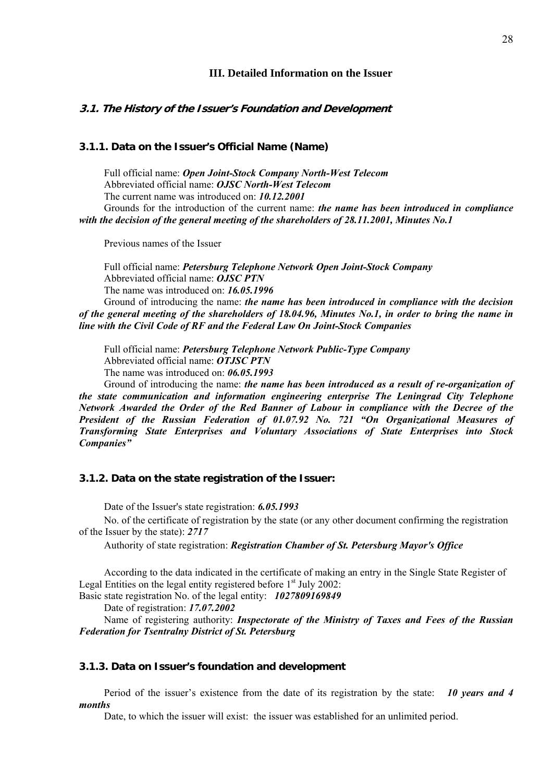#### **III. Detailed Information on the Issuer**

### **3.1. The History of the Issuer's Foundation and Development**

## **3.1.1. Data on the Issuer's Official Name (Name)**

Full official name: *Open Joint-Stock Company North-West Telecom* Abbreviated official name: *OJSC North-West Telecom* The current name was introduced on: *10.12.2001* Grounds for the introduction of the current name: *the name has been introduced in compliance with the decision of the general meeting of the shareholders of 28.11.2001, Minutes No.1*

Previous names of the Issuer

Full official name: *Petersburg Telephone Network Open Joint-Stock Company* Abbreviated official name: *OJSC PTN* The name was introduced on: *16.05.1996* Ground of introducing the name: *the name has been introduced in compliance with the decision of the general meeting of the shareholders of 18.04.96, Minutes No.1, in order to bring the name in* 

*line with the Civil Code of RF and the Federal Law On Joint-Stock Companies*

Full official name: *Petersburg Telephone Network Public-Type Company* Abbreviated official name: *OTJSC PTN* The name was introduced on: *06.05.1993*

Ground of introducing the name: *the name has been introduced as a result of re-organization of the state communication and information engineering enterprise The Leningrad City Telephone Network Awarded the Order of the Red Banner of Labour in compliance with the Decree of the President of the Russian Federation of 01.07.92 No. 721 "On Organizational Measures of Transforming State Enterprises and Voluntary Associations of State Enterprises into Stock Companies"* 

#### **3.1.2. Data on the state registration of the Issuer:**

Date of the Issuer's state registration: *6.05.1993*

No. of the certificate of registration by the state (or any other document confirming the registration of the Issuer by the state): *2717*

Authority of state registration: *Registration Chamber of St. Petersburg Mayor's Office*

According to the data indicated in the certificate of making an entry in the Single State Register of Legal Entities on the legal entity registered before  $1<sup>st</sup>$  July 2002:

Basic state registration No. of the legal entity: *1027809169849*

Date of registration: *17.07.2002*

Name of registering authority: *Inspectorate of the Ministry of Taxes and Fees of the Russian Federation for Tsentralny District of St. Petersburg* 

#### **3.1.3. Data on Issuer's foundation and development**

Period of the issuer's existence from the date of its registration by the state: *10 years and 4 months*

Date, to which the issuer will exist: the issuer was established for an unlimited period.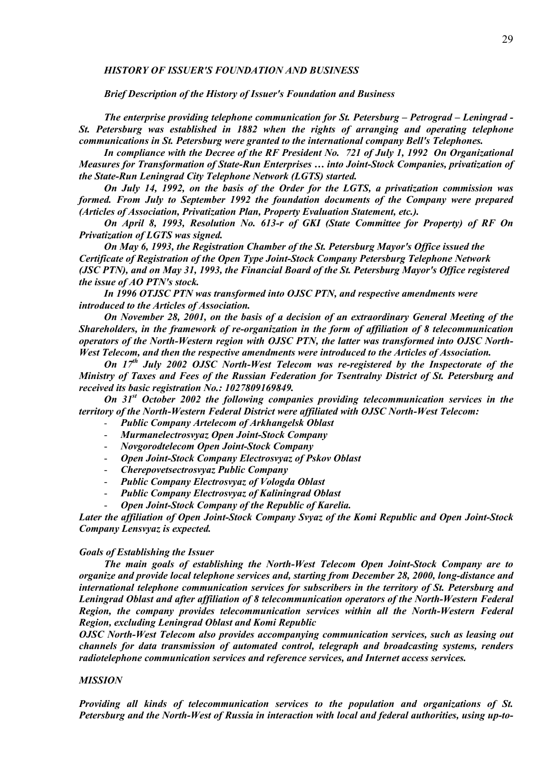#### *HISTORY OF ISSUER'S FOUNDATION AND BUSINESS*

*Brief Description of the History of Issuer's Foundation and Business* 

*The enterprise providing telephone communication for St. Petersburg – Petrograd – Leningrad - St. Petersburg was established in 1882 when the rights of arranging and operating telephone communications in St. Petersburg were granted to the international company Bell's Telephones.* 

*In compliance with the Decree of the RF President No. 721 of July 1, 1992 On Organizational Measures for Transformation of State-Run Enterprises … into Joint-Stock Companies, privatization of the State-Run Leningrad City Telephone Network (LGTS) started.* 

*On July 14, 1992, on the basis of the Order for the LGTS, a privatization commission was formed. From July to September 1992 the foundation documents of the Company were prepared (Articles of Association, Privatization Plan, Property Evaluation Statement, etc.).* 

*On April 8, 1993, Resolution No. 613-r of GKI (State Committee for Property) of RF On Privatization of LGTS was signed.* 

*On May 6, 1993, the Registration Chamber of the St. Petersburg Mayor's Office issued the Certificate of Registration of the Open Type Joint-Stock Company Petersburg Telephone Network (JSC PTN), and on May 31, 1993, the Financial Board of the St. Petersburg Mayor's Office registered the issue of AO PTN's stock.* 

*In 1996 OTJSC PTN was transformed into OJSC PTN, and respective amendments were introduced to the Articles of Association.*

*On November 28, 2001, on the basis of a decision of an extraordinary General Meeting of the Shareholders, in the framework of re-organization in the form of affiliation of 8 telecommunication operators of the North-Western region with OJSC PTN, the latter was transformed into OJSC North-West Telecom, and then the respective amendments were introduced to the Articles of Association.* 

*On 17th July 2002 OJSC North-West Telecom was re-registered by the Inspectorate of the Ministry of Taxes and Fees of the Russian Federation for Tsentralny District of St. Petersburg and received its basic registration No.: 1027809169849.* 

*On 31st October 2002 the following companies providing telecommunication services in the territory of the North-Western Federal District were affiliated with OJSC North-West Telecom:* 

- *Public Company Artelecom of Arkhangelsk Oblast*
- *Murmanelectrosvyaz Open Joint-Stock Company*
- *Novgorodtelecom Open Joint-Stock Company*
- *Open Joint-Stock Company Electrosvyaz of Pskov Oblast*
- *Cherepovetsectrosvyaz Public Company*
- *Public Company Electrosvyaz of Vologda Oblast*
- *Public Company Electrosvyaz of Kaliningrad Oblast*
- *Open Joint-Stock Company of the Republic of Karelia.*

*Later the affiliation of Open Joint-Stock Company Svyaz of the Komi Republic and Open Joint-Stock Company Lensvyaz is expected.* 

#### *Goals of Establishing the Issuer*

*The main goals of establishing the North-West Telecom Open Joint-Stock Company are to organize and provide local telephone services and, starting from December 28, 2000, long-distance and international telephone communication services for subscribers in the territory of St. Petersburg and Leningrad Oblast and after affiliation of 8 telecommunication operators of the North-Western Federal Region, the company provides telecommunication services within all the North-Western Federal Region, excluding Leningrad Oblast and Komi Republic* 

*OJSC North-West Telecom also provides accompanying communication services, such as leasing out channels for data transmission of automated control, telegraph and broadcasting systems, renders radiotelephone communication services and reference services, and Internet access services.* 

#### *MISSION*

*Providing all kinds of telecommunication services to the population and organizations of St. Petersburg and the North-West of Russia in interaction with local and federal authorities, using up-to-*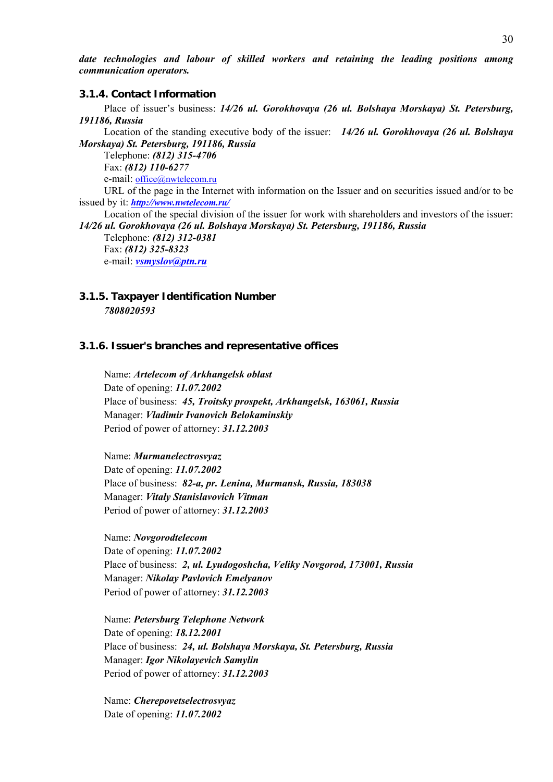*date technologies and labour of skilled workers and retaining the leading positions among communication operators.* 

#### **3.1.4. Contact Information**

Place of issuer's business: *14/26 ul. Gorokhovaya (26 ul. Bolshaya Morskaya) St. Petersburg, 191186, Russia*

Location of the standing executive body of the issuer: *14/26 ul. Gorokhovaya (26 ul. Bolshaya Morskaya) St. Petersburg, 191186, Russia*

Telephone: *(812) 315-4706* Fax: *(812) 110-6277*

e-mail: office@nwtelecom.ru

URL of the page in the Internet with information on the Issuer and on securities issued and/or to be issued by it: *http://www.nwtelecom.ru/*

Location of the special division of the issuer for work with shareholders and investors of the issuer: *14/26 ul. Gorokhovaya (26 ul. Bolshaya Morskaya) St. Petersburg, 191186, Russia*

Telephone: *(812) 312-0381* Fax: *(812) 325-8323* e-mail: *vsmyslov@ptn.ru*

## **3.1.5. Taxpayer Identification Number**  *7808020593*

#### **3.1.6. Issuer's branches and representative offices**

Name: *Artelecom of Arkhangelsk oblast* Date of opening: *11.07.2002* Place of business: *45, Troitsky prospekt, Arkhangelsk, 163061, Russia* Manager: *Vladimir Ivanovich Belokaminskiy* Period of power of attorney: *31.12.2003*

Name: *Murmanelectrosvyaz* Date of opening: *11.07.2002* Place of business: *82-a, pr. Lenina, Murmansk, Russia, 183038* Manager: *Vitaly Stanislavovich Vitman* Period of power of attorney: *31.12.2003*

Name: *Novgorodtelecom* Date of opening: *11.07.2002* Place of business: *2, ul. Lyudogoshcha, Veliky Novgorod, 173001, Russia* Manager: *Nikolay Pavlovich Emelyanov* Period of power of attorney: *31.12.2003*

Name: *Petersburg Telephone Network* Date of opening: *18.12.2001* Place of business: *24, ul. Bolshaya Morskaya, St. Petersburg, Russia* Manager: *Igor Nikolayevich Samylin* Period of power of attorney: *31.12.2003*

Name: *Cherepovetselectrosvyaz* Date of opening: *11.07.2002*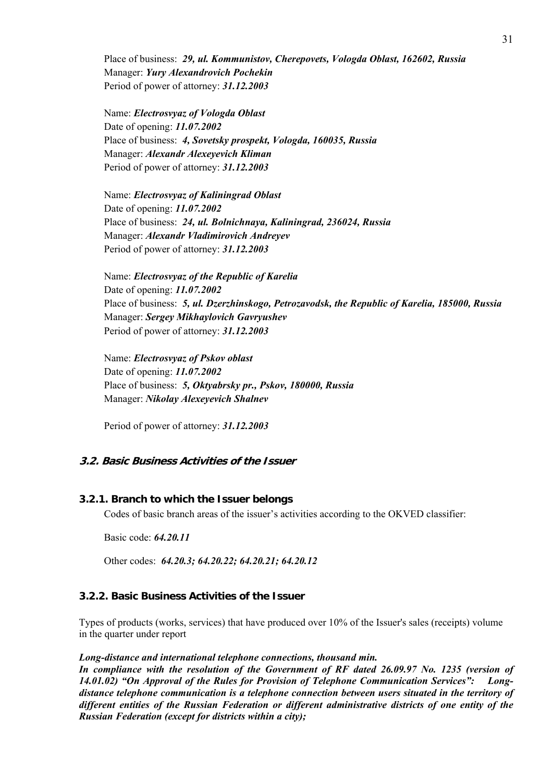Place of business: *29, ul. Kommunistov, Cherepovets, Vologda Oblast, 162602, Russia* Manager: *Yury Alexandrovich Pochekin* Period of power of attorney: *31.12.2003*

Name: *Electrosvyaz of Vologda Oblast* Date of opening: *11.07.2002* Place of business: *4, Sovetsky prospekt, Vologda, 160035, Russia* Manager: *Alexandr Alexeyevich Kliman* Period of power of attorney: *31.12.2003*

Name: *Electrosvyaz of Kaliningrad Oblast* Date of opening: *11.07.2002* Place of business: *24, ul. Bolnichnaya, Kaliningrad, 236024, Russia* Manager: *Alexandr Vladimirovich Andreyev* Period of power of attorney: *31.12.2003*

Name: *Electrosvyaz of the Republic of Karelia* Date of opening: *11.07.2002* Place of business: *5, ul. Dzerzhinskogo, Petrozavodsk, the Republic of Karelia, 185000, Russia* Manager: *Sergey Mikhaylovich Gavryushev*  Period of power of attorney: *31.12.2003*

Name: *Electrosvyaz of Pskov oblast* Date of opening: *11.07.2002* Place of business: *5, Oktyabrsky pr., Pskov, 180000, Russia* Manager: *Nikolay Alexeyevich Shalnev*

Period of power of attorney: *31.12.2003*

## **3.2. Basic Business Activities of the Issuer**

#### **3.2.1. Branch to which the Issuer belongs**

Codes of basic branch areas of the issuer's activities according to the OKVED classifier:

Basic code: *64.20.11*

Other codes: *64.20.3; 64.20.22; 64.20.21; 64.20.12*

### **3.2.2. Basic Business Activities of the Issuer**

Types of products (works, services) that have produced over 10% of the Issuer's sales (receipts) volume in the quarter under report

#### *Long-distance and international telephone connections, thousand min.*

*In compliance with the resolution of the Government of RF dated 26.09.97 No. 1235 (version of 14.01.02) "On Approval of the Rules for Provision of Telephone Communication Services": Longdistance telephone communication is a telephone connection between users situated in the territory of different entities of the Russian Federation or different administrative districts of one entity of the Russian Federation (except for districts within a city);*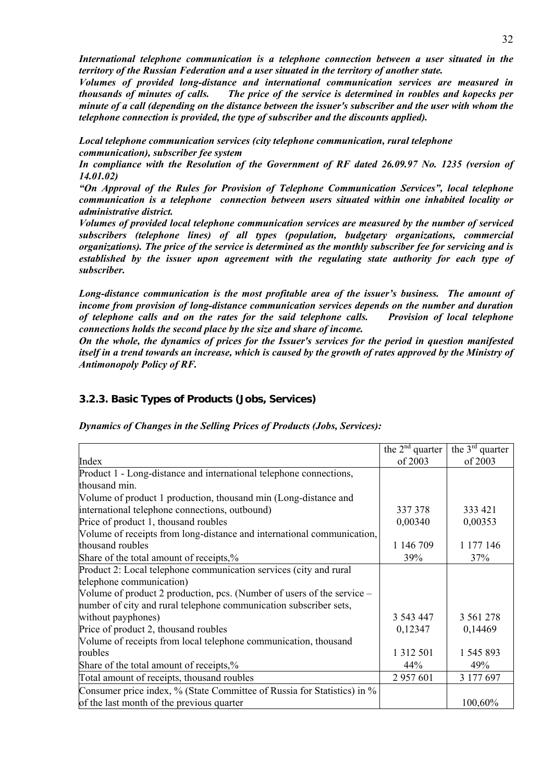*International telephone communication is a telephone connection between a user situated in the territory of the Russian Federation and a user situated in the territory of another state.* 

*Volumes of provided long-distance and international communication services are measured in thousands of minutes of calls. The price of the service is determined in roubles and kopecks per minute of a call (depending on the distance between the issuer's subscriber and the user with whom the telephone connection is provided, the type of subscriber and the discounts applied).*

*Local telephone communication services (city telephone communication, rural telephone communication), subscriber fee system* 

*In compliance with the Resolution of the Government of RF dated 26.09.97 No. 1235 (version of 14.01.02)* 

*"On Approval of the Rules for Provision of Telephone Communication Services", local telephone communication is a telephone connection between users situated within one inhabited locality or administrative district.* 

*Volumes of provided local telephone communication services are measured by the number of serviced subscribers (telephone lines) of all types (population, budgetary organizations, commercial organizations). The price of the service is determined as the monthly subscriber fee for servicing and is established by the issuer upon agreement with the regulating state authority for each type of subscriber.* 

*Long-distance communication is the most profitable area of the issuer's business. The amount of income from provision of long-distance communication services depends on the number and duration of telephone calls and on the rates for the said telephone calls. Provision of local telephone connections holds the second place by the size and share of income.* 

*On the whole, the dynamics of prices for the Issuer's services for the period in question manifested itself in a trend towards an increase, which is caused by the growth of rates approved by the Ministry of Antimonopoly Policy of RF.*

## **3.2.3. Basic Types of Products (Jobs, Services)**

*Dynamics of Changes in the Selling Prices of Products (Jobs, Services):* 

|                                                                          | the $2^{nd}$ quarter | the $3^{\text{rd}}$ quarter |
|--------------------------------------------------------------------------|----------------------|-----------------------------|
| Index                                                                    | of 2003              | of 2003                     |
| Product 1 - Long-distance and international telephone connections,       |                      |                             |
| thousand min.                                                            |                      |                             |
| Volume of product 1 production, thousand min (Long-distance and          |                      |                             |
| international telephone connections, outbound)                           | 337 378              | 333 421                     |
| Price of product 1, thousand roubles                                     | 0,00340              | 0,00353                     |
| Volume of receipts from long-distance and international communication,   |                      |                             |
| thousand roubles                                                         | 1 146 709            | 1 177 146                   |
| Share of the total amount of receipts,%                                  | 39%                  | 37%                         |
| Product 2: Local telephone communication services (city and rural        |                      |                             |
| telephone communication)                                                 |                      |                             |
| Volume of product 2 production, pcs. (Number of users of the service $-$ |                      |                             |
| number of city and rural telephone communication subscriber sets,        |                      |                             |
| without payphones)                                                       | 3 543 447            | 3 5 6 1 2 7 8               |
| Price of product 2, thousand roubles                                     | 0,12347              | 0,14469                     |
| Volume of receipts from local telephone communication, thousand          |                      |                             |
| roubles                                                                  | 1 3 1 2 5 0 1        | 1 545 893                   |
| Share of the total amount of receipts,%                                  | 44%                  | 49%                         |
| Total amount of receipts, thousand roubles                               | 2 957 601            | 3 177 697                   |
| Consumer price index, % (State Committee of Russia for Statistics) in %  |                      |                             |
| of the last month of the previous quarter                                |                      | 100,60%                     |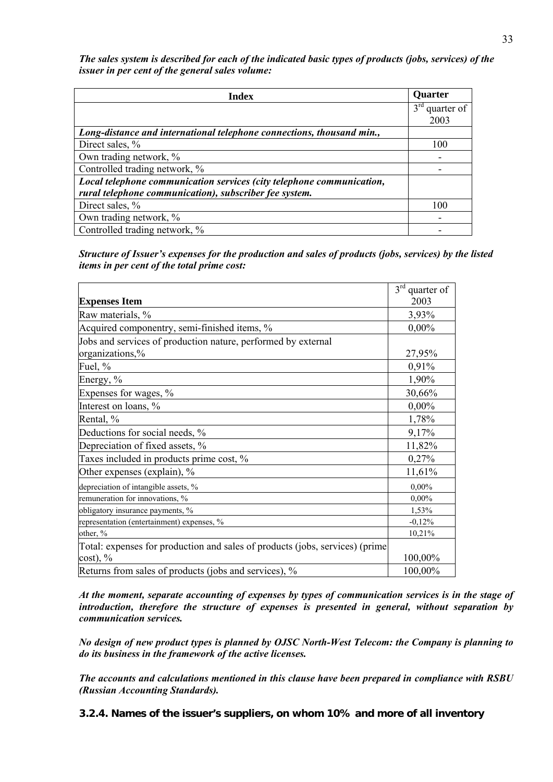*The sales system is described for each of the indicated basic types of products (jobs, services) of the issuer in per cent of the general sales volume:* 

| <b>Index</b>                                                          | <b>Quarter</b>                |
|-----------------------------------------------------------------------|-------------------------------|
|                                                                       | $3^{\text{rd}}$<br>quarter of |
|                                                                       | 2003                          |
| Long-distance and international telephone connections, thousand min., |                               |
| Direct sales, %                                                       | 100                           |
| Own trading network, %                                                |                               |
| Controlled trading network, %                                         |                               |
| Local telephone communication services (city telephone communication, |                               |
| rural telephone communication), subscriber fee system.                |                               |
| Direct sales, %                                                       | 100                           |
| Own trading network, %                                                |                               |
| Controlled trading network, %                                         |                               |

*Structure of Issuer's expenses for the production and sales of products (jobs, services) by the listed items in per cent of the total prime cost:* 

|                                                                              | $3rd$ quarter of |
|------------------------------------------------------------------------------|------------------|
| <b>Expenses Item</b>                                                         | 2003             |
| Raw materials, %                                                             | 3,93%            |
| Acquired componentry, semi-finished items, %                                 | $0,00\%$         |
| Jobs and services of production nature, performed by external                |                  |
| organizations,%                                                              | 27,95%           |
| Fuel, %                                                                      | 0,91%            |
| Energy, %                                                                    | 1,90%            |
| Expenses for wages, %                                                        | 30,66%           |
| Interest on loans, %                                                         | $0,00\%$         |
| Rental, %                                                                    | 1,78%            |
| Deductions for social needs, %                                               | 9,17%            |
| Depreciation of fixed assets, %                                              | 11,82%           |
| Taxes included in products prime cost, %                                     | 0,27%            |
| Other expenses (explain), %                                                  | 11,61%           |
| depreciation of intangible assets, %                                         | $0,00\%$         |
| remuneration for innovations, %                                              | $0,00\%$         |
| obligatory insurance payments, %                                             | 1,53%            |
| representation (entertainment) expenses, %                                   | $-0,12%$         |
| other, %                                                                     | 10,21%           |
| Total: expenses for production and sales of products (jobs, services) (prime |                  |
| $cost)$ , %                                                                  | 100,00%          |
| Returns from sales of products (jobs and services), %                        | 100,00%          |

*At the moment, separate accounting of expenses by types of communication services is in the stage of introduction, therefore the structure of expenses is presented in general, without separation by communication services.* 

*No design of new product types is planned by OJSC North-West Telecom: the Company is planning to do its business in the framework of the active licenses.* 

*The accounts and calculations mentioned in this clause have been prepared in compliance with RSBU (Russian Accounting Standards).* 

**3.2.4. Names of the issuer's suppliers, on whom 10% and more of all inventory**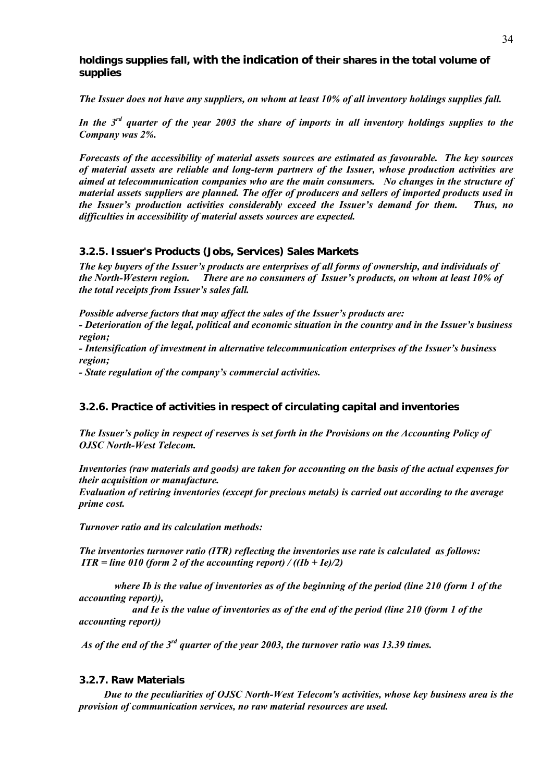**holdings supplies fall, with the indication of their shares in the total volume of supplies** 

*The Issuer does not have any suppliers, on whom at least 10% of all inventory holdings supplies fall.* 

*In the 3rd quarter of the year 2003 the share of imports in all inventory holdings supplies to the Company was 2%.* 

*Forecasts of the accessibility of material assets sources are estimated as favourable. The key sources of material assets are reliable and long-term partners of the Issuer, whose production activities are aimed at telecommunication companies who are the main consumers. No changes in the structure of material assets suppliers are planned. The offer of producers and sellers of imported products used in the Issuer's production activities considerably exceed the Issuer's demand for them. Thus, no difficulties in accessibility of material assets sources are expected.* 

## **3.2.5. Issuer's Products (Jobs, Services) Sales Markets**

*The key buyers of the Issuer's products are enterprises of all forms of ownership, and individuals of the North-Western region. There are no consumers of Issuer's products, on whom at least 10% of the total receipts from Issuer's sales fall.* 

*Possible adverse factors that may affect the sales of the Issuer's products are:* 

*- Deterioration of the legal, political and economic situation in the country and in the Issuer's business region;* 

*- Intensification of investment in alternative telecommunication enterprises of the Issuer's business region;* 

*- State regulation of the company's commercial activities.* 

## **3.2.6. Practice of activities in respect of circulating capital and inventories**

*The Issuer's policy in respect of reserves is set forth in the Provisions on the Accounting Policy of OJSC North-West Telecom.* 

*Inventories (raw materials and goods) are taken for accounting on the basis of the actual expenses for their acquisition or manufacture.* 

*Evaluation of retiring inventories (except for precious metals) is carried out according to the average prime cost.* 

*Turnover ratio and its calculation methods:* 

*The inventories turnover ratio (ITR) reflecting the inventories use rate is calculated as follows: ITR = line 010 (form 2 of the accounting report)* /  $((Ib + Ie)/2)$ 

 *where Ib is the value of inventories as of the beginning of the period (line 210 (form 1 of the accounting report)),* 

 *and Ie is the value of inventories as of the end of the period (line 210 (form 1 of the accounting report))* 

 *As of the end of the 3rd quarter of the year 2003, the turnover ratio was 13.39 times.* 

## **3.2.7. Raw Materials**

*Due to the peculiarities of OJSC North-West Telecom's activities, whose key business area is the provision of communication services, no raw material resources are used.*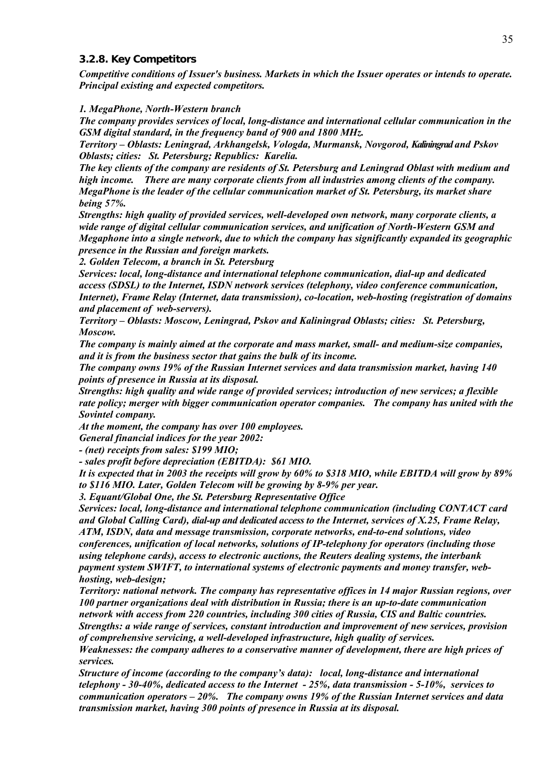#### **3.2.8. Key Competitors**

*Competitive conditions of Issuer's business. Markets in which the Issuer operates or intends to operate. Principal existing and expected competitors.*

#### *1. MegaPhone, North-Western branch*

*The company provides services of local, long-distance and international cellular communication in the GSM digital standard, in the frequency band of 900 and 1800 MHz.* 

*Territory – Oblasts: Leningrad, Arkhangelsk, Vologda, Murmansk, Novgorod, Kaliningrad and Pskov Oblasts; cities: St. Petersburg; Republics: Karelia.*

*The key clients of the company are residents of St. Petersburg and Leningrad Oblast with medium and high income. There are many corporate clients from all industries among clients of the company. MegaPhone is the leader of the cellular communication market of St. Petersburg, its market share being 57%.* 

*Strengths: high quality of provided services, well-developed own network, many corporate clients, a wide range of digital cellular communication services, and unification of North-Western GSM and Megaphone into a single network, due to which the company has significantly expanded its geographic presence in the Russian and foreign markets.*

*2. Golden Telecom, a branch in St. Petersburg* 

*Services: local, long-distance and international telephone communication, dial-up and dedicated access (SDSL) to the Internet, ISDN network services (telephony, video conference communication, Internet), Frame Relay (Internet, data transmission), co-location, web-hosting (registration of domains and placement of web-servers).*

*Territory – Oblasts: Moscow, Leningrad, Pskov and Kaliningrad Oblasts; cities: St. Petersburg, Moscow.*

*The company is mainly aimed at the corporate and mass market, small- and medium-size companies, and it is from the business sector that gains the bulk of its income.* 

*The company owns 19% of the Russian Internet services and data transmission market, having 140 points of presence in Russia at its disposal.* 

*Strengths: high quality and wide range of provided services; introduction of new services; a flexible rate policy; merger with bigger communication operator companies. The company has united with the Sovintel company.* 

*At the moment, the company has over 100 employees.* 

*General financial indices for the year 2002:* 

*- (net) receipts from sales: \$199 MIO;* 

*- sales profit before depreciation (EBITDA): \$61 MIO.* 

*It is expected that in 2003 the receipts will grow by 60% to \$318 MIO, while EBITDA will grow by 89% to \$116 MIO. Later, Golden Telecom will be growing by 8-9% per year.*

*3. Equant/Global One, the St. Petersburg Representative Office* 

*Services: local, long-distance and international telephone communication (including CONTACT card and Global Calling Card), dial-up and dedicated access to the Internet, services of X.25, Frame Relay, ATM, ISDN, data and message transmission, corporate networks, end-to-end solutions, video conferences, unification of local networks, solutions of IP-telephony for operators (including those using telephone cards), access to electronic auctions, the Reuters dealing systems, the interbank payment system SWIFT, to international systems of electronic payments and money transfer, webhosting, web-design;* 

*Territory: national network. The company has representative offices in 14 major Russian regions, over 100 partner organizations deal with distribution in Russia; there is an up-to-date communication network with access from 220 countries, including 300 cities of Russia, CIS and Baltic countries. Strengths: a wide range of services, constant introduction and improvement of new services, provision* 

*of comprehensive servicing, a well-developed infrastructure, high quality of services.* 

*Weaknesses: the company adheres to a conservative manner of development, there are high prices of services.* 

*Structure of income (according to the company's data): local, long-distance and international telephony - 30-40%, dedicated access to the Internet - 25%, data transmission - 5-10%, services to communication operators – 20%. The company owns 19% of the Russian Internet services and data transmission market, having 300 points of presence in Russia at its disposal.*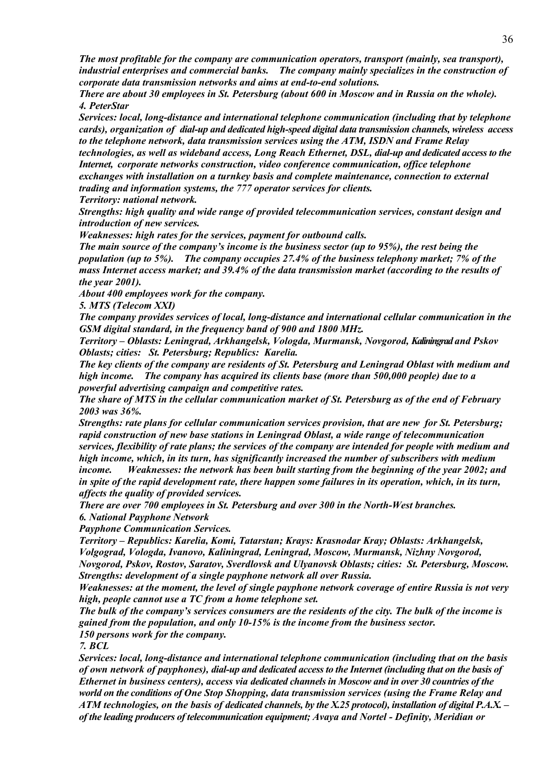*The most profitable for the company are communication operators, transport (mainly, sea transport), industrial enterprises and commercial banks. The company mainly specializes in the construction of corporate data transmission networks and aims at end-to-end solutions.* 

*There are about 30 employees in St. Petersburg (about 600 in Moscow and in Russia on the whole). 4. PeterStar* 

*Services: local, long-distance and international telephone communication (including that by telephone cards), organization of dial-up and dedicated high-speed digital data transmission channels, wireless access to the telephone network, data transmission services using the ATM, ISDN and Frame Relay technologies, as well as wideband access, Long Reach Ethernet, DSL, dial-up and dedicated access to the* 

*Internet, corporate networks construction, video conference communication, office telephone exchanges with installation on a turnkey basis and complete maintenance, connection to external trading and information systems, the 777 operator services for clients.*

*Territory: national network.*

*Strengths: high quality and wide range of provided telecommunication services, constant design and introduction of new services.* 

*Weaknesses: high rates for the services, payment for outbound calls.* 

*The main source of the company's income is the business sector (up to 95%), the rest being the population (up to 5%). The company occupies 27.4% of the business telephony market; 7% of the mass Internet access market; and 39.4% of the data transmission market (according to the results of the year 2001).*

*About 400 employees work for the company.* 

*5. MTS (Telecom XXI)* 

*The company provides services of local, long-distance and international cellular communication in the GSM digital standard, in the frequency band of 900 and 1800 MHz.* 

*Territory – Oblasts: Leningrad, Arkhangelsk, Vologda, Murmansk, Novgorod, Kaliningrad and Pskov Oblasts; cities: St. Petersburg; Republics: Karelia.*

*The key clients of the company are residents of St. Petersburg and Leningrad Oblast with medium and high income. The company has acquired its clients base (more than 500,000 people) due to a powerful advertising campaign and competitive rates.* 

*The share of MTS in the cellular communication market of St. Petersburg as of the end of February 2003 was 36%.* 

*Strengths: rate plans for cellular communication services provision, that are new for St. Petersburg; rapid construction of new base stations in Leningrad Oblast, a wide range of telecommunication services, flexibility of rate plans; the services of the company are intended for people with medium and high income, which, in its turn, has significantly increased the number of subscribers with medium income. Weaknesses: the network has been built starting from the beginning of the year 2002; and in spite of the rapid development rate, there happen some failures in its operation, which, in its turn, affects the quality of provided services.*

*There are over 700 employees in St. Petersburg and over 300 in the North-West branches. 6. National Payphone Network* 

*Payphone Communication Services.* 

*Territory – Republics: Karelia, Komi, Tatarstan; Krays: Krasnodar Kray; Oblasts: Arkhangelsk, Volgograd, Vologda, Ivanovo, Kaliningrad, Leningrad, Moscow, Murmansk, Nizhny Novgorod, Novgorod, Pskov, Rostov, Saratov, Sverdlovsk and Ulyanovsk Oblasts; cities: St. Petersburg, Moscow. Strengths: development of a single payphone network all over Russia.* 

*Weaknesses: at the moment, the level of single payphone network coverage of entire Russia is not very high, people cannot use a TC from a home telephone set.*

*The bulk of the company's services consumers are the residents of the city. The bulk of the income is gained from the population, and only 10-15% is the income from the business sector. 150 persons work for the company.* 

*7. BCL* 

*Services: local, long-distance and international telephone communication (including that on the basis of own network of payphones), dial-up and dedicated access to the Internet (including that on the basis of Ethernet in business centers), access via dedicated channels in Moscow and in over 30 countries of the world on the conditions of One Stop Shopping, data transmission services (using the Frame Relay and ATM technologies, on the basis of dedicated channels, by the X.25 protocol), installation of digital P.A.X. – of the leading producers of telecommunication equipment; Avaya and Nortel - Definity, Meridian or*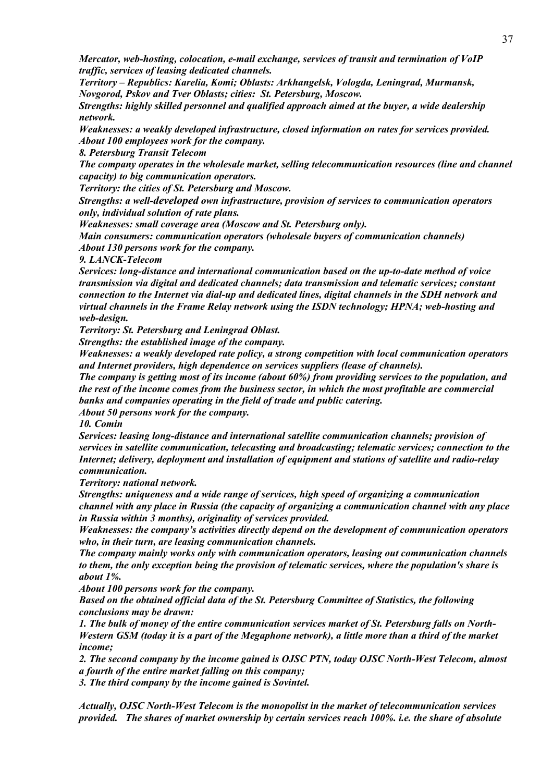*Mercator, web-hosting, colocation, e-mail exchange, services of transit and termination of VoIP traffic, services of leasing dedicated channels.* 

*Territory – Republics: Karelia, Komi; Oblasts: Arkhangelsk, Vologda, Leningrad, Murmansk, Novgorod, Pskov and Tver Oblasts; cities: St. Petersburg, Moscow.*

*Strengths: highly skilled personnel and qualified approach aimed at the buyer, a wide dealership network.* 

*Weaknesses: a weakly developed infrastructure, closed information on rates for services provided. About 100 employees work for the company.* 

*8. Petersburg Transit Telecom* 

*The company operates in the wholesale market, selling telecommunication resources (line and channel capacity) to big communication operators.* 

*Territory: the cities of St. Petersburg and Moscow.*

*Strengths: a well-developed own infrastructure, provision of services to communication operators only, individual solution of rate plans.* 

*Weaknesses: small coverage area (Moscow and St. Petersburg only).* 

*Main consumers: communication operators (wholesale buyers of communication channels) About 130 persons work for the company.* 

*9. LANCK-Telecom* 

*Services: long-distance and international communication based on the up-to-date method of voice transmission via digital and dedicated channels; data transmission and telematic services; constant connection to the Internet via dial-up and dedicated lines, digital channels in the SDH network and virtual channels in the Frame Relay network using the ISDN technology; HPNA; web-hosting and web-design.* 

*Territory: St. Petersburg and Leningrad Oblast.* 

*Strengths: the established image of the company.* 

*Weaknesses: a weakly developed rate policy, a strong competition with local communication operators and Internet providers, high dependence on services suppliers (lease of channels).*

*The company is getting most of its income (about 60%) from providing services to the population, and the rest of the income comes from the business sector, in which the most profitable are commercial banks and companies operating in the field of trade and public catering.* 

*About 50 persons work for the company.* 

*10. Comin* 

*Services: leasing long-distance and international satellite communication channels; provision of services in satellite communication, telecasting and broadcasting; telematic services; connection to the Internet; delivery, deployment and installation of equipment and stations of satellite and radio-relay communication.* 

*Territory: national network.*

*Strengths: uniqueness and a wide range of services, high speed of organizing a communication channel with any place in Russia (the capacity of organizing a communication channel with any place in Russia within 3 months), originality of services provided.* 

*Weaknesses: the company's activities directly depend on the development of communication operators who, in their turn, are leasing communication channels.* 

*The company mainly works only with communication operators, leasing out communication channels to them, the only exception being the provision of telematic services, where the population's share is about 1%.* 

*About 100 persons work for the company.* 

*Based on the obtained official data of the St. Petersburg Committee of Statistics, the following conclusions may be drawn:* 

*1. The bulk of money of the entire communication services market of St. Petersburg falls on North-Western GSM (today it is a part of the Megaphone network), a little more than a third of the market income;* 

*2. The second company by the income gained is OJSC PTN, today OJSC North-West Telecom, almost a fourth of the entire market falling on this company;* 

*3. The third company by the income gained is Sovintel.* 

*Actually, OJSC North-West Telecom is the monopolist in the market of telecommunication services provided. The shares of market ownership by certain services reach 100%. i.e. the share of absolute*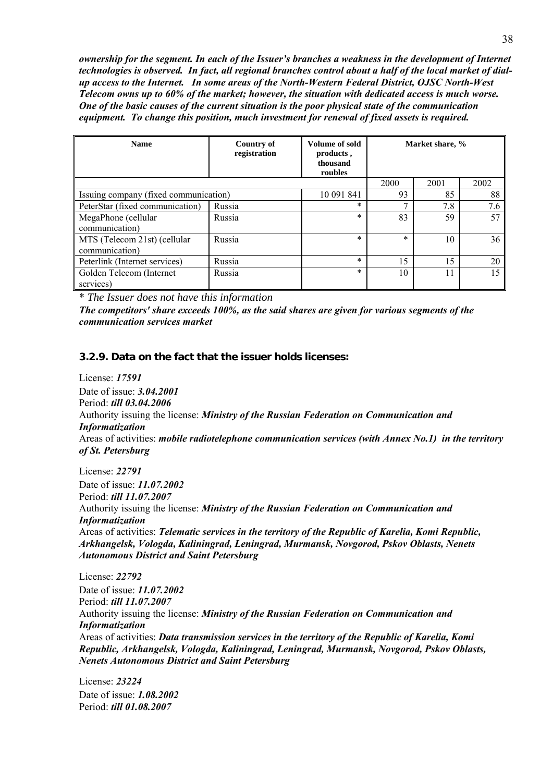*ownership for the segment. In each of the Issuer's branches a weakness in the development of Internet technologies is observed. In fact, all regional branches control about a half of the local market of dialup access to the Internet. In some areas of the North-Western Federal District, OJSC North-West Telecom owns up to 60% of the market; however, the situation with dedicated access is much worse. One of the basic causes of the current situation is the poor physical state of the communication equipment. To change this position, much investment for renewal of fixed assets is required.* 

| <b>Name</b>                                    | Country of<br>registration | <b>Volume of sold</b><br>products,<br>thousand<br>roubles |        | Market share, % |      |  |
|------------------------------------------------|----------------------------|-----------------------------------------------------------|--------|-----------------|------|--|
|                                                |                            |                                                           | 2000   | 2001            | 2002 |  |
| Issuing company (fixed communication)          |                            | 10 091 841                                                | 93     | 85              | 88   |  |
| PeterStar (fixed communication)                | Russia                     | $\ast$                                                    |        | 7.8             | 7.6  |  |
| MegaPhone (cellular<br>communication)          | Russia                     | $\ast$                                                    | 83     | 59              | 57   |  |
| MTS (Telecom 21st) (cellular<br>communication) | Russia                     | $\ast$                                                    | $\ast$ | 10              | 36   |  |
| Peterlink (Internet services)                  | Russia                     | $\ast$                                                    | 15     | 15              | 20   |  |
| Golden Telecom (Internet<br>services)          | Russia                     | $\ast$                                                    | 10     | 11              | 15   |  |

\* *The Issuer does not have this information* 

*The competitors' share exceeds 100%, as the said shares are given for various segments of the communication services market* 

#### **3.2.9. Data on the fact that the issuer holds licenses:**

License: *17591* Date of issue: *3.04.2001* Period: *till 03.04.2006* Authority issuing the license: *Ministry of the Russian Federation on Communication and Informatization* Areas of activities: *mobile radiotelephone communication services (with Annex No.1) in the territory of St. Petersburg*

License: *22791* Date of issue: *11.07.2002* Period: *till 11.07.2007* Authority issuing the license: *Ministry of the Russian Federation on Communication and Informatization* Areas of activities: *Telematic services in the territory of the Republic of Karelia, Komi Republic, Arkhangelsk, Vologda, Kaliningrad, Leningrad, Murmansk, Novgorod, Pskov Oblasts, Nenets Autonomous District and Saint Petersburg*

License: *22792* Date of issue: *11.07.2002* Period: *till 11.07.2007* Authority issuing the license: *Ministry of the Russian Federation on Communication and Informatization* Areas of activities: *Data transmission services in the territory of the Republic of Karelia, Komi Republic, Arkhangelsk, Vologda, Kaliningrad, Leningrad, Murmansk, Novgorod, Pskov Oblasts, Nenets Autonomous District and Saint Petersburg*

License: *23224* Date of issue: *1.08.2002* Period: *till 01.08.2007*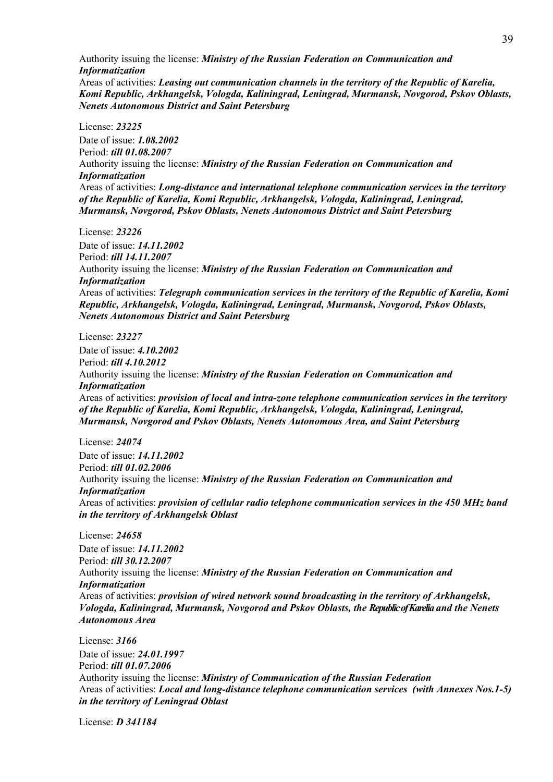Authority issuing the license: *Ministry of the Russian Federation on Communication and Informatization* Areas of activities: *Leasing out communication channels in the territory of the Republic of Karelia, Komi Republic, Arkhangelsk, Vologda, Kaliningrad, Leningrad, Murmansk, Novgorod, Pskov Oblasts, Nenets Autonomous District and Saint Petersburg*

License: *23225* Date of issue: *1.08.2002* Period: *till 01.08.2007* Authority issuing the license: *Ministry of the Russian Federation on Communication and Informatization* Areas of activities: *Long-distance and international telephone communication services in the territory of the Republic of Karelia, Komi Republic, Arkhangelsk, Vologda, Kaliningrad, Leningrad, Murmansk, Novgorod, Pskov Oblasts, Nenets Autonomous District and Saint Petersburg*

License: *23226*

Date of issue: *14.11.2002* Period: *till 14.11.2007* Authority issuing the license: *Ministry of the Russian Federation on Communication and Informatization* Areas of activities: *Telegraph communication services in the territory of the Republic of Karelia, Komi Republic, Arkhangelsk, Vologda, Kaliningrad, Leningrad, Murmansk, Novgorod, Pskov Oblasts, Nenets Autonomous District and Saint Petersburg*

License: *23227* Date of issue: *4.10.2002* Period: *till 4.10.2012* Authority issuing the license: *Ministry of the Russian Federation on Communication and Informatization* Areas of activities: *provision of local and intra-zone telephone communication services in the territory of the Republic of Karelia, Komi Republic, Arkhangelsk, Vologda, Kaliningrad, Leningrad, Murmansk, Novgorod and Pskov Oblasts, Nenets Autonomous Area, and Saint Petersburg* 

License: *24074* Date of issue: *14.11.2002* Period: *till 01.02.2006* Authority issuing the license: *Ministry of the Russian Federation on Communication and Informatization* Areas of activities: *provision of cellular radio telephone communication services in the 450 MHz band in the territory of Arkhangelsk Oblast* 

License: *24658* Date of issue: *14.11.2002* Period: *till 30.12.2007* Authority issuing the license: *Ministry of the Russian Federation on Communication and Informatization* Areas of activities: *provision of wired network sound broadcasting in the territory of Arkhangelsk, Vologda, Kaliningrad, Murmansk, Novgorod and Pskov Oblasts, the Republic of Karelia and the Nenets Autonomous Area*

License: *3166* Date of issue: *24.01.1997* Period: *till 01.07.2006* Authority issuing the license: *Ministry of Communication of the Russian Federation* Areas of activities: *Local and long-distance telephone communication services (with Annexes Nos.1-5) in the territory of Leningrad Oblast*

License: *D 341184*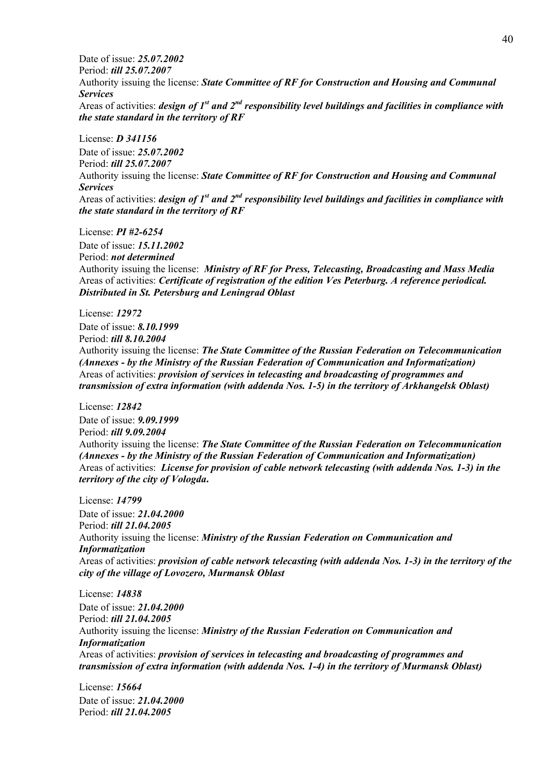Date of issue: *25.07.2002* Period: *till 25.07.2007* Authority issuing the license: *State Committee of RF for Construction and Housing and Communal Services*  Areas of activities: *design of 1st and 2nd responsibility level buildings and facilities in compliance with the state standard in the territory of RF* 

License: *D 341156* Date of issue: *25.07.2002* Period: *till 25.07.2007* Authority issuing the license: *State Committee of RF for Construction and Housing and Communal Services*  Areas of activities: *design of 1st and 2nd responsibility level buildings and facilities in compliance with the state standard in the territory of RF* 

License: *PI #2-6254*

Date of issue: *15.11.2002* Period: *not determined* Authority issuing the license: *Ministry of RF for Press, Telecasting, Broadcasting and Mass Media* Areas of activities: *Certificate of registration of the edition Ves Peterburg. A reference periodical. Distributed in St. Petersburg and Leningrad Oblast* 

License: *12972*

Date of issue: *8.10.1999* Period: *till 8.10.2004* Authority issuing the license: *The State Committee of the Russian Federation on Telecommunication (Annexes - by the Ministry of the Russian Federation of Communication and Informatization)* Areas of activities: *provision of services in telecasting and broadcasting of programmes and transmission of extra information (with addenda Nos. 1-5) in the territory of Arkhangelsk Oblast)* 

License: *12842* Date of issue: *9.09.1999* Period: *till 9.09.2004* Authority issuing the license: *The State Committee of the Russian Federation on Telecommunication (Annexes - by the Ministry of the Russian Federation of Communication and Informatization)* Areas of activities: *License for provision of cable network telecasting (with addenda Nos. 1-3) in the territory of the city of Vologda.*

License: *14799* Date of issue: *21.04.2000* Period: *till 21.04.2005* Authority issuing the license: *Ministry of the Russian Federation on Communication and Informatization* Areas of activities: *provision of cable network telecasting (with addenda Nos. 1-3) in the territory of the city of the village of Lovozero, Murmansk Oblast*

License: *14838* Date of issue: *21.04.2000* Period: *till 21.04.2005* Authority issuing the license: *Ministry of the Russian Federation on Communication and Informatization* Areas of activities: *provision of services in telecasting and broadcasting of programmes and transmission of extra information (with addenda Nos. 1-4) in the territory of Murmansk Oblast)* 

License: *15664* Date of issue: *21.04.2000* Period: *till 21.04.2005*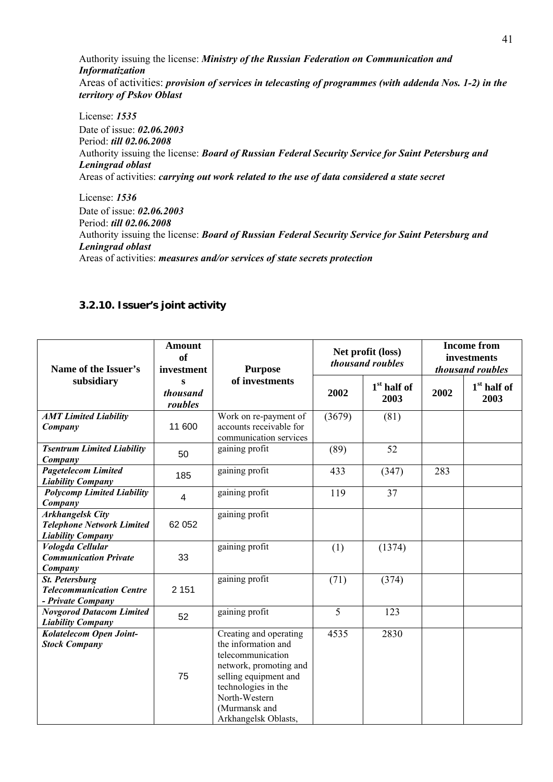Authority issuing the license: *Ministry of the Russian Federation on Communication and Informatization* Areas of activities: *provision of services in telecasting of programmes (with addenda Nos. 1-2) in the territory of Pskov Oblast*

License: *1535* Date of issue: *02.06.2003* Period: *till 02.06.2008* Authority issuing the license: *Board of Russian Federal Security Service for Saint Petersburg and Leningrad oblast* Areas of activities: *carrying out work related to the use of data considered a state secret*

License: *1536* Date of issue: *02.06.2003* Period: *till 02.06.2008* Authority issuing the license: *Board of Russian Federal Security Service for Saint Petersburg and Leningrad oblast* Areas of activities: *measures and/or services of state secrets protection*

# **3.2.10. Issuer's joint activity**

| <b>Amount</b><br>of<br>Name of the Issuer's<br>investment                               |                          | <b>Purpose</b>                                                                                                                                                                                         |        | Net profit (loss)<br>thousand roubles |      | <b>Income from</b><br>investments<br>thousand roubles |  |
|-----------------------------------------------------------------------------------------|--------------------------|--------------------------------------------------------------------------------------------------------------------------------------------------------------------------------------------------------|--------|---------------------------------------|------|-------------------------------------------------------|--|
| subsidiary                                                                              | s<br>thousand<br>roubles | of investments                                                                                                                                                                                         | 2002   | $1st$ half of<br>2003                 | 2002 | $1st$ half of<br>2003                                 |  |
| <b>AMT Limited Liability</b><br>Company                                                 | 11 600                   | Work on re-payment of<br>accounts receivable for<br>communication services                                                                                                                             | (3679) | (81)                                  |      |                                                       |  |
| <b>Tsentrum Limited Liability</b><br>Company                                            | 50                       | gaining profit                                                                                                                                                                                         | (89)   | 52                                    |      |                                                       |  |
| <b>Pagetelecom Limited</b><br><b>Liability Company</b>                                  | 185                      | gaining profit                                                                                                                                                                                         | 433    | (347)                                 | 283  |                                                       |  |
| <b>Polycomp Limited Liability</b><br>Company                                            | $\overline{\mathcal{A}}$ | gaining profit                                                                                                                                                                                         | 119    | 37                                    |      |                                                       |  |
| <b>Arkhangelsk City</b><br><b>Telephone Network Limited</b><br><b>Liability Company</b> | 62 052                   | gaining profit                                                                                                                                                                                         |        |                                       |      |                                                       |  |
| Vologda Cellular<br><b>Communication Private</b><br>Company                             | 33                       | gaining profit                                                                                                                                                                                         | (1)    | (1374)                                |      |                                                       |  |
| <b>St. Petersburg</b><br><b>Telecommunication Centre</b><br>- Private Company           | 2 1 5 1                  | gaining profit                                                                                                                                                                                         | (71)   | (374)                                 |      |                                                       |  |
| <b>Novgorod Datacom Limited</b><br><b>Liability Company</b>                             | 52                       | gaining profit                                                                                                                                                                                         | 5      | 123                                   |      |                                                       |  |
| Kolatelecom Open Joint-<br><b>Stock Company</b>                                         | 75                       | Creating and operating<br>the information and<br>telecommunication<br>network, promoting and<br>selling equipment and<br>technologies in the<br>North-Western<br>(Murmansk and<br>Arkhangelsk Oblasts, | 4535   | 2830                                  |      |                                                       |  |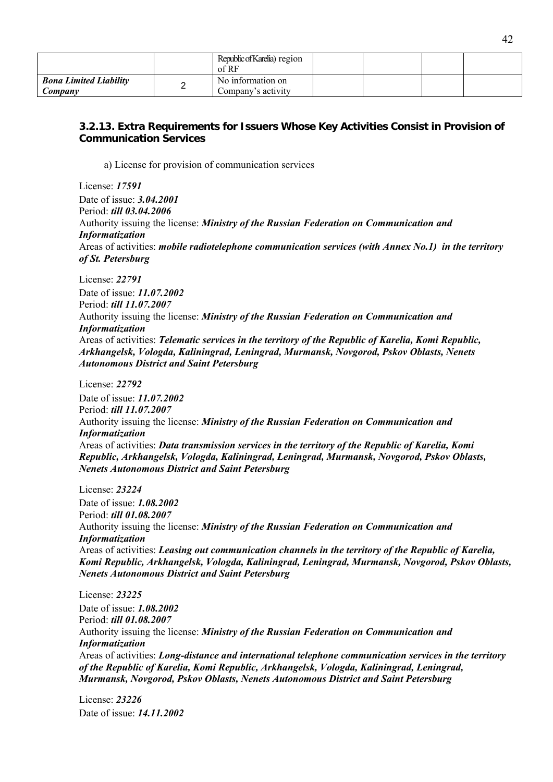|                                          | Republic of Karelia) region<br>of RF    |  |  |
|------------------------------------------|-----------------------------------------|--|--|
| <b>Bona Limited Liability</b><br>Company | No information on<br>Company's activity |  |  |

# **3.2.13. Extra Requirements for Issuers Whose Key Activities Consist in Provision of Communication Services**

a) License for provision of communication services

License: *17591* Date of issue: *3.04.2001* Period: *till 03.04.2006* Authority issuing the license: *Ministry of the Russian Federation on Communication and Informatization* Areas of activities: *mobile radiotelephone communication services (with Annex No.1) in the territory of St. Petersburg*

License: *22791* Date of issue: *11.07.2002* Period: *till 11.07.2007* Authority issuing the license: *Ministry of the Russian Federation on Communication and Informatization* Areas of activities: *Telematic services in the territory of the Republic of Karelia, Komi Republic, Arkhangelsk, Vologda, Kaliningrad, Leningrad, Murmansk, Novgorod, Pskov Oblasts, Nenets Autonomous District and Saint Petersburg*

License: *22792* Date of issue: *11.07.2002* Period: *till 11.07.2007* Authority issuing the license: *Ministry of the Russian Federation on Communication and Informatization* Areas of activities: *Data transmission services in the territory of the Republic of Karelia, Komi Republic, Arkhangelsk, Vologda, Kaliningrad, Leningrad, Murmansk, Novgorod, Pskov Oblasts, Nenets Autonomous District and Saint Petersburg*

License: *23224* Date of issue: *1.08.2002* Period: *till 01.08.2007* Authority issuing the license: *Ministry of the Russian Federation on Communication and Informatization* Areas of activities: *Leasing out communication channels in the territory of the Republic of Karelia, Komi Republic, Arkhangelsk, Vologda, Kaliningrad, Leningrad, Murmansk, Novgorod, Pskov Oblasts, Nenets Autonomous District and Saint Petersburg*

License: *23225* Date of issue: *1.08.2002* Period: *till 01.08.2007* Authority issuing the license: *Ministry of the Russian Federation on Communication and Informatization* Areas of activities: *Long-distance and international telephone communication services in the territory of the Republic of Karelia, Komi Republic, Arkhangelsk, Vologda, Kaliningrad, Leningrad, Murmansk, Novgorod, Pskov Oblasts, Nenets Autonomous District and Saint Petersburg*

License: *23226* Date of issue: *14.11.2002*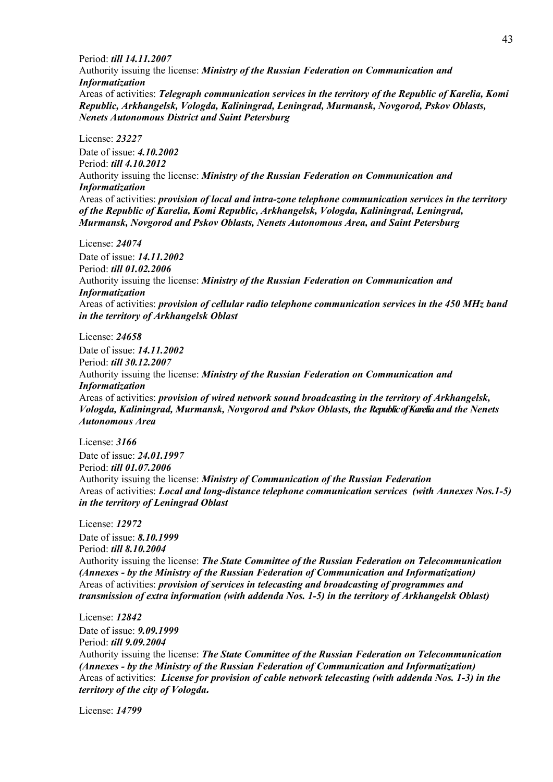Period: *till 14.11.2007* Authority issuing the license: *Ministry of the Russian Federation on Communication and Informatization* Areas of activities: *Telegraph communication services in the territory of the Republic of Karelia, Komi Republic, Arkhangelsk, Vologda, Kaliningrad, Leningrad, Murmansk, Novgorod, Pskov Oblasts, Nenets Autonomous District and Saint Petersburg*

License: *23227* Date of issue: *4.10.2002* Period: *till 4.10.2012* Authority issuing the license: *Ministry of the Russian Federation on Communication and Informatization* Areas of activities: *provision of local and intra-zone telephone communication services in the territory of the Republic of Karelia, Komi Republic, Arkhangelsk, Vologda, Kaliningrad, Leningrad, Murmansk, Novgorod and Pskov Oblasts, Nenets Autonomous Area, and Saint Petersburg* 

License: *24074* Date of issue: *14.11.2002* Period: *till 01.02.2006* Authority issuing the license: *Ministry of the Russian Federation on Communication and Informatization* Areas of activities: *provision of cellular radio telephone communication services in the 450 MHz band in the territory of Arkhangelsk Oblast* 

License: *24658* Date of issue: *14.11.2002* Period: *till 30.12.2007* Authority issuing the license: *Ministry of the Russian Federation on Communication and Informatization* Areas of activities: *provision of wired network sound broadcasting in the territory of Arkhangelsk, Vologda, Kaliningrad, Murmansk, Novgorod and Pskov Oblasts, the Republic of Karelia and the Nenets Autonomous Area*

License: *3166* Date of issue: *24.01.1997* Period: *till 01.07.2006* Authority issuing the license: *Ministry of Communication of the Russian Federation* Areas of activities: *Local and long-distance telephone communication services (with Annexes Nos.1-5) in the territory of Leningrad Oblast*

License: *12972* Date of issue: *8.10.1999* Period: *till 8.10.2004* Authority issuing the license: *The State Committee of the Russian Federation on Telecommunication (Annexes - by the Ministry of the Russian Federation of Communication and Informatization)* Areas of activities: *provision of services in telecasting and broadcasting of programmes and transmission of extra information (with addenda Nos. 1-5) in the territory of Arkhangelsk Oblast)* 

License: *12842* Date of issue: *9.09.1999* Period: *till 9.09.2004* Authority issuing the license: *The State Committee of the Russian Federation on Telecommunication (Annexes - by the Ministry of the Russian Federation of Communication and Informatization)* Areas of activities: *License for provision of cable network telecasting (with addenda Nos. 1-3) in the territory of the city of Vologda.*

License: *14799*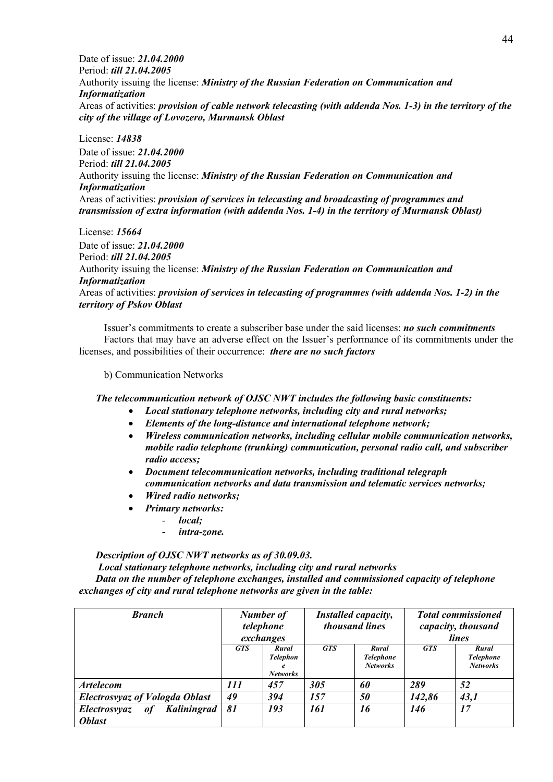Date of issue: *21.04.2000* Period: *till 21.04.2005* Authority issuing the license: *Ministry of the Russian Federation on Communication and Informatization* Areas of activities: *provision of cable network telecasting (with addenda Nos. 1-3) in the territory of the city of the village of Lovozero, Murmansk Oblast*

License: *14838* Date of issue: *21.04.2000* Period: *till 21.04.2005* Authority issuing the license: *Ministry of the Russian Federation on Communication and Informatization* Areas of activities: *provision of services in telecasting and broadcasting of programmes and transmission of extra information (with addenda Nos. 1-4) in the territory of Murmansk Oblast)* 

License: *15664* Date of issue: *21.04.2000* Period: *till 21.04.2005* Authority issuing the license: *Ministry of the Russian Federation on Communication and Informatization* Areas of activities: *provision of services in telecasting of programmes (with addenda Nos. 1-2) in the territory of Pskov Oblast*

Issuer's commitments to create a subscriber base under the said licenses: *no such commitments*  Factors that may have an adverse effect on the Issuer's performance of its commitments under the licenses, and possibilities of their occurrence: *there are no such factors*

b) Communication Networks

*The telecommunication network of OJSC NWT includes the following basic constituents:* 

- *Local stationary telephone networks, including city and rural networks;*
- *Elements of the long-distance and international telephone network;*
- *Wireless communication networks, including cellular mobile communication networks, mobile radio telephone (trunking) communication, personal radio call, and subscriber radio access;*
- *Document telecommunication networks, including traditional telegraph communication networks and data transmission and telematic services networks;*
- *Wired radio networks;*
- *Primary networks:* 
	- *local;*
	- *intra-zone.*

*Description of OJSC NWT networks as of 30.09.03.* 

 *Local stationary telephone networks, including city and rural networks Data on the number of telephone exchanges, installed and commissioned capacity of telephone exchanges of city and rural telephone networks are given in the table:* 

| <b>Branch</b>                                             | <b>Number of</b><br>telephone<br>exchanges |                                                                 |            | Installed capacity,<br>thousand lines        |            | <b>Total commissioned</b><br>capacity, thousand<br>lines |
|-----------------------------------------------------------|--------------------------------------------|-----------------------------------------------------------------|------------|----------------------------------------------|------------|----------------------------------------------------------|
|                                                           | <b>GTS</b>                                 | Rural<br><b>Telephon</b><br>$\boldsymbol{e}$<br><b>Networks</b> | <b>GTS</b> | Rural<br><b>Telephone</b><br><b>Networks</b> | <b>GTS</b> | Rural<br><b>Telephone</b><br><b>Networks</b>             |
| <b>Artelecom</b>                                          | 111                                        | 457                                                             | 305        | 60                                           | 289        | 52                                                       |
| <b>Electrosyyaz of Vologda Oblast</b>                     | 49                                         | 394                                                             | 157        | 50                                           | 142,86     | 43,1                                                     |
| Kaliningrad<br><b>Electrosyyaz</b><br>of<br><b>Oblast</b> | 81                                         | 193                                                             | <i>161</i> | 16                                           | 146        | 17                                                       |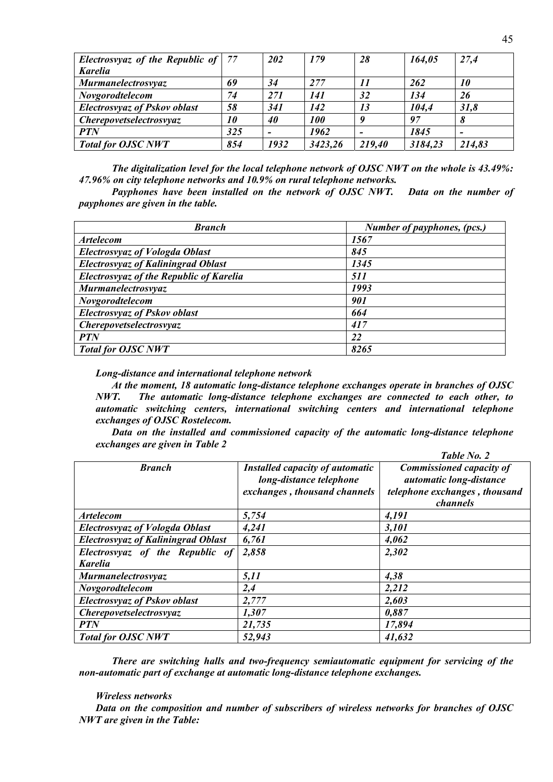| Electrosvyaz of the Republic of $ 77 $ |     | 202  | 179        | 28     | 164,05  | 27,4   |
|----------------------------------------|-----|------|------------|--------|---------|--------|
| <b>Karelia</b>                         |     |      |            |        |         |        |
| <b>Murmanelectrosvyaz</b>              | 69  | 34   | 277        | 11     | 262     | 10     |
| Novgorodtelecom                        | 74  | 271  | 141        | 32     | 134     | 26     |
| <b>Electrosyyaz of Pskov oblast</b>    | 58  | 341  | 142        | 13     | 104,4   | 31,8   |
| <i>Cherepovetselectrosvyaz</i>         | 10  | 40   | <b>100</b> |        | 97      | 8      |
| <b>PTN</b>                             | 325 |      | 1962       |        | 1845    |        |
| <b>Total for OJSC NWT</b>              | 854 | 1932 | 3423,26    | 219,40 | 3184,23 | 214,83 |

*The digitalization level for the local telephone network of OJSC NWT on the whole is 43.49%: 47.96% on city telephone networks and 10.9% on rural telephone networks.* 

*Payphones have been installed on the network of OJSC NWT. Data on the number of payphones are given in the table.*

| <b>Branch</b>                                  | Number of payphones, (pcs.) |
|------------------------------------------------|-----------------------------|
| <b>Artelecom</b>                               | 1567                        |
| <b>Electrosyyaz of Vologda Oblast</b>          | 845                         |
| <b>Electrosyyaz of Kaliningrad Oblast</b>      | 1345                        |
| <b>Electrosyyaz of the Republic of Karelia</b> | 511                         |
| <b>Murmanelectrosyyaz</b>                      | 1993                        |
| Novgorodtelecom                                | 901                         |
| <b>Electrosyyaz of Pskov oblast</b>            | 664                         |
| <b>Cherepovetselectrosvyaz</b>                 | 417                         |
| <b>PTN</b>                                     | 22                          |
| <b>Total for OJSC NWT</b>                      | 8265                        |

*Long-distance and international telephone network* 

*At the moment, 18 automatic long-distance telephone exchanges operate in branches of OJSC NWT. The automatic long-distance telephone exchanges are connected to each other, to automatic switching centers, international switching centers and international telephone exchanges of OJSC Rostelecom.* 

*Data on the installed and commissioned capacity of the automatic long-distance telephone exchanges are given in Table 2* 

|                                                   |                                                                                                   | Table No. 2                                                                                             |
|---------------------------------------------------|---------------------------------------------------------------------------------------------------|---------------------------------------------------------------------------------------------------------|
| <b>Branch</b>                                     | <b>Installed capacity of automatic</b><br>long-distance telephone<br>exchanges, thousand channels | <b>Commissioned capacity of</b><br>automatic long-distance<br>telephone exchanges, thousand<br>channels |
| <b>Artelecom</b>                                  | 5,754                                                                                             | 4,191                                                                                                   |
| <b>Electrosyyaz of Vologda Oblast</b>             | 4,241                                                                                             | 3,101                                                                                                   |
| <b>Electrosvyaz of Kaliningrad Oblast</b>         | 6,761                                                                                             | 4,062                                                                                                   |
| Electrosvyaz of the Republic of<br><b>Karelia</b> | 2,858                                                                                             | 2,302                                                                                                   |
| <b>Murmanelectrosyyaz</b>                         | 5,11                                                                                              | 4,38                                                                                                    |
| Novgorodtelecom                                   | 2,4                                                                                               | 2,212                                                                                                   |
| <b>Electrosvyaz of Pskov oblast</b>               | 2,777                                                                                             | 2,603                                                                                                   |
| <b>Cherepovetselectrosvyaz</b>                    | 1,307                                                                                             | 0,887                                                                                                   |
| <b>PTN</b>                                        | 21,735                                                                                            | 17,894                                                                                                  |
| <b>Total for OJSC NWT</b>                         | 52,943                                                                                            | 41,632                                                                                                  |

*There are switching halls and two-frequency semiautomatic equipment for servicing of the non-automatic part of exchange at automatic long-distance telephone exchanges.* 

#### *Wireless networks*

*Data on the composition and number of subscribers of wireless networks for branches of OJSC NWT are given in the Table:*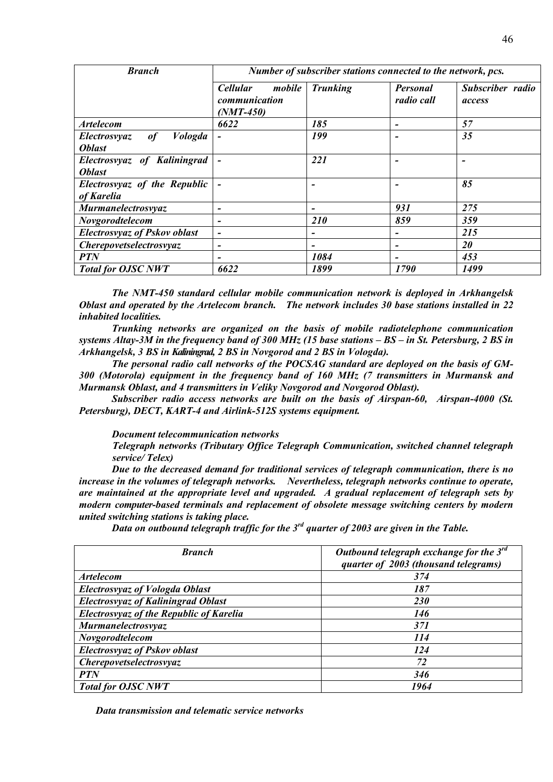| <b>Branch</b>                              | Number of subscriber stations connected to the network, pcs. |                          |                               |                            |  |  |  |
|--------------------------------------------|--------------------------------------------------------------|--------------------------|-------------------------------|----------------------------|--|--|--|
|                                            | mobile<br><b>Cellular</b><br>communication<br>$(NMT-450)$    | <b>Trunking</b>          | <b>Personal</b><br>radio call | Subscriber radio<br>access |  |  |  |
| <i><b>Artelecom</b></i>                    | 6622                                                         | 185                      | $\overline{\phantom{0}}$      | 57                         |  |  |  |
| Vologda<br><b>Electrosyyaz</b><br>of       |                                                              | 199                      |                               | 35                         |  |  |  |
| <b>Oblast</b>                              |                                                              |                          |                               |                            |  |  |  |
| Electrosvyaz of Kaliningrad                | $\overline{a}$                                               | 221                      |                               | $\overline{\phantom{0}}$   |  |  |  |
| <b>Oblast</b>                              |                                                              |                          |                               |                            |  |  |  |
| Electrosvyaz of the Republic<br>of Karelia |                                                              | -                        |                               | 85                         |  |  |  |
| <b>Murmanelectrosyyaz</b>                  | -                                                            | ۰                        | 931                           | 275                        |  |  |  |
| Novgorodtelecom                            | $\overline{\phantom{0}}$                                     | 210                      | 859                           | 359                        |  |  |  |
| <b>Electrosyyaz of Pskov oblast</b>        | $\overline{\phantom{0}}$                                     | ٠                        | $\qquad \qquad$               | 215                        |  |  |  |
| <i>Cherepovetselectrosvyaz</i>             | $\overline{a}$                                               | $\overline{\phantom{0}}$ | $\qquad \qquad$               | 20                         |  |  |  |
| <b>PTN</b>                                 | $\blacksquare$                                               | 1084                     | $\qquad \qquad$               | 453                        |  |  |  |
| <b>Total for OJSC NWT</b>                  | 6622                                                         | 1899                     | 1790                          | 1499                       |  |  |  |

*The NMT-450 standard cellular mobile communication network is deployed in Arkhangelsk Oblast and operated by the Artelecom branch. The network includes 30 base stations installed in 22 inhabited localities.* 

 *Trunking networks are organized on the basis of mobile radiotelephone communication systems Altay-3M in the frequency band of 300 MHz (15 base stations – BS – in St. Petersburg, 2 BS in Arkhangelsk, 3 BS in Kaliningrad, 2 BS in Novgorod and 2 BS in Vologda).* 

 *The personal radio call networks of the POCSAG standard are deployed on the basis of GM-300 (Motorola) equipment in the frequency band of 160 MHz (7 transmitters in Murmansk and Murmansk Oblast, and 4 transmitters in Veliky Novgorod and Novgorod Oblast).* 

 *Subscriber radio access networks are built on the basis of Airspan-60, Airspan-4000 (St. Petersburg), DECT, KART-4 and Airlink-512S systems equipment.* 

*Document telecommunication networks* 

*Telegraph networks (Tributary Office Telegraph Communication, switched channel telegraph service/ Telex)* 

*Due to the decreased demand for traditional services of telegraph communication, there is no increase in the volumes of telegraph networks. Nevertheless, telegraph networks continue to operate, are maintained at the appropriate level and upgraded. A gradual replacement of telegraph sets by modern computer-based terminals and replacement of obsolete message switching centers by modern united switching stations is taking place.* 

*Data on outbound telegraph traffic for the 3rd quarter of 2003 are given in the Table.* 

| <b>Branch</b>                                  | Outbound telegraph exchange for the $3^{rd}$<br>quarter of 2003 (thousand telegrams) |
|------------------------------------------------|--------------------------------------------------------------------------------------|
| <i><b>Artelecom</b></i>                        | 374                                                                                  |
| <b>Electrosvyaz of Vologda Oblast</b>          | 187                                                                                  |
| <b>Electrosvyaz of Kaliningrad Oblast</b>      | <b>230</b>                                                                           |
| <b>Electrosyyaz of the Republic of Karelia</b> | 146                                                                                  |
| <b>Murmanelectrosyyaz</b>                      | 371                                                                                  |
| Novgorodtelecom                                | 114                                                                                  |
| <b>Electrosyyaz of Pskov oblast</b>            | 124                                                                                  |
| <b>Cherepovetselectrosvyaz</b>                 | 72                                                                                   |
| <b>PTN</b>                                     | 346                                                                                  |
| <b>Total for OJSC NWT</b>                      | 1964                                                                                 |

*Data transmission and telematic service networks*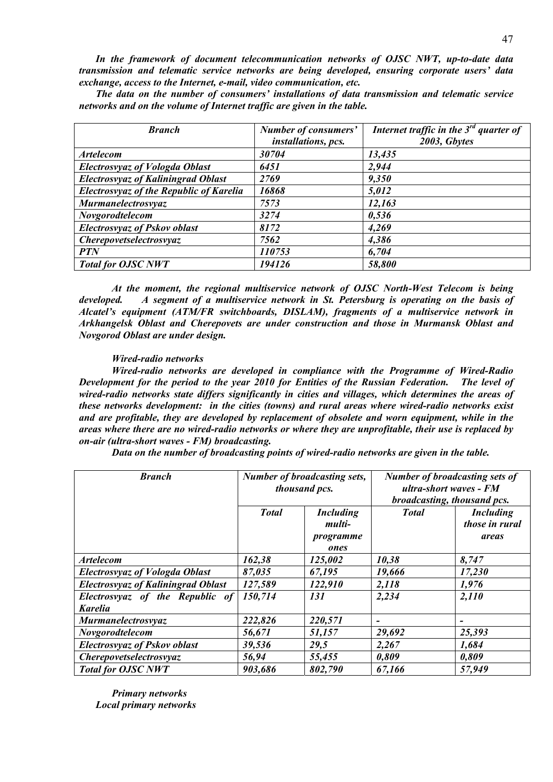*In the framework of document telecommunication networks of OJSC NWT, up-to-date data transmission and telematic service networks are being developed, ensuring corporate users' data exchange, access to the Internet, e-mail, video communication, etc.* 

*The data on the number of consumers' installations of data transmission and telematic service networks and on the volume of Internet traffic are given in the table.* 

| <b>Branch</b>                                  | Number of consumers'<br>installations, pcs. | Internet traffic in the $3^{rd}$ quarter of<br>2003, Gbytes |
|------------------------------------------------|---------------------------------------------|-------------------------------------------------------------|
| <b>Artelecom</b>                               | 30704                                       | 13,435                                                      |
| <b>Electrosvyaz of Vologda Oblast</b>          | 6451                                        | 2,944                                                       |
| <b>Electrosyyaz of Kaliningrad Oblast</b>      | 2769                                        | 9,350                                                       |
| <b>Electrosyyaz of the Republic of Karelia</b> | 16868                                       | 5,012                                                       |
| <b>Murmanelectrosvyaz</b>                      | 7573                                        | 12,163                                                      |
| Novgorodtelecom                                | 3274                                        | 0,536                                                       |
| <b>Electrosyyaz of Pskov oblast</b>            | 8172                                        | 4,269                                                       |
| Cherepovetselectrosvyaz                        | 7562                                        | 4,386                                                       |
| <b>PTN</b>                                     | 110753                                      | 6,704                                                       |
| <b>Total for OJSC NWT</b>                      | 194126                                      | 58,800                                                      |

*At the moment, the regional multiservice network of OJSC North-West Telecom is being developed. A segment of a multiservice network in St. Petersburg is operating on the basis of Alcatel's equipment (ATM/FR switchboards, DISLAM), fragments of a multiservice network in Arkhangelsk Oblast and Cherepovets are under construction and those in Murmansk Oblast and Novgorod Oblast are under design.* 

#### *Wired-radio networks*

*Wired-radio networks are developed in compliance with the Programme of Wired-Radio Development for the period to the year 2010 for Entities of the Russian Federation. The level of wired-radio networks state differs significantly in cities and villages, which determines the areas of these networks development: in the cities (towns) and rural areas where wired-radio networks exist and are profitable, they are developed by replacement of obsolete and worn equipment, while in the areas where there are no wired-radio networks or where they are unprofitable, their use is replaced by on-air (ultra-short waves - FM) broadcasting.* 

 *Data on the number of broadcasting points of wired-radio networks are given in the table.* 

| <b>Branch</b>                             | Number of broadcasting sets,<br>thousand pcs. |                            | <b>Number of broadcasting sets of</b><br>ultra-short waves - FM<br>broadcasting, thousand pcs. |                                    |  |
|-------------------------------------------|-----------------------------------------------|----------------------------|------------------------------------------------------------------------------------------------|------------------------------------|--|
|                                           | <b>Total</b>                                  | <b>Including</b><br>multi- | <b>Total</b>                                                                                   | <b>Including</b><br>those in rural |  |
|                                           |                                               | programme<br>ones          |                                                                                                | areas                              |  |
| <b>Artelecom</b>                          | 162,38                                        | 125,002                    | 10,38                                                                                          | 8,747                              |  |
| <b>Electrosvyaz of Vologda Oblast</b>     | 87,035                                        | 67,195                     | 19,666                                                                                         | 17,230                             |  |
| <b>Electrosvyaz of Kaliningrad Oblast</b> | 127,589                                       | 122,910                    | 2,118                                                                                          | 1,976                              |  |
| Electrosvyaz of the Republic of           | 150,714                                       | 131                        | 2,234                                                                                          | 2,110                              |  |
| <b>Karelia</b>                            |                                               |                            |                                                                                                |                                    |  |
| Murmanelectrosvyaz                        | 222,826                                       | 220,571                    |                                                                                                |                                    |  |
| Novgorodtelecom                           | 56,671                                        | 51,157                     | 29,692                                                                                         | 25,393                             |  |
| <b>Electrosyyaz of Pskov oblast</b>       | 39,536                                        | 29,5                       | 2,267                                                                                          | 1,684                              |  |
| Cherepovetselectrosvyaz                   | 56,94                                         | 55,455                     | 0,809                                                                                          | 0,809                              |  |
| <b>Total for OJSC NWT</b>                 | 903,686                                       | 802,790                    | 67,166                                                                                         | 57,949                             |  |

*Primary networks Local primary networks*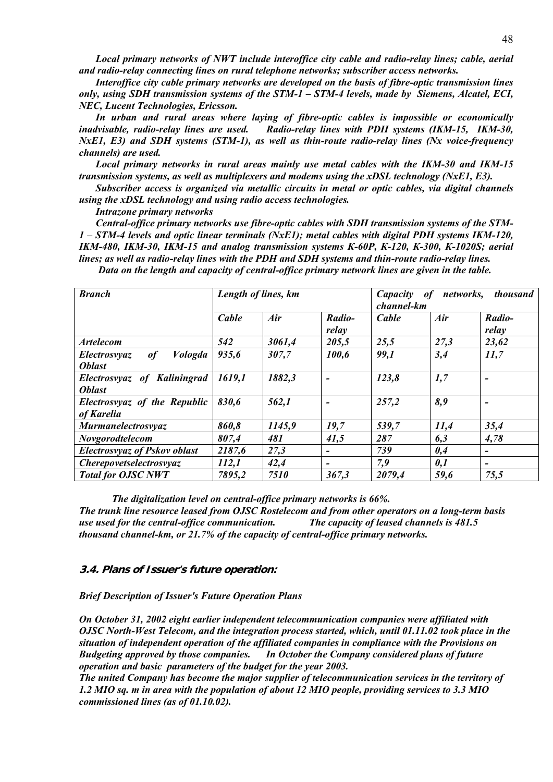*Local primary networks of NWT include interoffice city cable and radio-relay lines; cable, aerial and radio-relay connecting lines on rural telephone networks; subscriber access networks.* 

*Interoffice city cable primary networks are developed on the basis of fibre-optic transmission lines only, using SDH transmission systems of the STM-1 – STM-4 levels, made by Siemens, Alcatel, ECI, NEC, Lucent Technologies, Ericsson.* 

*In urban and rural areas where laying of fibre-optic cables is impossible or economically inadvisable, radio-relay lines are used. Radio-relay lines with PDH systems (IKM-15, IKM-30, NxE1, E3) and SDH systems (STM-1), as well as thin-route radio-relay lines (Nx voice-frequency channels) are used.* 

*Local primary networks in rural areas mainly use metal cables with the IKM-30 and IKM-15 transmission systems, as well as multiplexers and modems using the xDSL technology (NxE1, E3).* 

*Subscriber access is organized via metallic circuits in metal or optic cables, via digital channels using the хDSL technology and using radio access technologies.* 

*Intrazone primary networks* 

*Central-office primary networks use fibre-optic cables with SDH transmission systems of the STM-1 – STM-4 levels and optic linear terminals (NxE1); metal cables with digital PDH systems IKM-120, IKM-480, IKM-30, IKM-15 and analog transmission systems К-60P, К-120, К-300, К-1020S; aerial lines; as well as radio-relay lines with the PDH and SDH systems and thin-route radio-relay lines. Data on the length and capacity of central-office primary network lines are given in the table.* 

| <b>Branch</b>                               |        | Length of lines, km |                 | Capacity | networks,<br><i>thousand</i><br><i>of</i><br>channel-km |                          |  |
|---------------------------------------------|--------|---------------------|-----------------|----------|---------------------------------------------------------|--------------------------|--|
|                                             | Cable  | Air                 | Radio-<br>relay | Cable    | Air                                                     | Radio-<br>relay          |  |
| <i><b>Artelecom</b></i>                     | 542    | 3061,4              | 205,5           | 25,5     | 27,3                                                    | 23,62                    |  |
| <i>Vologda</i><br>of<br><i>Electrosvyaz</i> | 935,6  | 307,7               | 100,6           | 99,1     | 3,4                                                     | 11,7                     |  |
| <b>Oblast</b>                               |        |                     |                 |          |                                                         |                          |  |
| Electrosvyaz of Kaliningrad                 | 1619,1 | 1882,3              |                 | 123,8    | 1,7                                                     | -                        |  |
| <i><b>Oblast</b></i>                        |        |                     |                 |          |                                                         |                          |  |
| Electrosvyaz of the Republic                | 830.6  | 562,1               |                 | 257,2    | 8,9                                                     | -                        |  |
| of Karelia                                  |        |                     |                 |          |                                                         |                          |  |
| <b>Murmanelectrosyyaz</b>                   | 860,8  | 1145,9              | 19,7            | 539,7    | 11,4                                                    | 35,4                     |  |
| Novgorodtelecom                             | 807,4  | 481                 | 41,5            | 287      | 6,3                                                     | 4,78                     |  |
| <b>Electrosyyaz of Pskov oblast</b>         | 2187,6 | 27,3                | $\qquad \qquad$ | 739      | 0,4                                                     | $\overline{\phantom{a}}$ |  |
| Cherepovetselectrosvyaz                     | 112,1  | 42,4                | $\qquad \qquad$ | 7,9      | 0,1                                                     | -                        |  |
| <b>Total for OJSC NWT</b>                   | 7895,2 | 7510                | 367,3           | 2079,4   | 59,6                                                    | 75,5                     |  |

*The digitalization level on central-office primary networks is 66%.* 

*The trunk line resource leased from OJSC Rostelecom and from other operators on a long-term basis use used for the central-office communication. The capacity of leased channels is 481.5 thousand channel-km, or 21.7% of the capacity of central-office primary networks.* 

#### **3.4. Plans of Issuer's future operation:**

*Brief Description of Issuer's Future Operation Plans* 

*On October 31, 2002 eight earlier independent telecommunication companies were affiliated with OJSC North-West Telecom, and the integration process started, which, until 01.11.02 took place in the situation of independent operation of the affiliated companies in compliance with the Provisions on Budgeting approved by those companies. In October the Company considered plans of future operation and basic parameters of the budget for the year 2003.* 

*The united Company has become the major supplier of telecommunication services in the territory of 1.2 MIO sq. m in area with the population of about 12 MIO people, providing services to 3.3 MIO commissioned lines (as of 01.10.02).*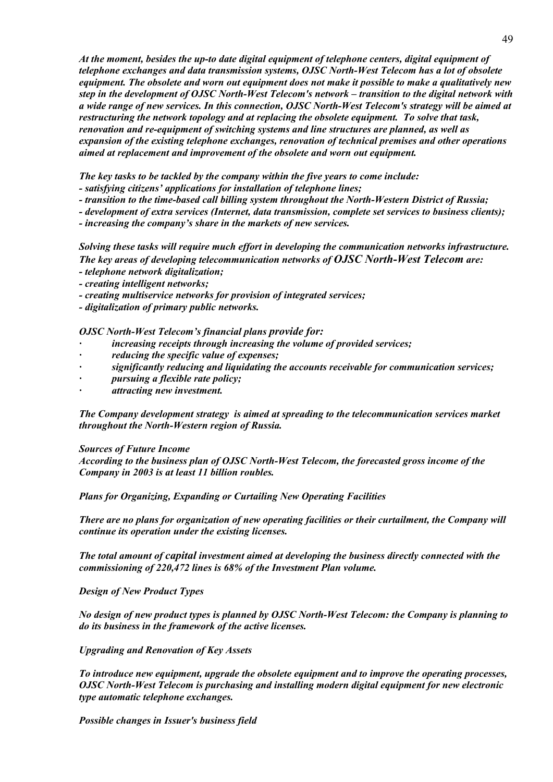*At the moment, besides the up-to date digital equipment of telephone centers, digital equipment of telephone exchanges and data transmission systems, OJSC North-West Telecom has a lot of obsolete equipment. The obsolete and worn out equipment does not make it possible to make a qualitatively new step in the development of OJSC North-West Telecom's network – transition to the digital network with a wide range of new services. In this connection, OJSC North-West Telecom's strategy will be aimed at restructuring the network topology and at replacing the obsolete equipment. To solve that task, renovation and re-equipment of switching systems and line structures are planned, as well as expansion of the existing telephone exchanges, renovation of technical premises and other operations aimed at replacement and improvement of the obsolete and worn out equipment.*

*The key tasks to be tackled by the company within the five years to come include:* 

*- satisfying citizens' applications for installation of telephone lines;* 

*- transition to the time-based call billing system throughout the North-Western District of Russia;* 

*- development of extra services (Internet, data transmission, complete set services to business clients);* 

*- increasing the company's share in the markets of new services.* 

*Solving these tasks will require much effort in developing the communication networks infrastructure. The key areas of developing telecommunication networks of OJSC North-West Telecom are:* 

- *telephone network digitalization;*
- *creating intelligent networks;*
- *creating multiservice networks for provision of integrated services;*
- *digitalization of primary public networks.*

*OJSC North-West Telecom's financial plans provide for:* 

- *· increasing receipts through increasing the volume of provided services;*
- *· reducing the specific value of expenses;*
- *· significantly reducing and liquidating the accounts receivable for communication services;*
- *· pursuing a flexible rate policy;*
- *· attracting new investment.*

*The Company development strategy is aimed at spreading to the telecommunication services market throughout the North-Western region of Russia.* 

*Sources of Future Income* 

*According to the business plan of OJSC North-West Telecom, the forecasted gross income of the Company in 2003 is at least 11 billion roubles.* 

*Plans for Organizing, Expanding or Curtailing New Operating Facilities* 

*There are no plans for organization of new operating facilities or their curtailment, the Company will continue its operation under the existing licenses.* 

*The total amount of capital investment aimed at developing the business directly connected with the commissioning of 220,472 lines is 68% of the Investment Plan volume.* 

*Design of New Product Types* 

*No design of new product types is planned by OJSC North-West Telecom: the Company is planning to do its business in the framework of the active licenses.* 

*Upgrading and Renovation of Key Assets* 

*To introduce new equipment, upgrade the obsolete equipment and to improve the operating processes, OJSC North-West Telecom is purchasing and installing modern digital equipment for new electronic type automatic telephone exchanges.* 

*Possible changes in Issuer's business field*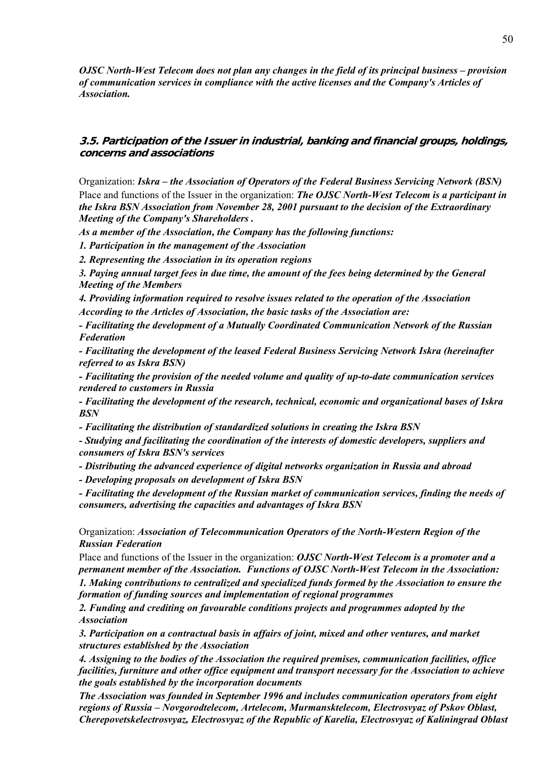*OJSC North-West Telecom does not plan any changes in the field of its principal business – provision of communication services in compliance with the active licenses and the Company's Articles of Association.* 

# **3.5. Participation of the Issuer in industrial, banking and financial groups, holdings, concerns and associations**

Organization: *Iskra – the Association of Operators of the Federal Business Servicing Network (BSN)*  Place and functions of the Issuer in the organization: *The OJSC North-West Telecom is a participant in the Iskra BSN Association from November 28, 2001 pursuant to the decision of the Extraordinary Meeting of the Company's Shareholders .* 

*As a member of the Association, the Company has the following functions:* 

*1. Participation in the management of the Association* 

*2. Representing the Association in its operation regions* 

*3. Paying annual target fees in due time, the amount of the fees being determined by the General Meeting of the Members* 

*4. Providing information required to resolve issues related to the operation of the Association According to the Articles of Association, the basic tasks of the Association are:* 

*- Facilitating the development of a Mutually Coordinated Communication Network of the Russian Federation* 

*- Facilitating the development of the leased Federal Business Servicing Network Iskra (hereinafter referred to as Iskra BSN)* 

*- Facilitating the provision of the needed volume and quality of up-to-date communication services rendered to customers in Russia* 

*- Facilitating the development of the research, technical, economic and organizational bases of Iskra BSN* 

*- Facilitating the distribution of standardized solutions in creating the Iskra BSN* 

*- Studying and facilitating the coordination of the interests of domestic developers, suppliers and consumers of Iskra BSN's services* 

*- Distributing the advanced experience of digital networks organization in Russia and abroad* 

*- Developing proposals on development of Iskra BSN* 

*- Facilitating the development of the Russian market of communication services, finding the needs of consumers, advertising the capacities and advantages of Iskra BSN*

Organization: *Association of Telecommunication Operators of the North-Western Region of the Russian Federation*

Place and functions of the Issuer in the organization: *OJSC North-West Telecom is a promoter and a permanent member of the Association. Functions of OJSC North-West Telecom in the Association:* 

*1. Making contributions to centralized and specialized funds formed by the Association to ensure the formation of funding sources and implementation of regional programmes* 

*2. Funding and crediting on favourable conditions projects and programmes adopted by the Association* 

*3. Participation on a contractual basis in affairs of joint, mixed and other ventures, and market structures established by the Association* 

*4. Assigning to the bodies of the Association the required premises, communication facilities, office facilities, furniture and other office equipment and transport necessary for the Association to achieve the goals established by the incorporation documents* 

*The Association was founded in September 1996 and includes communication operators from eight regions of Russia – Novgorodtelecom, Artelecom, Murmansktelecom, Electrosvyaz of Pskov Oblast, Cherepovetskelectrosvyaz, Electrosvyaz of the Republic of Karelia, Electrosvyaz of Kaliningrad Oblast*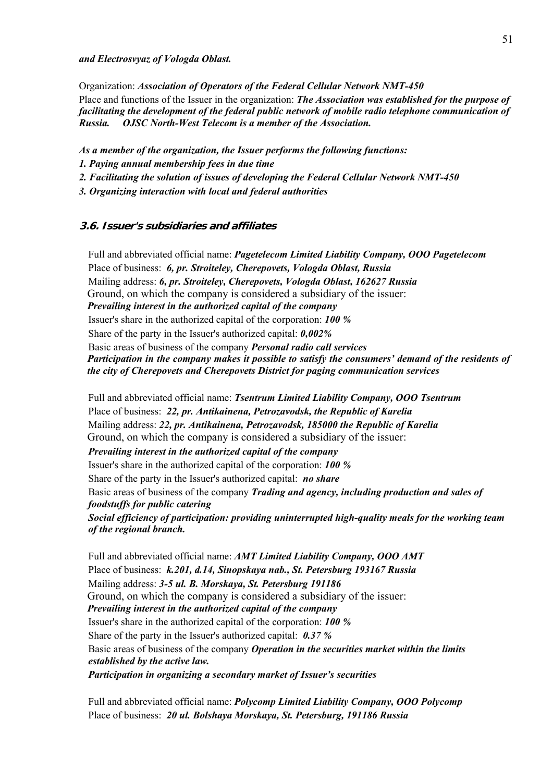#### *and Electrosvyaz of Vologda Oblast.*

Organization: *Association of Operators of the Federal Cellular Network NMT-450*

Place and functions of the Issuer in the organization: *The Association was established for the purpose of facilitating the development of the federal public network of mobile radio telephone communication of Russia. OJSC North-West Telecom is a member of the Association.* 

*As a member of the organization, the Issuer performs the following functions:* 

- *1. Paying annual membership fees in due time*
- *2. Facilitating the solution of issues of developing the Federal Cellular Network NMT-450*

*3. Organizing interaction with local and federal authorities* 

#### **3.6. Issuer's subsidiaries and affiliates**

Full and abbreviated official name: *Pagetelecom Limited Liability Company, OOO Pagetelecom* Place of business: *6, pr. Stroiteley, Cherepovets, Vologda Oblast, Russia* Mailing address: *6, pr. Stroiteley, Cherepovets, Vologda Oblast, 162627 Russia* Ground, on which the company is considered a subsidiary of the issuer: *Prevailing interest in the authorized capital of the company*  Issuer's share in the authorized capital of the corporation: *100 %* Share of the party in the Issuer's authorized capital: *0,002%* Basic areas of business of the company *Personal radio call services Participation in the company makes it possible to satisfy the consumers' demand of the residents of the city of Cherepovets and Cherepovets District for paging communication services* 

Full and abbreviated official name: *Tsentrum Limited Liability Company, OOO Tsentrum* Place of business: *22, pr. Antikainena, Petrozavodsk, the Republic of Karelia* Mailing address: *22, pr. Antikainena, Petrozavodsk, 185000 the Republic of Karelia* Ground, on which the company is considered a subsidiary of the issuer: *Prevailing interest in the authorized capital of the company*  Issuer's share in the authorized capital of the corporation: *100 %* Share of the party in the Issuer's authorized capital: *no share* Basic areas of business of the company *Trading and agency, including production and sales of foodstuffs for public catering Social efficiency of participation: providing uninterrupted high-quality meals for the working team of the regional branch.* 

Full and abbreviated official name: *AMT Limited Liability Company, OOO AMT* Place of business: *k.201, d.14, Sinopskaya nab., St. Petersburg 193167 Russia* Mailing address: *3-5 ul. B. Morskaya, St. Petersburg 191186* Ground, on which the company is considered a subsidiary of the issuer: *Prevailing interest in the authorized capital of the company*  Issuer's share in the authorized capital of the corporation: *100 %* Share of the party in the Issuer's authorized capital: *0.37 %* Basic areas of business of the company *Operation in the securities market within the limits established by the active law. Participation in organizing a secondary market of Issuer's securities* 

Full and abbreviated official name: *Polycomp Limited Liability Company, OOO Polycomp* Place of business: *20 ul. Bolshaya Morskaya, St. Petersburg, 191186 Russia*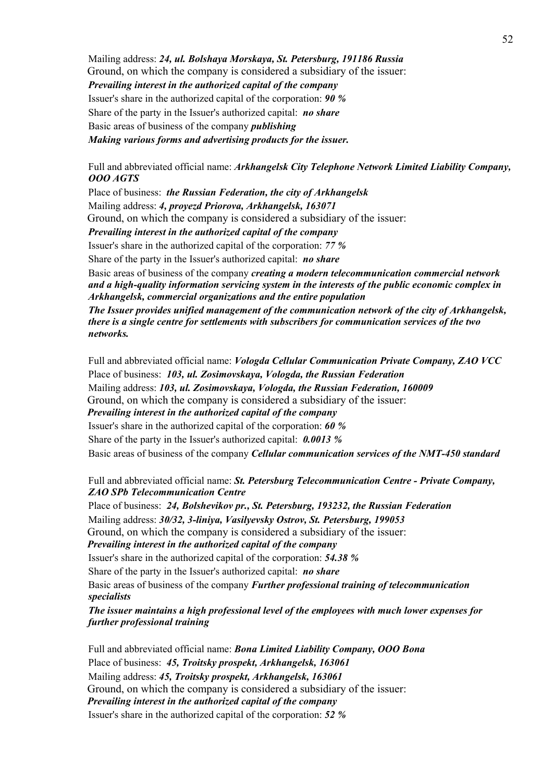Mailing address: *24, ul. Bolshaya Morskaya, St. Petersburg, 191186 Russia* Ground, on which the company is considered a subsidiary of the issuer: *Prevailing interest in the authorized capital of the company*  Issuer's share in the authorized capital of the corporation: *90 %* Share of the party in the Issuer's authorized capital: *no share* Basic areas of business of the company *publishing Making various forms and advertising products for the issuer.* 

Full and abbreviated official name: *Arkhangelsk City Telephone Network Limited Liability Company, OOO AGTS*

Place of business: *the Russian Federation, the city of Arkhangelsk* Mailing address: *4, proyezd Priorova, Arkhangelsk, 163071*  Ground, on which the company is considered a subsidiary of the issuer: *Prevailing interest in the authorized capital of the company* 

Issuer's share in the authorized capital of the corporation: *77 %*

Share of the party in the Issuer's authorized capital: *no share*

Basic areas of business of the company *creating a modern telecommunication commercial network and a high-quality information servicing system in the interests of the public economic complex in Arkhangelsk, commercial organizations and the entire population* 

*The Issuer provides unified management of the communication network of the city of Arkhangelsk, there is a single centre for settlements with subscribers for communication services of the two networks.* 

Full and abbreviated official name: *Vologda Cellular Communication Private Company, ZAO VCC* Place of business: *103, ul. Zosimovskaya, Vologda, the Russian Federation* Mailing address: *103, ul. Zosimovskaya, Vologda, the Russian Federation, 160009* Ground, on which the company is considered a subsidiary of the issuer: *Prevailing interest in the authorized capital of the company*  Issuer's share in the authorized capital of the corporation: *60 %* Share of the party in the Issuer's authorized capital: *0.0013 %* Basic areas of business of the company *Cellular communication services of the NMT-450 standard*

Full and abbreviated official name: *St. Petersburg Telecommunication Centre - Private Company, ZAO SPb Telecommunication Centre* 

Place of business: *24, Bolshevikov pr., St. Petersburg, 193232, the Russian Federation* Mailing address: *30/32, 3-liniya, Vasilyevsky Ostrov, St. Petersburg, 199053* Ground, on which the company is considered a subsidiary of the issuer: *Prevailing interest in the authorized capital of the company* 

Issuer's share in the authorized capital of the corporation: *54.38 %*

Share of the party in the Issuer's authorized capital: *no share*

Basic areas of business of the company *Further professional training of telecommunication specialists* 

*The issuer maintains a high professional level of the employees with much lower expenses for further professional training* 

Full and abbreviated official name: *Bona Limited Liability Company, OOO Bona* Place of business: *45, Troitsky prospekt, Arkhangelsk, 163061* Mailing address: *45, Troitsky prospekt, Arkhangelsk, 163061* Ground, on which the company is considered a subsidiary of the issuer: *Prevailing interest in the authorized capital of the company*  Issuer's share in the authorized capital of the corporation: *52 %*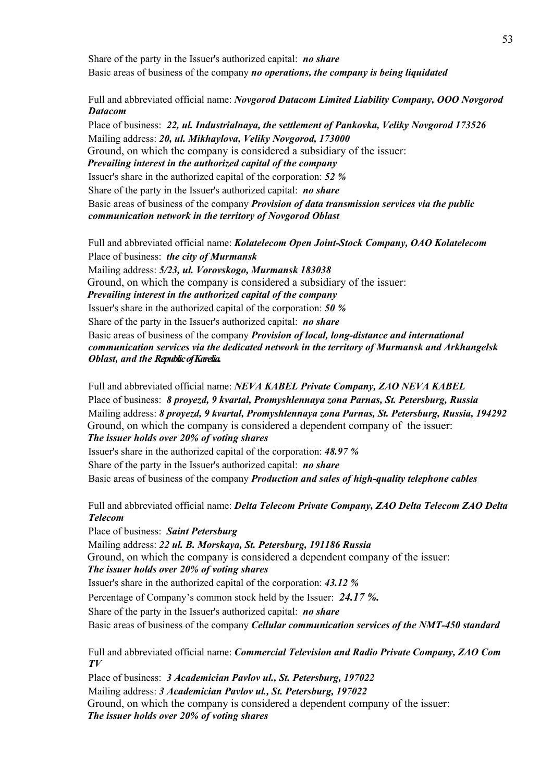Share of the party in the Issuer's authorized capital: *no share* Basic areas of business of the company *no operations, the company is being liquidated* 

Full and abbreviated official name: *Novgorod Datacom Limited Liability Company, OOO Novgorod Datacom*

Place of business: *22, ul. Industrialnaya, the settlement of Pankovka, Veliky Novgorod 173526* Mailing address: *20, ul. Mikhaylova, Veliky Novgorod, 173000* Ground, on which the company is considered a subsidiary of the issuer: *Prevailing interest in the authorized capital of the company*  Issuer's share in the authorized capital of the corporation: *52 %* Share of the party in the Issuer's authorized capital: *no share* Basic areas of business of the company *Provision of data transmission services via the public communication network in the territory of Novgorod Oblast* 

Full and abbreviated official name: *Kolatelecom Open Joint-Stock Company, OAO Kolatelecom* Place of business: *the city of Murmansk* Mailing address: *5/23, ul. Vorovskogo, Murmansk 183038* Ground, on which the company is considered a subsidiary of the issuer: *Prevailing interest in the authorized capital of the company*  Issuer's share in the authorized capital of the corporation: *50 %* Share of the party in the Issuer's authorized capital: *no share* Basic areas of business of the company *Provision of local, long-distance and international communication services via the dedicated network in the territory of Murmansk and Arkhangelsk Oblast, and the Republic of Karelia.* 

Full and abbreviated official name: *NEVA KABEL Private Company, ZAO NEVA KABEL* Place of business: *8 proyezd, 9 kvartal, Promyshlennaya zona Parnas, St. Petersburg, Russia* Mailing address: *8 proyezd, 9 kvartal, Promyshlennaya zona Parnas, St. Petersburg, Russia, 194292* Ground, on which the company is considered a dependent company of the issuer: *The issuer holds over 20% of voting shares*  Issuer's share in the authorized capital of the corporation: *48.97 %* Share of the party in the Issuer's authorized capital: *no share*

Basic areas of business of the company *Production and sales of high-quality telephone cables*

Full and abbreviated official name: *Delta Telecom Private Company, ZAO Delta Telecom ZAO Delta Telecom*

Place of business: *Saint Petersburg*

Mailing address: *22 ul. B. Morskaya, St. Petersburg, 191186 Russia* Ground, on which the company is considered a dependent company of the issuer: *The issuer holds over 20% of voting shares*  Issuer's share in the authorized capital of the corporation: *43.12 %* Percentage of Company's common stock held by the Issuer: *24.17 %.* Share of the party in the Issuer's authorized capital: *no share* Basic areas of business of the company *Cellular communication services of the NMT-450 standard*

Full and abbreviated official name: *Commercial Television and Radio Private Company, ZAO Com TV*

Place of business: *3 Academician Pavlov ul., St. Petersburg, 197022* Mailing address: *3 Academician Pavlov ul., St. Petersburg, 197022* Ground, on which the company is considered a dependent company of the issuer: *The issuer holds over 20% of voting shares*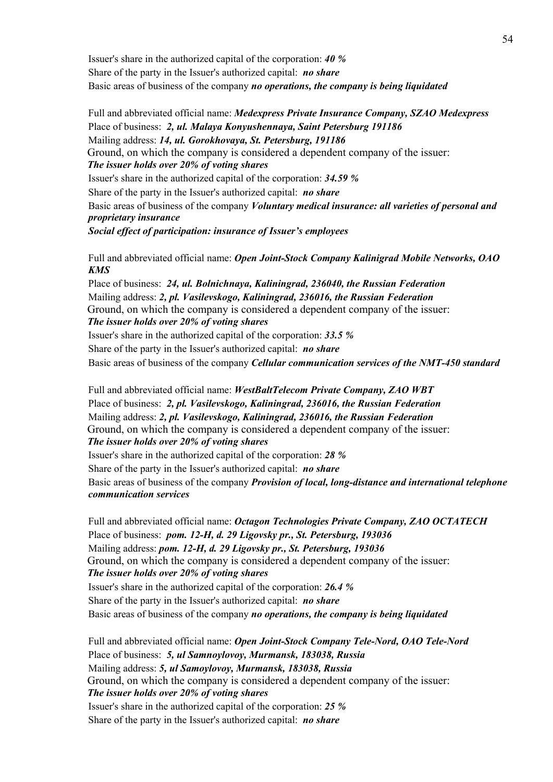Issuer's share in the authorized capital of the corporation: *40 %* Share of the party in the Issuer's authorized capital: *no share* Basic areas of business of the company *no operations, the company is being liquidated* 

Full and abbreviated official name: *Medexpress Private Insurance Company, SZAO Medexpress* Place of business: *2, ul. Malaya Konyushennaya, Saint Petersburg 191186* Mailing address: *14, ul. Gorokhovaya, St. Petersburg, 191186* Ground, on which the company is considered a dependent company of the issuer: *The issuer holds over 20% of voting shares*  Issuer's share in the authorized capital of the corporation: *34.59 %* Share of the party in the Issuer's authorized capital: *no share* Basic areas of business of the company *Voluntary medical insurance: all varieties of personal and proprietary insurance Social effect of participation: insurance of Issuer's employees* 

Full and abbreviated official name: *Open Joint-Stock Company Kalinigrad Mobile Networks, OAO KMS*

Place of business: *24, ul. Bolnichnaya, Kaliningrad, 236040, the Russian Federation* Mailing address: *2, pl. Vasilevskogo, Kaliningrad, 236016, the Russian Federation* Ground, on which the company is considered a dependent company of the issuer: *The issuer holds over 20% of voting shares* 

Issuer's share in the authorized capital of the corporation: *33.5 %* Share of the party in the Issuer's authorized capital: *no share* Basic areas of business of the company *Cellular communication services of the NMT-450 standard*

Full and abbreviated official name: *WestBaltTelecom Private Company, ZAO WBT* Place of business: *2, pl. Vasilevskogo, Kaliningrad, 236016, the Russian Federation* Mailing address: *2, pl. Vasilevskogo, Kaliningrad, 236016, the Russian Federation* Ground, on which the company is considered a dependent company of the issuer: *The issuer holds over 20% of voting shares* 

Issuer's share in the authorized capital of the corporation: *28 %* Share of the party in the Issuer's authorized capital: *no share* Basic areas of business of the company *Provision of local, long-distance and international telephone communication services*

Full and abbreviated official name: *Octagon Technologies Private Company, ZAO OCTATECH* Place of business: *pom. 12-H, d. 29 Ligovsky pr., St. Petersburg, 193036* Mailing address: *pom. 12-H, d. 29 Ligovsky pr., St. Petersburg, 193036* Ground, on which the company is considered a dependent company of the issuer: *The issuer holds over 20% of voting shares*  Issuer's share in the authorized capital of the corporation: *26.4 %* Share of the party in the Issuer's authorized capital: *no share* Basic areas of business of the company *no operations, the company is being liquidated* 

Full and abbreviated official name: *Open Joint-Stock Company Tele-Nord, OAO Tele-Nord* Place of business: *5, ul Samnoylovoy, Murmansk, 183038, Russia* Mailing address: *5, ul Samoylovoy, Murmansk, 183038, Russia* Ground, on which the company is considered a dependent company of the issuer: *The issuer holds over 20% of voting shares*  Issuer's share in the authorized capital of the corporation: *25 %* Share of the party in the Issuer's authorized capital: *no share*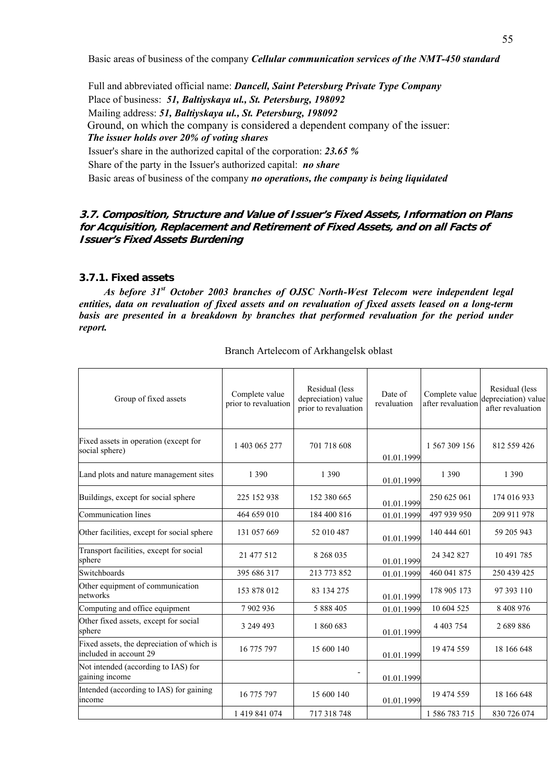Basic areas of business of the company *Cellular communication services of the NMT-450 standard*

Full and abbreviated official name: *Dancell, Saint Petersburg Private Type Company* Place of business: *51, Baltiyskaya ul., St. Petersburg, 198092* Mailing address: *51, Baltiyskaya ul., St. Petersburg, 198092* Ground, on which the company is considered a dependent company of the issuer: *The issuer holds over 20% of voting shares*  Issuer's share in the authorized capital of the corporation: *23.65 %* Share of the party in the Issuer's authorized capital: *no share* Basic areas of business of the company *no operations, the company is being liquidated* 

### **3.7. Composition, Structure and Value of Issuer's Fixed Assets, Information on Plans for Acquisition, Replacement and Retirement of Fixed Assets, and on all Facts of Issuer's Fixed Assets Burdening**

# **3.7.1. Fixed assets**

*As before 31st October 2003 branches of OJSC North-West Telecom were independent legal entities, data on revaluation of fixed assets and on revaluation of fixed assets leased on a long-term*  basis are presented in a breakdown by branches that performed revaluation for the period under *report.* 

| Group of fixed assets                                                | Complete value<br>prior to revaluation | Residual (less<br>depreciation) value<br>prior to revaluation | Date of<br>revaluation | Complete value<br>after revaluation | Residual (less<br>depreciation) value<br>after revaluation |
|----------------------------------------------------------------------|----------------------------------------|---------------------------------------------------------------|------------------------|-------------------------------------|------------------------------------------------------------|
| Fixed assets in operation (except for<br>social sphere)              | 1 403 065 277                          | 701 718 608                                                   | 01.01.1999             | 1 567 309 156                       | 812 559 426                                                |
| Land plots and nature management sites                               | 1 3 9 0                                | 1 3 9 0                                                       | 01.01.1999             | 1 3 9 0                             | 1 3 9 0                                                    |
| Buildings, except for social sphere                                  | 225 152 938                            | 152 380 665                                                   | 01.01.1999             | 250 625 061                         | 174 016 933                                                |
| Communication lines                                                  | 464 659 010                            | 184 400 816                                                   | 01.01.1999             | 497 939 950                         | 209 911 978                                                |
| Other facilities, except for social sphere                           | 131 057 669                            | 52 010 487                                                    | 01.01.1999             | 140 444 601                         | 59 205 943                                                 |
| Transport facilities, except for social<br>sphere                    | 21 477 512                             | 8 268 035                                                     | 01.01.1999             | 24 342 827                          | 10 491 785                                                 |
| Switchboards                                                         | 395 686 317                            | 213 773 852                                                   | 01.01.1999             | 460 041 875                         | 250 439 425                                                |
| Other equipment of communication<br>networks                         | 153 878 012                            | 83 134 275                                                    | 01.01.1999             | 178 905 173                         | 97 393 110                                                 |
| Computing and office equipment                                       | 7902936                                | 5 888 405                                                     | 01.01.1999             | 10 604 525                          | 8 4 0 8 9 7 6                                              |
| Other fixed assets, except for social<br>sphere                      | 3 249 493                              | 1860683                                                       | 01.01.1999             | 4 4 0 3 7 5 4                       | 2689886                                                    |
| Fixed assets, the depreciation of which is<br>included in account 29 | 16 775 797                             | 15 600 140                                                    | 01.01.1999             | 19 474 559                          | 18 166 648                                                 |
| Not intended (according to IAS) for<br>gaining income                |                                        | $\overline{\phantom{0}}$                                      | 01.01.1999             |                                     |                                                            |
| Intended (according to IAS) for gaining<br>income                    | 16 775 797                             | 15 600 140                                                    | 01.01.1999             | 19 474 559                          | 18 166 648                                                 |
|                                                                      | 1 419 841 074                          | 717 318 748                                                   |                        | 1 586 783 715                       | 830 726 074                                                |

### Branch Artelecom of Arkhangelsk oblast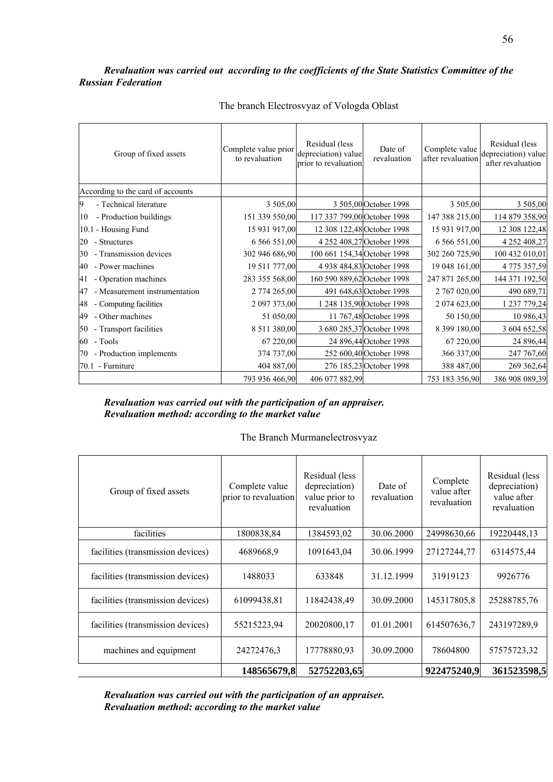### *Revaluation was carried out according to the coefficients of the State Statistics Committee of the Russian Federation*

| Group of fixed assets               | Complete value prior<br>to revaluation | Residual (less<br>depreciation) value<br>prior to revaluation | Date of<br>revaluation    | Complete value<br>after revaluation | Residual (less<br>depreciation) value<br>after revaluation |
|-------------------------------------|----------------------------------------|---------------------------------------------------------------|---------------------------|-------------------------------------|------------------------------------------------------------|
| According to the card of accounts   |                                        |                                                               |                           |                                     |                                                            |
| - Technical literature              | 3 505,00                               |                                                               | 3 505,00 October 1998     | 3 505,00                            | 3 505,00                                                   |
| - Production buildings<br>10        | 151 339 550,00                         | 117 337 799,00 October 1998                                   |                           | 147 388 215,00                      | 114 879 358,90                                             |
| 10.1 - Housing Fund                 | 15 931 917,00                          | 12 308 122,48 October 1998                                    |                           | 15 931 917,00                       | 12 308 122,48                                              |
| - Structures<br>20                  | 6 566 551,00                           |                                                               | 4 252 408,27 October 1998 | 6 566 551,00                        | 4 252 408,27                                               |
| - Transmission devices<br>30        | 302 946 686,90                         | 100 661 154,34 October 1998                                   |                           | 302 260 725,90                      | 100 432 010,01                                             |
| - Power machines<br>40              | 19 511 777,00                          |                                                               | 4 938 484,83 October 1998 | 19 048 161,00                       | 4 775 357,59                                               |
| - Operation machines<br>41          | 283 355 568,00                         | 160 590 889,62 October 1998                                   |                           | 247 871 265,00                      | 144 371 192,50                                             |
| - Measurement instrumentation<br>47 | 2 774 265,00                           |                                                               | 491 648,63 October 1998   | 2 767 020,00                        | 490 689,71                                                 |
| - Computing facilities<br>48        | 2 097 373,00                           |                                                               | 1 248 135,90 October 1998 | 2 074 623,00                        | 1 237 779,24                                               |
| - Other machines<br>49              | 51 050,00                              |                                                               | 11 767,48 October 1998    | 50 150,00                           | 10 986,43                                                  |
| - Transport facilities<br>50        | 8 511 380,00                           |                                                               | 3 680 285,37 October 1998 | 8 399 180,00                        | 3 604 652,58                                               |
| $60$ - Tools                        | 67 220,00                              |                                                               | 24 896,44 October 1998    | 67 220,00                           | 24 896,44                                                  |
| 70 - Production implements          | 374 737,00                             |                                                               | 252 600,40 October 1998   | 366 337,00                          | 247 767,60                                                 |
| 70.1 - Furniture                    | 404 887,00                             |                                                               | 276 185,23 October 1998   | 388 487,00                          | 269 362,64                                                 |
|                                     | 793 936 466,90                         | 406 077 882,99                                                |                           | 753 183 356,90                      | 386 908 089,39                                             |

# The branch Electrosvyaz of Vologda Oblast

### *Revaluation was carried out with the participation of an appraiser. Revaluation method: according to the market value*

#### The Branch Murmanelectrosvyaz

| Group of fixed assets             | Complete value<br>prior to revaluation | Residual (less<br>depreciation)<br>value prior to<br>revaluation | Date of<br>revaluation | Complete<br>value after<br>revaluation | Residual (less<br>depreciation)<br>value after<br>revaluation |
|-----------------------------------|----------------------------------------|------------------------------------------------------------------|------------------------|----------------------------------------|---------------------------------------------------------------|
| facilities                        | 1800838,84                             | 1384593,02                                                       | 30.06.2000             | 24998630,66                            | 19220448,13                                                   |
| facilities (transmission devices) | 4689668.9                              | 1091643,04                                                       | 30.06.1999             | 27127244,77                            | 6314575,44                                                    |
| facilities (transmission devices) | 1488033                                | 633848                                                           | 31.12.1999             | 31919123                               | 9926776                                                       |
| facilities (transmission devices) | 61099438,81                            | 11842438,49                                                      | 30.09.2000             | 145317805,8                            | 25288785,76                                                   |
| facilities (transmission devices) | 55215223,94                            | 20020800,17                                                      | 01.01.2001             | 614507636,7                            | 243197289,9                                                   |
| machines and equipment            | 24272476,3                             | 17778880,93                                                      | 30.09.2000             | 78604800                               | 57575723,32                                                   |
|                                   | 148565679,8                            | 52752203,65                                                      |                        | 922475240,9                            | 361523598,5                                                   |

*Revaluation was carried out with the participation of an appraiser. Revaluation method: according to the market value*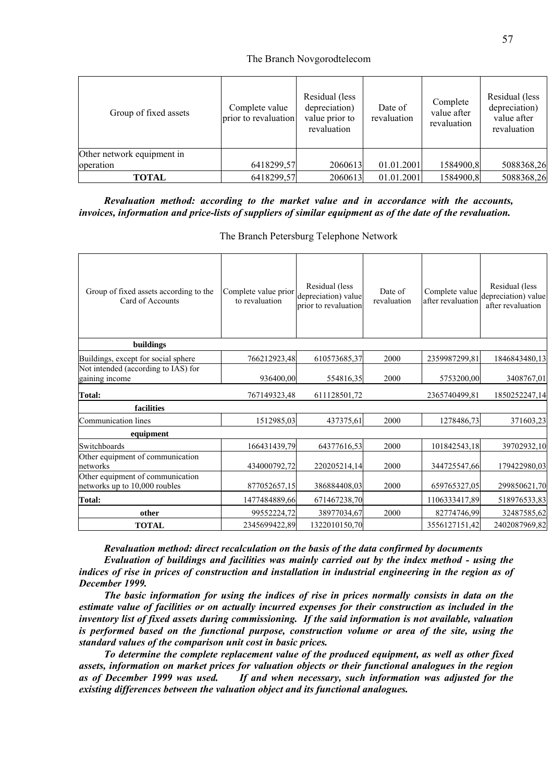#### The Branch Novgorodtelecom

| Group of fixed assets      | Complete value<br>prior to revaluation | Residual (less<br>depreciation)<br>value prior to<br>revaluation | Date of<br>revaluation | Complete<br>value after<br>revaluation | Residual (less<br>depreciation)<br>value after<br>revaluation |
|----------------------------|----------------------------------------|------------------------------------------------------------------|------------------------|----------------------------------------|---------------------------------------------------------------|
| Other network equipment in |                                        |                                                                  |                        |                                        |                                                               |
| operation                  | 6418299,57                             | 2060613                                                          | 01.01.2001             | 1584900,8                              | 5088368,26                                                    |
| <b>TOTAL</b>               | 6418299,57                             | 2060613                                                          | 01.01.2001             | 1584900,8                              | 5088368,26                                                    |

#### *Revaluation method: according to the market value and in accordance with the accounts, invoices, information and price-lists of suppliers of similar equipment as of the date of the revaluation.*

The Branch Petersburg Telephone Network

| Group of fixed assets according to the<br>Card of Accounts        | Complete value prior<br>to revaluation | Residual (less<br>depreciation) value<br>prior to revaluation | Date of<br>revaluation | Complete value<br>after revaluation | Residual (less<br>depreciation) value<br>after revaluation |
|-------------------------------------------------------------------|----------------------------------------|---------------------------------------------------------------|------------------------|-------------------------------------|------------------------------------------------------------|
| buildings                                                         |                                        |                                                               |                        |                                     |                                                            |
| Buildings, except for social sphere                               | 766212923,48                           | 610573685,37                                                  | 2000                   | 2359987299,81                       | 1846843480,13                                              |
| Not intended (according to IAS) for<br>gaining income             | 936400.00                              | 554816,35                                                     | 2000                   | 5753200,00                          | 3408767,01                                                 |
| Total:                                                            | 767149323,48                           | 611128501,72                                                  |                        | 2365740499,81                       | 1850252247,14                                              |
| facilities                                                        |                                        |                                                               |                        |                                     |                                                            |
| Communication lines                                               | 1512985,03                             | 437375,61                                                     | 2000                   | 1278486,73                          | 371603,23                                                  |
| equipment                                                         |                                        |                                                               |                        |                                     |                                                            |
| Switchboards                                                      | 166431439,79                           | 64377616,53                                                   | 2000                   | 101842543,18                        | 39702932,10                                                |
| Other equipment of communication<br>networks                      | 434000792,72                           | 220205214,14                                                  | 2000                   | 344725547,66                        | 179422980,03                                               |
| Other equipment of communication<br>networks up to 10,000 roubles | 877052657,15                           | 386884408,03                                                  | 2000                   | 659765327,05                        | 299850621,70                                               |
| <b>Total:</b>                                                     | 1477484889,66                          | 671467238,70                                                  |                        | 1106333417,89                       | 518976533,83                                               |
| other                                                             | 99552224,72                            | 38977034,67                                                   | 2000                   | 82774746,99                         | 32487585,62                                                |
| <b>TOTAL</b>                                                      | 2345699422,89                          | 1322010150,70                                                 |                        | 3556127151,42                       | 2402087969,82                                              |

*Revaluation method: direct recalculation on the basis of the data confirmed by documents* 

*Evaluation of buildings and facilities was mainly carried out by the index method - using the indices of rise in prices of construction and installation in industrial engineering in the region as of December 1999.* 

*The basic information for using the indices of rise in prices normally consists in data on the estimate value of facilities or on actually incurred expenses for their construction as included in the inventory list of fixed assets during commissioning. If the said information is not available, valuation is performed based on the functional purpose, construction volume or area of the site, using the standard values of the comparison unit cost in basic prices.* 

*To determine the complete replacement value of the produced equipment, as well as other fixed assets, information on market prices for valuation objects or their functional analogues in the region as of December 1999 was used. If and when necessary, such information was adjusted for the existing differences between the valuation object and its functional analogues.*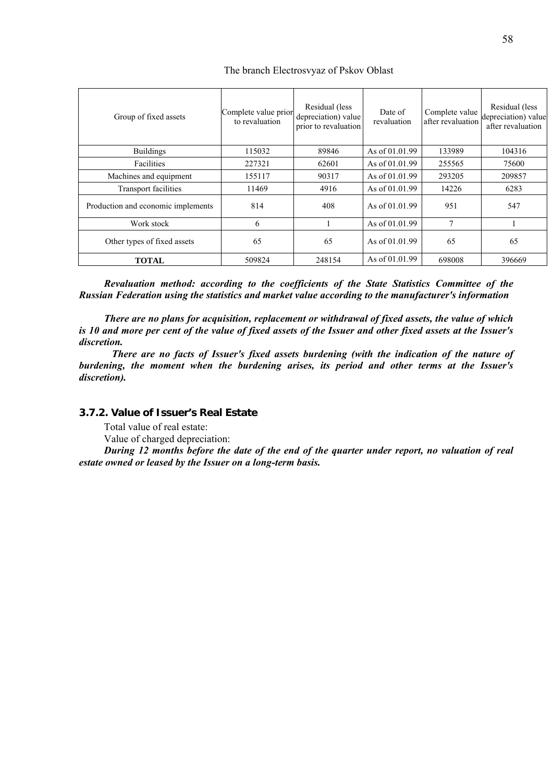| Group of fixed assets              | Complete value prior<br>to revaluation | Residual (less<br>depreciation) value<br>prior to revaluation | Date of<br>revaluation | Complete value<br>after revaluation | Residual (less<br>depreciation) value<br>after revaluation |
|------------------------------------|----------------------------------------|---------------------------------------------------------------|------------------------|-------------------------------------|------------------------------------------------------------|
| <b>Buildings</b>                   | 115032                                 | 89846                                                         | As of 01.01.99         | 133989                              | 104316                                                     |
| Facilities                         | 227321                                 | 62601                                                         | As of 01.01.99         | 255565                              | 75600                                                      |
| Machines and equipment             | 155117                                 | 90317                                                         | As of 01.01.99         | 293205                              | 209857                                                     |
| <b>Transport facilities</b>        | 11469                                  | 4916                                                          | As of 01.01.99         | 14226                               | 6283                                                       |
| Production and economic implements | 814                                    | 408                                                           | As of $01.01.99$       | 951                                 | 547                                                        |
| Work stock                         | 6                                      |                                                               | As of 01.01.99         | $\mathcal{I}$                       |                                                            |
| Other types of fixed assets        | 65                                     | 65                                                            | As of 01.01.99         | 65                                  | 65                                                         |
| <b>TOTAL</b>                       | 509824                                 | 248154                                                        | As of 01.01.99         | 698008                              | 396669                                                     |

The branch Electrosvyaz of Pskov Oblast

*Revaluation method: according to the coefficients of the State Statistics Committee of the Russian Federation using the statistics and market value according to the manufacturer's information* 

*There are no plans for acquisition, replacement or withdrawal of fixed assets, the value of which is 10 and more per cent of the value of fixed assets of the Issuer and other fixed assets at the Issuer's discretion.* 

 *There are no facts of Issuer's fixed assets burdening (with the indication of the nature of burdening, the moment when the burdening arises, its period and other terms at the Issuer's discretion).* 

# **3.7.2. Value of Issuer's Real Estate**

Total value of real estate:

Value of charged depreciation:

*During 12 months before the date of the end of the quarter under report, no valuation of real estate owned or leased by the Issuer on a long-term basis.*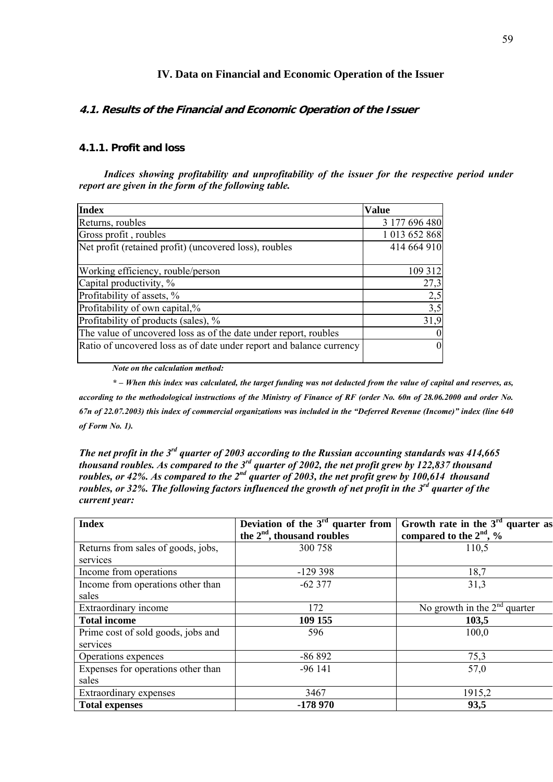# **IV. Data on Financial and Economic Operation of the Issuer**

# **4.1. Results of the Financial and Economic Operation of the Issuer**

# **4.1.1. Profit and loss**

*Indices showing profitability and unprofitability of the issuer for the respective period under report are given in the form of the following table.* 

| <b>Index</b>                                                         | <b>Value</b>    |
|----------------------------------------------------------------------|-----------------|
| Returns, roubles                                                     | 3 177 696 480   |
| Gross profit, roubles                                                | 1 013 652 868   |
| Net profit (retained profit) (uncovered loss), roubles               | 414 664 910     |
| Working efficiency, rouble/person                                    | 109 312         |
| Capital productivity, %                                              | 27,3            |
| Profitability of assets, %                                           | 2,5             |
| Profitability of own capital,%                                       | 3,5             |
| Profitability of products (sales), %                                 | 31,9            |
| The value of uncovered loss as of the date under report, roubles     | $\vert 0 \vert$ |
| Ratio of uncovered loss as of date under report and balance currency | $\vert 0 \vert$ |

*Note on the calculation method:* 

*\* – When this index was calculated, the target funding was not deducted from the value of capital and reserves, as, according to the methodological instructions of the Ministry of Finance of RF (order No. 60n of 28.06.2000 and order No. 67n of 22.07.2003) this index of commercial organizations was included in the "Deferred Revenue (Income)" index (line 640 of Form No. 1).*

*The net profit in the 3rd quarter of 2003 according to the Russian accounting standards was 414,665 thousand roubles. As compared to the 3rd quarter of 2002, the net profit grew by 122,837 thousand roubles, or 42%. As compared to the 2<sup>nd</sup> quarter of 2003, the net profit grew by 100,614 thousand roubles, or 32%. The following factors influenced the growth of net profit in the 3rd quarter of the current year:* 

| <b>Index</b>                                   | Deviation of the $3rd$ quarter from<br>the $2nd$ , thousand roubles | Growth rate in the $3rd$ quarter as<br>compared to the $2nd$ , % |
|------------------------------------------------|---------------------------------------------------------------------|------------------------------------------------------------------|
| Returns from sales of goods, jobs,<br>services | 300 758                                                             | 110,5                                                            |
| Income from operations                         | $-129398$                                                           | 18,7                                                             |
| Income from operations other than<br>sales     | $-62377$                                                            | 31,3                                                             |
| Extraordinary income                           | 172                                                                 | No growth in the $2nd$ quarter                                   |
| <b>Total income</b>                            | 109 155                                                             | 103,5                                                            |
| Prime cost of sold goods, jobs and<br>services | 596                                                                 | 100,0                                                            |
| Operations expences                            | $-86892$                                                            | 75,3                                                             |
| Expenses for operations other than<br>sales    | $-96141$                                                            | 57,0                                                             |
| Extraordinary expenses                         | 3467                                                                | 1915,2                                                           |
| <b>Total expenses</b>                          | $-178970$                                                           | 93,5                                                             |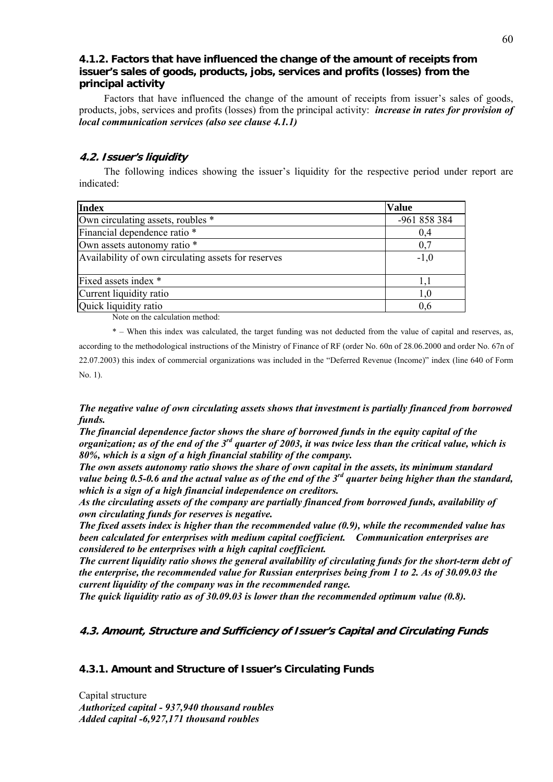# **4.1.2. Factors that have influenced the change of the amount of receipts from issuer's sales of goods, products, jobs, services and profits (losses) from the principal activity**

Factors that have influenced the change of the amount of receipts from issuer's sales of goods, products, jobs, services and profits (losses) from the principal activity: *increase in rates for provision of local communication services (also see clause 4.1.1)* 

## **4.2. Issuer's liquidity**

The following indices showing the issuer's liquidity for the respective period under report are indicated:

| <b>Index</b>                                        | <b>Value</b> |
|-----------------------------------------------------|--------------|
| Own circulating assets, roubles *                   | -961 858 384 |
| Financial dependence ratio *                        | 0,4          |
| Own assets autonomy ratio *                         | 0,7          |
| Availability of own circulating assets for reserves | $-1,0$       |
| Fixed assets index *                                |              |
| Current liquidity ratio                             | 1,0          |
| Quick liquidity ratio                               | 0,6          |

Note on the calculation method:

\* – When this index was calculated, the target funding was not deducted from the value of capital and reserves, as, according to the methodological instructions of the Ministry of Finance of RF (order No. 60n of 28.06.2000 and order No. 67n of 22.07.2003) this index of commercial organizations was included in the "Deferred Revenue (Income)" index (line 640 of Form No. 1).

*The negative value of own circulating assets shows that investment is partially financed from borrowed funds.* 

*The financial dependence factor shows the share of borrowed funds in the equity capital of the organization; as of the end of the 3rd quarter of 2003, it was twice less than the critical value, which is 80%, which is a sign of a high financial stability of the company.* 

*The own assets autonomy ratio shows the share of own capital in the assets, its minimum standard value being 0.5-0.6 and the actual value as of the end of the 3rd quarter being higher than the standard, which is a sign of a high financial independence on creditors.* 

*As the circulating assets of the company are partially financed from borrowed funds, availability of own circulating funds for reserves is negative.* 

*The fixed assets index is higher than the recommended value (0.9), while the recommended value has been calculated for enterprises with medium capital coefficient. Communication enterprises are considered to be enterprises with a high capital coefficient.* 

*The current liquidity ratio shows the general availability of circulating funds for the short-term debt of the enterprise, the recommended value for Russian enterprises being from 1 to 2. As of 30.09.03 the current liquidity of the company was in the recommended range.* 

*The quick liquidity ratio as of 30.09.03 is lower than the recommended optimum value (0.8).* 

# **4.3. Amount, Structure and Sufficiency of Issuer's Capital and Circulating Funds**

# **4.3.1. Amount and Structure of Issuer's Circulating Funds**

Capital structure *Authorized capital - 937,940 thousand roubles Added capital -6,927,171 thousand roubles*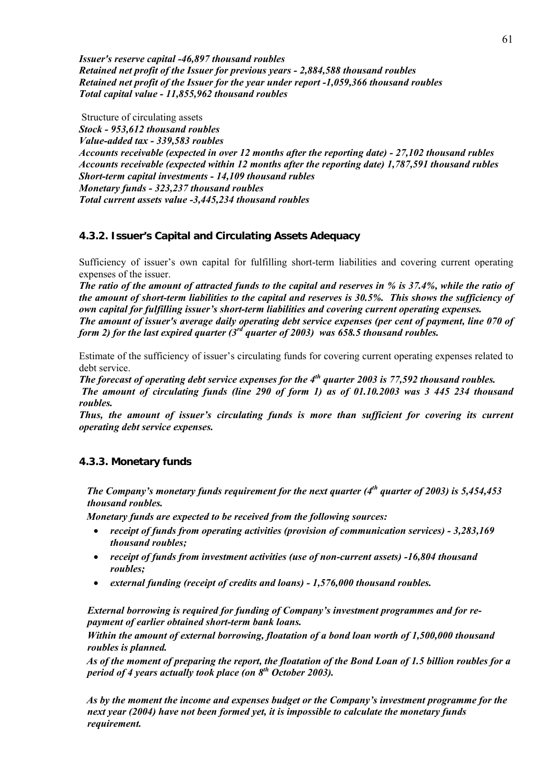*Issuer's reserve capital -46,897 thousand roubles Retained net profit of the Issuer for previous years - 2,884,588 thousand roubles Retained net profit of the Issuer for the year under report -1,059,366 thousand roubles Total capital value - 11,855,962 thousand roubles* 

 Structure of circulating assets *Stock - 953,612 thousand roubles Value-added tax - 339,583 roubles Accounts receivable (expected in over 12 months after the reporting date) - 27,102 thousand rubles Accounts receivable (expected within 12 months after the reporting date) 1,787,591 thousand rubles Short-term capital investments - 14,109 thousand rubles Monetary funds - 323,237 thousand roubles Total current assets value -3,445,234 thousand roubles* 

# **4.3.2. Issuer's Capital and Circulating Assets Adequacy**

Sufficiency of issuer's own capital for fulfilling short-term liabilities and covering current operating expenses of the issuer.

*The ratio of the amount of attracted funds to the capital and reserves in % is 37.4%, while the ratio of the amount of short-term liabilities to the capital and reserves is 30.5%. This shows the sufficiency of own capital for fulfilling issuer's short-term liabilities and covering current operating expenses. The amount of issuer's average daily operating debt service expenses (per cent of payment, line 070 of form 2) for the last expired quarter (3rd quarter of 2003) was 658.5 thousand roubles.*

Estimate of the sufficiency of issuer's circulating funds for covering current operating expenses related to debt service.

*The forecast of operating debt service expenses for the 4th quarter 2003 is 77,592 thousand roubles.* 

 *The amount of circulating funds (line 290 of form 1) as of 01.10.2003 was 3 445 234 thousand roubles.*

*Thus, the amount of issuer's circulating funds is more than sufficient for covering its current operating debt service expenses.* 

# **4.3.3. Monetary funds**

 *The Company's monetary funds requirement for the next quarter (4th quarter of 2003) is 5,454,453 thousand roubles.* 

 *Monetary funds are expected to be received from the following sources:* 

- *receipt of funds from operating activities (provision of communication services) 3,283,169 thousand roubles;*
- *receipt of funds from investment activities (use of non-current assets) -16,804 thousand roubles;*
- *external funding (receipt of credits and loans) 1,576,000 thousand roubles.*

*External borrowing is required for funding of Company's investment programmes and for repayment of earlier obtained short-term bank loans.* 

*Within the amount of external borrowing, floatation of a bond loan worth of 1,500,000 thousand roubles is planned.* 

 *As of the moment of preparing the report, the floatation of the Bond Loan of 1.5 billion roubles for a period of 4 years actually took place (on 8th October 2003).* 

 *As by the moment the income and expenses budget or the Company's investment programme for the next year (2004) have not been formed yet, it is impossible to calculate the monetary funds requirement.*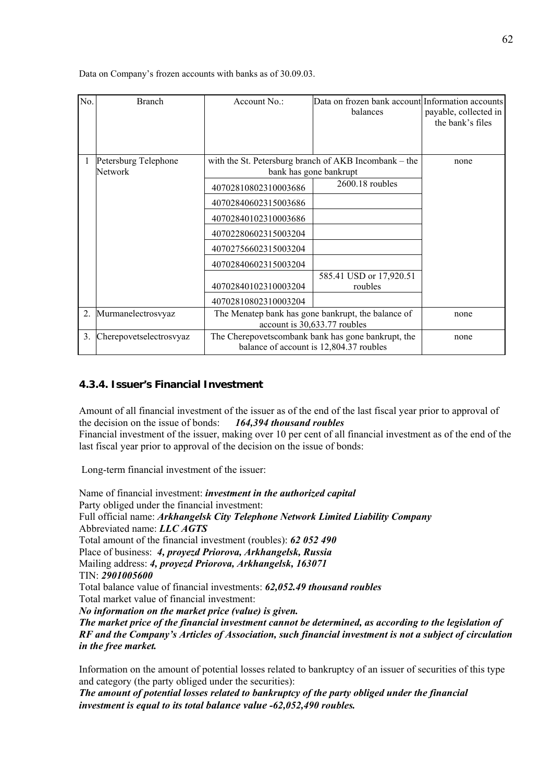Data on Company's frozen accounts with banks as of 30.09.03.

| No. | <b>Branch</b>                   | Account No.:                                                                                  | Data on frozen bank account Information accounts<br>balances                    | payable, collected in<br>the bank's files |
|-----|---------------------------------|-----------------------------------------------------------------------------------------------|---------------------------------------------------------------------------------|-------------------------------------------|
|     | Petersburg Telephone<br>Network |                                                                                               | with the St. Petersburg branch of AKB Incombank – the<br>bank has gone bankrupt | none                                      |
|     |                                 | 40702810802310003686                                                                          | $2600.18$ roubles                                                               |                                           |
|     |                                 | 40702840602315003686                                                                          |                                                                                 |                                           |
|     |                                 | 40702840102310003686                                                                          |                                                                                 |                                           |
|     |                                 | 40702280602315003204                                                                          |                                                                                 |                                           |
|     |                                 | 40702756602315003204                                                                          |                                                                                 |                                           |
|     |                                 | 40702840602315003204                                                                          |                                                                                 |                                           |
|     |                                 | 40702840102310003204                                                                          | 585.41 USD or 17,920.51<br>roubles                                              |                                           |
|     |                                 | 40702810802310003204                                                                          |                                                                                 |                                           |
| 2.  | Murmanelectrosvyaz              | The Menatep bank has gone bankrupt, the balance of<br>account is 30,633.77 roubles            |                                                                                 | none                                      |
| 3.  | Cherepovetselectrosvyaz         | The Cherepovetscombank bank has gone bankrupt, the<br>balance of account is 12,804.37 roubles | none                                                                            |                                           |

# **4.3.4. Issuer's Financial Investment**

Amount of all financial investment of the issuer as of the end of the last fiscal year prior to approval of the decision on the issue of bonds: *164,394 thousand roubles* Financial investment of the issuer, making over 10 per cent of all financial investment as of the end of the last fiscal year prior to approval of the decision on the issue of bonds:

Long-term financial investment of the issuer:

Name of financial investment: *investment in the authorized capital*  Party obliged under the financial investment: Full official name: *Arkhangelsk City Telephone Network Limited Liability Company* Abbreviated name: *LLC AGTS* Total amount of the financial investment (roubles): *62 052 490* Place of business: *4, proyezd Priorova, Arkhangelsk, Russia*  Mailing address: *4, proyezd Priorova, Arkhangelsk, 163071*  TIN: *2901005600* Total balance value of financial investments: *62,052.49 thousand roubles* Total market value of financial investment: *No information on the market price (value) is given. The market price of the financial investment cannot be determined, as according to the legislation of RF and the Company's Articles of Association, such financial investment is not a subject of circulation in the free market.* 

Information on the amount of potential losses related to bankruptcy of an issuer of securities of this type and category (the party obliged under the securities):

*The amount of potential losses related to bankruptcy of the party obliged under the financial investment is equal to its total balance value -62,052,490 roubles.*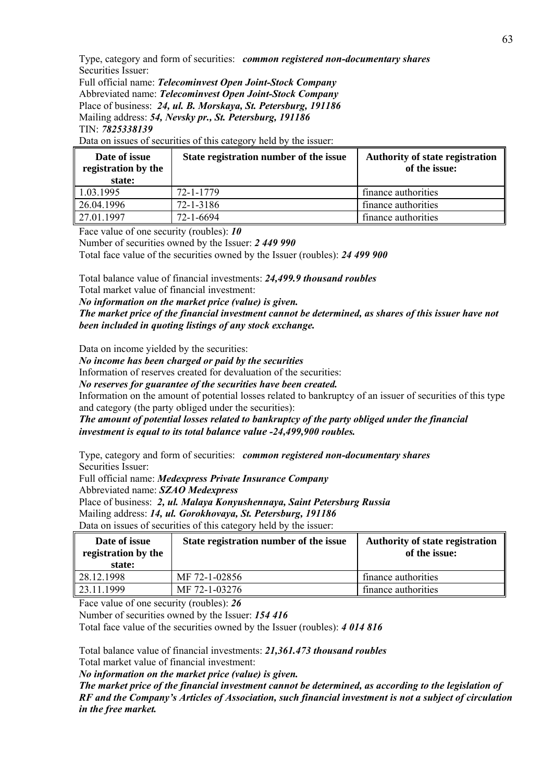Type, category and form of securities: *common registered non-documentary shares* Securities Issuer:

Full official name: *Telecominvest Open Joint-Stock Company* Abbreviated name: *Telecominvest Open Joint-Stock Company* Place of business: *24, ul. B. Morskaya, St. Petersburg, 191186* Mailing address: *54, Nevsky pr., St. Petersburg, 191186* TIN: *7825338139*

Data on issues of securities of this category held by the issuer:

| Date of issue<br>registration by the<br>state: | State registration number of the issue | <b>Authority of state registration</b><br>of the issue: |
|------------------------------------------------|----------------------------------------|---------------------------------------------------------|
| $\vert$ 1.03.1995                              | 72-1-1779                              | finance authorities                                     |
| 26.04.1996                                     | 72-1-3186                              | finance authorities                                     |
| 27.01.1997                                     | 72-1-6694                              | finance authorities                                     |

Face value of one security (roubles): *10*

Number of securities owned by the Issuer: *2 449 990*

Total face value of the securities owned by the Issuer (roubles): *24 499 900*

Total balance value of financial investments: *24,499.9 thousand roubles*

Total market value of financial investment:

*No information on the market price (value) is given.* 

*The market price of the financial investment cannot be determined, as shares of this issuer have not been included in quoting listings of any stock exchange.* 

Data on income yielded by the securities:

*No income has been charged or paid by the securities* 

Information of reserves created for devaluation of the securities:

*No reserves for guarantee of the securities have been created.* 

Information on the amount of potential losses related to bankruptcy of an issuer of securities of this type and category (the party obliged under the securities):

*The amount of potential losses related to bankruptcy of the party obliged under the financial investment is equal to its total balance value -24,499,900 roubles.* 

Type, category and form of securities: *common registered non-documentary shares* Securities Issuer:

Full official name: *Medexpress Private Insurance Company*

Abbreviated name: *SZAO Medexpress*

Place of business: *2, ul. Malaya Konyushennaya, Saint Petersburg Russia*

Mailing address: *14, ul. Gorokhovaya, St. Petersburg, 191186*

Data on issues of securities of this category held by the issuer:

| Date of issue<br>registration by the<br>state: | State registration number of the issue | <b>Authority of state registration</b><br>of the issue: |
|------------------------------------------------|----------------------------------------|---------------------------------------------------------|
| 28.12.1998                                     | MF 72-1-02856                          | finance authorities                                     |
| 23.11.1999                                     | MF 72-1-03276                          | finance authorities                                     |

Face value of one security (roubles): *26*

Number of securities owned by the Issuer: *154 416*

Total face value of the securities owned by the Issuer (roubles): *4 014 816*

Total balance value of financial investments: *21,361.473 thousand roubles*

Total market value of financial investment:

*No information on the market price (value) is given.* 

*The market price of the financial investment cannot be determined, as according to the legislation of RF and the Company's Articles of Association, such financial investment is not a subject of circulation in the free market.*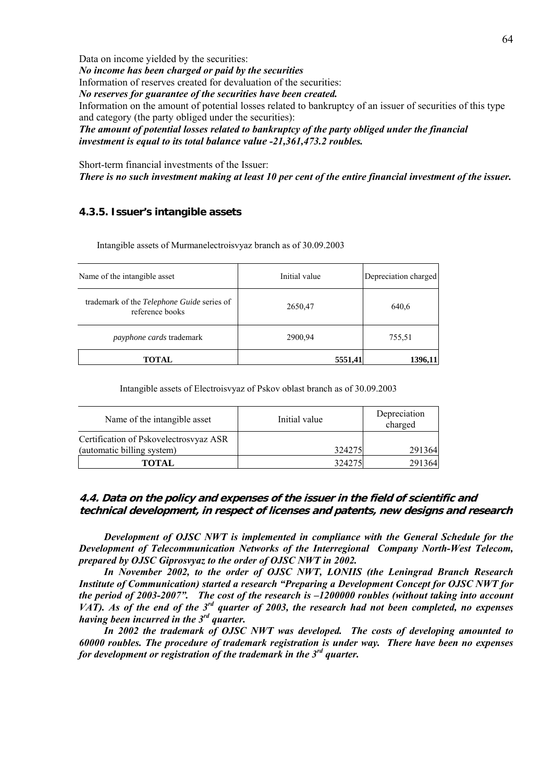Data on income yielded by the securities: *No income has been charged or paid by the securities*  Information of reserves created for devaluation of the securities: *No reserves for guarantee of the securities have been created.*  Information on the amount of potential losses related to bankruptcy of an issuer of securities of this type and category (the party obliged under the securities): *The amount of potential losses related to bankruptcy of the party obliged under the financial investment is equal to its total balance value -21,361,473.2 roubles.* 

Short-term financial investments of the Issuer: *There is no such investment making at least 10 per cent of the entire financial investment of the issuer.* 

#### **4.3.5. Issuer's intangible assets**

Intangible assets of Murmanelectroisvyaz branch as of 30.09.2003

| Name of the intangible asset                                         | Initial value | Depreciation charged |
|----------------------------------------------------------------------|---------------|----------------------|
| trademark of the <i>Telephone Guide</i> series of<br>reference books | 2650,47       | 640,6                |
| <i>payphone cards</i> trademark                                      | 2900,94       | 755,51               |
| TOTAL                                                                | 5551,41       | 1396,11              |

Intangible assets of Electroisvyaz of Pskov oblast branch as of 30.09.2003

| Name of the intangible asset           | Initial value | Depreciation<br>charged |
|----------------------------------------|---------------|-------------------------|
| Certification of Pskovelectrosvyaz ASR |               |                         |
| (automatic billing system)             | 324275        | 291364                  |
| <b>TOTAL</b>                           | 324275        | 291364                  |

#### **4.4. Data on the policy and expenses of the issuer in the field of scientific and technical development, in respect of licenses and patents, new designs and research**

*Development of OJSC NWT is implemented in compliance with the General Schedule for the Development of Telecommunication Networks of the Interregional Company North-West Telecom, prepared by OJSC Giprosvyaz to the order of OJSC NWT in 2002.* 

*In November 2002, to the order of OJSC NWT, LONIIS (the Leningrad Branch Research Institute of Communication) started a research "Preparing a Development Concept for OJSC NWT for the period of 2003-2007". The cost of the research is –1200000 roubles (without taking into account VAT). As of the end of the 3rd quarter of 2003, the research had not been completed, no expenses having been incurred in the 3rd quarter.*

*In 2002 the trademark of OJSC NWT was developed. The costs of developing amounted to 60000 roubles. The procedure of trademark registration is under way. There have been no expenses for development or registration of the trademark in the 3rd quarter.*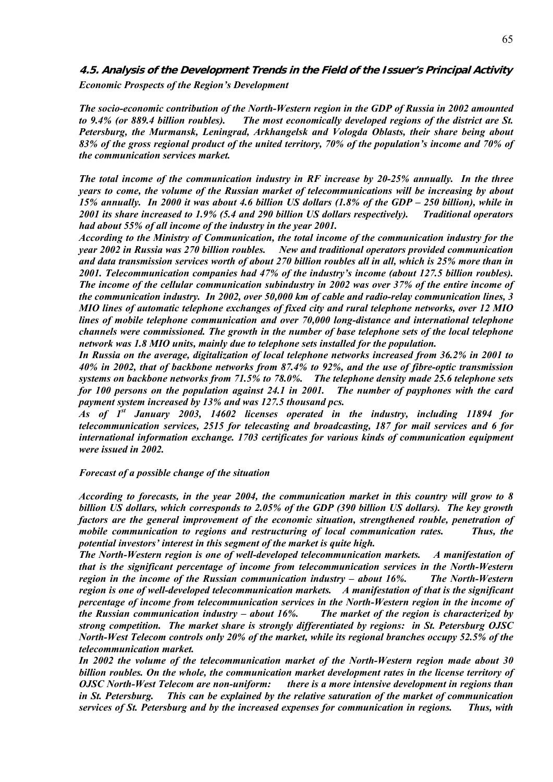**4.5. Analysis of the Development Trends in the Field of the Issuer's Principal Activity**  *Economic Prospects of the Region's Development* 

*The socio-economic contribution of the North-Western region in the GDP of Russia in 2002 amounted to 9.4% (or 889.4 billion roubles). The most economically developed regions of the district are St. Petersburg, the Murmansk, Leningrad, Arkhangelsk and Vologda Oblasts, their share being about 83% of the gross regional product of the united territory, 70% of the population's income and 70% of the communication services market.* 

*The total income of the communication industry in RF increase by 20-25% annually. In the three years to come, the volume of the Russian market of telecommunications will be increasing by about 15% annually. In 2000 it was about 4.6 billion US dollars (1.8% of the GDP – 250 billion), while in 2001 its share increased to 1.9% (5.4 and 290 billion US dollars respectively). Traditional operators had about 55% of all income of the industry in the year 2001.* 

*According to the Ministry of Communication, the total income of the communication industry for the year 2002 in Russia was 270 billion roubles. New and traditional operators provided communication and data transmission services worth of about 270 billion roubles all in all, which is 25% more than in 2001. Telecommunication companies had 47% of the industry's income (about 127.5 billion roubles). The income of the cellular communication subindustry in 2002 was over 37% of the entire income of the communication industry. In 2002, over 50,000 km of cable and radio-relay communication lines, 3 MIO lines of automatic telephone exchanges of fixed city and rural telephone networks, over 12 MIO lines of mobile telephone communication and over 70,000 long-distance and international telephone channels were commissioned. The growth in the number of base telephone sets of the local telephone network was 1.8 MIO units, mainly due to telephone sets installed for the population.* 

*In Russia on the average, digitalization of local telephone networks increased from 36.2% in 2001 to 40% in 2002, that of backbone networks from 87.4% to 92%, and the use of fibre-optic transmission systems on backbone networks from 71.5% to 78.0%. The telephone density made 25.6 telephone sets for 100 persons on the population against 24.1 in 2001. The number of payphones with the card payment system increased by 13% and was 127.5 thousand pcs.* 

*As of 1st January 2003, 14602 licenses operated in the industry, including 11894 for telecommunication services, 2515 for telecasting and broadcasting, 187 for mail services and 6 for international information exchange. 1703 certificates for various kinds of communication equipment were issued in 2002.* 

*Forecast of a possible change of the situation* 

*According to forecasts, in the year 2004, the communication market in this country will grow to 8 billion US dollars, which corresponds to 2.05% of the GDP (390 billion US dollars). The key growth factors are the general improvement of the economic situation, strengthened rouble, penetration of mobile communication to regions and restructuring of local communication rates. Thus, the potential investors' interest in this segment of the market is quite high.*

*The North-Western region is one of well-developed telecommunication markets. A manifestation of that is the significant percentage of income from telecommunication services in the North-Western region in the income of the Russian communication industry – about 16%. The North-Western region is one of well-developed telecommunication markets. A manifestation of that is the significant percentage of income from telecommunication services in the North-Western region in the income of the Russian communication industry – about 16%. The market of the region is characterized by strong competition. The market share is strongly differentiated by regions: in St. Petersburg OJSC North-West Telecom controls only 20% of the market, while its regional branches occupy 52.5% of the telecommunication market.* 

*In 2002 the volume of the telecommunication market of the North-Western region made about 30 billion roubles. On the whole, the communication market development rates in the license territory of OJSC North-West Telecom are non-uniform: there is a more intensive development in regions than in St. Petersburg. This can be explained by the relative saturation of the market of communication services of St. Petersburg and by the increased expenses for communication in regions. Thus, with*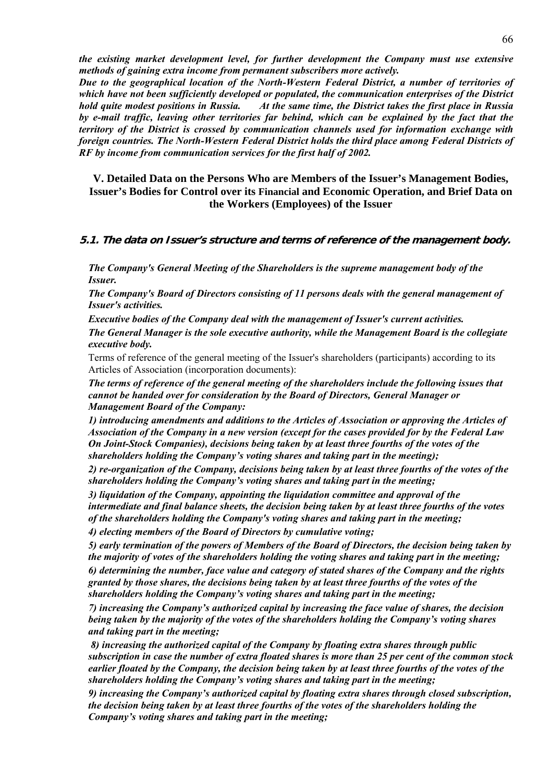*the existing market development level, for further development the Company must use extensive methods of gaining extra income from permanent subscribers more actively.* 

*Due to the geographical location of the North-Western Federal District, a number of territories of which have not been sufficiently developed or populated, the communication enterprises of the District hold quite modest positions in Russia. At the same time, the District takes the first place in Russia by e-mail traffic, leaving other territories far behind, which can be explained by the fact that the territory of the District is crossed by communication channels used for information exchange with foreign countries. The North-Western Federal District holds the third place among Federal Districts of RF by income from communication services for the first half of 2002.* 

**V. Detailed Data on the Persons Who are Members of the Issuer's Management Bodies, Issuer's Bodies for Control over its Financial and Economic Operation, and Brief Data on the Workers (Employees) of the Issuer** 

#### **5.1. The data on Issuer's structure and terms of reference of the management body.**

*The Company's General Meeting of the Shareholders is the supreme management body of the Issuer.* 

*The Company's Board of Directors consisting of 11 persons deals with the general management of Issuer's activities.* 

*Executive bodies of the Company deal with the management of Issuer's current activities. The General Manager is the sole executive authority, while the Management Board is the collegiate executive body.* 

Terms of reference of the general meeting of the Issuer's shareholders (participants) according to its Articles of Association (incorporation documents):

*The terms of reference of the general meeting of the shareholders include the following issues that cannot be handed over for consideration by the Board of Directors, General Manager or Management Board of the Company:* 

*1) introducing amendments and additions to the Articles of Association or approving the Articles of Association of the Company in a new version (except for the cases provided for by the Federal Law On Joint-Stock Companies), decisions being taken by at least three fourths of the votes of the shareholders holding the Company's voting shares and taking part in the meeting);* 

*2) re-organization of the Company, decisions being taken by at least three fourths of the votes of the shareholders holding the Company's voting shares and taking part in the meeting;* 

*3) liquidation of the Company, appointing the liquidation committee and approval of the intermediate and final balance sheets, the decision being taken by at least three fourths of the votes of the shareholders holding the Company's voting shares and taking part in the meeting;* 

*4) electing members of the Board of Directors by cumulative voting;* 

*5) early termination of the powers of Members of the Board of Directors, the decision being taken by the majority of votes of the shareholders holding the voting shares and taking part in the meeting; 6) determining the number, face value and category of stated shares of the Company and the rights granted by those shares, the decisions being taken by at least three fourths of the votes of the shareholders holding the Company's voting shares and taking part in the meeting;* 

*7) increasing the Company's authorized capital by increasing the face value of shares, the decision being taken by the majority of the votes of the shareholders holding the Company's voting shares and taking part in the meeting;* 

 *8) increasing the authorized capital of the Company by floating extra shares through public subscription in case the number of extra floated shares is more than 25 per cent of the common stock earlier floated by the Company, the decision being taken by at least three fourths of the votes of the shareholders holding the Company's voting shares and taking part in the meeting;* 

*9) increasing the Company's authorized capital by floating extra shares through closed subscription, the decision being taken by at least three fourths of the votes of the shareholders holding the Company's voting shares and taking part in the meeting;*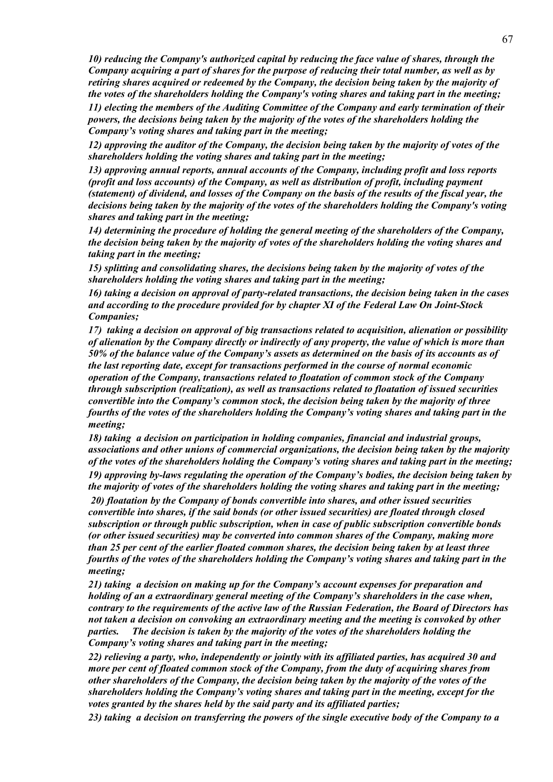*10) reducing the Company's authorized capital by reducing the face value of shares, through the Company acquiring a part of shares for the purpose of reducing their total number, as well as by retiring shares acquired or redeemed by the Company, the decision being taken by the majority of the votes of the shareholders holding the Company's voting shares and taking part in the meeting; 11) electing the members of the Auditing Committee of the Company and early termination of their* 

*powers, the decisions being taken by the majority of the votes of the shareholders holding the Company's voting shares and taking part in the meeting;* 

*12) approving the auditor of the Company, the decision being taken by the majority of votes of the shareholders holding the voting shares and taking part in the meeting;* 

*13) approving annual reports, annual accounts of the Company, including profit and loss reports (profit and loss accounts) of the Company, as well as distribution of profit, including payment (statement) of dividend, and losses of the Company on the basis of the results of the fiscal year, the decisions being taken by the majority of the votes of the shareholders holding the Company's voting shares and taking part in the meeting;* 

*14) determining the procedure of holding the general meeting of the shareholders of the Company, the decision being taken by the majority of votes of the shareholders holding the voting shares and taking part in the meeting;* 

*15) splitting and consolidating shares, the decisions being taken by the majority of votes of the shareholders holding the voting shares and taking part in the meeting;* 

*16) taking a decision on approval of party-related transactions, the decision being taken in the cases and according to the procedure provided for by chapter XI of the Federal Law On Joint-Stock Companies;* 

*17) taking a decision on approval of big transactions related to acquisition, alienation or possibility of alienation by the Company directly or indirectly of any property, the value of which is more than 50% of the balance value of the Company's assets as determined on the basis of its accounts as of the last reporting date, except for transactions performed in the course of normal economic operation of the Company, transactions related to floatation of common stock of the Company through subscription (realization), as well as transactions related to floatation of issued securities convertible into the Company's common stock, the decision being taken by the majority of three fourths of the votes of the shareholders holding the Company's voting shares and taking part in the meeting;* 

*18) taking a decision on participation in holding companies, financial and industrial groups, associations and other unions of commercial organizations, the decision being taken by the majority of the votes of the shareholders holding the Company's voting shares and taking part in the meeting;* 

*19) approving by-laws regulating the operation of the Company's bodies, the decision being taken by the majority of votes of the shareholders holding the voting shares and taking part in the meeting; 20) floatation by the Company of bonds convertible into shares, and other issued securities convertible into shares, if the said bonds (or other issued securities) are floated through closed subscription or through public subscription, when in case of public subscription convertible bonds (or other issued securities) may be converted into common shares of the Company, making more than 25 per cent of the earlier floated common shares, the decision being taken by at least three fourths of the votes of the shareholders holding the Company's voting shares and taking part in the* 

*meeting;* 

*21) taking a decision on making up for the Company's account expenses for preparation and holding of an a extraordinary general meeting of the Company's shareholders in the case when, contrary to the requirements of the active law of the Russian Federation, the Board of Directors has not taken a decision on convoking an extraordinary meeting and the meeting is convoked by other parties. The decision is taken by the majority of the votes of the shareholders holding the Company's voting shares and taking part in the meeting;* 

*22) relieving a party, who, independently or jointly with its affiliated parties, has acquired 30 and more per cent of floated common stock of the Company, from the duty of acquiring shares from other shareholders of the Company, the decision being taken by the majority of the votes of the shareholders holding the Company's voting shares and taking part in the meeting, except for the votes granted by the shares held by the said party and its affiliated parties;* 

*23) taking a decision on transferring the powers of the single executive body of the Company to a*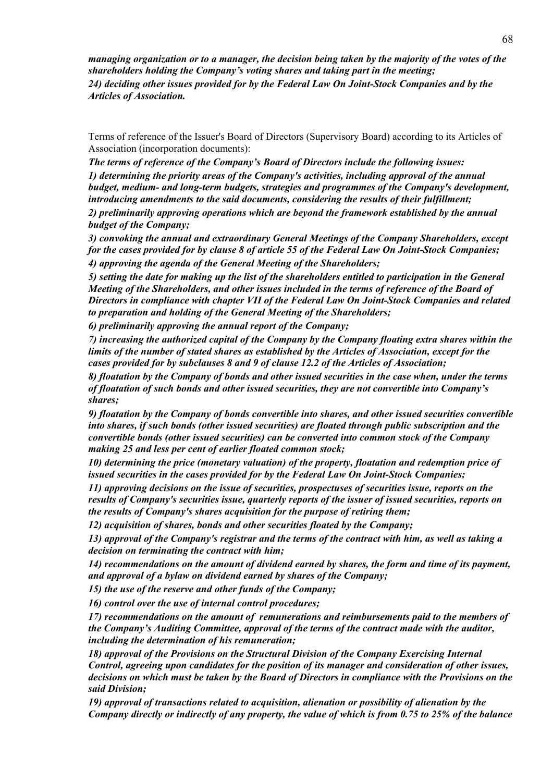*managing organization or to a manager, the decision being taken by the majority of the votes of the shareholders holding the Company's voting shares and taking part in the meeting; 24) deciding other issues provided for by the Federal Law On Joint-Stock Companies and by the Articles of Association.* 

Terms of reference of the Issuer's Board of Directors (Supervisory Board) according to its Articles of Association (incorporation documents):

*The terms of reference of the Company's Board of Directors include the following issues: 1) determining the priority areas of the Company's activities, including approval of the annual budget, medium- and long-term budgets, strategies and programmes of the Company's development, introducing amendments to the said documents, considering the results of their fulfillment; 2) preliminarily approving operations which are beyond the framework established by the annual budget of the Company;* 

*3) convoking the annual and extraordinary General Meetings of the Company Shareholders, except for the cases provided for by clause 8 of article 55 of the Federal Law On Joint-Stock Companies; 4) approving the agenda of the General Meeting of the Shareholders;* 

*5) setting the date for making up the list of the shareholders entitled to participation in the General Meeting of the Shareholders, and other issues included in the terms of reference of the Board of Directors in compliance with chapter VII of the Federal Law On Joint-Stock Companies and related to preparation and holding of the General Meeting of the Shareholders;* 

*6) preliminarily approving the annual report of the Company;* 

*7) increasing the authorized capital of the Company by the Company floating extra shares within the limits of the number of stated shares as established by the Articles of Association, except for the cases provided for by subclauses 8 and 9 of clause 12.2 of the Articles of Association;* 

*8) floatation by the Company of bonds and other issued securities in the case when, under the terms of floatation of such bonds and other issued securities, they are not convertible into Company's shares;* 

*9) floatation by the Company of bonds convertible into shares, and other issued securities convertible into shares, if such bonds (other issued securities) are floated through public subscription and the convertible bonds (other issued securities) can be converted into common stock of the Company making 25 and less per cent of earlier floated common stock;* 

*10) determining the price (monetary valuation) of the property, floatation and redemption price of issued securities in the cases provided for by the Federal Law On Joint-Stock Companies;* 

*11) approving decisions on the issue of securities, prospectuses of securities issue, reports on the results of Company's securities issue, quarterly reports of the issuer of issued securities, reports on the results of Company's shares acquisition for the purpose of retiring them;* 

*12) acquisition of shares, bonds and other securities floated by the Company;* 

*13) approval of the Company's registrar and the terms of the contract with him, as well as taking a decision on terminating the contract with him;* 

*14) recommendations on the amount of dividend earned by shares, the form and time of its payment, and approval of a bylaw on dividend earned by shares of the Company;* 

*15) the use of the reserve and other funds of the Company;* 

*16) control over the use of internal control procedures;* 

*17) recommendations on the amount of remunerations and reimbursements paid to the members of the Company's Auditing Committee, approval of the terms of the contract made with the auditor, including the determination of his remuneration;* 

*18) approval of the Provisions on the Structural Division of the Company Exercising Internal Control, agreeing upon candidates for the position of its manager and consideration of other issues, decisions on which must be taken by the Board of Directors in compliance with the Provisions on the said Division;* 

*19) approval of transactions related to acquisition, alienation or possibility of alienation by the Company directly or indirectly of any property, the value of which is from 0.75 to 25% of the balance*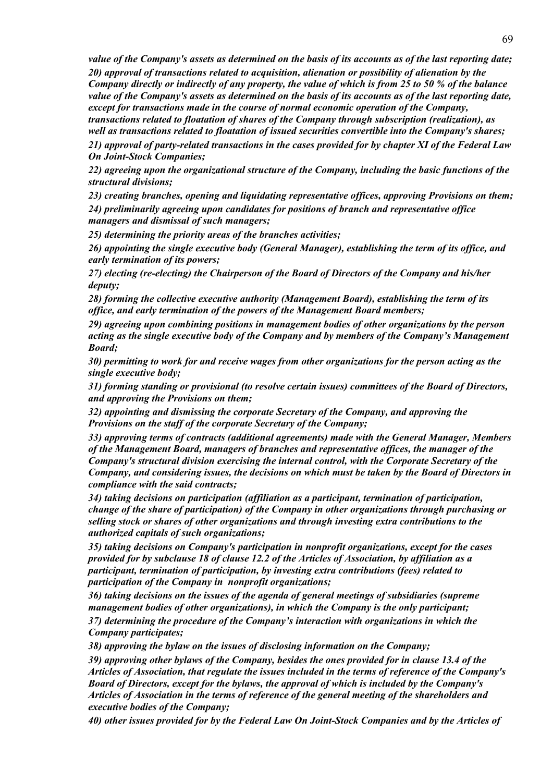*value of the Company's assets as determined on the basis of its accounts as of the last reporting date;* 

*20) approval of transactions related to acquisition, alienation or possibility of alienation by the Company directly or indirectly of any property, the value of which is from 25 to 50 % of the balance value of the Company's assets as determined on the basis of its accounts as of the last reporting date, except for transactions made in the course of normal economic operation of the Company, transactions related to floatation of shares of the Company through subscription (realization), as well as transactions related to floatation of issued securities convertible into the Company's shares;* 

*21) approval of party-related transactions in the cases provided for by chapter XI of the Federal Law On Joint-Stock Companies;* 

*22) agreeing upon the organizational structure of the Company, including the basic functions of the structural divisions;* 

*23) creating branches, opening and liquidating representative offices, approving Provisions on them; 24) preliminarily agreeing upon candidates for positions of branch and representative office managers and dismissal of such managers;* 

*25) determining the priority areas of the branches activities;* 

*26) appointing the single executive body (General Manager), establishing the term of its office, and early termination of its powers;* 

*27) electing (re-electing) the Chairperson of the Board of Directors of the Company and his/her deputy;* 

*28) forming the collective executive authority (Management Board), establishing the term of its office, and early termination of the powers of the Management Board members;* 

*29) agreeing upon combining positions in management bodies of other organizations by the person acting as the single executive body of the Company and by members of the Company's Management Board;* 

*30) permitting to work for and receive wages from other organizations for the person acting as the single executive body;* 

*31) forming standing or provisional (to resolve certain issues) committees of the Board of Directors, and approving the Provisions on them;* 

*32) appointing and dismissing the corporate Secretary of the Company, and approving the Provisions on the staff of the corporate Secretary of the Company;* 

*33) approving terms of contracts (additional agreements) made with the General Manager, Members of the Management Board, managers of branches and representative offices, the manager of the Company's structural division exercising the internal control, with the Corporate Secretary of the Company, and considering issues, the decisions on which must be taken by the Board of Directors in compliance with the said contracts;* 

*34) taking decisions on participation (affiliation as a participant, termination of participation, change of the share of participation) of the Company in other organizations through purchasing or selling stock or shares of other organizations and through investing extra contributions to the authorized capitals of such organizations;* 

*35) taking decisions on Company's participation in nonprofit organizations, except for the cases provided for by subclause 18 of clause 12.2 of the Articles of Association, by affiliation as a participant, termination of participation, by investing extra contributions (fees) related to participation of the Company in nonprofit organizations;* 

*36) taking decisions on the issues of the agenda of general meetings of subsidiaries (supreme management bodies of other organizations), in which the Company is the only participant; 37) determining the procedure of the Company's interaction with organizations in which the Company participates;* 

*38) approving the bylaw on the issues of disclosing information on the Company;* 

*39) approving other bylaws of the Company, besides the ones provided for in clause 13.4 of the Articles of Association, that regulate the issues included in the terms of reference of the Company's Board of Directors, except for the bylaws, the approval of which is included by the Company's Articles of Association in the terms of reference of the general meeting of the shareholders and executive bodies of the Company;* 

*40) other issues provided for by the Federal Law On Joint-Stock Companies and by the Articles of*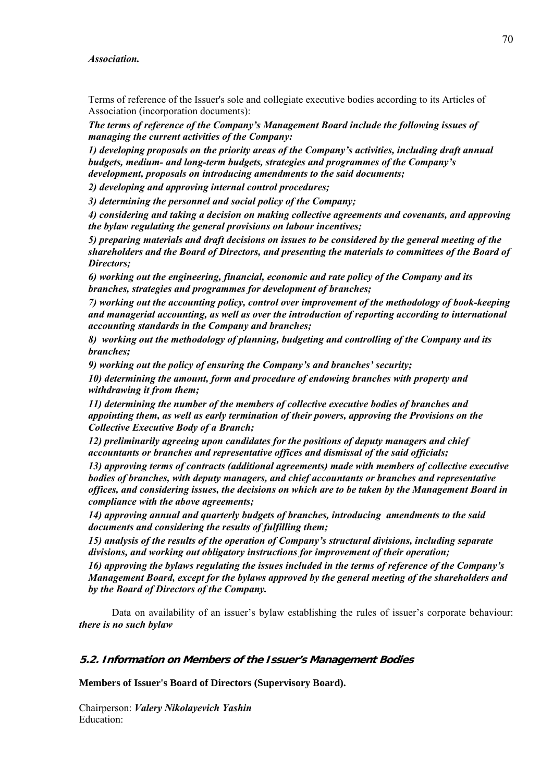#### *Association.*

Terms of reference of the Issuer's sole and collegiate executive bodies according to its Articles of Association (incorporation documents):

*The terms of reference of the Company's Management Board include the following issues of managing the current activities of the Company:* 

*1) developing proposals on the priority areas of the Company's activities, including draft annual budgets, medium- and long-term budgets, strategies and programmes of the Company's development, proposals on introducing amendments to the said documents;* 

*2) developing and approving internal control procedures;* 

*3) determining the personnel and social policy of the Company;* 

*4) considering and taking a decision on making collective agreements and covenants, and approving the bylaw regulating the general provisions on labour incentives;* 

*5) preparing materials and draft decisions on issues to be considered by the general meeting of the shareholders and the Board of Directors, and presenting the materials to committees of the Board of Directors;* 

*6) working out the engineering, financial, economic and rate policy of the Company and its branches, strategies and programmes for development of branches;* 

*7) working out the accounting policy, control over improvement of the methodology of book-keeping and managerial accounting, as well as over the introduction of reporting according to international accounting standards in the Company and branches;* 

*8) working out the methodology of planning, budgeting and controlling of the Company and its branches;* 

*9) working out the policy of ensuring the Company's and branches' security;* 

*10) determining the amount, form and procedure of endowing branches with property and withdrawing it from them;* 

*11) determining the number of the members of collective executive bodies of branches and appointing them, as well as early termination of their powers, approving the Provisions on the Collective Executive Body of a Branch;* 

*12) preliminarily agreeing upon candidates for the positions of deputy managers and chief accountants or branches and representative offices and dismissal of the said officials;* 

*13) approving terms of contracts (additional agreements) made with members of collective executive bodies of branches, with deputy managers, and chief accountants or branches and representative offices, and considering issues, the decisions on which are to be taken by the Management Board in compliance with the above agreements;* 

*14) approving annual and quarterly budgets of branches, introducing amendments to the said documents and considering the results of fulfilling them;* 

*15) analysis of the results of the operation of Company's structural divisions, including separate divisions, and working out obligatory instructions for improvement of their operation;* 

*16) approving the bylaws regulating the issues included in the terms of reference of the Company's Management Board, except for the bylaws approved by the general meeting of the shareholders and by the Board of Directors of the Company.* 

Data on availability of an issuer's bylaw establishing the rules of issuer's corporate behaviour: *there is no such bylaw*

#### **5.2. Information on Members of the Issuer's Management Bodies**

**Members of Issuer's Board of Directors (Supervisory Board).** 

Chairperson: *Valery Nikolayevich Yashin* Education: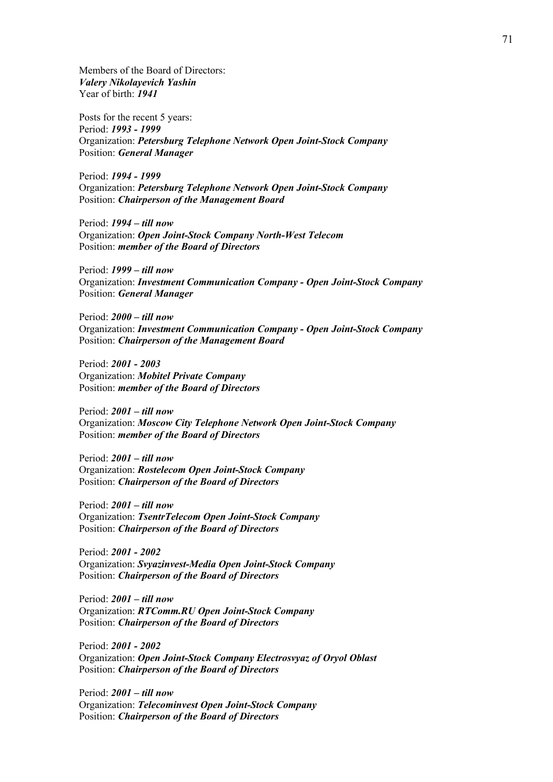Members of the Board of Directors: *Valery Nikolayevich Yashin* Year of birth: *1941*

Posts for the recent 5 years: Period: *1993 - 1999* Organization: *Petersburg Telephone Network Open Joint-Stock Company* Position: *General Manager*

Period: *1994 - 1999* Organization: *Petersburg Telephone Network Open Joint-Stock Company* Position: *Chairperson of the Management Board*

Period: *1994 – till now* Organization: *Open Joint-Stock Company North-West Telecom* Position: *member of the Board of Directors* 

Period: *1999 – till now* Organization: *Investment Communication Company - Open Joint-Stock Company* Position: *General Manager*

Period: *2000 – till now* Organization: *Investment Communication Company - Open Joint-Stock Company* Position: *Chairperson of the Management Board*

Period: *2001 - 2003* Organization: *Mobitel Private Company* Position: *member of the Board of Directors* 

Period: *2001 – till now* Organization: *Moscow City Telephone Network Open Joint-Stock Company* Position: *member of the Board of Directors* 

Period: *2001 – till now* Organization: *Rostelecom Open Joint-Stock Company* Position: *Chairperson of the Board of Directors*

Period: *2001 – till now* Organization: *TsentrTelecom Open Joint-Stock Company* Position: *Chairperson of the Board of Directors*

Period: *2001 - 2002* Organization: *Svyazinvest-Media Open Joint-Stock Company* Position: *Chairperson of the Board of Directors*

Period: *2001 – till now* Organization: *RTComm.RU Open Joint-Stock Company*  Position: *Chairperson of the Board of Directors*

Period: *2001 - 2002* Organization: *Open Joint-Stock Company Electrosvyaz of Oryol Oblast*  Position: *Chairperson of the Board of Directors*

Period: *2001 – till now* Organization: *Telecominvest Open Joint-Stock Company* Position: *Chairperson of the Board of Directors*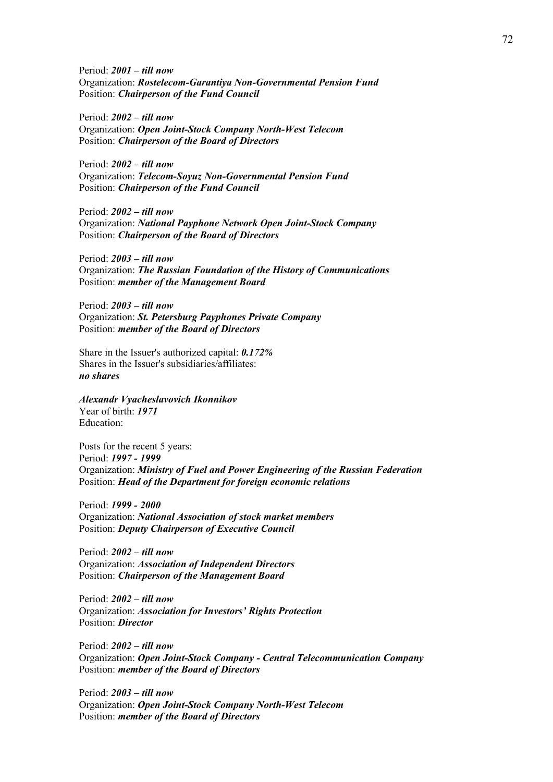Period: *2001 – till now* Organization: *Rostelecom-Garantiya Non-Governmental Pension Fund* Position: *Chairperson of the Fund Council*

Period: *2002 – till now* Organization: *Open Joint-Stock Company North-West Telecom* Position: *Chairperson of the Board of Directors*

Period: *2002 – till now* Organization: *Telecom-Soyuz Non-Governmental Pension Fund* Position: *Chairperson of the Fund Council*

Period: *2002 – till now* Organization: *National Payphone Network Open Joint-Stock Company* Position: *Chairperson of the Board of Directors*

Period: *2003 – till now* Organization: *The Russian Foundation of the History of Communications*  Position: *member of the Management Board* 

Period: *2003 – till now* Organization: *St. Petersburg Payphones Private Company* Position: *member of the Board of Directors* 

Share in the Issuer's authorized capital: *0.172%* Shares in the Issuer's subsidiaries/affiliates: *no shares*

*Alexandr Vyacheslavovich Ikonnikov* Year of birth: *1971* Education:

Posts for the recent 5 years: Period: *1997 - 1999* Organization: *Ministry of Fuel and Power Engineering of the Russian Federation* Position: *Head of the Department for foreign economic relations*

Period: *1999 - 2000* Organization: *National Association of stock market members* Position: *Deputy Chairperson of Executive Council*

Period: *2002 – till now* Organization: *Association of Independent Directors* Position: *Chairperson of the Management Board*

Period: *2002 – till now* Organization: *Association for Investors' Rights Protection*  Position: *Director*

Period: *2002 – till now* Organization: *Open Joint-Stock Company - Central Telecommunication Company*  Position: *member of the Board of Directors* 

Period: *2003 – till now* Organization: *Open Joint-Stock Company North-West Telecom* Position: *member of the Board of Directors*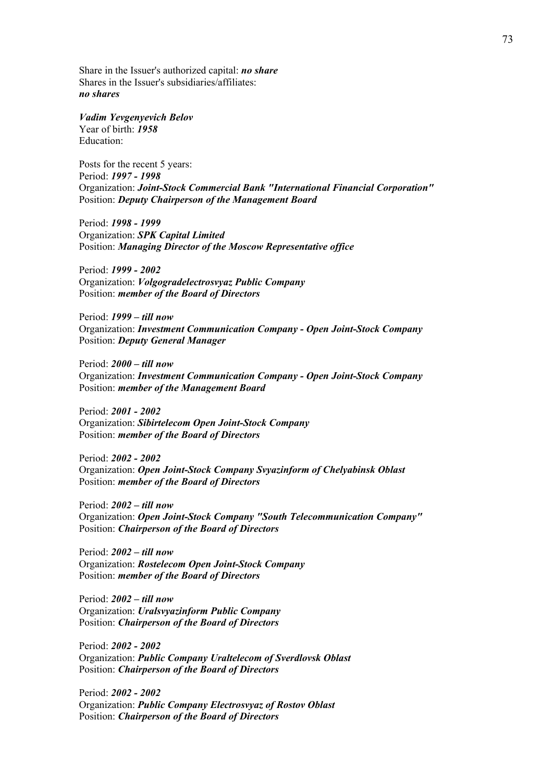Share in the Issuer's authorized capital: *no share* Shares in the Issuer's subsidiaries/affiliates: *no shares*

*Vadim Yevgenyevich Belov* Year of birth: *1958* Education:

Posts for the recent 5 years: Period: *1997 - 1998* Organization: *Joint-Stock Commercial Bank "International Financial Corporation"* Position: *Deputy Chairperson of the Management Board*

Period: *1998 - 1999* Organization: *SPK Capital Limited* Position: *Managing Director of the Moscow Representative office*

Period: *1999 - 2002* Organization: *Volgogradelectrosvyaz Public Company*  Position: *member of the Board of Directors* 

Period: *1999 – till now* Organization: *Investment Communication Company - Open Joint-Stock Company* Position: *Deputy General Manager* 

Period: *2000 – till now* Organization: *Investment Communication Company - Open Joint-Stock Company* Position: *member of the Management Board* 

Period: *2001 - 2002* Organization: *Sibirtelecom Open Joint-Stock Company* Position: *member of the Board of Directors* 

Period: *2002 - 2002* Organization: *Open Joint-Stock Company Svyazinform of Chelyabinsk Oblast*  Position: *member of the Board of Directors* 

Period: *2002 – till now* Organization: *Open Joint-Stock Company "South Telecommunication Company"* Position: *Chairperson of the Board of Directors*

Period: *2002 – till now* Organization: *Rostelecom Open Joint-Stock Company* Position: *member of the Board of Directors* 

Period: *2002 – till now* Organization: *Uralsvyazinform Public Company* Position: *Chairperson of the Board of Directors*

Period: *2002 - 2002* Organization: *Public Company Uraltelecom of Sverdlovsk Oblast*  Position: *Chairperson of the Board of Directors*

Period: *2002 - 2002* Organization: *Public Company Electrosvyaz of Rostov Oblast*  Position: *Chairperson of the Board of Directors*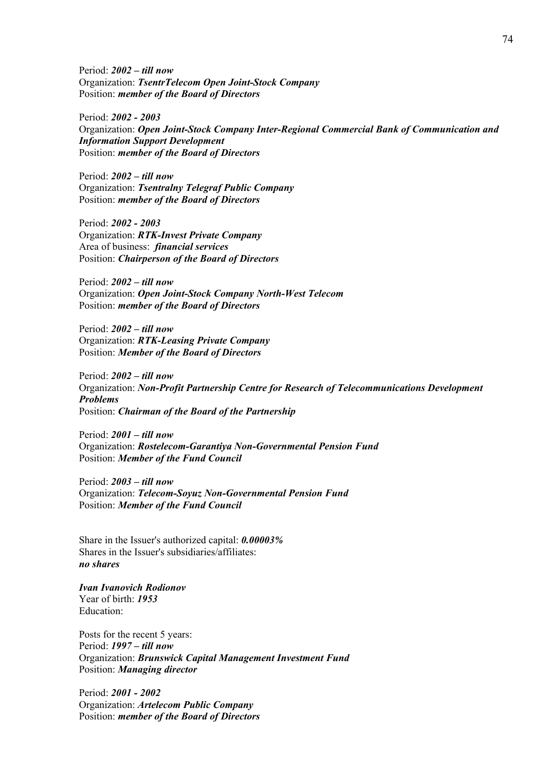Period: *2002 – till now* Organization: *TsentrTelecom Open Joint-Stock Company* Position: *member of the Board of Directors* 

Period: *2002 - 2003* Organization: *Open Joint-Stock Company Inter-Regional Commercial Bank of Communication and Information Support Development*  Position: *member of the Board of Directors* 

Period: *2002 – till now* Organization: *Tsentralny Telegraf Public Company* Position: *member of the Board of Directors* 

Period: *2002 - 2003* Organization: *RTK-Invest Private Company* Area of business: *financial services* Position: *Chairperson of the Board of Directors*

Period: *2002 – till now* Organization: *Open Joint-Stock Company North-West Telecom* Position: *member of the Board of Directors* 

Period: *2002 – till now* Organization: *RTK-Leasing Private Company* Position: *Member of the Board of Directors*

Period: *2002 – till now* Organization: *Non-Profit Partnership Centre for Research of Telecommunications Development Problems*  Position: *Chairman of the Board of the Partnership* 

Period: *2001 – till now* Organization: *Rostelecom-Garantiya Non-Governmental Pension Fund* Position: *Member of the Fund Council*

Period: *2003 – till now* Organization: *Telecom-Soyuz Non-Governmental Pension Fund* Position: *Member of the Fund Council*

Share in the Issuer's authorized capital: *0.00003%* Shares in the Issuer's subsidiaries/affiliates: *no shares*

*Ivan Ivanovich Rodionov* Year of birth: *1953* Education:

Posts for the recent 5 years: Period: *1997 – till now* Organization: *Brunswick Capital Management Investment Fund*  Position: *Managing director*

Period: *2001 - 2002* Organization: *Artelecom Public Company* Position: *member of the Board of Directors*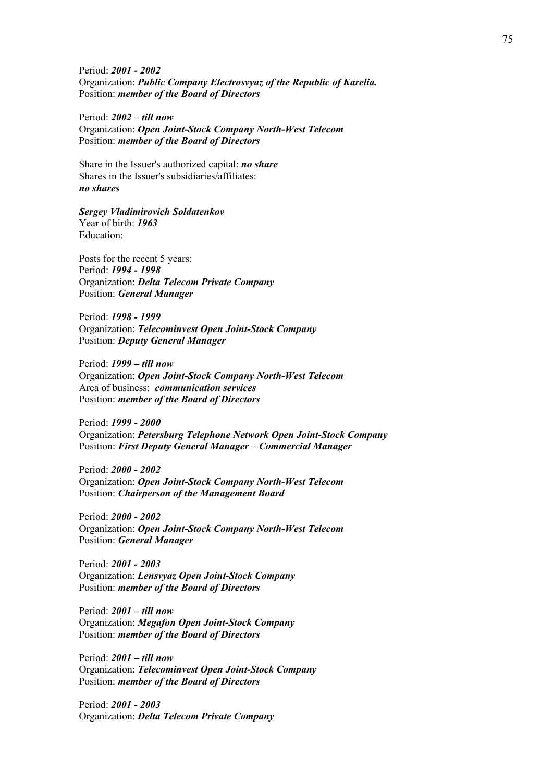Period: *2001 - 2002* Organization: *Public Company Electrosvyaz of the Republic of Karelia.* Position: *member of the Board of Directors* 

Period: *2002 – till now* Organization: *Open Joint-Stock Company North-West Telecom* Position: *member of the Board of Directors* 

Share in the Issuer's authorized capital: *no share* Shares in the Issuer's subsidiaries/affiliates: *no shares*

*Sergey Vladimirovich Soldatenkov* Year of birth: *1963* Education:

Posts for the recent 5 years: Period: *1994 - 1998* Organization: *Delta Telecom Private Company* Position: *General Manager*

Period: *1998 - 1999* Organization: *Telecominvest Open Joint-Stock Company* Position: *Deputy General Manager* 

Period: *1999 – till now* Organization: *Open Joint-Stock Company North-West Telecom* Area of business: *communication services*  Position: *member of the Board of Directors* 

Period: *1999 - 2000* Organization: *Petersburg Telephone Network Open Joint-Stock Company* Position: *First Deputy General Manager – Commercial Manager*

Period: *2000 - 2002* Organization: *Open Joint-Stock Company North-West Telecom* Position: *Chairperson of the Management Board*

Period: *2000 - 2002* Organization: *Open Joint-Stock Company North-West Telecom* Position: *General Manager*

Period: *2001 - 2003* Organization: *Lensvyaz Open Joint-Stock Company* Position: *member of the Board of Directors* 

Period: *2001 – till now* Organization: *Megafon Open Joint-Stock Company* Position: *member of the Board of Directors* 

Period: *2001 – till now* Organization: *Telecominvest Open Joint-Stock Company* Position: *member of the Board of Directors* 

Period: *2001 - 2003* Organization: *Delta Telecom Private Company*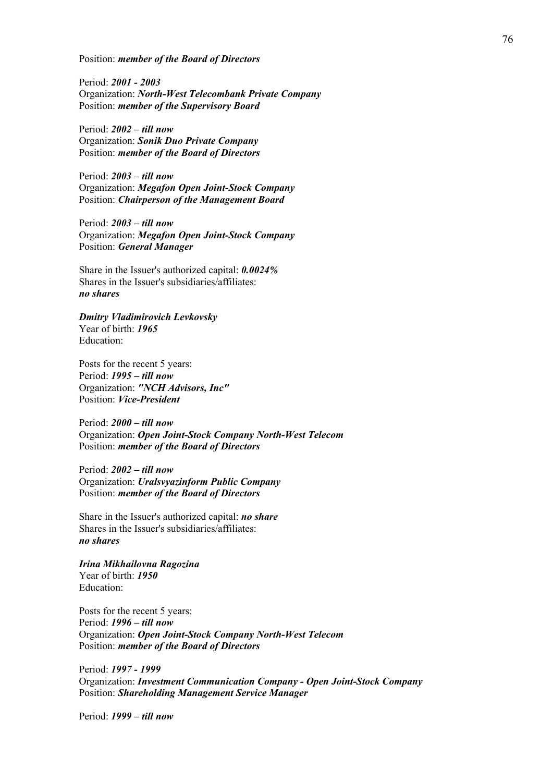Position: *member of the Board of Directors* 

Period: *2001 - 2003* Organization: *North-West Telecombank Private Company* Position: *member of the Supervisory Board*

Period: *2002 – till now* Organization: *Sonik Duo Private Company* Position: *member of the Board of Directors* 

Period: *2003 – till now* Organization: *Megafon Open Joint-Stock Company* Position: *Chairperson of the Management Board*

Period: *2003 – till now* Organization: *Megafon Open Joint-Stock Company* Position: *General Manager*

Share in the Issuer's authorized capital: *0.0024%* Shares in the Issuer's subsidiaries/affiliates: *no shares*

*Dmitry Vladimirovich Levkovsky* Year of birth: *1965* Education:

Posts for the recent 5 years: Period: *1995 – till now* Organization: *"NCH Advisors, Inc"* Position: *Vice-President*

Period: *2000 – till now* Organization: *Open Joint-Stock Company North-West Telecom* Position: *member of the Board of Directors* 

Period: *2002 – till now* Organization: *Uralsvyazinform Public Company* Position: *member of the Board of Directors* 

Share in the Issuer's authorized capital: *no share* Shares in the Issuer's subsidiaries/affiliates: *no shares*

*Irina Mikhailovna Ragozina* Year of birth: *1950* Education:

Posts for the recent 5 years: Period: *1996 – till now* Organization: *Open Joint-Stock Company North-West Telecom* Position: *member of the Board of Directors* 

Period: *1997 - 1999* Organization: *Investment Communication Company - Open Joint-Stock Company* Position: *Shareholding Management Service Manager*

Period: *1999 – till now*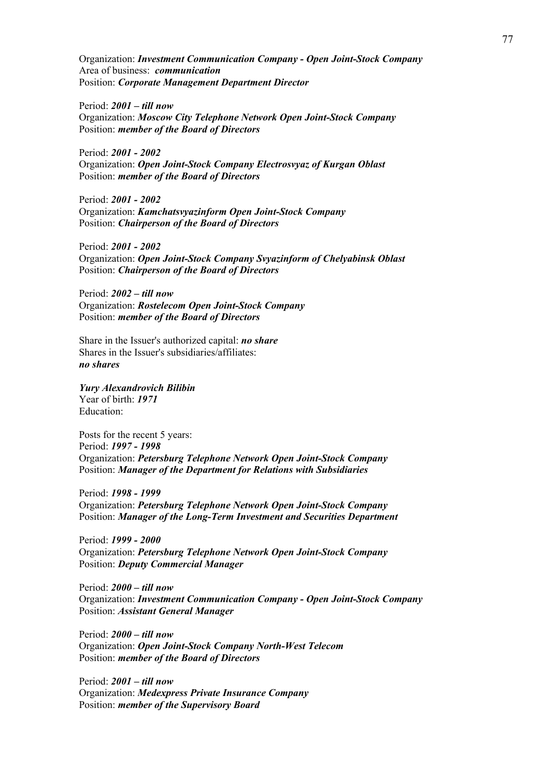Organization: *Investment Communication Company - Open Joint-Stock Company* Area of business: *communication* Position: *Corporate Management Department Director*

Period: *2001 – till now* Organization: *Moscow City Telephone Network Open Joint-Stock Company* Position: *member of the Board of Directors* 

Period: *2001 - 2002* Organization: *Open Joint-Stock Company Electrosvyaz of Kurgan Oblast*  Position: *member of the Board of Directors* 

Period: *2001 - 2002* Organization: *Kamchatsvyazinform Open Joint-Stock Company*  Position: *Chairperson of the Board of Directors*

Period: *2001 - 2002* Organization: *Open Joint-Stock Company Svyazinform of Chelyabinsk Oblast*  Position: *Chairperson of the Board of Directors*

Period: *2002 – till now* Organization: *Rostelecom Open Joint-Stock Company* Position: *member of the Board of Directors* 

Share in the Issuer's authorized capital: *no share* Shares in the Issuer's subsidiaries/affiliates: *no shares*

*Yury Alexandrovich Bilibin*

Year of birth: *1971* Education:

Posts for the recent 5 years: Period: *1997 - 1998* Organization: *Petersburg Telephone Network Open Joint-Stock Company* Position: *Manager of the Department for Relations with Subsidiaries*

Period: *1998 - 1999* Organization: *Petersburg Telephone Network Open Joint-Stock Company* Position: *Manager of the Long-Term Investment and Securities Department* 

Period: *1999 - 2000* Organization: *Petersburg Telephone Network Open Joint-Stock Company* Position: *Deputy Commercial Manager*

Period: *2000 – till now* Organization: *Investment Communication Company - Open Joint-Stock Company* Position: *Assistant General Manager*

Period: *2000 – till now* Organization: *Open Joint-Stock Company North-West Telecom* Position: *member of the Board of Directors* 

Period: *2001 – till now* Organization: *Medexpress Private Insurance Company* Position: *member of the Supervisory Board*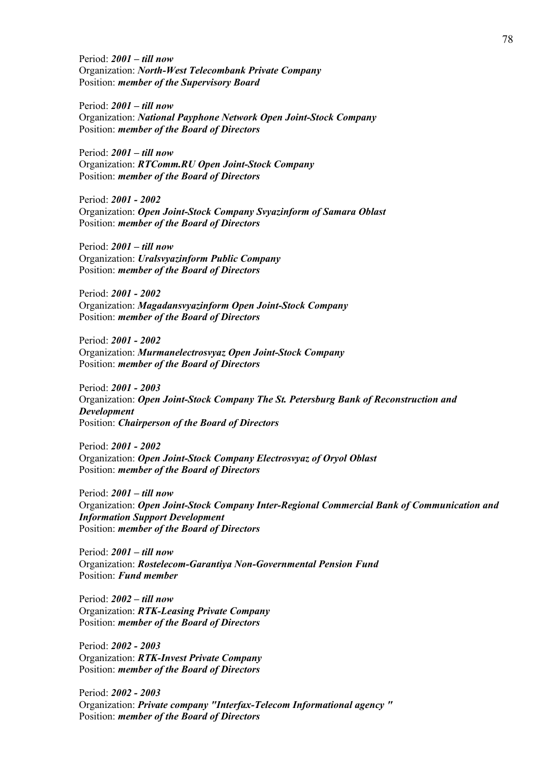Period: *2001 – till now* Organization: *North-West Telecombank Private Company* Position: *member of the Supervisory Board*

Period: *2001 – till now* Organization: *National Payphone Network Open Joint-Stock Company* Position: *member of the Board of Directors* 

Period: *2001 – till now* Organization: *RTComm.RU Open Joint-Stock Company*  Position: *member of the Board of Directors* 

Period: *2001 - 2002* Organization: *Open Joint-Stock Company Svyazinform of Samara Oblast*  Position: *member of the Board of Directors* 

Period: *2001 – till now* Organization: *Uralsvyazinform Public Company* Position: *member of the Board of Directors* 

Period: *2001 - 2002* Organization: *Magadansvyazinform Open Joint-Stock Company* Position: *member of the Board of Directors* 

Period: *2001 - 2002* Organization: *Murmanelectrosvyaz Open Joint-Stock Company*  Position: *member of the Board of Directors* 

Period: *2001 - 2003* Organization: *Open Joint-Stock Company The St. Petersburg Bank of Reconstruction and Development* Position: *Chairperson of the Board of Directors*

Period: *2001 - 2002* Organization: *Open Joint-Stock Company Electrosvyaz of Oryol Oblast*  Position: *member of the Board of Directors* 

Period: *2001 – till now* Organization: *Open Joint-Stock Company Inter-Regional Commercial Bank of Communication and Information Support Development*  Position: *member of the Board of Directors* 

Period: *2001 – till now* Organization: *Rostelecom-Garantiya Non-Governmental Pension Fund* Position: *Fund member*

Period: *2002 – till now* Organization: *RTK-Leasing Private Company* Position: *member of the Board of Directors* 

Period: *2002 - 2003* Organization: *RTK-Invest Private Company* Position: *member of the Board of Directors* 

Period: *2002 - 2003* Organization: *Private company "Interfax-Telecom Informational agency "* Position: *member of the Board of Directors*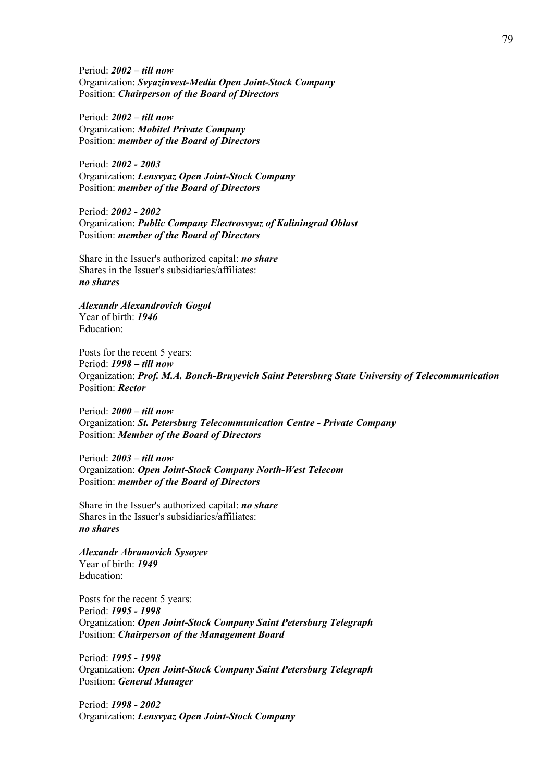Period: *2002 – till now* Organization: *Svyazinvest-Media Open Joint-Stock Company* Position: *Chairperson of the Board of Directors*

Period: *2002 – till now* Organization: *Mobitel Private Company* Position: *member of the Board of Directors* 

Period: *2002 - 2003* Organization: *Lensvyaz Open Joint-Stock Company* Position: *member of the Board of Directors* 

Period: *2002 - 2002* Organization: *Public Company Electrosvyaz of Kaliningrad Oblast*  Position: *member of the Board of Directors* 

Share in the Issuer's authorized capital: *no share* Shares in the Issuer's subsidiaries/affiliates: *no shares*

*Alexandr Alexandrovich Gogol* Year of birth: *1946* Education:

Posts for the recent 5 years: Period: *1998 – till now* Organization: *Prof. M.A. Bonch-Bruyevich Saint Petersburg State University of Telecommunication* Position: *Rector*

Period: *2000 – till now* Organization: *St. Petersburg Telecommunication Centre - Private Company* Position: *Member of the Board of Directors*

Period: *2003 – till now* Organization: *Open Joint-Stock Company North-West Telecom* Position: *member of the Board of Directors* 

Share in the Issuer's authorized capital: *no share* Shares in the Issuer's subsidiaries/affiliates: *no shares*

*Alexandr Abramovich Sysoyev* Year of birth: *1949* Education:

Posts for the recent 5 years: Period: *1995 - 1998* Organization: *Open Joint-Stock Company Saint Petersburg Telegraph* Position: *Chairperson of the Management Board*

Period: *1995 - 1998* Organization: *Open Joint-Stock Company Saint Petersburg Telegraph* Position: *General Manager*

Period: *1998 - 2002* Organization: *Lensvyaz Open Joint-Stock Company*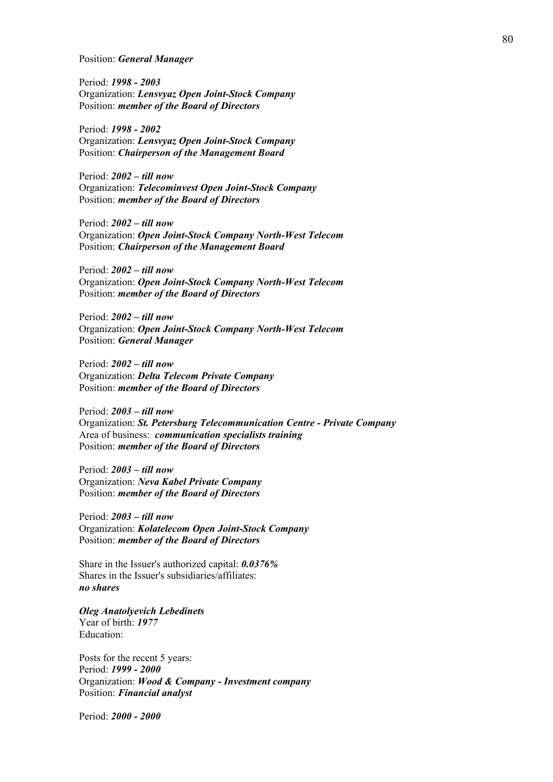Position: *General Manager*

Period: *1998 - 2003* Organization: *Lensvyaz Open Joint-Stock Company* Position: *member of the Board of Directors* 

Period: *1998 - 2002* Organization: *Lensvyaz Open Joint-Stock Company* Position: *Chairperson of the Management Board*

Period: *2002 – till now* Organization: *Telecominvest Open Joint-Stock Company* Position: *member of the Board of Directors* 

Period: *2002 – till now* Organization: *Open Joint-Stock Company North-West Telecom* Position: *Chairperson of the Management Board*

Period: *2002 – till now* Organization: *Open Joint-Stock Company North-West Telecom* Position: *member of the Board of Directors* 

Period: *2002 – till now* Organization: *Open Joint-Stock Company North-West Telecom* Position: *General Manager*

Period: *2002 – till now* Organization: *Delta Telecom Private Company* Position: *member of the Board of Directors* 

Period: *2003 – till now* Organization: *St. Petersburg Telecommunication Centre - Private Company* Area of business: *communication specialists training* Position: *member of the Board of Directors* 

Period: *2003 – till now* Organization: *Neva Kabel Private Company* Position: *member of the Board of Directors* 

Period: *2003 – till now* Organization: *Kolatelecom Open Joint-Stock Company* Position: *member of the Board of Directors* 

Share in the Issuer's authorized capital: *0.0376%* Shares in the Issuer's subsidiaries/affiliates: *no shares*

*Oleg Anatolyevich Lebedinets*

Year of birth: *1977* Education:

Posts for the recent 5 years: Period: *1999 - 2000* Organization: *Wood & Company - Investment company*  Position: *Financial analyst*

Period: *2000 - 2000*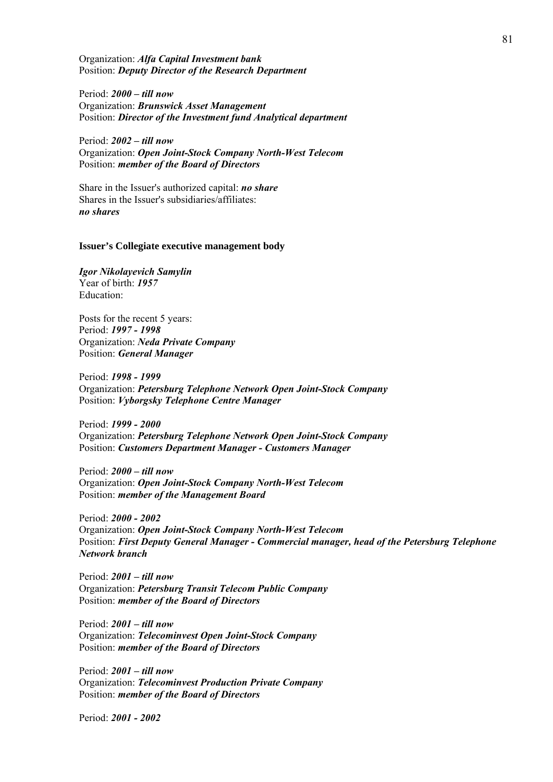Organization: *Alfa Capital Investment bank* Position: *Deputy Director of the Research Department*

Period: *2000 – till now* Organization: *Brunswick Asset Management* Position: *Director of the Investment fund Analytical department*

Period: *2002 – till now* Organization: *Open Joint-Stock Company North-West Telecom* Position: *member of the Board of Directors* 

Share in the Issuer's authorized capital: *no share* Shares in the Issuer's subsidiaries/affiliates: *no shares*

#### **Issuer's Collegiate executive management body**

*Igor Nikolayevich Samylin* Year of birth: *1957* Education:

Posts for the recent 5 years: Period: *1997 - 1998* Organization: *Neda Private Company* Position: *General Manager*

Period: *1998 - 1999* Organization: *Petersburg Telephone Network Open Joint-Stock Company* Position: *Vyborgsky Telephone Centre Manager*

Period: *1999 - 2000* Organization: *Petersburg Telephone Network Open Joint-Stock Company* Position: *Customers Department Manager - Customers Manager*

Period: *2000 – till now* Organization: *Open Joint-Stock Company North-West Telecom* Position: *member of the Management Board* 

Period: *2000 - 2002* Organization: *Open Joint-Stock Company North-West Telecom* Position: *First Deputy General Manager - Commercial manager, head of the Petersburg Telephone Network branch*

Period: *2001 – till now* Organization: *Petersburg Transit Telecom Public Company* Position: *member of the Board of Directors* 

Period: *2001 – till now* Organization: *Telecominvest Open Joint-Stock Company* Position: *member of the Board of Directors* 

Period: *2001 – till now* Organization: *Telecominvest Production Private Company* Position: *member of the Board of Directors* 

Period: *2001 - 2002*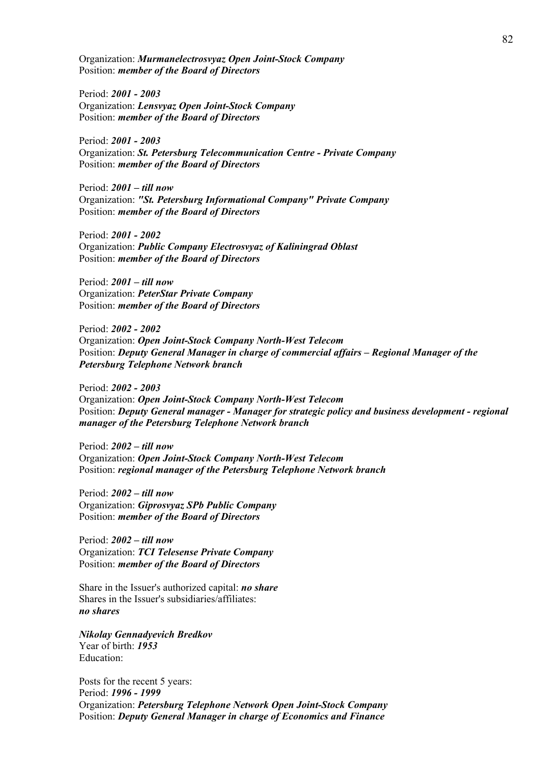Organization: *Murmanelectrosvyaz Open Joint-Stock Company*  Position: *member of the Board of Directors* 

Period: *2001 - 2003* Organization: *Lensvyaz Open Joint-Stock Company* Position: *member of the Board of Directors* 

Period: *2001 - 2003* Organization: *St. Petersburg Telecommunication Centre - Private Company* Position: *member of the Board of Directors* 

Period: *2001 – till now* Organization: *"St. Petersburg Informational Company" Private Company* Position: *member of the Board of Directors* 

Period: *2001 - 2002* Organization: *Public Company Electrosvyaz of Kaliningrad Oblast*  Position: *member of the Board of Directors* 

Period: *2001 – till now* Organization: *PeterStar Private Company* Position: *member of the Board of Directors* 

Period: *2002 - 2002* Organization: *Open Joint-Stock Company North-West Telecom* Position: *Deputy General Manager in charge of commercial affairs – Regional Manager of the Petersburg Telephone Network branch*

Period: *2002 - 2003* Organization: *Open Joint-Stock Company North-West Telecom* Position: *Deputy General manager - Manager for strategic policy and business development - regional manager of the Petersburg Telephone Network branch*

Period: *2002 – till now* Organization: *Open Joint-Stock Company North-West Telecom* Position: *regional manager of the Petersburg Telephone Network branch*

Period: *2002 – till now* Organization: *Giprosvyaz SPb Public Company* Position: *member of the Board of Directors* 

Period: *2002 – till now* Organization: *TCI Telesense Private Company* Position: *member of the Board of Directors* 

Share in the Issuer's authorized capital: *no share* Shares in the Issuer's subsidiaries/affiliates: *no shares*

*Nikolay Gennadyevich Bredkov* Year of birth: *1953* Education:

Posts for the recent 5 years: Period: *1996 - 1999* Organization: *Petersburg Telephone Network Open Joint-Stock Company* Position: *Deputy General Manager in charge of Economics and Finance*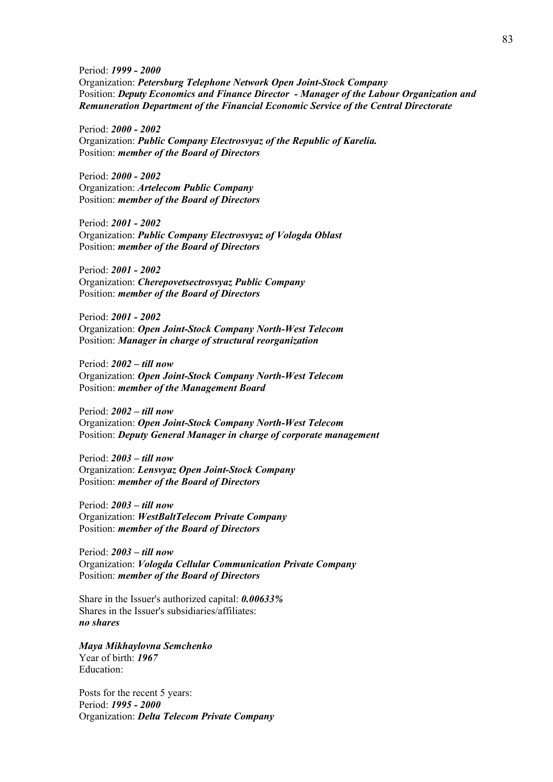Period: *1999 - 2000* Organization: *Petersburg Telephone Network Open Joint-Stock Company* Position: *Deputy Economics and Finance Director - Manager of the Labour Organization and Remuneration Department of the Financial Economic Service of the Central Directorate* 

Period: *2000 - 2002* Organization: *Public Company Electrosvyaz of the Republic of Karelia.* Position: *member of the Board of Directors* 

Period: *2000 - 2002* Organization: *Artelecom Public Company* Position: *member of the Board of Directors* 

Period: *2001 - 2002* Organization: *Public Company Electrosvyaz of Vologda Oblast*  Position: *member of the Board of Directors* 

Period: *2001 - 2002* Organization: *Cherepovetsectrosvyaz Public Company* Position: *member of the Board of Directors* 

Period: *2001 - 2002* Organization: *Open Joint-Stock Company North-West Telecom* Position: *Manager in charge of structural reorganization*

Period: *2002 – till now* Organization: *Open Joint-Stock Company North-West Telecom* Position: *member of the Management Board* 

Period: *2002 – till now* Organization: *Open Joint-Stock Company North-West Telecom* Position: *Deputy General Manager in charge of corporate management*

Period: *2003 – till now* Organization: *Lensvyaz Open Joint-Stock Company* Position: *member of the Board of Directors* 

Period: *2003 – till now* Organization: *WestBaltTelecom Private Company* Position: *member of the Board of Directors* 

Period: *2003 – till now* Organization: *Vologda Cellular Communication Private Company* Position: *member of the Board of Directors* 

Share in the Issuer's authorized capital: *0.00633%* Shares in the Issuer's subsidiaries/affiliates: *no shares*

*Maya Mikhaylovna Semchenko* Year of birth: *1967* Education:

Posts for the recent 5 years: Period: *1995 - 2000* Organization: *Delta Telecom Private Company*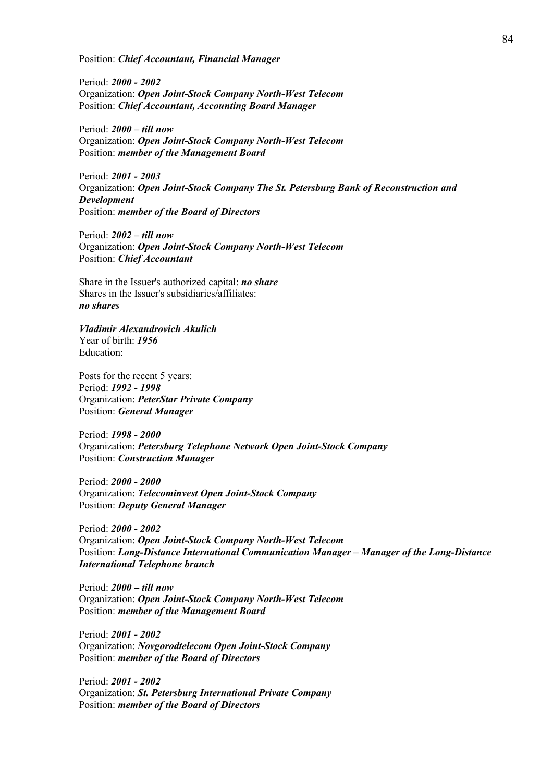Position: *Chief Accountant, Financial Manager* 

Period: *2000 - 2002* Organization: *Open Joint-Stock Company North-West Telecom* Position: *Chief Accountant, Accounting Board Manager*

Period: *2000 – till now* Organization: *Open Joint-Stock Company North-West Telecom* Position: *member of the Management Board* 

Period: *2001 - 2003* Organization: *Open Joint-Stock Company The St. Petersburg Bank of Reconstruction and Development* Position: *member of the Board of Directors* 

Period: *2002 – till now* Organization: *Open Joint-Stock Company North-West Telecom* Position: *Chief Accountant*

Share in the Issuer's authorized capital: *no share* Shares in the Issuer's subsidiaries/affiliates: *no shares*

#### *Vladimir Alexandrovich Akulich*

Year of birth: *1956* Education:

Posts for the recent 5 years: Period: *1992 - 1998* Organization: *PeterStar Private Company* Position: *General Manager*

Period: *1998 - 2000* Organization: *Petersburg Telephone Network Open Joint-Stock Company* Position: *Construction Manager*

Period: *2000 - 2000* Organization: *Telecominvest Open Joint-Stock Company* Position: *Deputy General Manager* 

Period: *2000 - 2002* Organization: *Open Joint-Stock Company North-West Telecom* Position: *Long-Distance International Communication Manager – Manager of the Long-Distance International Telephone branch*

Period: *2000 – till now* Organization: *Open Joint-Stock Company North-West Telecom* Position: *member of the Management Board* 

Period: *2001 - 2002* Organization: *Novgorodtelecom Open Joint-Stock Company* Position: *member of the Board of Directors* 

Period: *2001 - 2002* Organization: *St. Petersburg International Private Company* Position: *member of the Board of Directors*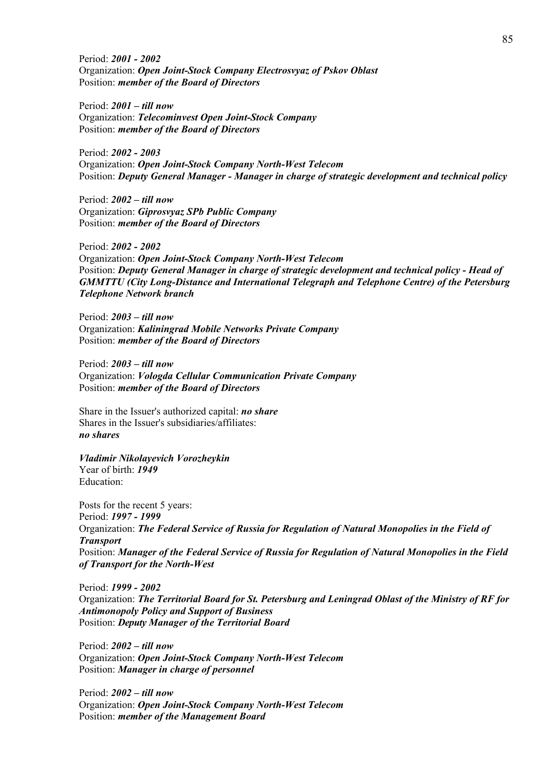Period: *2001 - 2002* Organization: *Open Joint-Stock Company Electrosvyaz of Pskov Oblast*  Position: *member of the Board of Directors* 

Period: *2001 – till now* Organization: *Telecominvest Open Joint-Stock Company* Position: *member of the Board of Directors* 

Period: *2002 - 2003* Organization: *Open Joint-Stock Company North-West Telecom* Position: *Deputy General Manager - Manager in charge of strategic development and technical policy*

Period: *2002 – till now* Organization: *Giprosvyaz SPb Public Company* Position: *member of the Board of Directors* 

Period: *2002 - 2002* Organization: *Open Joint-Stock Company North-West Telecom* Position: *Deputy General Manager in charge of strategic development and technical policy - Head of GMMTTU (City Long-Distance and International Telegraph and Telephone Centre) of the Petersburg Telephone Network branch*

Period: *2003 – till now* Organization: *Kaliningrad Mobile Networks Private Company* Position: *member of the Board of Directors* 

Period: *2003 – till now* Organization: *Vologda Cellular Communication Private Company* Position: *member of the Board of Directors* 

Share in the Issuer's authorized capital: *no share* Shares in the Issuer's subsidiaries/affiliates: *no shares*

*Vladimir Nikolayevich Vorozheykin* Year of birth: *1949* Education:

Posts for the recent 5 years: Period: *1997 - 1999* Organization: *The Federal Service of Russia for Regulation of Natural Monopolies in the Field of Transport*  Position: *Manager of the Federal Service of Russia for Regulation of Natural Monopolies in the Field of Transport for the North-West* 

Period: *1999 - 2002* Organization: *The Territorial Board for St. Petersburg and Leningrad Oblast of the Ministry of RF for Antimonopoly Policy and Support of Business*  Position: *Deputy Manager of the Territorial Board* 

Period: *2002 – till now* Organization: *Open Joint-Stock Company North-West Telecom* Position: *Manager in charge of personnel*

Period: *2002 – till now* Organization: *Open Joint-Stock Company North-West Telecom* Position: *member of the Management Board*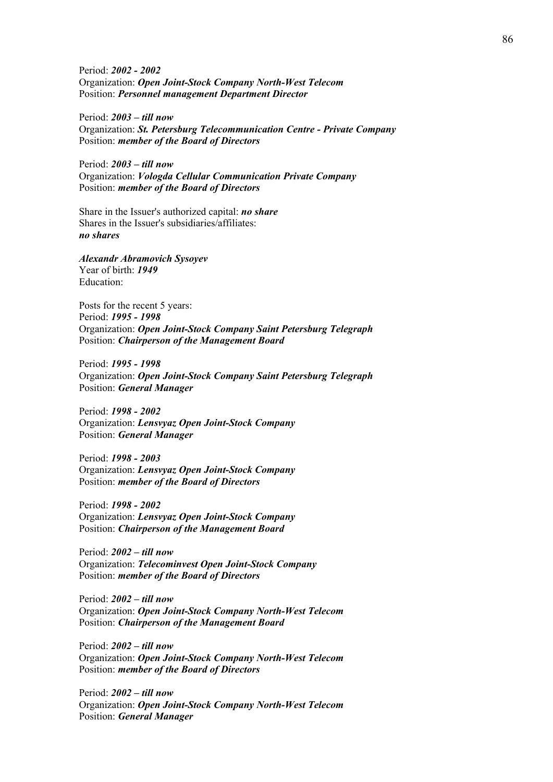Period: *2002 - 2002* Organization: *Open Joint-Stock Company North-West Telecom* Position: *Personnel management Department Director*

Period: *2003 – till now* Organization: *St. Petersburg Telecommunication Centre - Private Company* Position: *member of the Board of Directors* 

Period: *2003 – till now* Organization: *Vologda Cellular Communication Private Company* Position: *member of the Board of Directors* 

Share in the Issuer's authorized capital: *no share* Shares in the Issuer's subsidiaries/affiliates: *no shares*

*Alexandr Abramovich Sysoyev* Year of birth: *1949* Education:

Posts for the recent 5 years: Period: *1995 - 1998* Organization: *Open Joint-Stock Company Saint Petersburg Telegraph* Position: *Chairperson of the Management Board*

Period: *1995 - 1998* Organization: *Open Joint-Stock Company Saint Petersburg Telegraph* Position: *General Manager*

Period: *1998 - 2002* Organization: *Lensvyaz Open Joint-Stock Company* Position: *General Manager*

Period: *1998 - 2003* Organization: *Lensvyaz Open Joint-Stock Company* Position: *member of the Board of Directors* 

Period: *1998 - 2002* Organization: *Lensvyaz Open Joint-Stock Company* Position: *Chairperson of the Management Board*

Period: *2002 – till now* Organization: *Telecominvest Open Joint-Stock Company* Position: *member of the Board of Directors* 

Period: *2002 – till now* Organization: *Open Joint-Stock Company North-West Telecom* Position: *Chairperson of the Management Board*

Period: *2002 – till now* Organization: *Open Joint-Stock Company North-West Telecom* Position: *member of the Board of Directors* 

Period: *2002 – till now* Organization: *Open Joint-Stock Company North-West Telecom* Position: *General Manager*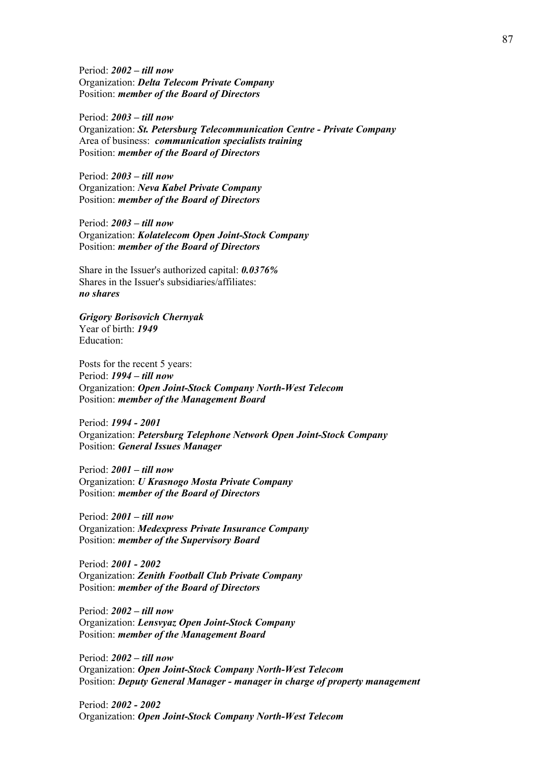Period: *2002 – till now* Organization: *Delta Telecom Private Company* Position: *member of the Board of Directors* 

Period: *2003 – till now* Organization: *St. Petersburg Telecommunication Centre - Private Company* Area of business: *communication specialists training* Position: *member of the Board of Directors* 

Period: *2003 – till now* Organization: *Neva Kabel Private Company* Position: *member of the Board of Directors* 

Period: *2003 – till now* Organization: *Kolatelecom Open Joint-Stock Company* Position: *member of the Board of Directors* 

Share in the Issuer's authorized capital: *0.0376%* Shares in the Issuer's subsidiaries/affiliates: *no shares*

*Grigory Borisovich Chernyak* Year of birth: *1949* Education:

Posts for the recent 5 years: Period: *1994 – till now* Organization: *Open Joint-Stock Company North-West Telecom* Position: *member of the Management Board* 

Period: *1994 - 2001* Organization: *Petersburg Telephone Network Open Joint-Stock Company* Position: *General Issues Manager*

Period: *2001 – till now* Organization: *U Krasnogo Mosta Private Company* Position: *member of the Board of Directors* 

Period: *2001 – till now* Organization: *Medexpress Private Insurance Company* Position: *member of the Supervisory Board*

Period: *2001 - 2002* Organization: *Zenith Football Club Private Company* Position: *member of the Board of Directors* 

Period: *2002 – till now* Organization: *Lensvyaz Open Joint-Stock Company* Position: *member of the Management Board* 

Period: *2002 – till now* Organization: *Open Joint-Stock Company North-West Telecom* Position: *Deputy General Manager - manager in charge of property management*

Period: *2002 - 2002* Organization: *Open Joint-Stock Company North-West Telecom*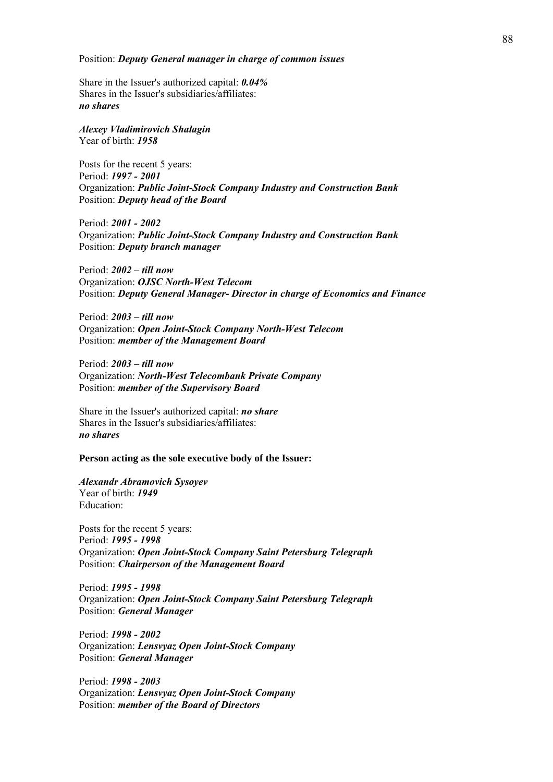#### Position: *Deputy General manager in charge of common issues*

Share in the Issuer's authorized capital: *0.04%* Shares in the Issuer's subsidiaries/affiliates: *no shares*

*Alexey Vladimirovich Shalagin* Year of birth: *1958*

Posts for the recent 5 years: Period: *1997 - 2001* Organization: *Public Joint-Stock Company Industry and Construction Bank*  Position: *Deputy head of the Board*

Period: *2001 - 2002* Organization: *Public Joint-Stock Company Industry and Construction Bank*  Position: *Deputy branch manager*

Period: *2002 – till now* Organization: *OJSC North-West Telecom*  Position: *Deputy General Manager- Director in charge of Economics and Finance* 

Period: *2003 – till now* Organization: *Open Joint-Stock Company North-West Telecom* Position: *member of the Management Board* 

Period: *2003 – till now* Organization: *North-West Telecombank Private Company* Position: *member of the Supervisory Board*

Share in the Issuer's authorized capital: *no share* Shares in the Issuer's subsidiaries/affiliates: *no shares*

**Person acting as the sole executive body of the Issuer:** 

*Alexandr Abramovich Sysoyev* Year of birth: *1949* Education:

Posts for the recent 5 years: Period: *1995 - 1998* Organization: *Open Joint-Stock Company Saint Petersburg Telegraph* Position: *Chairperson of the Management Board*

Period: *1995 - 1998* Organization: *Open Joint-Stock Company Saint Petersburg Telegraph* Position: *General Manager*

Period: *1998 - 2002* Organization: *Lensvyaz Open Joint-Stock Company* Position: *General Manager*

Period: *1998 - 2003* Organization: *Lensvyaz Open Joint-Stock Company* Position: *member of the Board of Directors*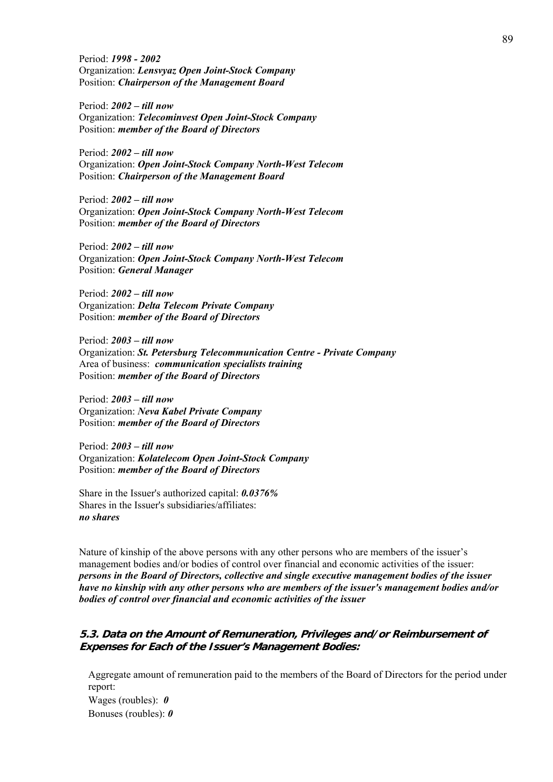Period: *1998 - 2002* Organization: *Lensvyaz Open Joint-Stock Company* Position: *Chairperson of the Management Board*

Period: *2002 – till now* Organization: *Telecominvest Open Joint-Stock Company* Position: *member of the Board of Directors* 

Period: *2002 – till now* Organization: *Open Joint-Stock Company North-West Telecom* Position: *Chairperson of the Management Board*

Period: *2002 – till now* Organization: *Open Joint-Stock Company North-West Telecom* Position: *member of the Board of Directors* 

Period: *2002 – till now* Organization: *Open Joint-Stock Company North-West Telecom* Position: *General Manager*

Period: *2002 – till now* Organization: *Delta Telecom Private Company* Position: *member of the Board of Directors* 

Period: *2003 – till now* Organization: *St. Petersburg Telecommunication Centre - Private Company* Area of business: *communication specialists training* Position: *member of the Board of Directors* 

Period: *2003 – till now* Organization: *Neva Kabel Private Company* Position: *member of the Board of Directors* 

Period: *2003 – till now* Organization: *Kolatelecom Open Joint-Stock Company* Position: *member of the Board of Directors* 

Share in the Issuer's authorized capital: *0.0376%* Shares in the Issuer's subsidiaries/affiliates: *no shares*

Nature of kinship of the above persons with any other persons who are members of the issuer's management bodies and/or bodies of control over financial and economic activities of the issuer: *persons in the Board of Directors, collective and single executive management bodies of the issuer have no kinship with any other persons who are members of the issuer's management bodies and/or bodies of control over financial and economic activities of the issuer* 

# **5.3. Data on the Amount of Remuneration, Privileges and/or Reimbursement of Expenses for Each of the Issuer's Management Bodies:**

Aggregate amount of remuneration paid to the members of the Board of Directors for the period under report: Wages (roubles): *0* Bonuses (roubles): *0*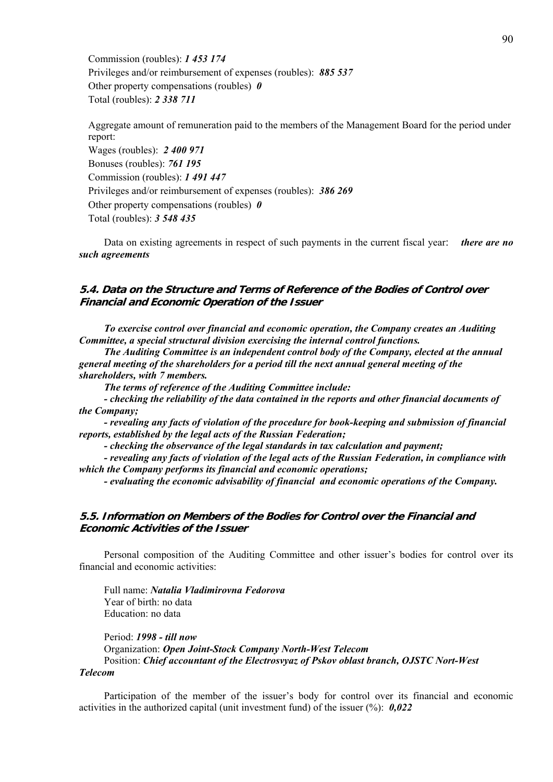Commission (roubles): *1 453 174* Privileges and/or reimbursement of expenses (roubles): *885 537* Other property compensations (roubles) *0* Total (roubles): *2 338 711*

Aggregate amount of remuneration paid to the members of the Management Board for the period under report: Wages (roubles): *2 400 971* Bonuses (roubles): *761 195* Commission (roubles): *1 491 447* Privileges and/or reimbursement of expenses (roubles): *386 269* Other property compensations (roubles) *0* Total (roubles): *3 548 435*

Data on existing agreements in respect of such payments in the current fiscal year: *there are no such agreements* 

## **5.4. Data on the Structure and Terms of Reference of the Bodies of Control over Financial and Economic Operation of the Issuer**

*To exercise control over financial and economic operation, the Company creates an Auditing Committee, a special structural division exercising the internal control functions.* 

*The Auditing Committee is an independent control body of the Company, elected at the annual general meeting of the shareholders for a period till the next annual general meeting of the shareholders, with 7 members.* 

*The terms of reference of the Auditing Committee include:* 

*- checking the reliability of the data contained in the reports and other financial documents of the Company;* 

*- revealing any facts of violation of the procedure for book-keeping and submission of financial reports, established by the legal acts of the Russian Federation;* 

*- checking the observance of the legal standards in tax calculation and payment;* 

*- revealing any facts of violation of the legal acts of the Russian Federation, in compliance with which the Company performs its financial and economic operations;* 

*- evaluating the economic advisability of financial and economic operations of the Company.* 

### **5.5. Information on Members of the Bodies for Control over the Financial and Economic Activities of the Issuer**

Personal composition of the Auditing Committee and other issuer's bodies for control over its financial and economic activities:

Full name: *Natalia Vladimirovna Fedorova* Year of birth: no data Education: no data

Period: *1998 - till now* Organization: *Open Joint-Stock Company North-West Telecom* Position: *Chief accountant of the Electrosvyaz of Pskov oblast branch, OJSTC Nort-West* 

### *Telecom*

Participation of the member of the issuer's body for control over its financial and economic activities in the authorized capital (unit investment fund) of the issuer (%): *0,022*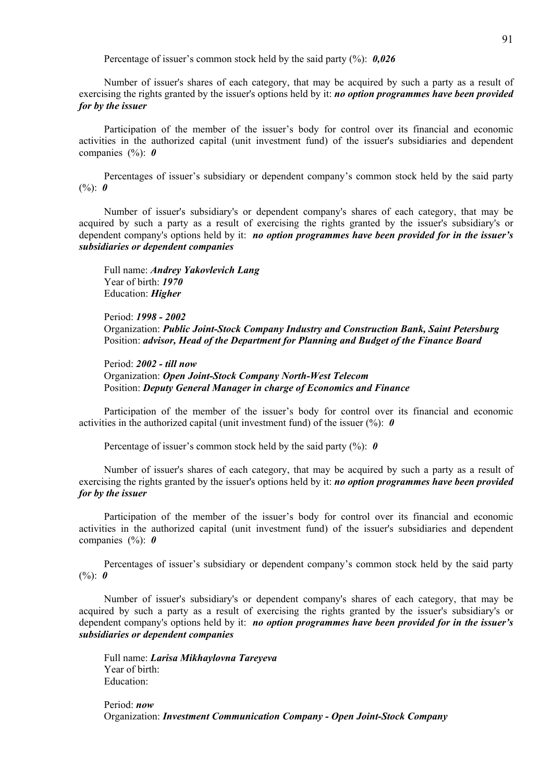Percentage of issuer's common stock held by the said party (%): *0,026*

Number of issuer's shares of each category, that may be acquired by such a party as a result of exercising the rights granted by the issuer's options held by it: *no option programmes have been provided for by the issuer* 

Participation of the member of the issuer's body for control over its financial and economic activities in the authorized capital (unit investment fund) of the issuer's subsidiaries and dependent companies (%): *0*

Percentages of issuer's subsidiary or dependent company's common stock held by the said party (%): *0*

Number of issuer's subsidiary's or dependent company's shares of each category, that may be acquired by such a party as a result of exercising the rights granted by the issuer's subsidiary's or dependent company's options held by it: *no option programmes have been provided for in the issuer's subsidiaries or dependent companies*

Full name: *Andrey Yakovlevich Lang* Year of birth: *1970* Education: *Higher*

Period: *1998 - 2002* Organization: *Public Joint-Stock Company Industry and Construction Bank, Saint Petersburg* Position: *advisor, Head of the Department for Planning and Budget of the Finance Board*

Period: *2002 - till now* Organization: *Open Joint-Stock Company North-West Telecom* Position: *Deputy General Manager in charge of Economics and Finance* 

Participation of the member of the issuer's body for control over its financial and economic activities in the authorized capital (unit investment fund) of the issuer (%): *0*

Percentage of issuer's common stock held by the said party (%): *0*

Number of issuer's shares of each category, that may be acquired by such a party as a result of exercising the rights granted by the issuer's options held by it: *no option programmes have been provided for by the issuer* 

Participation of the member of the issuer's body for control over its financial and economic activities in the authorized capital (unit investment fund) of the issuer's subsidiaries and dependent companies (%): *0*

Percentages of issuer's subsidiary or dependent company's common stock held by the said party (%): *0*

Number of issuer's subsidiary's or dependent company's shares of each category, that may be acquired by such a party as a result of exercising the rights granted by the issuer's subsidiary's or dependent company's options held by it: *no option programmes have been provided for in the issuer's subsidiaries or dependent companies*

Full name: *Larisa Mikhaylovna Tareyeva* Year of birth: Education:

Period: *now* Organization: *Investment Communication Company - Open Joint-Stock Company*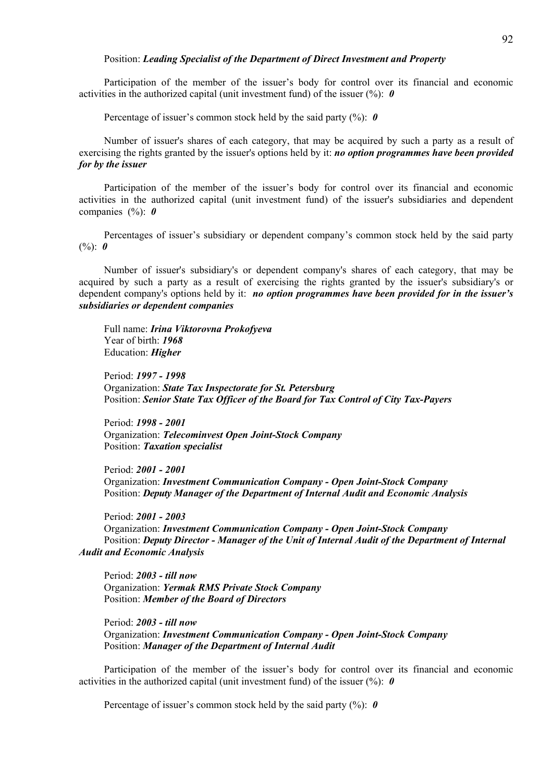#### Position: *Leading Specialist of the Department of Direct Investment and Property*

Participation of the member of the issuer's body for control over its financial and economic activities in the authorized capital (unit investment fund) of the issuer (%): *0*

Percentage of issuer's common stock held by the said party (%): *0*

Number of issuer's shares of each category, that may be acquired by such a party as a result of exercising the rights granted by the issuer's options held by it: *no option programmes have been provided for by the issuer* 

Participation of the member of the issuer's body for control over its financial and economic activities in the authorized capital (unit investment fund) of the issuer's subsidiaries and dependent companies (%): *0*

Percentages of issuer's subsidiary or dependent company's common stock held by the said party (%): *0*

Number of issuer's subsidiary's or dependent company's shares of each category, that may be acquired by such a party as a result of exercising the rights granted by the issuer's subsidiary's or dependent company's options held by it: *no option programmes have been provided for in the issuer's subsidiaries or dependent companies*

Full name: *Irina Viktorovna Prokofyeva* Year of birth: *1968* Education: *Higher*

Period: *1997 - 1998* Organization: *State Tax Inspectorate for St. Petersburg*  Position: *Senior State Tax Officer of the Board for Tax Control of City Tax-Payers*

Period: *1998 - 2001* Organization: *Telecominvest Open Joint-Stock Company* Position: *Taxation specialist*

Period: *2001 - 2001* Organization: *Investment Communication Company - Open Joint-Stock Company* Position: *Deputy Manager of the Department of Internal Audit and Economic Analysis* 

Period: *2001 - 2003* Organization: *Investment Communication Company - Open Joint-Stock Company* Position: *Deputy Director - Manager of the Unit of Internal Audit of the Department of Internal Audit and Economic Analysis*

Period: *2003 - till now* Organization: *Yermak RMS Private Stock Company*  Position: *Member of the Board of Directors*

Period: *2003 - till now* Organization: *Investment Communication Company - Open Joint-Stock Company* Position: *Manager of the Department of Internal Audit* 

Participation of the member of the issuer's body for control over its financial and economic activities in the authorized capital (unit investment fund) of the issuer  $(\%)$ : **0** 

Percentage of issuer's common stock held by the said party (%): *0*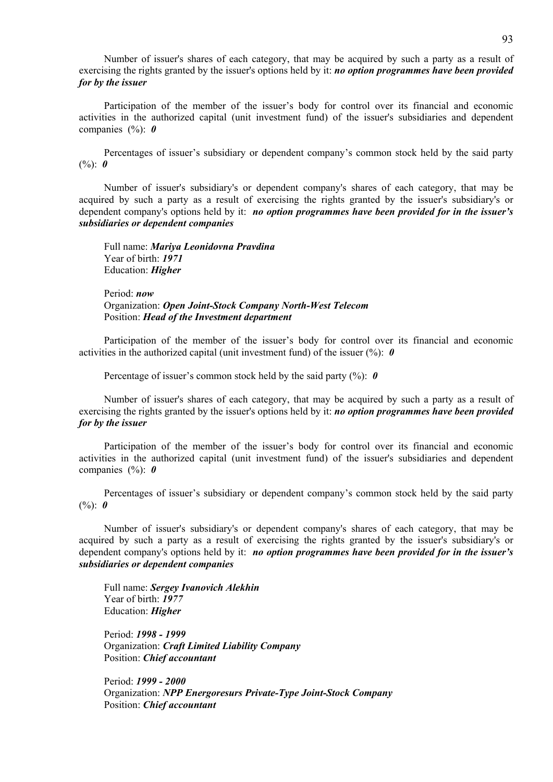Number of issuer's shares of each category, that may be acquired by such a party as a result of exercising the rights granted by the issuer's options held by it: *no option programmes have been provided for by the issuer* 

Participation of the member of the issuer's body for control over its financial and economic activities in the authorized capital (unit investment fund) of the issuer's subsidiaries and dependent companies (%): *0*

Percentages of issuer's subsidiary or dependent company's common stock held by the said party (%): *0*

Number of issuer's subsidiary's or dependent company's shares of each category, that may be acquired by such a party as a result of exercising the rights granted by the issuer's subsidiary's or dependent company's options held by it: *no option programmes have been provided for in the issuer's subsidiaries or dependent companies*

Full name: *Mariya Leonidovna Pravdina* Year of birth: *1971* Education: *Higher*

Period: *now* Organization: *Open Joint-Stock Company North-West Telecom* Position: *Head of the Investment department*

Participation of the member of the issuer's body for control over its financial and economic activities in the authorized capital (unit investment fund) of the issuer  $(\%)$ : **0** 

Percentage of issuer's common stock held by the said party (%): *0*

Number of issuer's shares of each category, that may be acquired by such a party as a result of exercising the rights granted by the issuer's options held by it: *no option programmes have been provided for by the issuer* 

Participation of the member of the issuer's body for control over its financial and economic activities in the authorized capital (unit investment fund) of the issuer's subsidiaries and dependent companies (%): *0*

Percentages of issuer's subsidiary or dependent company's common stock held by the said party  $(%): 0$ 

Number of issuer's subsidiary's or dependent company's shares of each category, that may be acquired by such a party as a result of exercising the rights granted by the issuer's subsidiary's or dependent company's options held by it: *no option programmes have been provided for in the issuer's subsidiaries or dependent companies*

Full name: *Sergey Ivanovich Alekhin* Year of birth: *1977* Education: *Higher*

Period: *1998 - 1999* Organization: *Craft Limited Liability Company* Position: *Chief accountant*

Period: *1999 - 2000* Organization: *NPP Energoresurs Private-Type Joint-Stock Company* Position: *Chief accountant*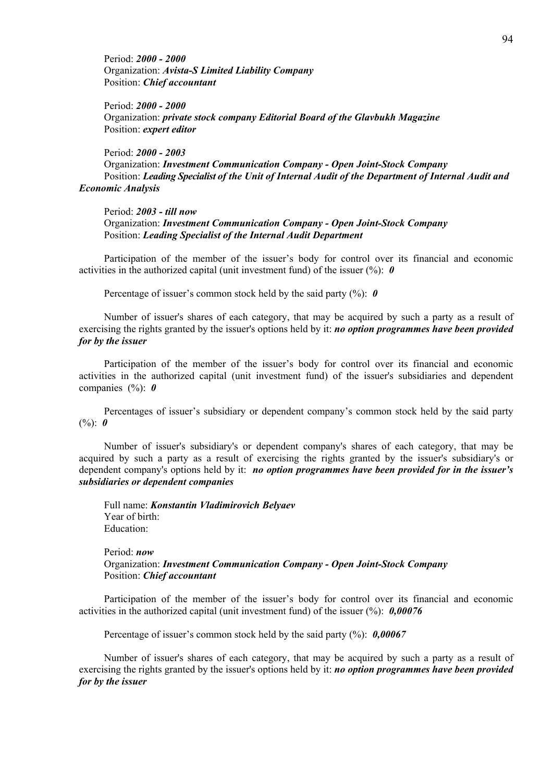Period: *2000 - 2000* Organization: *Avista-S Limited Liability Company* Position: *Chief accountant*

Period: *2000 - 2000* Organization: *private stock company Editorial Board of the Glavbukh Magazine*  Position: *expert editor*

Period: *2000 - 2003* Organization: *Investment Communication Company - Open Joint-Stock Company* Position: *Leading Specialist of the Unit of Internal Audit of the Department of Internal Audit and Economic Analysis*

Period: *2003 - till now* Organization: *Investment Communication Company - Open Joint-Stock Company* Position: *Leading Specialist of the Internal Audit Department* 

Participation of the member of the issuer's body for control over its financial and economic activities in the authorized capital (unit investment fund) of the issuer  $(\%)$ : **0** 

Percentage of issuer's common stock held by the said party (%): *0*

Number of issuer's shares of each category, that may be acquired by such a party as a result of exercising the rights granted by the issuer's options held by it: *no option programmes have been provided for by the issuer* 

Participation of the member of the issuer's body for control over its financial and economic activities in the authorized capital (unit investment fund) of the issuer's subsidiaries and dependent companies (%): *0*

Percentages of issuer's subsidiary or dependent company's common stock held by the said party  $(%): 0$ 

Number of issuer's subsidiary's or dependent company's shares of each category, that may be acquired by such a party as a result of exercising the rights granted by the issuer's subsidiary's or dependent company's options held by it: *no option programmes have been provided for in the issuer's subsidiaries or dependent companies*

Full name: *Konstantin Vladimirovich Belyaev* Year of birth: Education:

Period: *now* Organization: *Investment Communication Company - Open Joint-Stock Company* Position: *Chief accountant*

Participation of the member of the issuer's body for control over its financial and economic activities in the authorized capital (unit investment fund) of the issuer (%): *0,00076*

Percentage of issuer's common stock held by the said party (%): *0,00067*

Number of issuer's shares of each category, that may be acquired by such a party as a result of exercising the rights granted by the issuer's options held by it: *no option programmes have been provided for by the issuer*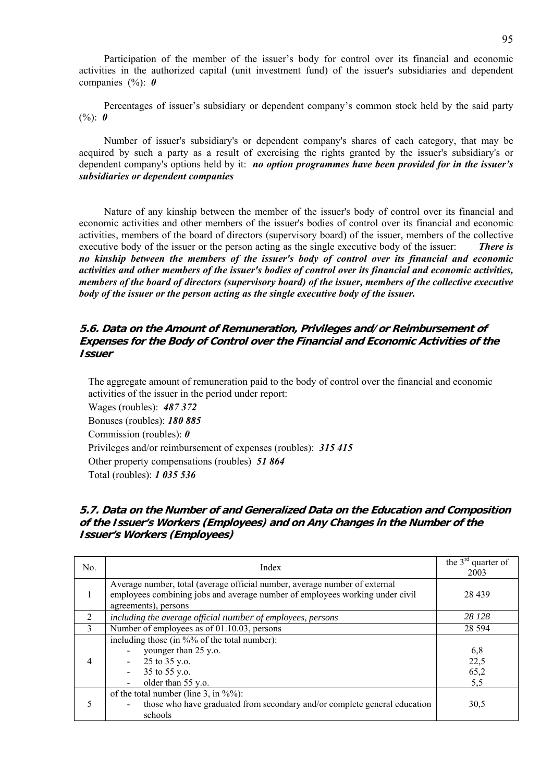Participation of the member of the issuer's body for control over its financial and economic activities in the authorized capital (unit investment fund) of the issuer's subsidiaries and dependent companies (%): *0*

Percentages of issuer's subsidiary or dependent company's common stock held by the said party (%): *0*

Number of issuer's subsidiary's or dependent company's shares of each category, that may be acquired by such a party as a result of exercising the rights granted by the issuer's subsidiary's or dependent company's options held by it: *no option programmes have been provided for in the issuer's subsidiaries or dependent companies*

Nature of any kinship between the member of the issuer's body of control over its financial and economic activities and other members of the issuer's bodies of control over its financial and economic activities, members of the board of directors (supervisory board) of the issuer, members of the collective executive body of the issuer or the person acting as the single executive body of the issuer: *There is no kinship between the members of the issuer's body of control over its financial and economic activities and other members of the issuer's bodies of control over its financial and economic activities, members of the board of directors (supervisory board) of the issuer, members of the collective executive body of the issuer or the person acting as the single executive body of the issuer.* 

# **5.6. Data on the Amount of Remuneration, Privileges and/or Reimbursement of Expenses for the Body of Control over the Financial and Economic Activities of the Issuer**

The aggregate amount of remuneration paid to the body of control over the financial and economic activities of the issuer in the period under report:

Wages (roubles): *487 372* Bonuses (roubles): *180 885* Commission (roubles): *0* Privileges and/or reimbursement of expenses (roubles): *315 415* Other property compensations (roubles) *51 864* Total (roubles): *1 035 536*

## **5.7. Data on the Number of and Generalized Data on the Education and Composition of the Issuer's Workers (Employees) and on Any Changes in the Number of the Issuer's Workers (Employees)**

| No.          | Index                                                                                                                                                                              | the $3rd$ quarter of<br>2003 |
|--------------|------------------------------------------------------------------------------------------------------------------------------------------------------------------------------------|------------------------------|
| 1            | Average number, total (average official number, average number of external<br>employees combining jobs and average number of employees working under civil<br>agreements), persons | 28 4 39                      |
| 2            | including the average official number of employees, persons                                                                                                                        | 28 128                       |
| $\mathbf{3}$ | Number of employees as of 01.10.03, persons                                                                                                                                        | 28 5 94                      |
| 4            | including those (in %% of the total number):<br>younger than 25 y.o.<br>25 to 35 y.o.<br>$\sim$<br>35 to 55 y.o.<br>older than 55 y.o.                                             | 6,8<br>22,5<br>65,2<br>5,5   |
| 5            | of the total number (line 3, in $\frac{6}{2}$ ):<br>those who have graduated from secondary and/or complete general education<br>schools                                           | 30,5                         |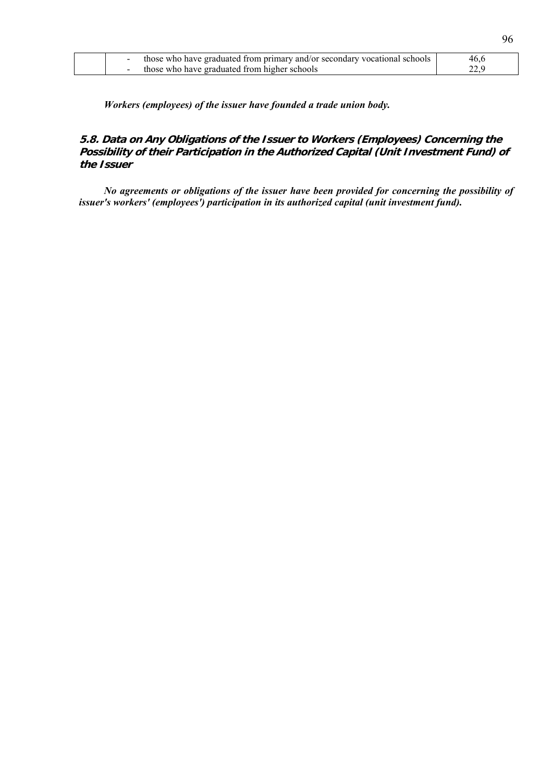|  | those who have graduated from primary and/or secondary vocational schools | 46,6 |
|--|---------------------------------------------------------------------------|------|
|  | those who have graduated from higher schools                              | 22.9 |

*Workers (employees) of the issuer have founded a trade union body.* 

# **5.8. Data on Any Obligations of the Issuer to Workers (Employees) Concerning the Possibility of their Participation in the Authorized Capital (Unit Investment Fund) of the Issuer**

*No agreements or obligations of the issuer have been provided for concerning the possibility of issuer's workers' (employees') participation in its authorized capital (unit investment fund).*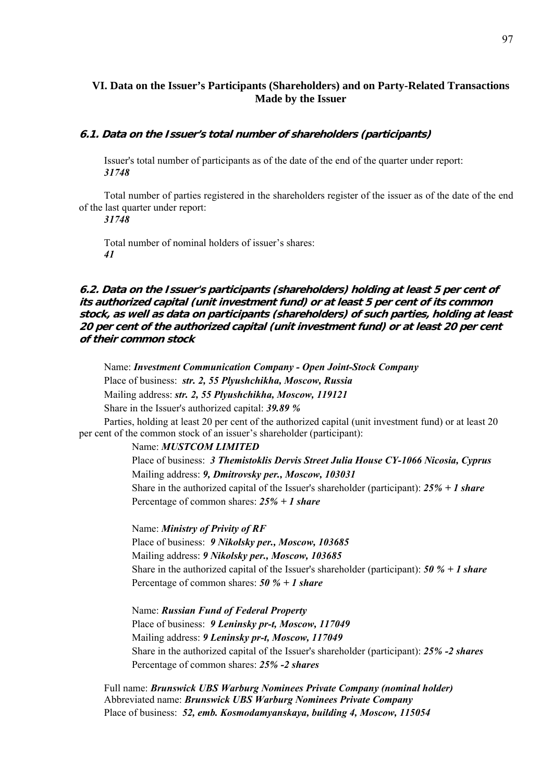# **VI. Data on the Issuer's Participants (Shareholders) and on Party-Related Transactions Made by the Issuer**

#### **6.1. Data on the Issuer's total number of shareholders (participants)**

Issuer's total number of participants as of the date of the end of the quarter under report: *31748* 

Total number of parties registered in the shareholders register of the issuer as of the date of the end of the last quarter under report:

*31748* 

Total number of nominal holders of issuer's shares: *41* 

**6.2. Data on the Issuer's participants (shareholders) holding at least 5 per cent of its authorized capital (unit investment fund) or at least 5 per cent of its common stock, as well as data on participants (shareholders) of such parties, holding at least 20 per cent of the authorized capital (unit investment fund) or at least 20 per cent of their common stock** 

Name: *Investment Communication Company - Open Joint-Stock Company* Place of business: *str. 2, 55 Plyushchikha, Moscow, Russia*  Mailing address: *str. 2, 55 Plyushchikha, Moscow, 119121* Share in the Issuer's authorized capital: *39.89 %* Parties, holding at least 20 per cent of the authorized capital (unit investment fund) or at least 20 per cent of the common stock of an issuer's shareholder (participant): Name: *MUSTCOM LIMITED*

Place of business: *3 Themistoklis Dervis Street Julia House CY-1066 Nicosia, Cyprus* Mailing address: *9, Dmitrovsky per., Moscow, 103031* Share in the authorized capital of the Issuer's shareholder (participant): *25% + 1 share* Percentage of common shares: *25% + 1 share*

Name: *Ministry of Privity of RF* Place of business: *9 Nikolsky per., Moscow, 103685* Mailing address: *9 Nikolsky per., Moscow, 103685* Share in the authorized capital of the Issuer's shareholder (participant): *50 % + 1 share* Percentage of common shares: *50 % + 1 share*

Name: *Russian Fund of Federal Property* Place of business: *9 Leninsky pr-t, Moscow, 117049* Mailing address: *9 Leninsky pr-t, Moscow, 117049* Share in the authorized capital of the Issuer's shareholder (participant): *25% -2 shares* Percentage of common shares: *25% -2 shares*

Full name: *Brunswick UBS Warburg Nominees Private Company (nominal holder)* Abbreviated name: *Brunswick UBS Warburg Nominees Private Company* Place of business: *52, emb. Kosmodamyanskaya, building 4, Moscow, 115054*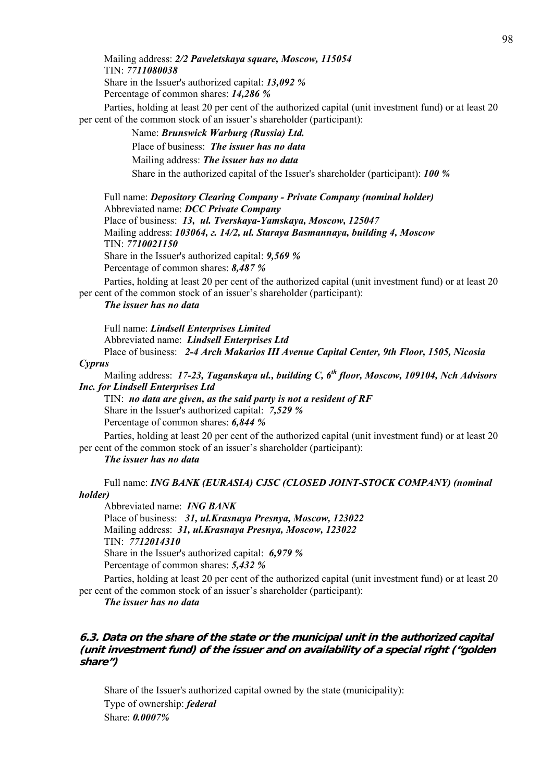Mailing address: *2/2 Paveletskaya square, Moscow, 115054* TIN: *7711080038* Share in the Issuer's authorized capital: *13,092 %* Percentage of common shares: *14,286 %*

Parties, holding at least 20 per cent of the authorized capital (unit investment fund) or at least 20 per cent of the common stock of an issuer's shareholder (participant):

> Name: *Brunswick Warburg (Russia) Ltd.* Place of business: *The issuer has no data* Mailing address: *The issuer has no data* Share in the authorized capital of the Issuer's shareholder (participant): *100 %*

Full name: *Depository Clearing Company - Private Company (nominal holder)* Abbreviated name: *DCC Private Company* Place of business: *13, ul. Tverskaya-Yamskaya, Moscow, 125047* Mailing address: *103064, г. 14/2, ul. Staraya Basmannaya, building 4, Moscow* TIN: *7710021150* Share in the Issuer's authorized capital: *9,569 %*  Percentage of common shares: *8,487 %*

Parties, holding at least 20 per cent of the authorized capital (unit investment fund) or at least 20 per cent of the common stock of an issuer's shareholder (participant):

*The issuer has no data*

Full name: *Lindsell Enterprises Limited* Abbreviated name: *Lindsell Enterprises Ltd* Place of business: *2-4 Arch Makarios III Avenue Capital Center, 9th Floor, 1505, Nicosia* 

*Cyprus*

Mailing address: *17-23, Taganskaya ul., building C, 6th floor, Moscow, 109104, Nch Advisors Inc. for Lindsell Enterprises Ltd*

TIN: *no data are given, as the said party is not a resident of RF* Share in the Issuer's authorized capital: *7,529 %*  Percentage of common shares: *6,844 %*

Parties, holding at least 20 per cent of the authorized capital (unit investment fund) or at least 20 per cent of the common stock of an issuer's shareholder (participant):

#### *The issuer has no data*

Full name: *ING BANK (EURASIA) CJSC (CLOSED JOINT-STOCK COMPANY) (nominal holder)* 

Abbreviated name: *ING BANK* Place of business: *31, ul.Krasnaya Presnya, Moscow, 123022* Mailing address: *31, ul.Krasnaya Presnya, Moscow, 123022* TIN: *7712014310* Share in the Issuer's authorized capital: *6,979 %*  Percentage of common shares: *5,432 %*

Parties, holding at least 20 per cent of the authorized capital (unit investment fund) or at least 20 per cent of the common stock of an issuer's shareholder (participant):

*The issuer has no data* 

## **6.3. Data on the share of the state or the municipal unit in the authorized capital (unit investment fund) of the issuer and on availability of a special right ("golden share")**

Share of the Issuer's authorized capital owned by the state (municipality): Type of ownership: *federal* Share: *0.0007%*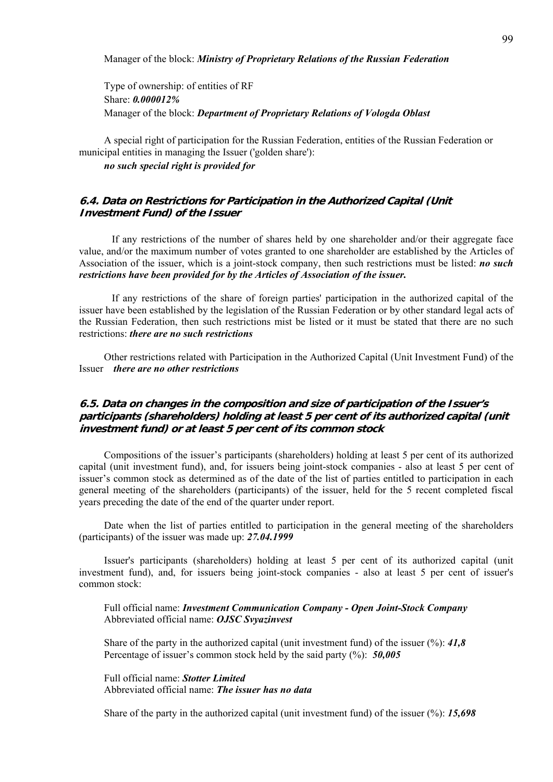Manager of the block: *Ministry of Proprietary Relations of the Russian Federation*

Type of ownership: of entities of RF Share: *0.000012%* Manager of the block: *Department of Proprietary Relations of Vologda Oblast*

A special right of participation for the Russian Federation, entities of the Russian Federation or municipal entities in managing the Issuer ('golden share'):

*no such special right is provided for*

## **6.4. Data on Restrictions for Participation in the Authorized Capital (Unit Investment Fund) of the Issuer**

If any restrictions of the number of shares held by one shareholder and/or their aggregate face value, and/or the maximum number of votes granted to one shareholder are established by the Articles of Association of the issuer, which is a joint-stock company, then such restrictions must be listed: *no such restrictions have been provided for by the Articles of Association of the issuer.* 

 If any restrictions of the share of foreign parties' participation in the authorized capital of the issuer have been established by the legislation of the Russian Federation or by other standard legal acts of the Russian Federation, then such restrictions mist be listed or it must be stated that there are no such restrictions: *there are no such restrictions*

Other restrictions related with Participation in the Authorized Capital (Unit Investment Fund) of the Issuer *there are no other restrictions*

# **6.5. Data on changes in the composition and size of participation of the Issuer's participants (shareholders) holding at least 5 per cent of its authorized capital (unit investment fund) or at least 5 per cent of its common stock**

Compositions of the issuer's participants (shareholders) holding at least 5 per cent of its authorized capital (unit investment fund), and, for issuers being joint-stock companies - also at least 5 per cent of issuer's common stock as determined as of the date of the list of parties entitled to participation in each general meeting of the shareholders (participants) of the issuer, held for the 5 recent completed fiscal years preceding the date of the end of the quarter under report.

Date when the list of parties entitled to participation in the general meeting of the shareholders (participants) of the issuer was made up: *27.04.1999*

Issuer's participants (shareholders) holding at least 5 per cent of its authorized capital (unit investment fund), and, for issuers being joint-stock companies - also at least 5 per cent of issuer's common stock:

Full official name: *Investment Communication Company - Open Joint-Stock Company* Abbreviated official name: *OJSC Svyazinvest*

Share of the party in the authorized capital (unit investment fund) of the issuer (%): *41,8* Percentage of issuer's common stock held by the said party (%): *50,005*

Full official name: *Stotter Limited* Abbreviated official name: *The issuer has no data*

Share of the party in the authorized capital (unit investment fund) of the issuer (%): *15,698*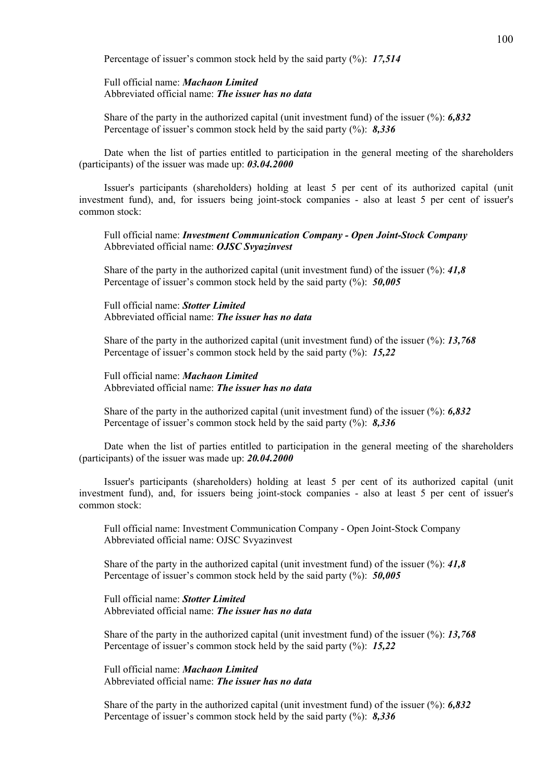Percentage of issuer's common stock held by the said party (%): *17,514*

#### Full official name: *Machaon Limited* Abbreviated official name: *The issuer has no data*

Share of the party in the authorized capital (unit investment fund) of the issuer (%): *6,832* Percentage of issuer's common stock held by the said party (%): *8,336*

Date when the list of parties entitled to participation in the general meeting of the shareholders (participants) of the issuer was made up: *03.04.2000*

Issuer's participants (shareholders) holding at least 5 per cent of its authorized capital (unit investment fund), and, for issuers being joint-stock companies - also at least 5 per cent of issuer's common stock:

Full official name: *Investment Communication Company - Open Joint-Stock Company* Abbreviated official name: *OJSC Svyazinvest*

Share of the party in the authorized capital (unit investment fund) of the issuer (%): *41,8* Percentage of issuer's common stock held by the said party (%): *50,005*

Full official name: *Stotter Limited* Abbreviated official name: *The issuer has no data*

Share of the party in the authorized capital (unit investment fund) of the issuer (%): *13,768* Percentage of issuer's common stock held by the said party (%): *15,22*

Full official name: *Machaon Limited* Abbreviated official name: *The issuer has no data*

Share of the party in the authorized capital (unit investment fund) of the issuer (%): *6,832* Percentage of issuer's common stock held by the said party (%): *8,336*

Date when the list of parties entitled to participation in the general meeting of the shareholders (participants) of the issuer was made up: *20.04.2000*

Issuer's participants (shareholders) holding at least 5 per cent of its authorized capital (unit investment fund), and, for issuers being joint-stock companies - also at least 5 per cent of issuer's common stock:

Full official name: Investment Communication Company - Open Joint-Stock Company Abbreviated official name: OJSC Svyazinvest

Share of the party in the authorized capital (unit investment fund) of the issuer (%): *41,8* Percentage of issuer's common stock held by the said party (%): *50,005*

Full official name: *Stotter Limited* Abbreviated official name: *The issuer has no data*

Share of the party in the authorized capital (unit investment fund) of the issuer (%): *13,768* Percentage of issuer's common stock held by the said party (%): *15,22*

Full official name: *Machaon Limited* Abbreviated official name: *The issuer has no data*

Share of the party in the authorized capital (unit investment fund) of the issuer (%): *6,832* Percentage of issuer's common stock held by the said party (%): *8,336*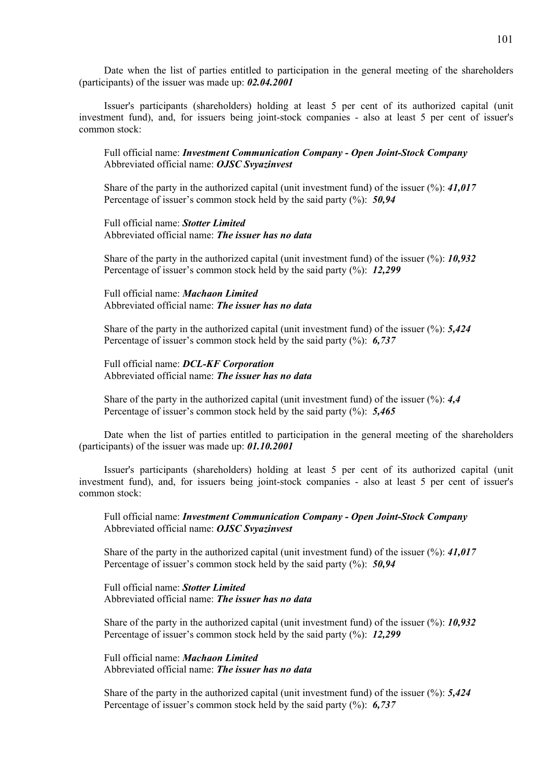Date when the list of parties entitled to participation in the general meeting of the shareholders (participants) of the issuer was made up: *02.04.2001*

Issuer's participants (shareholders) holding at least 5 per cent of its authorized capital (unit investment fund), and, for issuers being joint-stock companies - also at least 5 per cent of issuer's common stock:

Full official name: *Investment Communication Company - Open Joint-Stock Company* Abbreviated official name: *OJSC Svyazinvest*

Share of the party in the authorized capital (unit investment fund) of the issuer (%): *41,017* Percentage of issuer's common stock held by the said party (%): *50,94*

Full official name: *Stotter Limited* Abbreviated official name: *The issuer has no data*

Share of the party in the authorized capital (unit investment fund) of the issuer (%): *10,932* Percentage of issuer's common stock held by the said party (%): *12,299*

Full official name: *Machaon Limited* Abbreviated official name: *The issuer has no data*

Share of the party in the authorized capital (unit investment fund) of the issuer (%): *5,424* Percentage of issuer's common stock held by the said party (%): *6,737*

Full official name: *DCL-KF Corporation* Abbreviated official name: *The issuer has no data*

Share of the party in the authorized capital (unit investment fund) of the issuer (%): *4,4* Percentage of issuer's common stock held by the said party (%): *5,465*

Date when the list of parties entitled to participation in the general meeting of the shareholders (participants) of the issuer was made up: *01.10.2001*

Issuer's participants (shareholders) holding at least 5 per cent of its authorized capital (unit investment fund), and, for issuers being joint-stock companies - also at least 5 per cent of issuer's common stock:

Full official name: *Investment Communication Company - Open Joint-Stock Company* Abbreviated official name: *OJSC Svyazinvest*

Share of the party in the authorized capital (unit investment fund) of the issuer (%): *41,017* Percentage of issuer's common stock held by the said party (%): *50,94*

Full official name: *Stotter Limited* Abbreviated official name: *The issuer has no data*

Share of the party in the authorized capital (unit investment fund) of the issuer (%): *10,932* Percentage of issuer's common stock held by the said party (%): *12,299*

Full official name: *Machaon Limited* Abbreviated official name: *The issuer has no data*

Share of the party in the authorized capital (unit investment fund) of the issuer (%): *5,424* Percentage of issuer's common stock held by the said party (%): *6,737*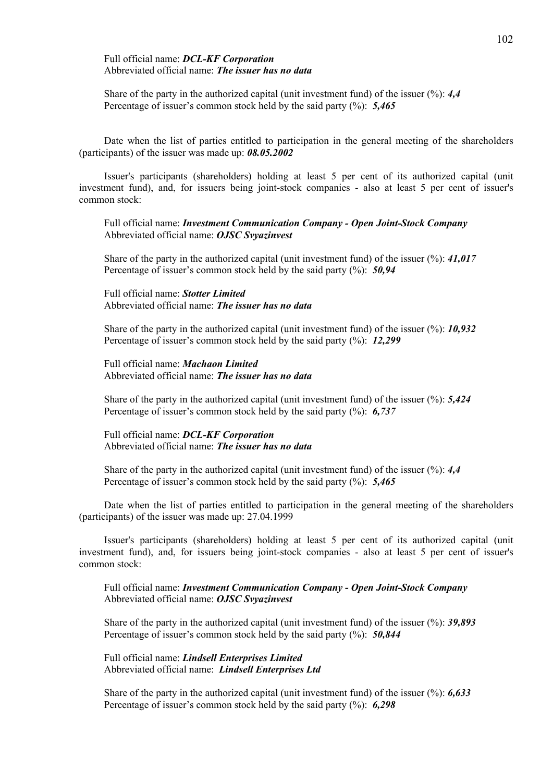#### Full official name: *DCL-KF Corporation* Abbreviated official name: *The issuer has no data*

Share of the party in the authorized capital (unit investment fund) of the issuer (%): *4,4* Percentage of issuer's common stock held by the said party (%): *5,465*

Date when the list of parties entitled to participation in the general meeting of the shareholders (participants) of the issuer was made up: *08.05.2002*

Issuer's participants (shareholders) holding at least 5 per cent of its authorized capital (unit investment fund), and, for issuers being joint-stock companies - also at least 5 per cent of issuer's common stock:

Full official name: *Investment Communication Company - Open Joint-Stock Company* Abbreviated official name: *OJSC Svyazinvest*

Share of the party in the authorized capital (unit investment fund) of the issuer (%): *41,017* Percentage of issuer's common stock held by the said party (%): *50,94*

Full official name: *Stotter Limited* Abbreviated official name: *The issuer has no data*

Share of the party in the authorized capital (unit investment fund) of the issuer (%): *10,932* Percentage of issuer's common stock held by the said party (%): *12,299*

Full official name: *Machaon Limited* Abbreviated official name: *The issuer has no data*

Share of the party in the authorized capital (unit investment fund) of the issuer (%): *5,424* Percentage of issuer's common stock held by the said party (%): *6,737*

Full official name: *DCL-KF Corporation* Abbreviated official name: *The issuer has no data*

Share of the party in the authorized capital (unit investment fund) of the issuer (%): *4,4* Percentage of issuer's common stock held by the said party (%): *5,465*

Date when the list of parties entitled to participation in the general meeting of the shareholders (participants) of the issuer was made up: 27.04.1999

Issuer's participants (shareholders) holding at least 5 per cent of its authorized capital (unit investment fund), and, for issuers being joint-stock companies - also at least 5 per cent of issuer's common stock:

Full official name: *Investment Communication Company - Open Joint-Stock Company* Abbreviated official name: *OJSC Svyazinvest*

Share of the party in the authorized capital (unit investment fund) of the issuer (%): *39,893* Percentage of issuer's common stock held by the said party (%): *50,844*

Full official name: *Lindsell Enterprises Limited* Abbreviated official name: *Lindsell Enterprises Ltd*

Share of the party in the authorized capital (unit investment fund) of the issuer (%): *6,633* Percentage of issuer's common stock held by the said party (%): *6,298*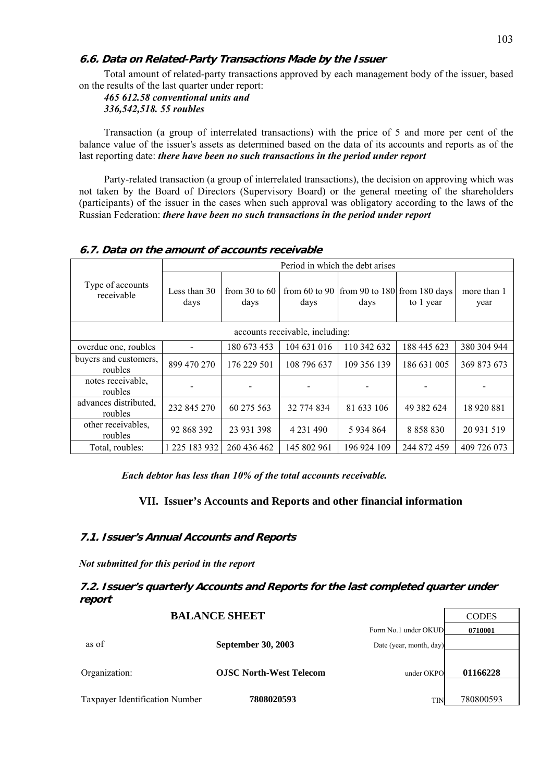# **6.6. Data on Related-Party Transactions Made by the Issuer**

Total amount of related-party transactions approved by each management body of the issuer, based on the results of the last quarter under report:

*465 612.58 conventional units and 336,542,518. 55 roubles* 

Transaction (a group of interrelated transactions) with the price of 5 and more per cent of the balance value of the issuer's assets as determined based on the data of its accounts and reports as of the last reporting date: *there have been no such transactions in the period under report*

Party-related transaction (a group of interrelated transactions), the decision on approving which was not taken by the Board of Directors (Supervisory Board) or the general meeting of the shareholders (participants) of the issuer in the cases when such approval was obligatory according to the laws of the Russian Federation: *there have been no such transactions in the period under report*

|                                  | Period in which the debt arises |                         |               |             |                                                             |                     |  |
|----------------------------------|---------------------------------|-------------------------|---------------|-------------|-------------------------------------------------------------|---------------------|--|
| Type of accounts<br>receivable   | Less than 30<br>days            | from 30 to $60$<br>days | days          | days        | from 60 to 90   from 90 to 180   from 180 days<br>to 1 year | more than 1<br>year |  |
| accounts receivable, including:  |                                 |                         |               |             |                                                             |                     |  |
| overdue one, roubles             |                                 | 180 673 453             | 104 631 016   | 110 342 632 | 188 445 623                                                 | 380 304 944         |  |
| buyers and customers,<br>roubles | 899 470 270                     | 176 229 501             | 108 796 637   | 109 356 139 | 186 631 005                                                 | 369 873 673         |  |
| notes receivable,<br>roubles     | $\overline{\phantom{0}}$        |                         |               |             |                                                             |                     |  |
| advances distributed,<br>roubles | 232 845 270                     | 60 275 563              | 32 774 834    | 81 633 106  | 49 382 624                                                  | 18 920 881          |  |
| other receivables.<br>roubles    | 92 868 392                      | 23 931 398              | 4 2 3 1 4 9 0 | 5 9 34 8 64 | 8 8 5 8 8 3 0                                               | 20 931 519          |  |
| Total, roubles:                  | 1 225 183 932                   | 260 436 462             | 145 802 961   | 196 924 109 | 244 872 459                                                 | 409 726 073         |  |

#### **6.7. Data on the amount of accounts receivable**

*Each debtor has less than 10% of the total accounts receivable.* 

## **VII. Issuer's Accounts and Reports and other financial information**

### **7.1. Issuer's Annual Accounts and Reports**

*Not submitted for this period in the report* 

# **7.2. Issuer's quarterly Accounts and Reports for the last completed quarter under report**

|                                |                                |                         | <u>CODD</u> |
|--------------------------------|--------------------------------|-------------------------|-------------|
|                                |                                | Form No.1 under OKUD    | 0710001     |
| as of                          | <b>September 30, 2003</b>      | Date (year, month, day) |             |
|                                |                                |                         |             |
| Organization:                  | <b>OJSC North-West Telecom</b> | under OKPO              | 01166228    |
|                                |                                |                         |             |
| Taxpayer Identification Number | 7808020593                     | <b>TIN</b>              | 780800593   |

**BALANCE SHEET** CODES

⅂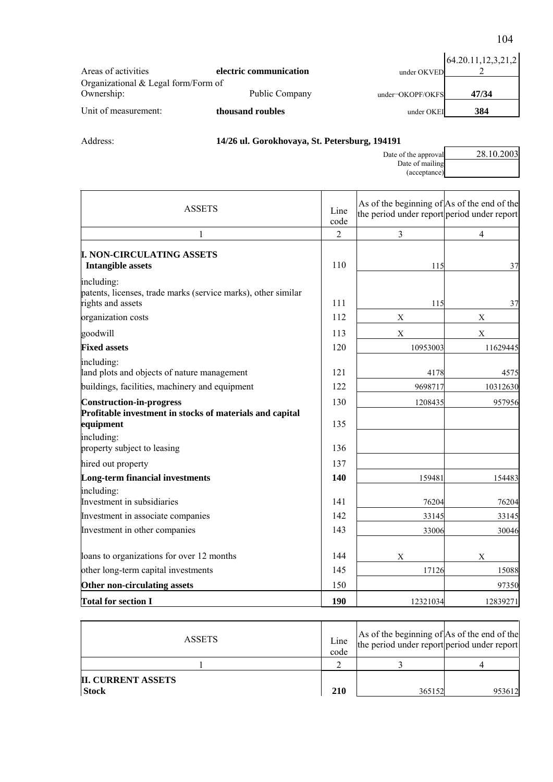|                                     |                        |                    | 64.20.11,12,3,21,2 |
|-------------------------------------|------------------------|--------------------|--------------------|
| Areas of activities                 | electric communication | under OKVED        |                    |
| Organizational & Legal form/Form of |                        |                    |                    |
| Ownership:                          | Public Company         | $under-OKOPF/OKFS$ | 47/34              |
| Unit of measurement:                | thousand roubles       | under OKEI         | 384                |

# Address: **14/26 ul. Gorokhovaya, St. Petersburg, 194191**

| 28.10.2003<br>Date of the approval |  |
|------------------------------------|--|
| Date of mailing                    |  |
| (acceptance)                       |  |

| <b>ASSETS</b>                                                                                            | Line<br>code   | As of the beginning of As of the end of the<br>the period under report period under report |                |
|----------------------------------------------------------------------------------------------------------|----------------|--------------------------------------------------------------------------------------------|----------------|
| 1                                                                                                        | $\overline{2}$ | 3                                                                                          | $\overline{4}$ |
| <b>I. NON-CIRCULATING ASSETS</b><br><b>Intangible assets</b>                                             | 110            | 115                                                                                        | 37             |
| including:<br>patents, licenses, trade marks (service marks), other similar<br>rights and assets         | 111            | 115                                                                                        | 37             |
| organization costs                                                                                       | 112            | X                                                                                          | X              |
| goodwill                                                                                                 | 113            | X                                                                                          | X              |
| <b>Fixed assets</b>                                                                                      | 120            | 10953003                                                                                   | 11629445       |
| including:<br>land plots and objects of nature management                                                | 121            | 4178                                                                                       | 4575           |
| buildings, facilities, machinery and equipment                                                           | 122            | 9698717                                                                                    | 10312630       |
| <b>Construction-in-progress</b><br>Profitable investment in stocks of materials and capital<br>equipment | 130<br>135     | 1208435                                                                                    | 957956         |
| including:<br>property subject to leasing                                                                | 136            |                                                                                            |                |
| hired out property                                                                                       | 137            |                                                                                            |                |
| Long-term financial investments                                                                          | 140            | 159481                                                                                     | 154483         |
| including:<br>Investment in subsidiaries                                                                 | 141<br>142     | 76204                                                                                      | 76204          |
| Investment in associate companies                                                                        | 143            | 33145                                                                                      | 33145          |
| Investment in other companies                                                                            |                | 33006                                                                                      | 30046          |
| loans to organizations for over 12 months                                                                | 144            | X                                                                                          | X              |
| other long-term capital investments                                                                      | 145            | 17126                                                                                      | 15088          |
| Other non-circulating assets                                                                             | 150            |                                                                                            | 97350          |
| <b>Total for section I</b>                                                                               | 190            | 12321034                                                                                   | 12839271       |

| <b>ASSETS</b>                             | Line<br>code | As of the beginning of As of the end of the<br>the period under report period under report |        |
|-------------------------------------------|--------------|--------------------------------------------------------------------------------------------|--------|
|                                           |              |                                                                                            |        |
| <b>II. CURRENT ASSETS</b><br><b>Stock</b> | 210          | 365152                                                                                     | 953612 |

104

ŕ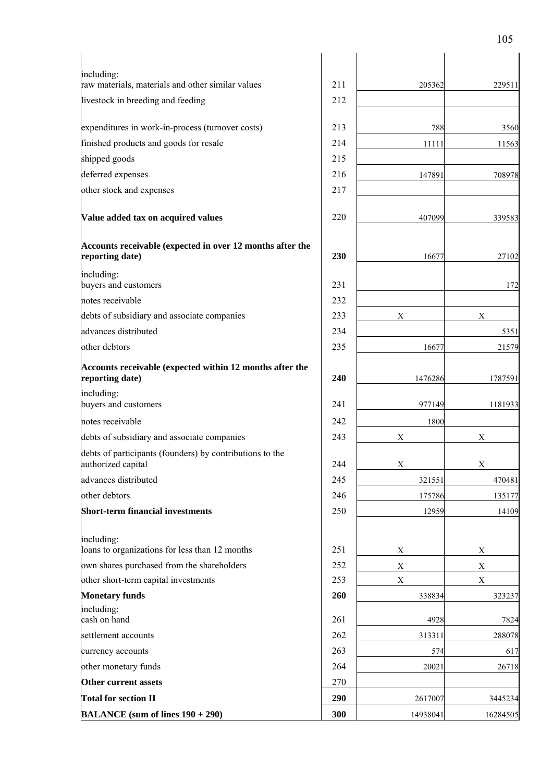| including:<br>raw materials, materials and other similar values                | 211 |             |             |
|--------------------------------------------------------------------------------|-----|-------------|-------------|
|                                                                                |     | 205362      | 229511      |
| livestock in breeding and feeding                                              | 212 |             |             |
| expenditures in work-in-process (turnover costs)                               | 213 | 788         | 3560        |
| finished products and goods for resale                                         | 214 | 11111       | 11563       |
| shipped goods                                                                  | 215 |             |             |
| deferred expenses                                                              | 216 | 147891      | 708978      |
| other stock and expenses                                                       | 217 |             |             |
| Value added tax on acquired values                                             | 220 | 407099      | 339583      |
| Accounts receivable (expected in over 12 months after the<br>reporting date)   | 230 | 16677       | 27102       |
| including:<br>buyers and customers                                             | 231 |             | 172         |
| notes receivable                                                               | 232 |             |             |
| debts of subsidiary and associate companies                                    | 233 | X           | X           |
| advances distributed                                                           | 234 |             | 5351        |
| other debtors                                                                  | 235 | 16677       | 21579       |
| Accounts receivable (expected within 12 months after the<br>reporting date)    | 240 | 1476286     | 1787591     |
| including:<br>buyers and customers                                             | 241 | 977149      | 1181933     |
| notes receivable                                                               | 242 | 1800        |             |
| debts of subsidiary and associate companies                                    | 243 | X           | X           |
| debts of participants (founders) by contributions to the<br>authorized capital | 244 | X           | X.          |
| advances distributed                                                           | 245 | 321551      | 470481      |
| other debtors                                                                  | 246 | 175786      | 135177      |
| <b>Short-term financial investments</b>                                        | 250 | 12959       | 14109       |
| including:<br>loans to organizations for less than 12 months                   | 251 | X           | $\mathbf X$ |
| own shares purchased from the shareholders                                     | 252 | $\mathbf X$ | $\mathbf X$ |
| other short-term capital investments                                           | 253 | $\mathbf X$ | $\mathbf X$ |
| <b>Monetary funds</b>                                                          | 260 | 338834      | 323237      |
| including:<br>cash on hand                                                     | 261 | 4928        | 7824        |
| settlement accounts                                                            | 262 | 313311      | 288078      |
| currency accounts                                                              | 263 | 574         | 617         |
| other monetary funds                                                           | 264 | 20021       | 26718       |
| Other current assets                                                           | 270 |             |             |
| <b>Total for section II</b>                                                    | 290 | 2617007     | 3445234     |
| <b>BALANCE</b> (sum of lines $190 + 290$ )                                     | 300 | 14938041    | 16284505    |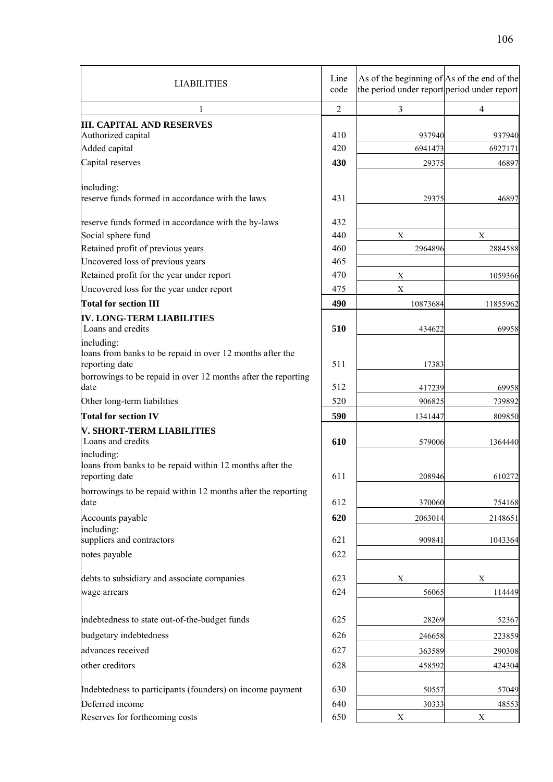| <b>LIABILITIES</b>                                                                          | Line<br>code      | As of the beginning of $\vert$ As of the end of the<br>the period under report period under report |                            |
|---------------------------------------------------------------------------------------------|-------------------|----------------------------------------------------------------------------------------------------|----------------------------|
| 1                                                                                           | $\overline{2}$    | 3                                                                                                  | 4                          |
| <b>III. CAPITAL AND RESERVES</b><br>Authorized capital<br>Added capital<br>Capital reserves | 410<br>420<br>430 | 937940<br>6941473<br>29375                                                                         | 937940<br>6927171<br>46897 |
| including:<br>reserve funds formed in accordance with the laws                              | 431               | 29375                                                                                              | 46897                      |
| reserve funds formed in accordance with the by-laws                                         | 432               |                                                                                                    |                            |
| Social sphere fund                                                                          | 440               | $\mathbf X$                                                                                        | $\mathbf X$                |
| Retained profit of previous years<br>Uncovered loss of previous years                       | 460<br>465        | 2964896                                                                                            | 2884588                    |
| Retained profit for the year under report                                                   | 470               | $\mathbf X$                                                                                        | 1059366                    |
| Uncovered loss for the year under report                                                    | 475               | X                                                                                                  |                            |
| <b>Total for section III</b>                                                                | 490               | 10873684                                                                                           | 11855962                   |
| IV. LONG-TERM LIABILITIES<br>Loans and credits                                              | 510               | 434622                                                                                             | 69958                      |
| including:<br>loans from banks to be repaid in over 12 months after the<br>reporting date   | 511               | 17383                                                                                              |                            |
| borrowings to be repaid in over 12 months after the reporting<br>date                       | 512               | 417239                                                                                             | 69958                      |
| Other long-term liabilities                                                                 | 520               | 906825                                                                                             | 739892                     |
| <b>Total for section IV</b>                                                                 | 590               | 1341447                                                                                            | 809850                     |
| V. SHORT-TERM LIABILITIES<br>Loans and credits                                              | 610               | 579006                                                                                             | 1364440                    |
| including:<br>loans from banks to be repaid within 12 months after the<br>reporting date    | 611               | 208946                                                                                             | 610272                     |
| borrowings to be repaid within 12 months after the reporting<br>date                        | 612               | 370060                                                                                             | 754168                     |
| Accounts payable                                                                            | 620               | 2063014                                                                                            | 2148651                    |
| including:<br>suppliers and contractors                                                     | 621               | 909841                                                                                             | 1043364                    |
| notes payable                                                                               | 622               |                                                                                                    |                            |
| debts to subsidiary and associate companies                                                 | 623               | $\mathbf X$                                                                                        | $\mathbf X$                |
| wage arrears                                                                                | 624               | 56065                                                                                              | 114449                     |
| indebtedness to state out-of-the-budget funds                                               | 625               | 28269                                                                                              | 52367                      |
| budgetary indebtedness                                                                      | 626               | 246658                                                                                             | 223859                     |
| advances received                                                                           | 627               | 363589                                                                                             | 290308                     |
| other creditors                                                                             | 628               | 458592                                                                                             | 424304                     |
| Indebtedness to participants (founders) on income payment                                   | 630               | 50557                                                                                              | 57049                      |
| Deferred income                                                                             | 640               | 30333                                                                                              | 48553                      |
| Reserves for forthcoming costs                                                              | 650               | $\mathbf X$                                                                                        | $\mathbf X$                |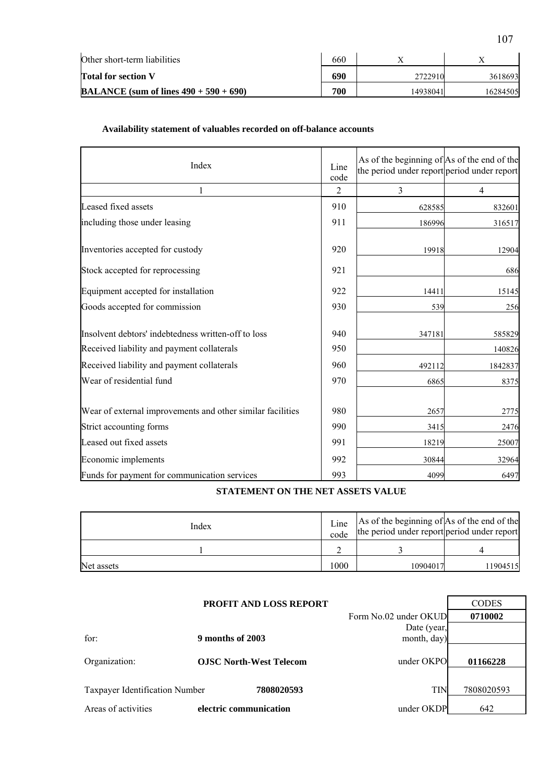| Other short-term liabilities                     |     |          |          |
|--------------------------------------------------|-----|----------|----------|
| <b>Total for section V</b>                       | 690 | 2722910  | 3618693  |
| <b>BALANCE</b> (sum of lines $490 + 590 + 690$ ) | 700 | 14938041 | 16284505 |

# **Availability statement of valuables recorded on off-balance accounts**

| Index                                                      | Line<br>code   | As of the beginning of As of the end of the<br>the period under report period under report |                |
|------------------------------------------------------------|----------------|--------------------------------------------------------------------------------------------|----------------|
| 1                                                          | $\overline{2}$ | 3                                                                                          | $\overline{4}$ |
| Leased fixed assets                                        | 910            | 628585                                                                                     | 832601         |
| including those under leasing                              | 911            | 186996                                                                                     | 316517         |
| Inventories accepted for custody                           | 920            | 19918                                                                                      | 12904          |
| Stock accepted for reprocessing                            | 921            |                                                                                            | 686            |
| Equipment accepted for installation                        | 922            | 14411                                                                                      | 15145          |
| Goods accepted for commission                              | 930            | 539                                                                                        | 256            |
| Insolvent debtors' indebtedness written-off to loss        | 940            | 347181                                                                                     | 585829         |
| Received liability and payment collaterals                 | 950            |                                                                                            | 140826         |
| Received liability and payment collaterals                 | 960            | 492112                                                                                     | 1842837        |
| Wear of residential fund                                   | 970            | 6865                                                                                       | 8375           |
| Wear of external improvements and other similar facilities | 980            | 2657                                                                                       | 2775           |
| Strict accounting forms                                    | 990            | 3415                                                                                       | 2476           |
| Leased out fixed assets                                    | 991            | 18219                                                                                      | 25007          |
| Economic implements                                        | 992            | 30844                                                                                      | 32964          |
| Funds for payment for communication services               | 993            | 4099                                                                                       | 6497           |

# **STATEMENT ON THE NET ASSETS VALUE**

| Index      | Line<br>code | As of the beginning of As of the end of the<br>the period under report period under report |          |
|------------|--------------|--------------------------------------------------------------------------------------------|----------|
|            |              |                                                                                            |          |
| Net assets | 1000         | 10904017                                                                                   | 11904515 |

|                                | <b>PROFIT AND LOSS REPORT</b>  |                       | <b>CODES</b> |
|--------------------------------|--------------------------------|-----------------------|--------------|
|                                |                                | Form No.02 under OKUD | 0710002      |
|                                |                                | Date (year,           |              |
| for:                           | 9 months of 2003               | month, day)           |              |
| Organization:                  | <b>OJSC North-West Telecom</b> | under OKPO            | 01166228     |
|                                |                                |                       |              |
| Taxpayer Identification Number | 7808020593                     | <b>TIN</b>            | 7808020593   |
| Areas of activities            | electric communication         | under OKDP            | 642          |

107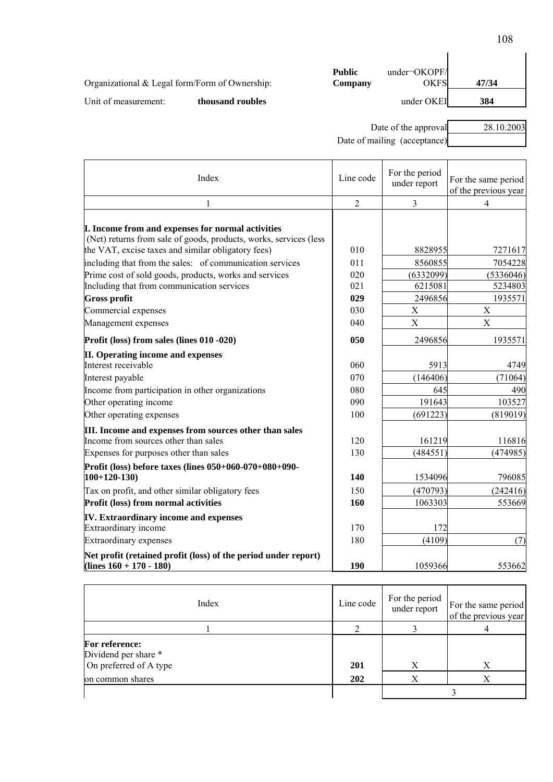| Organizational $&$ Legal form/Form of Ownership: |                  | <b>Public</b><br>Company | $under-OKOPF/$<br>OKFS | 47/34 |
|--------------------------------------------------|------------------|--------------------------|------------------------|-------|
| Unit of measurement:                             | thousand roubles |                          | under OKEI             | 384   |

Date of the approval 28.10.2003

Date of mailing (acceptance)

| Index                                                                                                                                                                                                                                    | Line code      | For the period<br>under report | For the same period<br>of the previous year |
|------------------------------------------------------------------------------------------------------------------------------------------------------------------------------------------------------------------------------------------|----------------|--------------------------------|---------------------------------------------|
| 1                                                                                                                                                                                                                                        | $\overline{2}$ | 3                              | 4                                           |
| I. Income from and expenses for normal activities<br>(Net) returns from sale of goods, products, works, services (less<br>the VAT, excise taxes and similar obligatory fees)<br>including that from the sales: of communication services | 010<br>011     | 8828955<br>8560855             | 7271617<br>7054228                          |
| Prime cost of sold goods, products, works and services                                                                                                                                                                                   | 020            | (6332099)                      | (5336046)                                   |
| Including that from communication services                                                                                                                                                                                               | 021            | 6215081                        | 5234803                                     |
| <b>Gross profit</b>                                                                                                                                                                                                                      | 029            | 2496856                        | 1935571                                     |
| Commercial expenses                                                                                                                                                                                                                      | 030            | X                              | X                                           |
| Management expenses                                                                                                                                                                                                                      | 040            | X                              | X                                           |
| Profit (loss) from sales (lines 010 -020)                                                                                                                                                                                                | 050            | 2496856                        | 1935571                                     |
| II. Operating income and expenses                                                                                                                                                                                                        |                |                                |                                             |
| Interest receivable                                                                                                                                                                                                                      | 060            | 5913                           | 4749                                        |
| Interest payable                                                                                                                                                                                                                         | 070            | (146406)                       | (71064)                                     |
| Income from participation in other organizations                                                                                                                                                                                         | 080            | 645                            | 490                                         |
| Other operating income                                                                                                                                                                                                                   | 090            | 191643                         | 103527                                      |
| Other operating expenses                                                                                                                                                                                                                 | 100            | (691223)                       | (819019)                                    |
| III. Income and expenses from sources other than sales<br>Income from sources other than sales<br>Expenses for purposes other than sales                                                                                                 | 120<br>130     | 161219<br>(484551)             | 116816<br>(474985)                          |
|                                                                                                                                                                                                                                          |                |                                |                                             |
| Profit (loss) before taxes (lines 050+060-070+080+090-<br>$100+120-130$                                                                                                                                                                  | 140            | 1534096                        | 796085                                      |
| Tax on profit, and other similar obligatory fees                                                                                                                                                                                         | 150            | (470793)                       | (242416)                                    |
| Profit (loss) from normal activities                                                                                                                                                                                                     | 160            | 1063303                        | 553669                                      |
| <b>IV.</b> Extraordinary income and expenses<br>Extraordinary income                                                                                                                                                                     | 170            | 172                            |                                             |
| <b>Extraordinary expenses</b>                                                                                                                                                                                                            | 180            | (4109)                         | (7)                                         |
| Net profit (retained profit (loss) of the period under report)<br>$(lines 160 + 170 - 180)$                                                                                                                                              | 190            | 1059366                        | 553662                                      |

| Index                                                            | Line code  | For the period<br>under report | For the same period<br>of the previous year |
|------------------------------------------------------------------|------------|--------------------------------|---------------------------------------------|
|                                                                  |            |                                |                                             |
| For reference:<br>Dividend per share *<br>On preferred of A type | <b>201</b> | Χ                              |                                             |
| on common shares                                                 | 202        | Х                              |                                             |
|                                                                  |            |                                |                                             |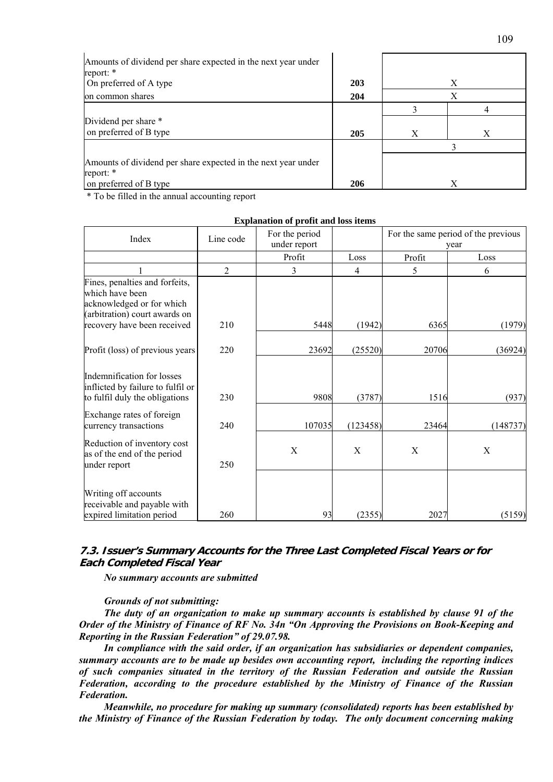| Amounts of dividend per share expected in the next year under<br>report: *<br>On preferred of A type | 203 |   | X |  |
|------------------------------------------------------------------------------------------------------|-----|---|---|--|
| on common shares                                                                                     | 204 | Х |   |  |
|                                                                                                      |     |   |   |  |
| Dividend per share *                                                                                 |     |   |   |  |
| on preferred of B type                                                                               | 205 | X | Χ |  |
|                                                                                                      |     |   |   |  |
| Amounts of dividend per share expected in the next year under<br>report: *                           |     |   |   |  |
| on preferred of B type                                                                               | 206 |   | X |  |

\* To be filled in the annual accounting report

|                                                                                                   |                | <b>Explaination of profit and loss retins</b> |                |        |                                             |
|---------------------------------------------------------------------------------------------------|----------------|-----------------------------------------------|----------------|--------|---------------------------------------------|
| Index                                                                                             | Line code      | For the period<br>under report                |                |        | For the same period of the previous<br>year |
|                                                                                                   |                | Profit                                        | Loss           | Profit | Loss                                        |
|                                                                                                   | $\overline{c}$ | 3                                             | $\overline{4}$ | 5      | 6                                           |
| Fines, penalties and forfeits,<br>which have been                                                 |                |                                               |                |        |                                             |
| acknowledged or for which                                                                         |                |                                               |                |        |                                             |
| (arbitration) court awards on<br>recovery have been received                                      | 210            | 5448                                          | (1942)         | 6365   | (1979)                                      |
| Profit (loss) of previous years                                                                   | 220            | 23692                                         | (25520)        | 20706  | (36924)                                     |
| Indemnification for losses<br>inflicted by failure to fulfil or<br>to fulfil duly the obligations | 230            | 9808                                          | (3787)         | 1516   | (937)                                       |
| Exchange rates of foreign<br>currency transactions                                                | 240            | 107035                                        | (123458)       | 23464  | (148737)                                    |
| Reduction of inventory cost<br>as of the end of the period<br>under report                        | 250            | X                                             | X              | X      | X                                           |
| Writing off accounts<br>receivable and payable with<br>expired limitation period                  | 260            | 93                                            | (2355)         | 2027   | (5159)                                      |

**Explanation of profit and loss items**

# **7.3. Issuer's Summary Accounts for the Three Last Completed Fiscal Years or for Each Completed Fiscal Year**

*No summary accounts are submitted* 

# *Grounds of not submitting:*

*The duty of an organization to make up summary accounts is established by clause 91 of the Order of the Ministry of Finance of RF No. 34n "On Approving the Provisions on Book-Keeping and Reporting in the Russian Federation" of 29.07.98.* 

*In compliance with the said order, if an organization has subsidiaries or dependent companies, summary accounts are to be made up besides own accounting report, including the reporting indices of such companies situated in the territory of the Russian Federation and outside the Russian Federation, according to the procedure established by the Ministry of Finance of the Russian Federation.* 

*Meanwhile, no procedure for making up summary (consolidated) reports has been established by the Ministry of Finance of the Russian Federation by today. The only document concerning making*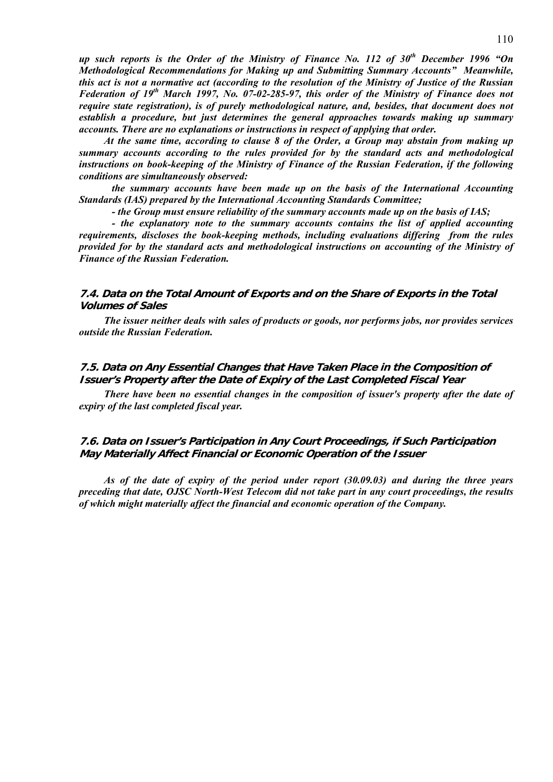*up such reports is the Order of the Ministry of Finance No. 112 of 30th December 1996 "On Methodological Recommendations for Making up and Submitting Summary Accounts" Meanwhile, this act is not a normative act (according to the resolution of the Ministry of Justice of the Russian Federation of 19th March 1997, No. 07-02-285-97, this order of the Ministry of Finance does not require state registration), is of purely methodological nature, and, besides, that document does not establish a procedure, but just determines the general approaches towards making up summary accounts. There are no explanations or instructions in respect of applying that order.*

*At the same time, according to clause 8 of the Order, a Group may abstain from making up summary accounts according to the rules provided for by the standard acts and methodological instructions on book-keeping of the Ministry of Finance of the Russian Federation, if the following conditions are simultaneously observed:* 

 *the summary accounts have been made up on the basis of the International Accounting Standards (IAS) prepared by the International Accounting Standards Committee;* 

 *- the Group must ensure reliability of the summary accounts made up on the basis of IAS;* 

 *- the explanatory note to the summary accounts contains the list of applied accounting requirements, discloses the book-keeping methods, including evaluations differing from the rules provided for by the standard acts and methodological instructions on accounting of the Ministry of Finance of the Russian Federation.* 

# **7.4. Data on the Total Amount of Exports and on the Share of Exports in the Total Volumes of Sales**

*The issuer neither deals with sales of products or goods, nor performs jobs, nor provides services outside the Russian Federation.* 

# **7.5. Data on Any Essential Changes that Have Taken Place in the Composition of Issuer's Property after the Date of Expiry of the Last Completed Fiscal Year**

*There have been no essential changes in the composition of issuer's property after the date of expiry of the last completed fiscal year.* 

# **7.6. Data on Issuer's Participation in Any Court Proceedings, if Such Participation May Materially Affect Financial or Economic Operation of the Issuer**

*As of the date of expiry of the period under report (30.09.03) and during the three years preceding that date, OJSC North-West Telecom did not take part in any court proceedings, the results of which might materially affect the financial and economic operation of the Company.*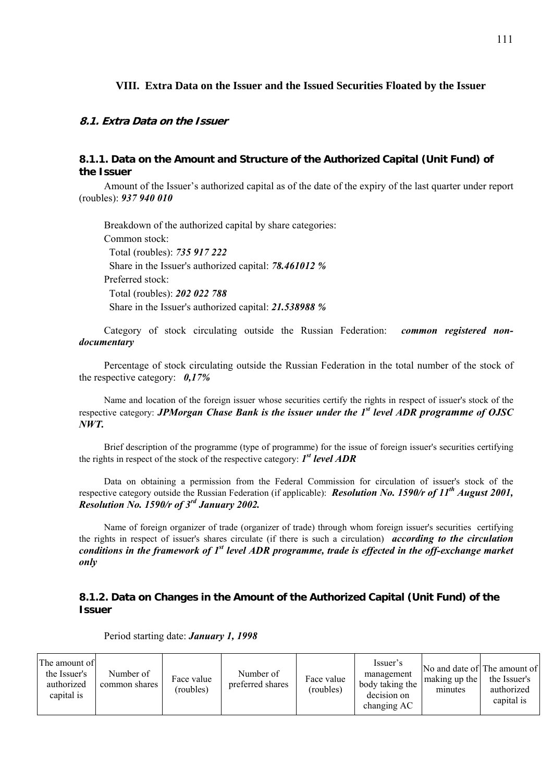# **VIII. Extra Data on the Issuer and the Issued Securities Floated by the Issuer**

# **8.1. Extra Data on the Issuer**

# **8.1.1. Data on the Amount and Structure of the Authorized Capital (Unit Fund) of the Issuer**

Amount of the Issuer's authorized capital as of the date of the expiry of the last quarter under report (roubles): *937 940 010*

Breakdown of the authorized capital by share categories: Common stock: Total (roubles): *735 917 222* Share in the Issuer's authorized capital: *78.461012 %* Preferred stock: Total (roubles): *202 022 788* Share in the Issuer's authorized capital: *21.538988 %*

Category of stock circulating outside the Russian Federation: *common registered nondocumentary*

Percentage of stock circulating outside the Russian Federation in the total number of the stock of the respective category: *0,17%*

Name and location of the foreign issuer whose securities certify the rights in respect of issuer's stock of the respective category: *JPMorgan Chase Bank is the issuer under the 1st level ADR programme of OJSC NWT.* 

Brief description of the programme (type of programme) for the issue of foreign issuer's securities certifying the rights in respect of the stock of the respective category: *1st level ADR*

Data on obtaining a permission from the Federal Commission for circulation of issuer's stock of the respective category outside the Russian Federation (if applicable): *Resolution No. 1590/r of 11th August 2001, Resolution No. 1590/r of 3rd January 2002.* 

Name of foreign organizer of trade (organizer of trade) through whom foreign issuer's securities certifying the rights in respect of issuer's shares circulate (if there is such a circulation) *according to the circulation conditions in the framework of 1st level ADR programme, trade is effected in the off-exchange market only* 

# **8.1.2. Data on Changes in the Amount of the Authorized Capital (Unit Fund) of the Issuer**

| The amount of<br>the Issuer's<br>authorized<br>capital is | Number of<br>common shares | Face value<br>(roubles) | Number of<br>preferred shares | Face value<br>(roubles) | Issuer's<br>management<br>body taking the<br>decision on<br>changing AC | making up the<br>minutes | No and date of The amount of<br>the Issuer's<br>authorized<br>capital is |
|-----------------------------------------------------------|----------------------------|-------------------------|-------------------------------|-------------------------|-------------------------------------------------------------------------|--------------------------|--------------------------------------------------------------------------|
|-----------------------------------------------------------|----------------------------|-------------------------|-------------------------------|-------------------------|-------------------------------------------------------------------------|--------------------------|--------------------------------------------------------------------------|

Period starting date: *January 1, 1998*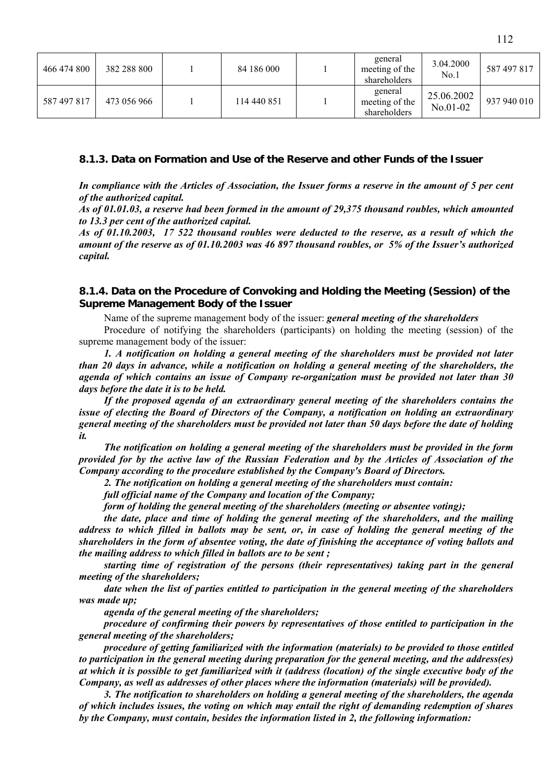| 466 474 800 | 382 288 800 | 84 186 000  | general<br>meeting of the<br>shareholders | 3.04.2000<br>No.1        | 587 497 817 |
|-------------|-------------|-------------|-------------------------------------------|--------------------------|-------------|
| 587 497 817 | 473 056 966 | 114 440 851 | general<br>meeting of the<br>shareholders | 25.06.2002<br>$No.01-02$ | 937 940 010 |

# **8.1.3. Data on Formation and Use of the Reserve and other Funds of the Issuer**

*In compliance with the Articles of Association, the Issuer forms a reserve in the amount of 5 per cent of the authorized capital.* 

*As of 01.01.03, a reserve had been formed in the amount of 29,375 thousand roubles, which amounted to 13.3 per cent of the authorized capital.* 

*As of 01.10.2003, 17 522 thousand roubles were deducted to the reserve, as a result of which the amount of the reserve as of 01.10.2003 was 46 897 thousand roubles, or 5% of the Issuer's authorized capital.* 

# **8.1.4. Data on the Procedure of Convoking and Holding the Meeting (Session) of the Supreme Management Body of the Issuer**

Name of the supreme management body of the issuer: *general meeting of the shareholders*

Procedure of notifying the shareholders (participants) on holding the meeting (session) of the supreme management body of the issuer:

*1. A notification on holding a general meeting of the shareholders must be provided not later than 20 days in advance, while a notification on holding a general meeting of the shareholders, the agenda of which contains an issue of Company re-organization must be provided not later than 30 days before the date it is to be held.* 

*If the proposed agenda of an extraordinary general meeting of the shareholders contains the issue of electing the Board of Directors of the Company, a notification on holding an extraordinary general meeting of the shareholders must be provided not later than 50 days before the date of holding it.* 

*The notification on holding a general meeting of the shareholders must be provided in the form provided for by the active law of the Russian Federation and by the Articles of Association of the Company according to the procedure established by the Company's Board of Directors.* 

*2. The notification on holding a general meeting of the shareholders must contain:* 

*full official name of the Company and location of the Company;* 

*form of holding the general meeting of the shareholders (meeting or absentee voting);* 

*the date, place and time of holding the general meeting of the shareholders, and the mailing address to which filled in ballots may be sent, or, in case of holding the general meeting of the shareholders in the form of absentee voting, the date of finishing the acceptance of voting ballots and the mailing address to which filled in ballots are to be sent ;* 

*starting time of registration of the persons (their representatives) taking part in the general meeting of the shareholders;* 

*date when the list of parties entitled to participation in the general meeting of the shareholders was made up;* 

*agenda of the general meeting of the shareholders;* 

*procedure of confirming their powers by representatives of those entitled to participation in the general meeting of the shareholders;* 

*procedure of getting familiarized with the information (materials) to be provided to those entitled to participation in the general meeting during preparation for the general meeting, and the address(es) at which it is possible to get familiarized with it (address (location) of the single executive body of the Company, as well as addresses of other places where the information (materials) will be provided).* 

*3. The notification to shareholders on holding a general meeting of the shareholders, the agenda of which includes issues, the voting on which may entail the right of demanding redemption of shares by the Company, must contain, besides the information listed in 2, the following information:*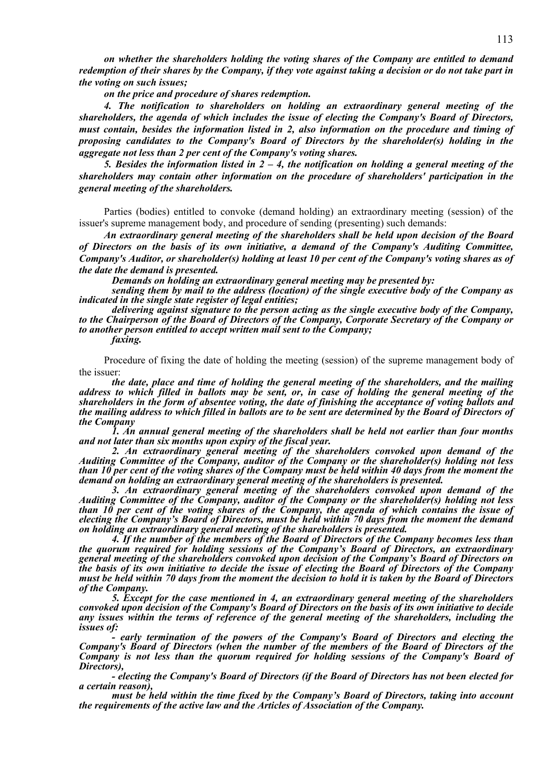*on whether the shareholders holding the voting shares of the Company are entitled to demand redemption of their shares by the Company, if they vote against taking a decision or do not take part in the voting on such issues;* 

*on the price and procedure of shares redemption.* 

*4. The notification to shareholders on holding an extraordinary general meeting of the shareholders, the agenda of which includes the issue of electing the Company's Board of Directors, must contain, besides the information listed in 2, also information on the procedure and timing of proposing candidates to the Company's Board of Directors by the shareholder(s) holding in the aggregate not less than 2 per cent of the Company's voting shares.* 

*5. Besides the information listed in 2 – 4, the notification on holding a general meeting of the shareholders may contain other information on the procedure of shareholders' participation in the general meeting of the shareholders.* 

Parties (bodies) entitled to convoke (demand holding) an extraordinary meeting (session) of the issuer's supreme management body, and procedure of sending (presenting) such demands:

*An extraordinary general meeting of the shareholders shall be held upon decision of the Board of Directors on the basis of its own initiative, a demand of the Company's Auditing Committee, Company's Auditor, or shareholder(s) holding at least 10 per cent of the Company's voting shares as of the date the demand is presented.* 

*Demands on holding an extraordinary general meeting may be presented by:* 

*sending them by mail to the address (location) of the single executive body of the Company as indicated in the single state register of legal entities;* 

*delivering against signature to the person acting as the single executive body of the Company, to the Chairperson of the Board of Directors of the Company, Corporate Secretary of the Company or to another person entitled to accept written mail sent to the Company;* 

*faxing.* 

Procedure of fixing the date of holding the meeting (session) of the supreme management body of the issuer:

*the date, place and time of holding the general meeting of the shareholders, and the mailing address to which filled in ballots may be sent, or, in case of holding the general meeting of the shareholders in the form of absentee voting, the date of finishing the acceptance of voting ballots and the mailing address to which filled in ballots are to be sent are determined by the Board of Directors of the Company* 

*1. An annual general meeting of the shareholders shall be held not earlier than four months and not later than six months upon expiry of the fiscal year.* 

*2. An extraordinary general meeting of the shareholders convoked upon demand of the Auditing Committee of the Company, auditor of the Company or the shareholder(s) holding not less than 10 per cent of the voting shares of the Company must be held within 40 days from the moment the demand on holding an extraordinary general meeting of the shareholders is presented.* 

*3. An extraordinary general meeting of the shareholders convoked upon demand of the Auditing Committee of the Company, auditor of the Company or the shareholder(s) holding not less than 10 per cent of the voting shares of the Company, the agenda of which contains the issue of electing the Company's Board of Directors, must be held within 70 days from the moment the demand on holding an extraordinary general meeting of the shareholders is presented.* 

*4. If the number of the members of the Board of Directors of the Company becomes less than the quorum required for holding sessions of the Company's Board of Directors, an extraordinary general meeting of the shareholders convoked upon decision of the Company's Board of Directors on the basis of its own initiative to decide the issue of electing the Board of Directors of the Company must be held within 70 days from the moment the decision to hold it is taken by the Board of Directors of the Company.* 

*5. Except for the case mentioned in 4, an extraordinary general meeting of the shareholders convoked upon decision of the Company's Board of Directors on the basis of its own initiative to decide any issues within the terms of reference of the general meeting of the shareholders, including the issues of:* 

*- early termination of the powers of the Company's Board of Directors and electing the Company's Board of Directors (when the number of the members of the Board of Directors of the Company is not less than the quorum required for holding sessions of the Company's Board of Directors),* 

*- electing the Company's Board of Directors (if the Board of Directors has not been elected for a certain reason),* 

*must be held within the time fixed by the Company's Board of Directors, taking into account the requirements of the active law and the Articles of Association of the Company.*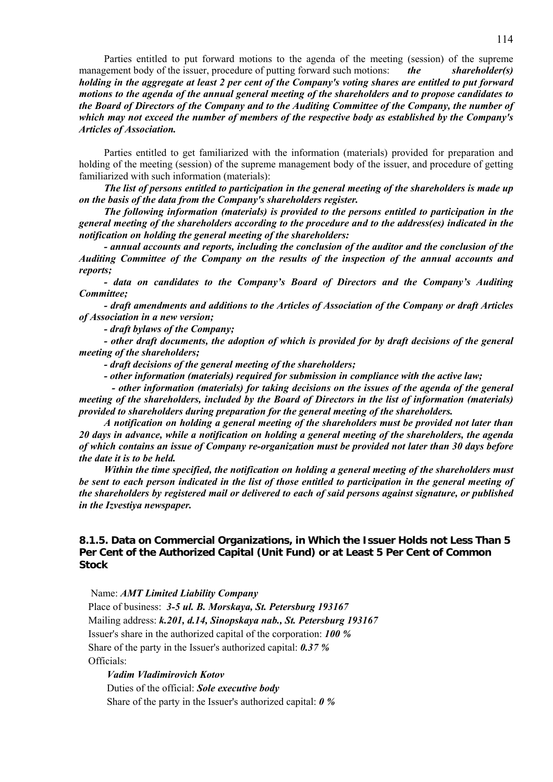Parties entitled to put forward motions to the agenda of the meeting (session) of the supreme management body of the issuer, procedure of putting forward such motions: *the shareholder(s) holding in the aggregate at least 2 per cent of the Company's voting shares are entitled to put forward motions to the agenda of the annual general meeting of the shareholders and to propose candidates to the Board of Directors of the Company and to the Auditing Committee of the Company, the number of which may not exceed the number of members of the respective body as established by the Company's Articles of Association.* 

Parties entitled to get familiarized with the information (materials) provided for preparation and holding of the meeting (session) of the supreme management body of the issuer, and procedure of getting familiarized with such information (materials):

*The list of persons entitled to participation in the general meeting of the shareholders is made up on the basis of the data from the Company's shareholders register.* 

*The following information (materials) is provided to the persons entitled to participation in the general meeting of the shareholders according to the procedure and to the address(es) indicated in the notification on holding the general meeting of the shareholders:* 

*- annual accounts and reports, including the conclusion of the auditor and the conclusion of the Auditing Committee of the Company on the results of the inspection of the annual accounts and reports;* 

*- data on candidates to the Company's Board of Directors and the Company's Auditing Committee;* 

*- draft amendments and additions to the Articles of Association of the Company or draft Articles of Association in a new version;* 

*- draft bylaws of the Company;* 

*- other draft documents, the adoption of which is provided for by draft decisions of the general meeting of the shareholders;* 

*- draft decisions of the general meeting of the shareholders;* 

*- other information (materials) required for submission in compliance with the active law;* 

 *- other information (materials) for taking decisions on the issues of the agenda of the general meeting of the shareholders, included by the Board of Directors in the list of information (materials) provided to shareholders during preparation for the general meeting of the shareholders.* 

*A notification on holding a general meeting of the shareholders must be provided not later than 20 days in advance, while a notification on holding a general meeting of the shareholders, the agenda of which contains an issue of Company re-organization must be provided not later than 30 days before the date it is to be held.* 

*Within the time specified, the notification on holding a general meeting of the shareholders must be sent to each person indicated in the list of those entitled to participation in the general meeting of the shareholders by registered mail or delivered to each of said persons against signature, or published in the Izvestiya newspaper.* 

# **8.1.5. Data on Commercial Organizations, in Which the Issuer Holds not Less Than 5 Per Cent of the Authorized Capital (Unit Fund) or at Least 5 Per Cent of Common Stock**

Name: *AMT Limited Liability Company*

Place of business: *3-5 ul. B. Morskaya, St. Petersburg 193167* Mailing address: *k.201, d.14, Sinopskaya nab., St. Petersburg 193167* Issuer's share in the authorized capital of the corporation: *100 %* Share of the party in the Issuer's authorized capital: *0.37 %* Officials:

*Vadim Vladimirovich Kotov*

Duties of the official: *Sole executive body*  Share of the party in the Issuer's authorized capital: *0 %*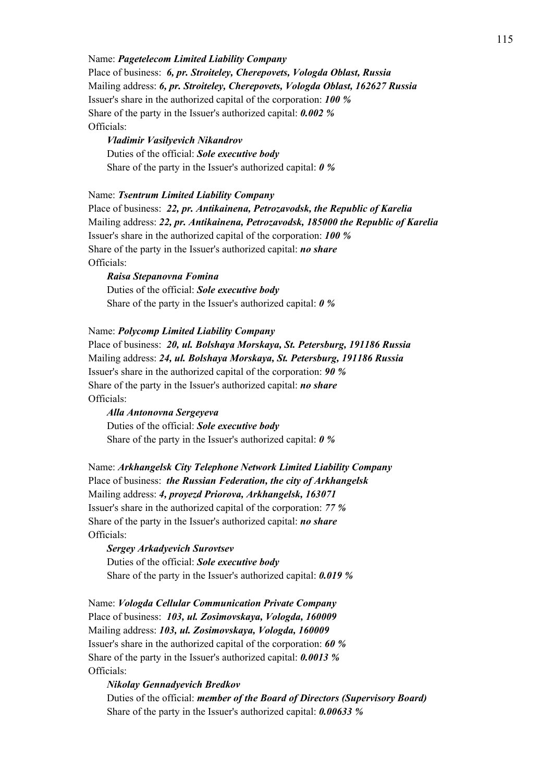Name: *Pagetelecom Limited Liability Company* Place of business: *6, pr. Stroiteley, Cherepovets, Vologda Oblast, Russia* Mailing address: *6, pr. Stroiteley, Cherepovets, Vologda Oblast, 162627 Russia* Issuer's share in the authorized capital of the corporation: *100 %* Share of the party in the Issuer's authorized capital: *0.002 %* Officials:

*Vladimir Vasilyevich Nikandrov* Duties of the official: *Sole executive body*  Share of the party in the Issuer's authorized capital: *0 %*

Name: *Tsentrum Limited Liability Company*

Place of business: *22, pr. Antikainena, Petrozavodsk, the Republic of Karelia* Mailing address: *22, pr. Antikainena, Petrozavodsk, 185000 the Republic of Karelia* Issuer's share in the authorized capital of the corporation: *100 %* Share of the party in the Issuer's authorized capital: *no share* Officials:

*Raisa Stepanovna Fomina* Duties of the official: *Sole executive body*  Share of the party in the Issuer's authorized capital: *0 %*

Name: *Polycomp Limited Liability Company*

Place of business: *20, ul. Bolshaya Morskaya, St. Petersburg, 191186 Russia* Mailing address: *24, ul. Bolshaya Morskaya, St. Petersburg, 191186 Russia* Issuer's share in the authorized capital of the corporation: *90 %* Share of the party in the Issuer's authorized capital: *no share* Officials:

*Alla Antonovna Sergeyeva* Duties of the official: *Sole executive body*  Share of the party in the Issuer's authorized capital: *0 %*

Name: *Arkhangelsk City Telephone Network Limited Liability Company* Place of business: *the Russian Federation, the city of Arkhangelsk* Mailing address: *4, proyezd Priorova, Arkhangelsk, 163071* Issuer's share in the authorized capital of the corporation: *77 %* Share of the party in the Issuer's authorized capital: *no share* Officials:

*Sergey Arkadyevich Surovtsev* Duties of the official: *Sole executive body*  Share of the party in the Issuer's authorized capital: *0.019 %*

Name: *Vologda Cellular Communication Private Company* Place of business: *103, ul. Zosimovskaya, Vologda, 160009* Mailing address: *103, ul. Zosimovskaya, Vologda, 160009* Issuer's share in the authorized capital of the corporation: *60 %* Share of the party in the Issuer's authorized capital: *0.0013 %* Officials:

#### *Nikolay Gennadyevich Bredkov*

Duties of the official: *member of the Board of Directors (Supervisory Board)* Share of the party in the Issuer's authorized capital: *0.00633 %*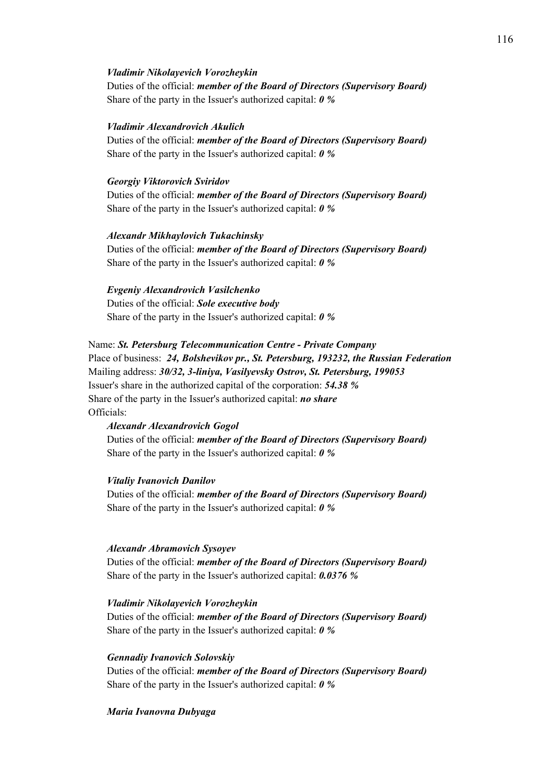## *Vladimir Nikolayevich Vorozheykin*

Duties of the official: *member of the Board of Directors (Supervisory Board)* Share of the party in the Issuer's authorized capital: *0 %*

## *Vladimir Alexandrovich Akulich*

Duties of the official: *member of the Board of Directors (Supervisory Board)* Share of the party in the Issuer's authorized capital: *0 %*

## *Georgiy Viktorovich Sviridov*

Duties of the official: *member of the Board of Directors (Supervisory Board)* Share of the party in the Issuer's authorized capital: *0 %*

# *Alexandr Mikhaylovich Tukachinsky*

Duties of the official: *member of the Board of Directors (Supervisory Board)* Share of the party in the Issuer's authorized capital: *0 %*

## *Evgeniy Alexandrovich Vasilchenko*

Duties of the official: *Sole executive body*  Share of the party in the Issuer's authorized capital: *0 %*

# Name: *St. Petersburg Telecommunication Centre - Private Company*

Place of business: *24, Bolshevikov pr., St. Petersburg, 193232, the Russian Federation* Mailing address: *30/32, 3-liniya, Vasilyevsky Ostrov, St. Petersburg, 199053* Issuer's share in the authorized capital of the corporation: *54.38 %* Share of the party in the Issuer's authorized capital: *no share* Officials:

## *Alexandr Alexandrovich Gogol*

Duties of the official: *member of the Board of Directors (Supervisory Board)* Share of the party in the Issuer's authorized capital: *0 %*

## *Vitaliy Ivanovich Danilov*

Duties of the official: *member of the Board of Directors (Supervisory Board)* Share of the party in the Issuer's authorized capital: *0 %*

## *Alexandr Abramovich Sysoyev*

Duties of the official: *member of the Board of Directors (Supervisory Board)* Share of the party in the Issuer's authorized capital: *0.0376 %*

# *Vladimir Nikolayevich Vorozheykin*

Duties of the official: *member of the Board of Directors (Supervisory Board)* Share of the party in the Issuer's authorized capital: *0 %*

## *Gennadiy Ivanovich Solovskiy*

Duties of the official: *member of the Board of Directors (Supervisory Board)* Share of the party in the Issuer's authorized capital: *0 %*

## *Maria Ivanovna Dubyaga*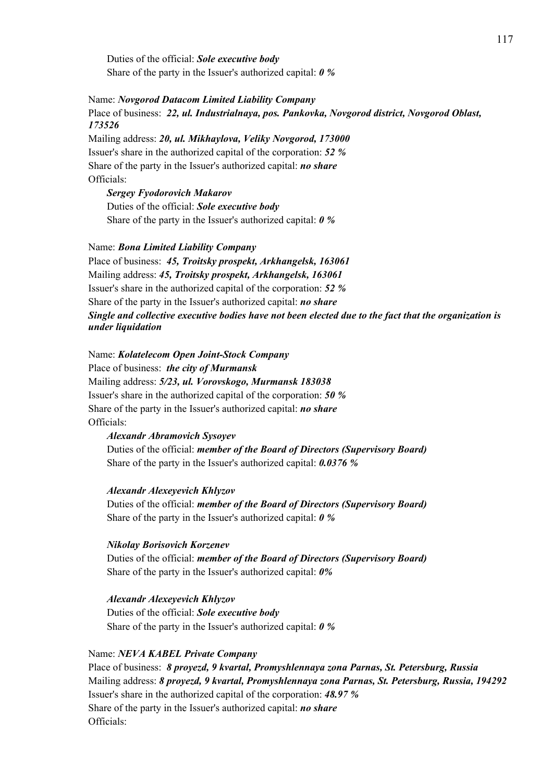Duties of the official: *Sole executive body*  Share of the party in the Issuer's authorized capital: *0 %*

Name: *Novgorod Datacom Limited Liability Company* Place of business: *22, ul. Industrialnaya, pos. Pankovka, Novgorod district, Novgorod Oblast, 173526*

Mailing address: *20, ul. Mikhaylova, Veliky Novgorod, 173000* Issuer's share in the authorized capital of the corporation: *52 %* Share of the party in the Issuer's authorized capital: *no share* Officials:

*Sergey Fyodorovich Makarov* Duties of the official: *Sole executive body*  Share of the party in the Issuer's authorized capital: *0 %*

Name: *Bona Limited Liability Company* Place of business: *45, Troitsky prospekt, Arkhangelsk, 163061* Mailing address: *45, Troitsky prospekt, Arkhangelsk, 163061* Issuer's share in the authorized capital of the corporation: *52 %* Share of the party in the Issuer's authorized capital: *no share Single and collective executive bodies have not been elected due to the fact that the organization is under liquidation* 

Name: *Kolatelecom Open Joint-Stock Company* Place of business: *the city of Murmansk* Mailing address: *5/23, ul. Vorovskogo, Murmansk 183038* Issuer's share in the authorized capital of the corporation: *50 %* Share of the party in the Issuer's authorized capital: *no share* Officials:

*Alexandr Abramovich Sysoyev* Duties of the official: *member of the Board of Directors (Supervisory Board)* Share of the party in the Issuer's authorized capital: *0.0376 %*

# *Alexandr Alexeyevich Khlyzov*

Duties of the official: *member of the Board of Directors (Supervisory Board)* Share of the party in the Issuer's authorized capital: *0 %*

## *Nikolay Borisovich Korzenev*

Duties of the official: *member of the Board of Directors (Supervisory Board)* Share of the party in the Issuer's authorized capital: *0%*

*Alexandr Alexeyevich Khlyzov* Duties of the official: *Sole executive body*  Share of the party in the Issuer's authorized capital: *0 %*

## Name: *NEVA KABEL Private Company*

Place of business: *8 proyezd, 9 kvartal, Promyshlennaya zona Parnas, St. Petersburg, Russia* Mailing address: *8 proyezd, 9 kvartal, Promyshlennaya zona Parnas, St. Petersburg, Russia, 194292* Issuer's share in the authorized capital of the corporation: *48.97 %* Share of the party in the Issuer's authorized capital: *no share* Officials: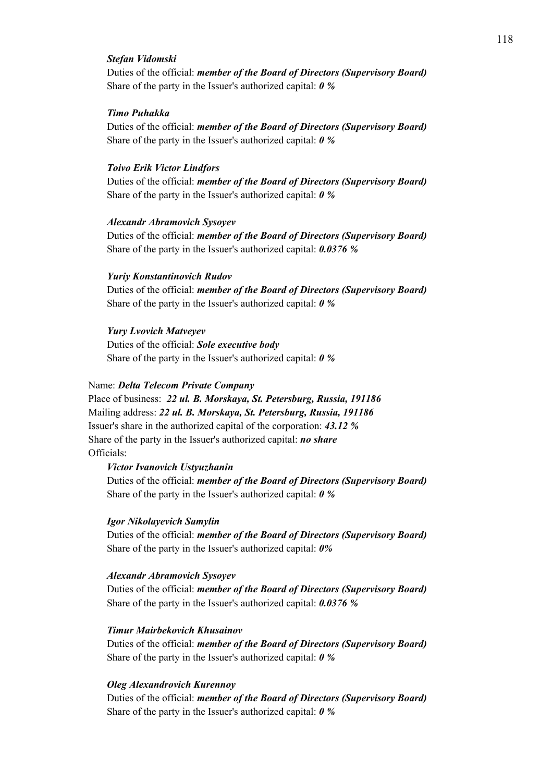## *Stefan Vidomski*

Duties of the official: *member of the Board of Directors (Supervisory Board)* Share of the party in the Issuer's authorized capital: *0 %*

## *Timo Puhakka*

Duties of the official: *member of the Board of Directors (Supervisory Board)* Share of the party in the Issuer's authorized capital: *0 %*

## *Toivo Erik Victor Lindfors*

Duties of the official: *member of the Board of Directors (Supervisory Board)* Share of the party in the Issuer's authorized capital: *0 %*

## *Alexandr Abramovich Sysoyev*

Duties of the official: *member of the Board of Directors (Supervisory Board)* Share of the party in the Issuer's authorized capital: *0.0376 %*

### *Yuriy Konstantinovich Rudov*

Duties of the official: *member of the Board of Directors (Supervisory Board)* Share of the party in the Issuer's authorized capital: *0 %*

## *Yury Lvovich Matveyev*

Duties of the official: *Sole executive body*  Share of the party in the Issuer's authorized capital: *0 %*

## Name: *Delta Telecom Private Company*

Place of business: *22 ul. B. Morskaya, St. Petersburg, Russia, 191186* Mailing address: *22 ul. B. Morskaya, St. Petersburg, Russia, 191186* Issuer's share in the authorized capital of the corporation: *43.12 %* Share of the party in the Issuer's authorized capital: *no share* Officials:

## *Victor Ivanovich Ustyuzhanin*

Duties of the official: *member of the Board of Directors (Supervisory Board)* Share of the party in the Issuer's authorized capital: *0 %*

## *Igor Nikolayevich Samylin*

Duties of the official: *member of the Board of Directors (Supervisory Board)* Share of the party in the Issuer's authorized capital: *0%*

#### *Alexandr Abramovich Sysoyev*

Duties of the official: *member of the Board of Directors (Supervisory Board)* Share of the party in the Issuer's authorized capital: *0.0376 %*

#### *Timur Mairbekovich Khusainov*

Duties of the official: *member of the Board of Directors (Supervisory Board)* Share of the party in the Issuer's authorized capital: *0 %*

## *Oleg Alexandrovich Kurennoy*

Duties of the official: *member of the Board of Directors (Supervisory Board)* Share of the party in the Issuer's authorized capital: *0 %*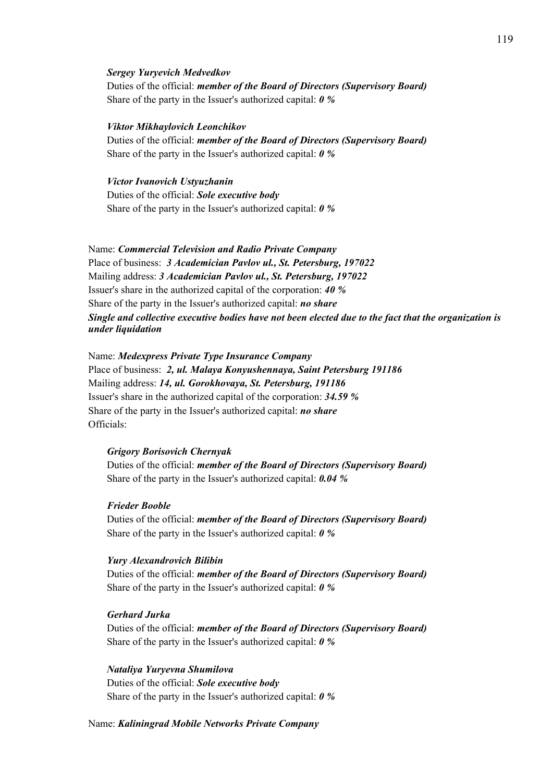#### *Sergey Yuryevich Medvedkov*

Duties of the official: *member of the Board of Directors (Supervisory Board)* Share of the party in the Issuer's authorized capital: *0 %*

## *Viktor Mikhaylovich Leonchikov*

Duties of the official: *member of the Board of Directors (Supervisory Board)* Share of the party in the Issuer's authorized capital: *0 %*

*Victor Ivanovich Ustyuzhanin* Duties of the official: *Sole executive body*  Share of the party in the Issuer's authorized capital: *0 %*

Name: *Commercial Television and Radio Private Company*  Place of business: *3 Academician Pavlov ul., St. Petersburg, 197022* Mailing address: *3 Academician Pavlov ul., St. Petersburg, 197022* Issuer's share in the authorized capital of the corporation: *40 %* Share of the party in the Issuer's authorized capital: *no share Single and collective executive bodies have not been elected due to the fact that the organization is under liquidation* 

Name: *Medexpress Private Type Insurance Company*  Place of business: *2, ul. Malaya Konyushennaya, Saint Petersburg 191186* Mailing address: *14, ul. Gorokhovaya, St. Petersburg, 191186* Issuer's share in the authorized capital of the corporation: *34.59 %* Share of the party in the Issuer's authorized capital: *no share* Officials:

#### *Grigory Borisovich Chernyak*

Duties of the official: *member of the Board of Directors (Supervisory Board)* Share of the party in the Issuer's authorized capital: *0.04 %*

## *Frieder Booble*

Duties of the official: *member of the Board of Directors (Supervisory Board)* Share of the party in the Issuer's authorized capital: *0 %*

### *Yury Alexandrovich Bilibin*

Duties of the official: *member of the Board of Directors (Supervisory Board)* Share of the party in the Issuer's authorized capital: *0 %*

# *Gerhard Jurka*

Duties of the official: *member of the Board of Directors (Supervisory Board)* Share of the party in the Issuer's authorized capital: *0 %*

## *Nataliya Yuryevna Shumilova*

Duties of the official: *Sole executive body*  Share of the party in the Issuer's authorized capital: *0 %*

#### Name: *Kaliningrad Mobile Networks Private Company*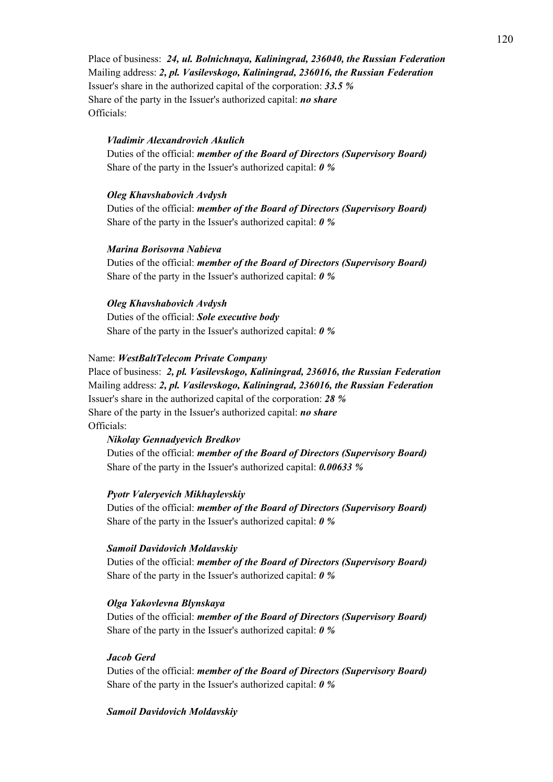Place of business: *24, ul. Bolnichnaya, Kaliningrad, 236040, the Russian Federation* Mailing address: *2, pl. Vasilevskogo, Kaliningrad, 236016, the Russian Federation* Issuer's share in the authorized capital of the corporation: *33.5 %* Share of the party in the Issuer's authorized capital: *no share* Officials:

## *Vladimir Alexandrovich Akulich*

Duties of the official: *member of the Board of Directors (Supervisory Board)* Share of the party in the Issuer's authorized capital: *0 %*

#### *Oleg Khavshabovich Avdysh*

Duties of the official: *member of the Board of Directors (Supervisory Board)* Share of the party in the Issuer's authorized capital: *0 %*

#### *Marina Borisovna Nabieva*

Duties of the official: *member of the Board of Directors (Supervisory Board)* Share of the party in the Issuer's authorized capital: *0 %*

## *Oleg Khavshabovich Avdysh*

Duties of the official: *Sole executive body*  Share of the party in the Issuer's authorized capital: *0 %*

#### Name: *WestBaltTelecom Private Company*

Place of business: *2, pl. Vasilevskogo, Kaliningrad, 236016, the Russian Federation* Mailing address: *2, pl. Vasilevskogo, Kaliningrad, 236016, the Russian Federation* Issuer's share in the authorized capital of the corporation: *28 %* Share of the party in the Issuer's authorized capital: *no share* Officials:

#### *Nikolay Gennadyevich Bredkov*

Duties of the official: *member of the Board of Directors (Supervisory Board)* Share of the party in the Issuer's authorized capital: *0.00633 %*

### *Pyotr Valeryevich Mikhaylevskiy*

Duties of the official: *member of the Board of Directors (Supervisory Board)* Share of the party in the Issuer's authorized capital: *0 %*

#### *Samoil Davidovich Moldavskiy*

Duties of the official: *member of the Board of Directors (Supervisory Board)* Share of the party in the Issuer's authorized capital: *0 %*

## *Olga Yakovlevna Blynskaya*

Duties of the official: *member of the Board of Directors (Supervisory Board)* Share of the party in the Issuer's authorized capital: *0 %*

## *Jacob Gerd*

Duties of the official: *member of the Board of Directors (Supervisory Board)* Share of the party in the Issuer's authorized capital: *0 %*

## *Samoil Davidovich Moldavskiy*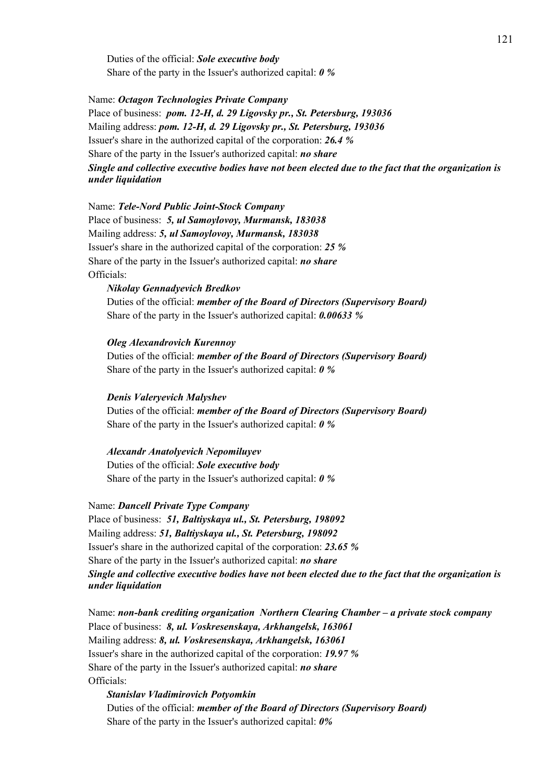Duties of the official: *Sole executive body*  Share of the party in the Issuer's authorized capital: *0 %*

Name: *Octagon Technologies Private Company* Place of business: *pom. 12-H, d. 29 Ligovsky pr., St. Petersburg, 193036* Mailing address: *pom. 12-H, d. 29 Ligovsky pr., St. Petersburg, 193036* Issuer's share in the authorized capital of the corporation: *26.4 %* Share of the party in the Issuer's authorized capital: *no share Single and collective executive bodies have not been elected due to the fact that the organization is under liquidation* 

Name: *Tele-Nord Public Joint-Stock Company* Place of business: *5, ul Samoylovoy, Murmansk, 183038* Mailing address: *5, ul Samoylovoy, Murmansk, 183038* Issuer's share in the authorized capital of the corporation: *25 %* Share of the party in the Issuer's authorized capital: *no share* Officials:

# *Nikolay Gennadyevich Bredkov*

Duties of the official: *member of the Board of Directors (Supervisory Board)* Share of the party in the Issuer's authorized capital: *0.00633 %*

*Oleg Alexandrovich Kurennoy*

Duties of the official: *member of the Board of Directors (Supervisory Board)* Share of the party in the Issuer's authorized capital: *0 %*

## *Denis Valeryevich Malyshev*

Duties of the official: *member of the Board of Directors (Supervisory Board)* Share of the party in the Issuer's authorized capital: *0 %*

#### *Alexandr Anatolyevich Nepomiluyev*

Duties of the official: *Sole executive body*  Share of the party in the Issuer's authorized capital: *0 %*

### Name: *Dancell Private Type Company*

Place of business: *51, Baltiyskaya ul., St. Petersburg, 198092* Mailing address: *51, Baltiyskaya ul., St. Petersburg, 198092* Issuer's share in the authorized capital of the corporation: *23.65 %* Share of the party in the Issuer's authorized capital: *no share Single and collective executive bodies have not been elected due to the fact that the organization is under liquidation* 

Name: *non-bank crediting organization Northern Clearing Chamber – a private stock company*  Place of business: *8, ul. Voskresenskaya, Arkhangelsk, 163061* Mailing address: *8, ul. Voskresenskaya, Arkhangelsk, 163061* Issuer's share in the authorized capital of the corporation: *19.97 %* Share of the party in the Issuer's authorized capital: *no share* Officials:

*Stanislav Vladimirovich Potyomkin* Duties of the official: *member of the Board of Directors (Supervisory Board)* Share of the party in the Issuer's authorized capital: *0%*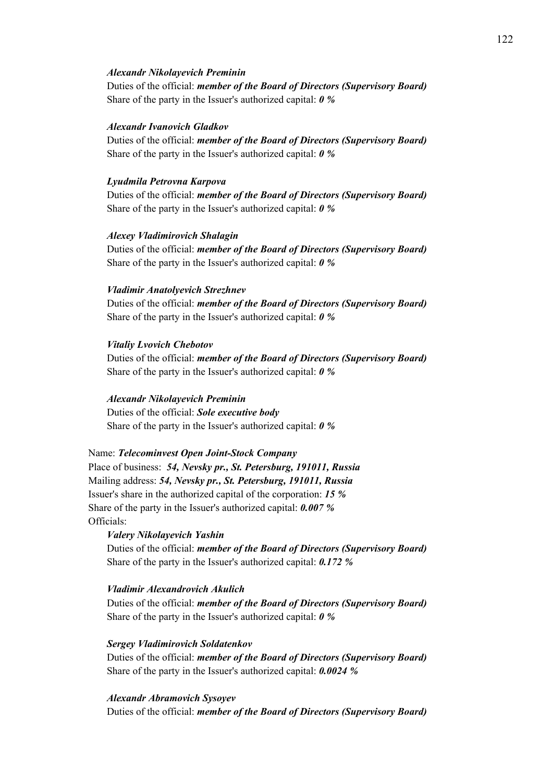#### *Alexandr Nikolayevich Preminin*

Duties of the official: *member of the Board of Directors (Supervisory Board)* Share of the party in the Issuer's authorized capital: *0 %*

## *Alexandr Ivanovich Gladkov*

Duties of the official: *member of the Board of Directors (Supervisory Board)* Share of the party in the Issuer's authorized capital: *0 %*

## *Lyudmila Petrovna Karpova*

Duties of the official: *member of the Board of Directors (Supervisory Board)* Share of the party in the Issuer's authorized capital: *0 %*

#### *Alexey Vladimirovich Shalagin*

Duties of the official: *member of the Board of Directors (Supervisory Board)* Share of the party in the Issuer's authorized capital: *0 %*

#### *Vladimir Anatolyevich Strezhnev*

Duties of the official: *member of the Board of Directors (Supervisory Board)* Share of the party in the Issuer's authorized capital: *0 %*

## *Vitaliy Lvovich Chebotov*

Duties of the official: *member of the Board of Directors (Supervisory Board)* Share of the party in the Issuer's authorized capital: *0 %*

#### *Alexandr Nikolayevich Preminin*

Duties of the official: *Sole executive body*  Share of the party in the Issuer's authorized capital: *0 %*

Name: *Telecominvest Open Joint-Stock Company*

Place of business: *54, Nevsky pr., St. Petersburg, 191011, Russia* Mailing address: *54, Nevsky pr., St. Petersburg, 191011, Russia* Issuer's share in the authorized capital of the corporation: *15 %* Share of the party in the Issuer's authorized capital: *0.007 %* Officials:

# *Valery Nikolayevich Yashin*

Duties of the official: *member of the Board of Directors (Supervisory Board)* Share of the party in the Issuer's authorized capital: *0.172 %*

## *Vladimir Alexandrovich Akulich*

Duties of the official: *member of the Board of Directors (Supervisory Board)* Share of the party in the Issuer's authorized capital: *0 %*

*Sergey Vladimirovich Soldatenkov*

Duties of the official: *member of the Board of Directors (Supervisory Board)* Share of the party in the Issuer's authorized capital: *0.0024 %*

*Alexandr Abramovich Sysoyev*

Duties of the official: *member of the Board of Directors (Supervisory Board)*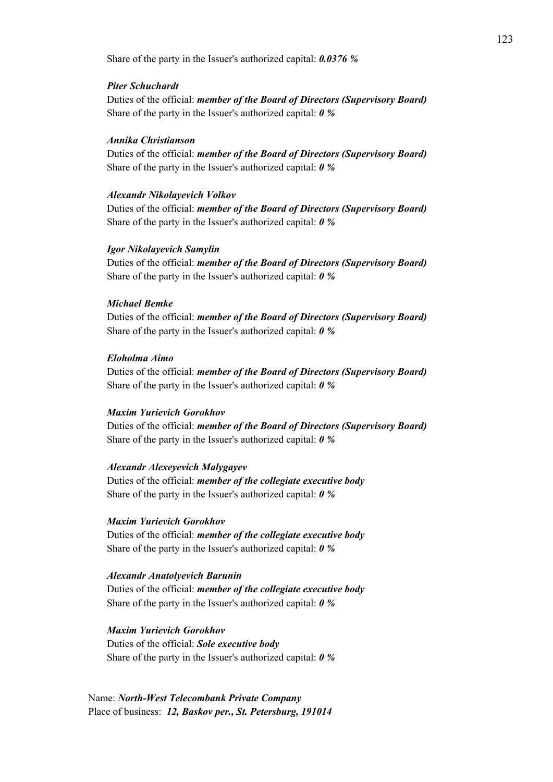Share of the party in the Issuer's authorized capital: *0.0376 %*

### *Piter Schuchardt*

Duties of the official: *member of the Board of Directors (Supervisory Board)* Share of the party in the Issuer's authorized capital: *0 %*

## *Annika Christianson*

Duties of the official: *member of the Board of Directors (Supervisory Board)* Share of the party in the Issuer's authorized capital: *0 %*

#### *Alexandr Nikolayevich Volkov*

Duties of the official: *member of the Board of Directors (Supervisory Board)* Share of the party in the Issuer's authorized capital: *0 %*

## *Igor Nikolayevich Samylin*

Duties of the official: *member of the Board of Directors (Supervisory Board)* Share of the party in the Issuer's authorized capital: *0 %*

# *Michael Bemke*

Duties of the official: *member of the Board of Directors (Supervisory Board)* Share of the party in the Issuer's authorized capital: *0 %*

#### *Eloholma Aimo*

Duties of the official: *member of the Board of Directors (Supervisory Board)* Share of the party in the Issuer's authorized capital: *0 %*

## *Maxim Yurievich Gorokhov*

Duties of the official: *member of the Board of Directors (Supervisory Board)* Share of the party in the Issuer's authorized capital: *0 %*

## *Alexandr Alexeyevich Malygayev*

Duties of the official: *member of the collegiate executive body*  Share of the party in the Issuer's authorized capital: *0 %*

## *Maxim Yurievich Gorokhov*

Duties of the official: *member of the collegiate executive body*  Share of the party in the Issuer's authorized capital: *0 %*

#### *Alexandr Anatolyevich Barunin*

Duties of the official: *member of the collegiate executive body*  Share of the party in the Issuer's authorized capital: *0 %*

#### *Maxim Yurievich Gorokhov*

Duties of the official: *Sole executive body*  Share of the party in the Issuer's authorized capital: *0 %*

Name: *North-West Telecombank Private Company* Place of business: *12, Baskov per., St. Petersburg, 191014*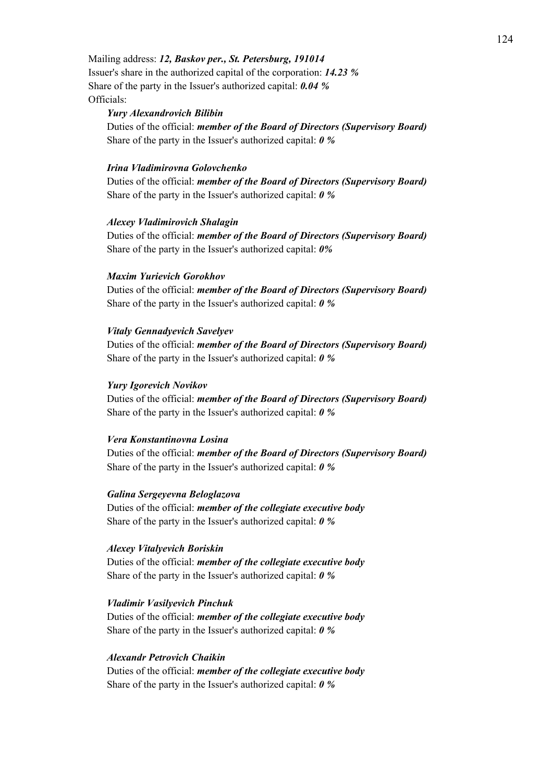Mailing address: *12, Baskov per., St. Petersburg, 191014* Issuer's share in the authorized capital of the corporation: *14.23 %* Share of the party in the Issuer's authorized capital: *0.04 %* Officials:

#### *Yury Alexandrovich Bilibin*

Duties of the official: *member of the Board of Directors (Supervisory Board)* Share of the party in the Issuer's authorized capital: *0 %*

# *Irina Vladimirovna Golovchenko*

Duties of the official: *member of the Board of Directors (Supervisory Board)* Share of the party in the Issuer's authorized capital: *0 %*

#### *Alexey Vladimirovich Shalagin*

Duties of the official: *member of the Board of Directors (Supervisory Board)* Share of the party in the Issuer's authorized capital: *0%*

#### *Maxim Yurievich Gorokhov*

Duties of the official: *member of the Board of Directors (Supervisory Board)* Share of the party in the Issuer's authorized capital: *0 %*

#### *Vitaly Gennadyevich Savelyev*

Duties of the official: *member of the Board of Directors (Supervisory Board)* Share of the party in the Issuer's authorized capital: *0 %*

### *Yury Igorevich Novikov*

Duties of the official: *member of the Board of Directors (Supervisory Board)* Share of the party in the Issuer's authorized capital: *0 %*

#### *Vera Konstantinovna Losina*

Duties of the official: *member of the Board of Directors (Supervisory Board)* Share of the party in the Issuer's authorized capital: *0 %*

### *Galina Sergeyevna Beloglazova*

Duties of the official: *member of the collegiate executive body*  Share of the party in the Issuer's authorized capital: *0 %*

#### *Alexey Vitalyevich Boriskin*

Duties of the official: *member of the collegiate executive body*  Share of the party in the Issuer's authorized capital: *0 %*

#### *Vladimir Vasilyevich Pinchuk*

Duties of the official: *member of the collegiate executive body*  Share of the party in the Issuer's authorized capital: *0 %*

# *Alexandr Petrovich Chaikin*

Duties of the official: *member of the collegiate executive body*  Share of the party in the Issuer's authorized capital: *0 %*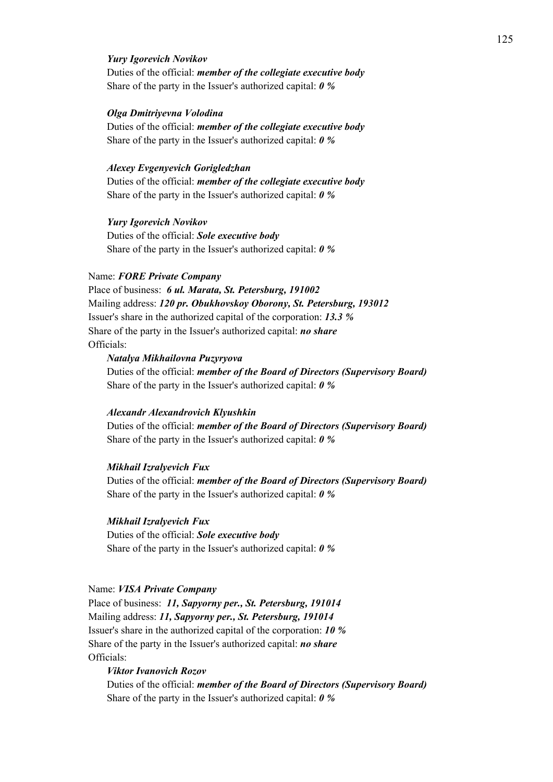## *Yury Igorevich Novikov*

Duties of the official: *member of the collegiate executive body*  Share of the party in the Issuer's authorized capital: *0 %*

#### *Olga Dmitriyevna Volodina*

Duties of the official: *member of the collegiate executive body*  Share of the party in the Issuer's authorized capital: *0 %*

# *Alexey Evgenyevich Gorigledzhan*

Duties of the official: *member of the collegiate executive body*  Share of the party in the Issuer's authorized capital: *0 %*

## *Yury Igorevich Novikov*

Duties of the official: *Sole executive body*  Share of the party in the Issuer's authorized capital: *0 %*

#### Name: *FORE Private Company*

Place of business: *6 ul. Marata, St. Petersburg, 191002* Mailing address: *120 pr. Obukhovskoy Oborony, St. Petersburg, 193012* Issuer's share in the authorized capital of the corporation: *13.3 %* Share of the party in the Issuer's authorized capital: *no share* Officials:

#### *Natalya Mikhailovna Puzyryova*

Duties of the official: *member of the Board of Directors (Supervisory Board)* Share of the party in the Issuer's authorized capital: *0 %*

#### *Alexandr Alexandrovich Klyushkin*

Duties of the official: *member of the Board of Directors (Supervisory Board)* Share of the party in the Issuer's authorized capital: *0 %*

## *Mikhail Izralyevich Fux*

Duties of the official: *member of the Board of Directors (Supervisory Board)* Share of the party in the Issuer's authorized capital: *0 %*

#### *Mikhail Izralyevich Fux*

Duties of the official: *Sole executive body*  Share of the party in the Issuer's authorized capital: *0 %*

## Name: *VISA Private Company*

Place of business: *11, Sapyorny per., St. Petersburg, 191014* Mailing address: *11, Sapyorny per., St. Petersburg, 191014* Issuer's share in the authorized capital of the corporation: *10 %* Share of the party in the Issuer's authorized capital: *no share* Officials:

# *Viktor Ivanovich Rozov*

Duties of the official: *member of the Board of Directors (Supervisory Board)* Share of the party in the Issuer's authorized capital: *0 %*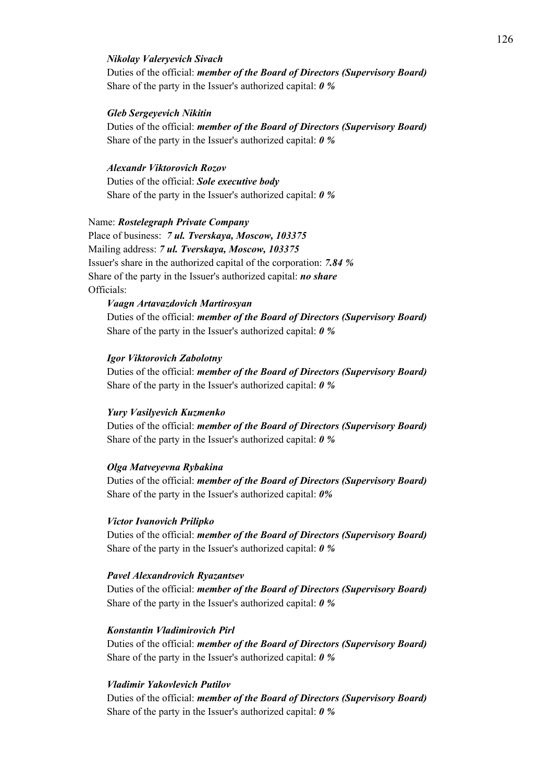## *Nikolay Valeryevich Sivach*

Duties of the official: *member of the Board of Directors (Supervisory Board)* Share of the party in the Issuer's authorized capital: *0 %*

#### *Gleb Sergeyevich Nikitin*

Duties of the official: *member of the Board of Directors (Supervisory Board)* Share of the party in the Issuer's authorized capital: *0 %*

# *Alexandr Viktorovich Rozov*

Duties of the official: *Sole executive body*  Share of the party in the Issuer's authorized capital: *0 %*

## Name: *Rostelegraph Private Company*

Place of business: *7 ul. Tverskaya, Moscow, 103375*  Mailing address: *7 ul. Tverskaya, Moscow, 103375*  Issuer's share in the authorized capital of the corporation: *7.84 %* Share of the party in the Issuer's authorized capital: *no share* Officials:

# *Vaagn Artavazdovich Martirosyan* Duties of the official: *member of the Board of Directors (Supervisory Board)*

Share of the party in the Issuer's authorized capital: *0 %*

#### *Igor Viktorovich Zabolotny*

Duties of the official: *member of the Board of Directors (Supervisory Board)* Share of the party in the Issuer's authorized capital: *0 %*

## *Yury Vasilyevich Kuzmenko*

Duties of the official: *member of the Board of Directors (Supervisory Board)* Share of the party in the Issuer's authorized capital: *0 %*

## *Olga Matveyevna Rybakina*

Duties of the official: *member of the Board of Directors (Supervisory Board)* Share of the party in the Issuer's authorized capital: *0%*

#### *Victor Ivanovich Prilipko*

Duties of the official: *member of the Board of Directors (Supervisory Board)* Share of the party in the Issuer's authorized capital: *0 %*

#### *Pavel Alexandrovich Ryazantsev*

Duties of the official: *member of the Board of Directors (Supervisory Board)* Share of the party in the Issuer's authorized capital: *0 %*

#### *Konstantin Vladimirovich Pirl*

Duties of the official: *member of the Board of Directors (Supervisory Board)* Share of the party in the Issuer's authorized capital: *0 %*

# *Vladimir Yakovlevich Putilov*

Duties of the official: *member of the Board of Directors (Supervisory Board)* Share of the party in the Issuer's authorized capital: *0 %*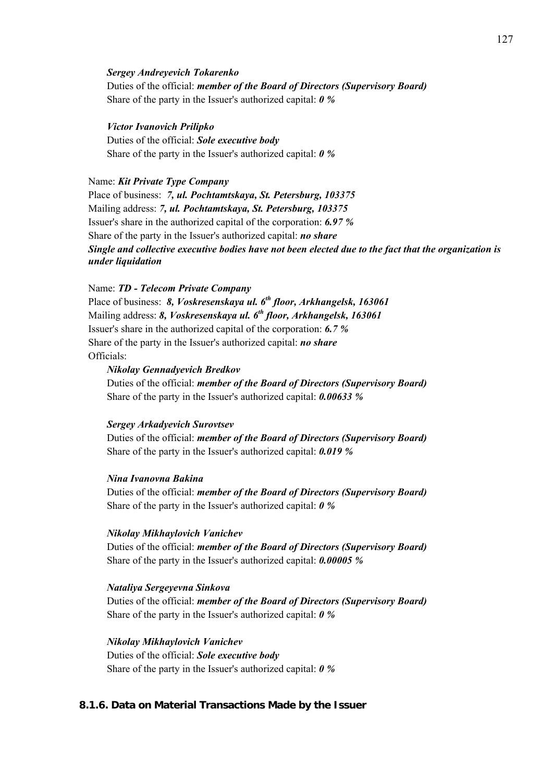#### *Sergey Andreyevich Tokarenko*

Duties of the official: *member of the Board of Directors (Supervisory Board)* Share of the party in the Issuer's authorized capital: *0 %*

*Victor Ivanovich Prilipko* Duties of the official: *Sole executive body*  Share of the party in the Issuer's authorized capital: *0 %*

# Name: *Kit Private Type Company* Place of business: *7, ul. Pochtamtskaya, St. Petersburg, 103375* Mailing address: *7, ul. Pochtamtskaya, St. Petersburg, 103375* Issuer's share in the authorized capital of the corporation: *6.97 %* Share of the party in the Issuer's authorized capital: *no share Single and collective executive bodies have not been elected due to the fact that the organization is under liquidation*

Name: *TD - Telecom Private Company*

Place of business: *8, Voskresenskaya ul. 6th floor, Arkhangelsk, 163061* Mailing address: *8, Voskresenskaya ul. 6th floor, Arkhangelsk, 163061* Issuer's share in the authorized capital of the corporation: *6.7 %* Share of the party in the Issuer's authorized capital: *no share* Officials:

## *Nikolay Gennadyevich Bredkov*

Duties of the official: *member of the Board of Directors (Supervisory Board)* Share of the party in the Issuer's authorized capital: *0.00633 %*

#### *Sergey Arkadyevich Surovtsev*

Duties of the official: *member of the Board of Directors (Supervisory Board)* Share of the party in the Issuer's authorized capital: *0.019 %*

## *Nina Ivanovna Bakina*

Duties of the official: *member of the Board of Directors (Supervisory Board)* Share of the party in the Issuer's authorized capital: *0 %*

#### *Nikolay Mikhaylovich Vanichev*

Duties of the official: *member of the Board of Directors (Supervisory Board)* Share of the party in the Issuer's authorized capital: *0.00005 %*

#### *Nataliya Sergeyevna Sinkova*

Duties of the official: *member of the Board of Directors (Supervisory Board)* Share of the party in the Issuer's authorized capital: *0 %*

*Nikolay Mikhaylovich Vanichev* Duties of the official: *Sole executive body*  Share of the party in the Issuer's authorized capital: *0 %*

# **8.1.6. Data on Material Transactions Made by the Issuer**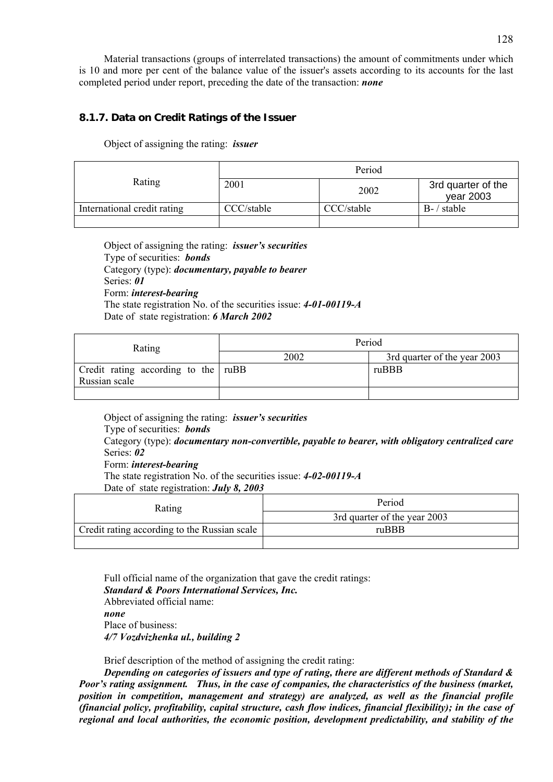Material transactions (groups of interrelated transactions) the amount of commitments under which is 10 and more per cent of the balance value of the issuer's assets according to its accounts for the last completed period under report, preceding the date of the transaction: *none*

# **8.1.7. Data on Credit Ratings of the Issuer**

Object of assigning the rating: *issuer*

| Rating                      |            | Period     |                                 |  |  |  |
|-----------------------------|------------|------------|---------------------------------|--|--|--|
|                             | 2001       | 2002       | 3rd quarter of the<br>year 2003 |  |  |  |
| International credit rating | CCC/stable | CCC/stable | $B - /$ stable                  |  |  |  |
|                             |            |            |                                 |  |  |  |

Object of assigning the rating: *issuer's securities*  Type of securities: *bonds* Category (type): *documentary, payable to bearer* Series: *01* Form: *interest-bearing* The state registration No. of the securities issue: *4-01-00119-А* Date of state registration: *6 March 2002*

| Rating                                | Period |                              |  |
|---------------------------------------|--------|------------------------------|--|
|                                       | 2002   | 3rd quarter of the year 2003 |  |
| Credit rating according to the   ruBB |        | ruBBB                        |  |
| Russian scale                         |        |                              |  |
|                                       |        |                              |  |

Object of assigning the rating: *issuer's securities*  Type of securities: *bonds* Category (type): *documentary non-convertible, payable to bearer, with obligatory centralized care* Series: *02* Form: *interest-bearing* The state registration No. of the securities issue: *4-02-00119-А* Date of state registration: *July 8, 2003*

| Rating                                       | Period                       |  |  |
|----------------------------------------------|------------------------------|--|--|
|                                              | 3rd quarter of the year 2003 |  |  |
| Credit rating according to the Russian scale | ruBBB                        |  |  |
|                                              |                              |  |  |

Full official name of the organization that gave the credit ratings: *Standard & Poors International Services, Inc.*  Abbreviated official name: *none*  Place of business: *4/7 Vozdvizhenka ul., building 2*

Brief description of the method of assigning the credit rating:

*Depending on categories of issuers and type of rating, there are different methods of Standard & Poor's rating assignment. Thus, in the case of companies, the characteristics of the business (market, position in competition, management and strategy) are analyzed, as well as the financial profile (financial policy, profitability, capital structure, cash flow indices, financial flexibility); in the case of regional and local authorities, the economic position, development predictability, and stability of the*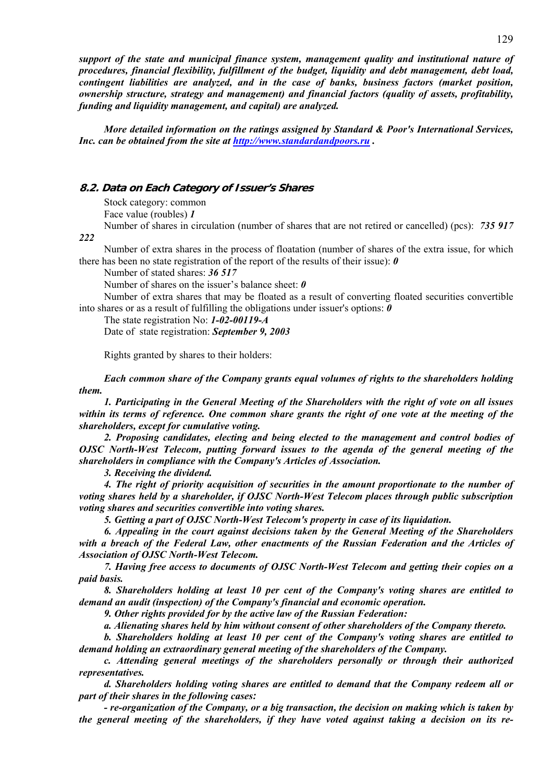*support of the state and municipal finance system, management quality and institutional nature of procedures, financial flexibility, fulfillment of the budget, liquidity and debt management, debt load, contingent liabilities are analyzed, and in the case of banks, business factors (market position, ownership structure, strategy and management) and financial factors (quality of assets, profitability, funding and liquidity management, and capital) are analyzed.* 

*More detailed information on the ratings assigned by Standard & Poor's International Services, Inc. can be obtained from the site at http://www.standardandpoors.ru .* 

# **8.2. Data on Each Category of Issuer's Shares**

Stock category: common Face value (roubles) *1*

Number of shares in circulation (number of shares that are not retired or cancelled) (pcs): *735 917* 

*222*

Number of extra shares in the process of floatation (number of shares of the extra issue, for which there has been no state registration of the report of the results of their issue): *0*

Number of stated shares: *36 517*

Number of shares on the issuer's balance sheet: *0*

Number of extra shares that may be floated as a result of converting floated securities convertible into shares or as a result of fulfilling the obligations under issuer's options: *0*

The state registration No: *1-02-00119-А*

Date of state registration: *September 9, 2003*

Rights granted by shares to their holders:

*Each common share of the Company grants equal volumes of rights to the shareholders holding them.* 

*1. Participating in the General Meeting of the Shareholders with the right of vote on all issues within its terms of reference. One common share grants the right of one vote at the meeting of the shareholders, except for cumulative voting.* 

*2. Proposing candidates, electing and being elected to the management and control bodies of OJSC North-West Telecom, putting forward issues to the agenda of the general meeting of the shareholders in compliance with the Company's Articles of Association.* 

*3. Receiving the dividend.* 

*4. The right of priority acquisition of securities in the amount proportionate to the number of voting shares held by a shareholder, if OJSC North-West Telecom places through public subscription voting shares and securities convertible into voting shares.* 

*5. Getting a part of OJSC North-West Telecom's property in case of its liquidation.* 

*6. Appealing in the court against decisions taken by the General Meeting of the Shareholders with a breach of the Federal Law, other enactments of the Russian Federation and the Articles of Association of OJSC North-West Telecom.* 

*7. Having free access to documents of OJSC North-West Telecom and getting their copies on a paid basis.* 

*8. Shareholders holding at least 10 per cent of the Company's voting shares are entitled to demand an audit (inspection) of the Company's financial and economic operation.* 

*9. Other rights provided for by the active law of the Russian Federation:* 

*a. Alienating shares held by him without consent of other shareholders of the Company thereto.* 

*b. Shareholders holding at least 10 per cent of the Company's voting shares are entitled to demand holding an extraordinary general meeting of the shareholders of the Company.* 

*c. Attending general meetings of the shareholders personally or through their authorized representatives.* 

*d. Shareholders holding voting shares are entitled to demand that the Company redeem all or part of their shares in the following cases:* 

*- re-organization of the Company, or a big transaction, the decision on making which is taken by the general meeting of the shareholders, if they have voted against taking a decision on its re-*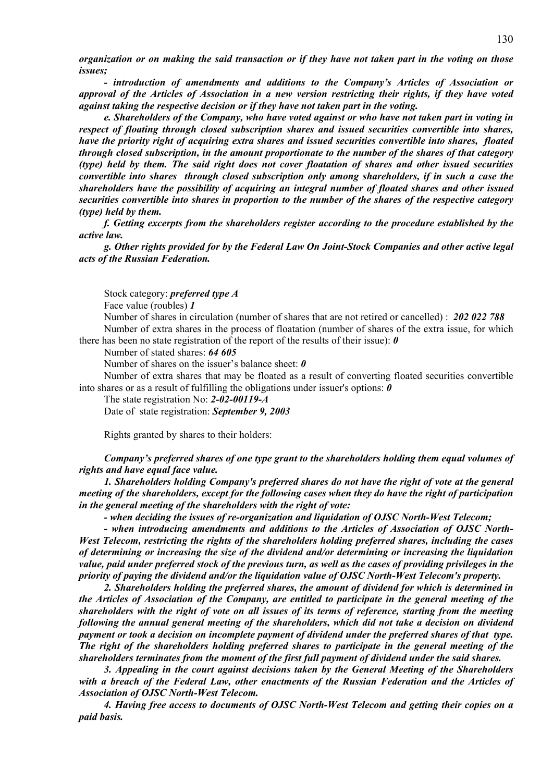*organization or on making the said transaction or if they have not taken part in the voting on those issues;* 

*- introduction of amendments and additions to the Company's Articles of Association or approval of the Articles of Association in a new version restricting their rights, if they have voted against taking the respective decision or if they have not taken part in the voting.* 

*e. Shareholders of the Company, who have voted against or who have not taken part in voting in respect of floating through closed subscription shares and issued securities convertible into shares, have the priority right of acquiring extra shares and issued securities convertible into shares, floated through closed subscription, in the amount proportionate to the number of the shares of that category (type) held by them. The said right does not cover floatation of shares and other issued securities convertible into shares through closed subscription only among shareholders, if in such a case the shareholders have the possibility of acquiring an integral number of floated shares and other issued securities convertible into shares in proportion to the number of the shares of the respective category (type) held by them.*

*f. Getting excerpts from the shareholders register according to the procedure established by the active law.* 

*g. Other rights provided for by the Federal Law On Joint-Stock Companies and other active legal acts of the Russian Federation.* 

Stock category: *preferred type A*

Face value (roubles) *1*

Number of shares in circulation (number of shares that are not retired or cancelled) : *202 022 788* Number of extra shares in the process of floatation (number of shares of the extra issue, for which there has been no state registration of the report of the results of their issue): *0*

Number of stated shares: *64 605*

Number of shares on the issuer's balance sheet: *0*

Number of extra shares that may be floated as a result of converting floated securities convertible into shares or as a result of fulfilling the obligations under issuer's options: *0*

The state registration No: *2-02-00119-А*

Date of state registration: *September 9, 2003*

Rights granted by shares to their holders:

*Company's preferred shares of one type grant to the shareholders holding them equal volumes of rights and have equal face value.* 

*1. Shareholders holding Company's preferred shares do not have the right of vote at the general meeting of the shareholders, except for the following cases when they do have the right of participation in the general meeting of the shareholders with the right of vote:* 

*- when deciding the issues of re-organization and liquidation of OJSC North-West Telecom;* 

*- when introducing amendments and additions to the Articles of Association of OJSC North-West Telecom, restricting the rights of the shareholders holding preferred shares, including the cases of determining or increasing the size of the dividend and/or determining or increasing the liquidation value, paid under preferred stock of the previous turn, as well as the cases of providing privileges in the priority of paying the dividend and/or the liquidation value of OJSC North-West Telecom's property.* 

*2. Shareholders holding the preferred shares, the amount of dividend for which is determined in the Articles of Association of the Company, are entitled to participate in the general meeting of the shareholders with the right of vote on all issues of its terms of reference, starting from the meeting following the annual general meeting of the shareholders, which did not take a decision on dividend payment or took a decision on incomplete payment of dividend under the preferred shares of that type. The right of the shareholders holding preferred shares to participate in the general meeting of the shareholders terminates from the moment of the first full payment of dividend under the said shares.* 

*3. Appealing in the court against decisions taken by the General Meeting of the Shareholders with a breach of the Federal Law, other enactments of the Russian Federation and the Articles of Association of OJSC North-West Telecom.* 

*4. Having free access to documents of OJSC North-West Telecom and getting their copies on a paid basis.*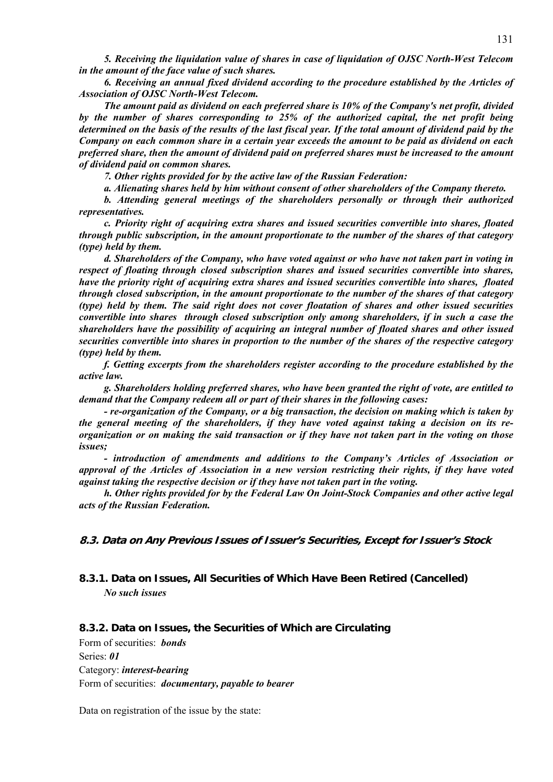*5. Receiving the liquidation value of shares in case of liquidation of OJSC North-West Telecom in the amount of the face value of such shares.* 

*6. Receiving an annual fixed dividend according to the procedure established by the Articles of Association of OJSC North-West Telecom.* 

*The amount paid as dividend on each preferred share is 10% of the Company's net profit, divided by the number of shares corresponding to 25% of the authorized capital, the net profit being determined on the basis of the results of the last fiscal year. If the total amount of dividend paid by the Company on each common share in a certain year exceeds the amount to be paid as dividend on each preferred share, then the amount of dividend paid on preferred shares must be increased to the amount of dividend paid on common shares.*

*7. Other rights provided for by the active law of the Russian Federation:* 

*a. Alienating shares held by him without consent of other shareholders of the Company thereto.* 

*b. Attending general meetings of the shareholders personally or through their authorized representatives.* 

*c. Priority right of acquiring extra shares and issued securities convertible into shares, floated through public subscription, in the amount proportionate to the number of the shares of that category (type) held by them.* 

*d. Shareholders of the Company, who have voted against or who have not taken part in voting in respect of floating through closed subscription shares and issued securities convertible into shares, have the priority right of acquiring extra shares and issued securities convertible into shares, floated through closed subscription, in the amount proportionate to the number of the shares of that category (type) held by them. The said right does not cover floatation of shares and other issued securities convertible into shares through closed subscription only among shareholders, if in such a case the shareholders have the possibility of acquiring an integral number of floated shares and other issued securities convertible into shares in proportion to the number of the shares of the respective category (type) held by them.*

*f. Getting excerpts from the shareholders register according to the procedure established by the active law.* 

*g. Shareholders holding preferred shares, who have been granted the right of vote, are entitled to demand that the Company redeem all or part of their shares in the following cases:* 

*- re-organization of the Company, or a big transaction, the decision on making which is taken by the general meeting of the shareholders, if they have voted against taking a decision on its reorganization or on making the said transaction or if they have not taken part in the voting on those issues;* 

*- introduction of amendments and additions to the Company's Articles of Association or approval of the Articles of Association in a new version restricting their rights, if they have voted against taking the respective decision or if they have not taken part in the voting.* 

*h. Other rights provided for by the Federal Law On Joint-Stock Companies and other active legal acts of the Russian Federation.* 

**8.3. Data on Any Previous Issues of Issuer's Securities, Except for Issuer's Stock** 

# **8.3.1. Data on Issues, All Securities of Which Have Been Retired (Cancelled)**  *No such issues*

#### **8.3.2. Data on Issues, the Securities of Which are Circulating**

Form of securities: *bonds* Series: *01* Category: *interest-bearing* Form of securities: *documentary, payable to bearer*

Data on registration of the issue by the state: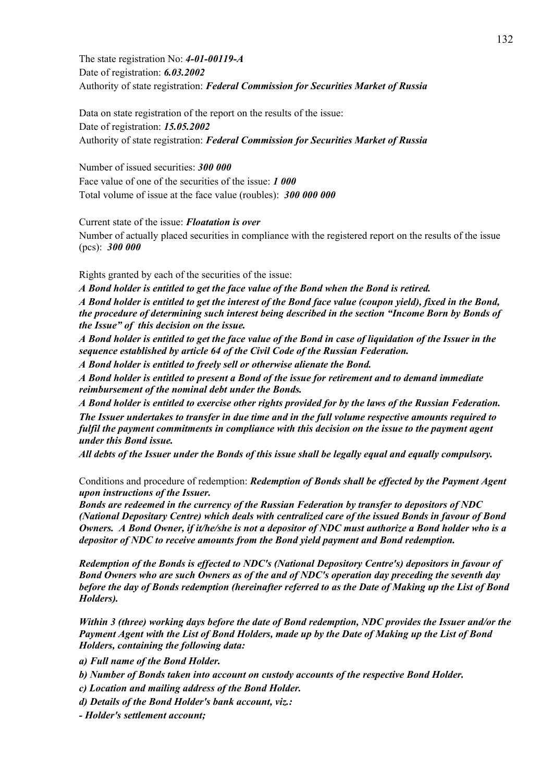The state registration No: *4-01-00119-A* Date of registration: *6.03.2002* Authority of state registration: *Federal Commission for Securities Market of Russia*

Data on state registration of the report on the results of the issue: Date of registration: *15.05.2002* Authority of state registration: *Federal Commission for Securities Market of Russia*

Number of issued securities: *300 000* Face value of one of the securities of the issue: *1 000* Total volume of issue at the face value (roubles): *300 000 000*

Current state of the issue: *Floatation is over*

Number of actually placed securities in compliance with the registered report on the results of the issue (pcs): *300 000*

Rights granted by each of the securities of the issue:

*A Bond holder is entitled to get the face value of the Bond when the Bond is retired. A Bond holder is entitled to get the interest of the Bond face value (coupon yield), fixed in the Bond, the procedure of determining such interest being described in the section "Income Born by Bonds of the Issue" of this decision on the issue.* 

*A Bond holder is entitled to get the face value of the Bond in case of liquidation of the Issuer in the sequence established by article 64 of the Civil Code of the Russian Federation.* 

*A Bond holder is entitled to freely sell or otherwise alienate the Bond.* 

*A Bond holder is entitled to present a Bond of the issue for retirement and to demand immediate reimbursement of the nominal debt under the Bonds.* 

*A Bond holder is entitled to exercise other rights provided for by the laws of the Russian Federation. The Issuer undertakes to transfer in due time and in the full volume respective amounts required to fulfil the payment commitments in compliance with this decision on the issue to the payment agent under this Bond issue.* 

*All debts of the Issuer under the Bonds of this issue shall be legally equal and equally compulsory.* 

Conditions and procedure of redemption: *Redemption of Bonds shall be effected by the Payment Agent upon instructions of the Issuer.* 

*Bonds are redeemed in the currency of the Russian Federation by transfer to depositors of NDC (National Depositary Centre) which deals with centralized care of the issued Bonds in favour of Bond Owners. A Bond Owner, if it/he/she is not a depositor of NDC must authorize a Bond holder who is a depositor of NDC to receive amounts from the Bond yield payment and Bond redemption.* 

*Redemption of the Bonds is effected to NDC's (National Depository Centre's) depositors in favour of Bond Owners who are such Owners as of the and of NDC's operation day preceding the seventh day before the day of Bonds redemption (hereinafter referred to as the Date of Making up the List of Bond Holders).* 

*Within 3 (three) working days before the date of Bond redemption, NDC provides the Issuer and/or the Payment Agent with the List of Bond Holders, made up by the Date of Making up the List of Bond Holders, containing the following data:* 

*a) Full name of the Bond Holder.* 

*b) Number of Bonds taken into account on custody accounts of the respective Bond Holder.* 

*c) Location and mailing address of the Bond Holder.* 

*d) Details of the Bond Holder's bank account, viz.:* 

*- Holder's settlement account;*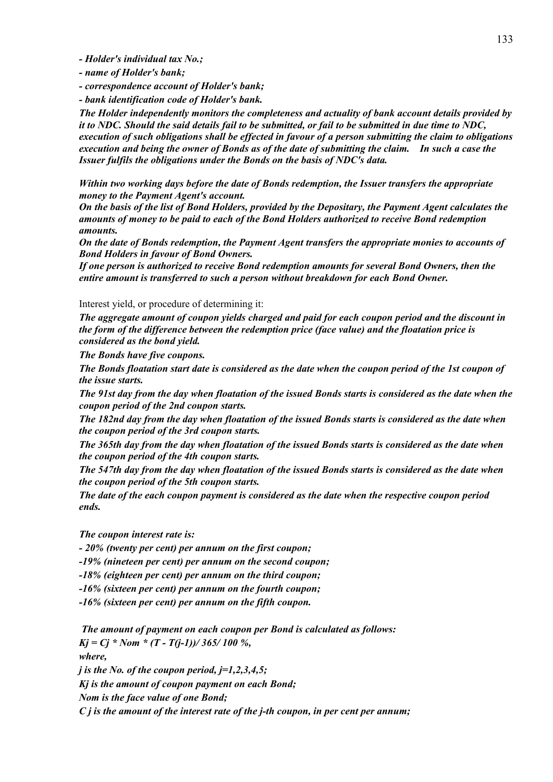*- Holder's individual tax No.;* 

*- name of Holder's bank;* 

*- correspondence account of Holder's bank;* 

*- bank identification code of Holder's bank.* 

*The Holder independently monitors the completeness and actuality of bank account details provided by it to NDC. Should the said details fail to be submitted, or fail to be submitted in due time to NDC, execution of such obligations shall be effected in favour of a person submitting the claim to obligations execution and being the owner of Bonds as of the date of submitting the claim. In such a case the Issuer fulfils the obligations under the Bonds on the basis of NDC's data.* 

*Within two working days before the date of Bonds redemption, the Issuer transfers the appropriate money to the Payment Agent's account.* 

*On the basis of the list of Bond Holders, provided by the Depositary, the Payment Agent calculates the amounts of money to be paid to each of the Bond Holders authorized to receive Bond redemption amounts.* 

*On the date of Bonds redemption, the Payment Agent transfers the appropriate monies to accounts of Bond Holders in favour of Bond Owners.* 

*If one person is authorized to receive Bond redemption amounts for several Bond Owners, then the entire amount is transferred to such a person without breakdown for each Bond Owner.* 

## Interest yield, or procedure of determining it:

*The aggregate amount of coupon yields charged and paid for each coupon period and the discount in the form of the difference between the redemption price (face value) and the floatation price is considered as the bond yield.* 

*The Bonds have five coupons.* 

*The Bonds floatation start date is considered as the date when the coupon period of the 1st coupon of the issue starts.* 

*The 91st day from the day when floatation of the issued Bonds starts is considered as the date when the coupon period of the 2nd coupon starts.* 

*The 182nd day from the day when floatation of the issued Bonds starts is considered as the date when the coupon period of the 3rd coupon starts.* 

*The 365th day from the day when floatation of the issued Bonds starts is considered as the date when the coupon period of the 4th coupon starts.* 

*The 547th day from the day when floatation of the issued Bonds starts is considered as the date when the coupon period of the 5th coupon starts.* 

*The date of the each coupon payment is considered as the date when the respective coupon period ends.* 

*The coupon interest rate is:* 

*- 20% (twenty per cent) per annum on the first coupon;* 

*-19% (nineteen per cent) per annum on the second coupon;* 

*-18% (eighteen per cent) per annum on the third coupon;* 

*-16% (sixteen per cent) per annum on the fourth coupon;* 

*-16% (sixteen per cent) per annum on the fifth coupon.* 

 *The amount of payment on each coupon per Bond is calculated as follows:*   $Kj = Cj * Nom * (T - T(j-1))/365/100 %$ , *where,* 

*j is the No. of the coupon period, j=1,2,3,4,5;* 

*Kj is the amount of coupon payment on each Bond;* 

*Nom is the face value of one Bond;* 

*C j is the amount of the interest rate of the j-th coupon, in per cent per annum;*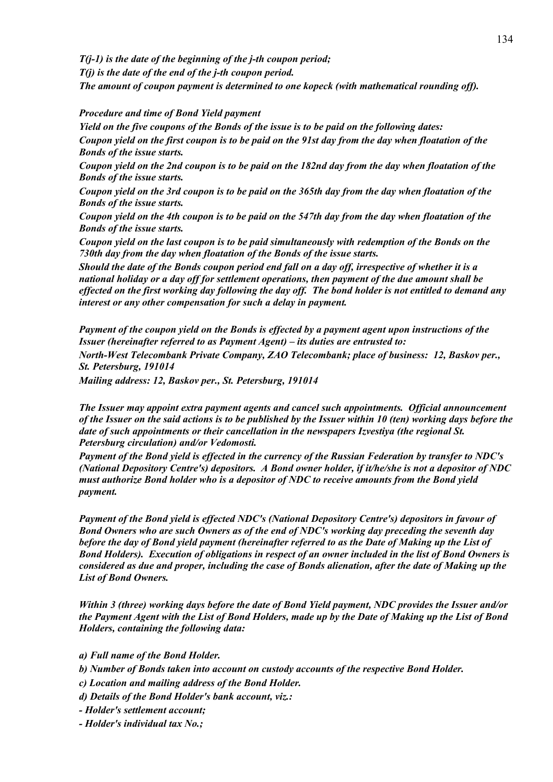*T(j-1) is the date of the beginning of the j-th coupon period; T(j) is the date of the end of the j-th coupon period. The amount of coupon payment is determined to one kopeck (with mathematical rounding off).* 

# *Procedure and time of Bond Yield payment*

*Yield on the five coupons of the Bonds of the issue is to be paid on the following dates:* 

*Coupon yield on the first coupon is to be paid on the 91st day from the day when floatation of the Bonds of the issue starts.* 

*Coupon yield on the 2nd coupon is to be paid on the 182nd day from the day when floatation of the Bonds of the issue starts.* 

*Coupon yield on the 3rd coupon is to be paid on the 365th day from the day when floatation of the Bonds of the issue starts.* 

*Coupon yield on the 4th coupon is to be paid on the 547th day from the day when floatation of the Bonds of the issue starts.* 

*Coupon yield on the last coupon is to be paid simultaneously with redemption of the Bonds on the 730th day from the day when floatation of the Bonds of the issue starts.* 

*Should the date of the Bonds coupon period end fall on a day off, irrespective of whether it is a national holiday or a day off for settlement operations, then payment of the due amount shall be effected on the first working day following the day off. The bond holder is not entitled to demand any interest or any other compensation for such a delay in payment.*

*Payment of the coupon yield on the Bonds is effected by a payment agent upon instructions of the Issuer (hereinafter referred to as Payment Agent) – its duties are entrusted to: North-West Telecombank Private Company, ZAO Telecombank; place of business: 12, Baskov per., St. Petersburg, 191014*

*Mailing address: 12, Baskov per., St. Petersburg, 191014*

*The Issuer may appoint extra payment agents and cancel such appointments. Official announcement of the Issuer on the said actions is to be published by the Issuer within 10 (ten) working days before the date of such appointments or their cancellation in the newspapers Izvestiya (the regional St. Petersburg circulation) and/or Vedomosti.* 

*Payment of the Bond yield is effected in the currency of the Russian Federation by transfer to NDC's (National Depository Centre's) depositors. A Bond owner holder, if it/he/she is not a depositor of NDC must authorize Bond holder who is a depositor of NDC to receive amounts from the Bond yield payment.* 

*Payment of the Bond yield is effected NDC's (National Depository Centre's) depositors in favour of Bond Owners who are such Owners as of the end of NDC's working day preceding the seventh day before the day of Bond yield payment (hereinafter referred to as the Date of Making up the List of Bond Holders). Execution of obligations in respect of an owner included in the list of Bond Owners is considered as due and proper, including the case of Bonds alienation, after the date of Making up the List of Bond Owners.*

*Within 3 (three) working days before the date of Bond Yield payment, NDC provides the Issuer and/or the Payment Agent with the List of Bond Holders, made up by the Date of Making up the List of Bond Holders, containing the following data:* 

*a) Full name of the Bond Holder.* 

*b) Number of Bonds taken into account on custody accounts of the respective Bond Holder.* 

*c) Location and mailing address of the Bond Holder.* 

*d) Details of the Bond Holder's bank account, viz.:* 

*- Holder's settlement account;* 

*- Holder's individual tax No.;*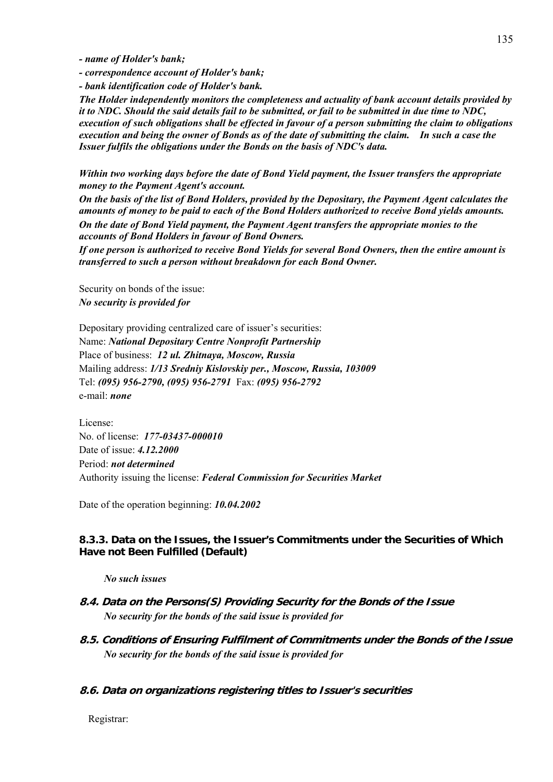*- name of Holder's bank;* 

- *correspondence account of Holder's bank;*
- *bank identification code of Holder's bank.*

*The Holder independently monitors the completeness and actuality of bank account details provided by it to NDC. Should the said details fail to be submitted, or fail to be submitted in due time to NDC, execution of such obligations shall be effected in favour of a person submitting the claim to obligations execution and being the owner of Bonds as of the date of submitting the claim. In such a case the Issuer fulfils the obligations under the Bonds on the basis of NDC's data.* 

*Within two working days before the date of Bond Yield payment, the Issuer transfers the appropriate money to the Payment Agent's account.* 

*On the basis of the list of Bond Holders, provided by the Depositary, the Payment Agent calculates the amounts of money to be paid to each of the Bond Holders authorized to receive Bond yields amounts. On the date of Bond Yield payment, the Payment Agent transfers the appropriate monies to the accounts of Bond Holders in favour of Bond Owners.* 

*If one person is authorized to receive Bond Yields for several Bond Owners, then the entire amount is transferred to such a person without breakdown for each Bond Owner.* 

Security on bonds of the issue: *No security is provided for*

Depositary providing centralized care of issuer's securities: Name: *National Depositary Centre Nonprofit Partnership*  Place of business: *12 ul. Zhitnaya, Moscow, Russia*  Mailing address: *1/13 Sredniy Kislovskiy per., Moscow, Russia, 103009* Tel: *(095) 956-2790, (095) 956-2791* Fax: *(095) 956-2792* e-mail: *none*

License: No. of license: *177-03437-000010*  Date of issue: *4.12.2000* Period: *not determined* Authority issuing the license: *Federal Commission for Securities Market*

Date of the operation beginning: *10.04.2002*

# **8.3.3. Data on the Issues, the Issuer's Commitments under the Securities of Which Have not Been Fulfilled (Default)**

*No such issues* 

- **8.4. Data on the Persons(S) Providing Security for the Bonds of the Issue**  *No security for the bonds of the said issue is provided for*
- **8.5. Conditions of Ensuring Fulfilment of Commitments under the Bonds of the Issue**  *No security for the bonds of the said issue is provided for*

# **8.6. Data on organizations registering titles to Issuer's securities**

Registrar: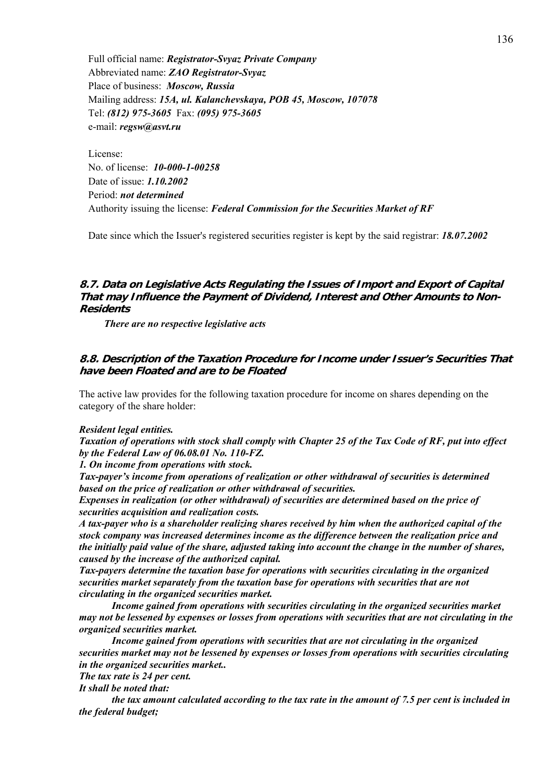Full official name: *Registrator-Svyaz Private Company* Abbreviated name: *ZAO Registrator-Svyaz* Place of business: *Moscow, Russia* Mailing address: *15A, ul. Kalanchevskaya, POB 45, Moscow, 107078* Tel: *(812) 975-3605* Fax: *(095) 975-3605* e-mail: *regsw@asvt.ru*

License: No. of license: *10-000-1-00258* Date of issue: *1.10.2002* Period: *not determined* Authority issuing the license: *Federal Commission for the Securities Market of RF*

Date since which the Issuer's registered securities register is kept by the said registrar: *18.07.2002*

# **8.7. Data on Legislative Acts Regulating the Issues of Import and Export of Capital That may Influence the Payment of Dividend, Interest and Other Amounts to Non-Residents**

*There are no respective legislative acts* 

# **8.8. Description of the Taxation Procedure for Income under Issuer's Securities That have been Floated and are to be Floated**

The active law provides for the following taxation procedure for income on shares depending on the category of the share holder:

#### *Resident legal entities.*

*Taxation of operations with stock shall comply with Chapter 25 of the Tax Code of RF, put into effect by the Federal Law of 06.08.01 No. 110-FZ.* 

*1. On income from operations with stock.* 

*Tax-payer's income from operations of realization or other withdrawal of securities is determined based on the price of realization or other withdrawal of securities.* 

*Expenses in realization (or other withdrawal) of securities are determined based on the price of securities acquisition and realization costs.* 

*A tax-payer who is a shareholder realizing shares received by him when the authorized capital of the stock company was increased determines income as the difference between the realization price and the initially paid value of the share, adjusted taking into account the change in the number of shares, caused by the increase of the authorized capital.* 

*Tax-payers determine the taxation base for operations with securities circulating in the organized securities market separately from the taxation base for operations with securities that are not circulating in the organized securities market.* 

 *Income gained from operations with securities circulating in the organized securities market may not be lessened by expenses or losses from operations with securities that are not circulating in the organized securities market.* 

 *Income gained from operations with securities that are not circulating in the organized securities market may not be lessened by expenses or losses from operations with securities circulating in the organized securities market..* 

*The tax rate is 24 per cent.* 

*It shall be noted that:* 

 *the tax amount calculated according to the tax rate in the amount of 7.5 per cent is included in the federal budget;*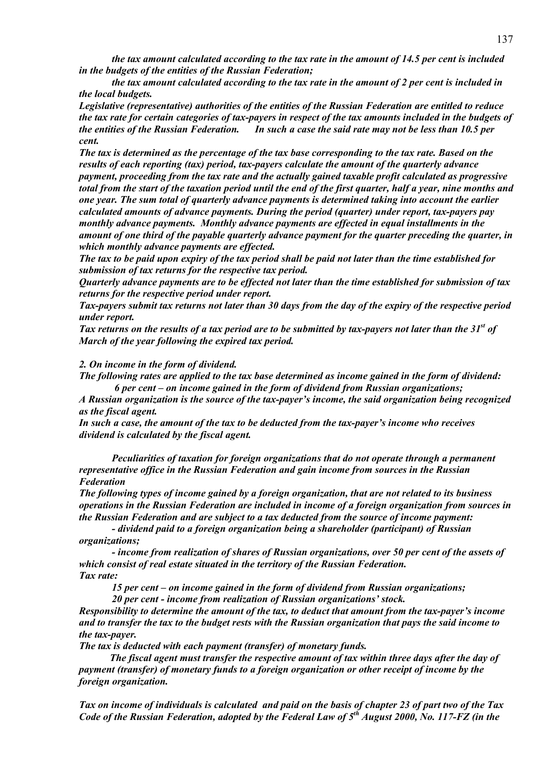*the tax amount calculated according to the tax rate in the amount of 14.5 per cent is included in the budgets of the entities of the Russian Federation;*

 *the tax amount calculated according to the tax rate in the amount of 2 per cent is included in the local budgets.*

*Legislative (representative) authorities of the entities of the Russian Federation are entitled to reduce the tax rate for certain categories of tax-payers in respect of the tax amounts included in the budgets of the entities of the Russian Federation. In such a case the said rate may not be less than 10.5 per cent.*

*The tax is determined as the percentage of the tax base corresponding to the tax rate. Based on the results of each reporting (tax) period, tax-payers calculate the amount of the quarterly advance payment, proceeding from the tax rate and the actually gained taxable profit calculated as progressive total from the start of the taxation period until the end of the first quarter, half a year, nine months and one year. The sum total of quarterly advance payments is determined taking into account the earlier calculated amounts of advance payments. During the period (quarter) under report, tax-payers pay monthly advance payments. Monthly advance payments are effected in equal installments in the amount of one third of the payable quarterly advance payment for the quarter preceding the quarter, in which monthly advance payments are effected.* 

*The tax to be paid upon expiry of the tax period shall be paid not later than the time established for submission of tax returns for the respective tax period.* 

*Quarterly advance payments are to be effected not later than the time established for submission of tax returns for the respective period under report.* 

*Tax-payers submit tax returns not later than 30 days from the day of the expiry of the respective period under report.* 

Tax returns on the results of a tax period are to be submitted by tax-payers not later than the 31<sup>st</sup> of *March of the year following the expired tax period.* 

## *2. On income in the form of dividend.*

*The following rates are applied to the tax base determined as income gained in the form of dividend: 6 per cent – on income gained in the form of dividend from Russian organizations;* 

*A Russian organization is the source of the tax-payer's income, the said organization being recognized as the fiscal agent.* 

*In such a case, the amount of the tax to be deducted from the tax-payer's income who receives dividend is calculated by the fiscal agent.* 

 *Peculiarities of taxation for foreign organizations that do not operate through a permanent representative office in the Russian Federation and gain income from sources in the Russian Federation* 

*The following types of income gained by a foreign organization, that are not related to its business operations in the Russian Federation are included in income of a foreign organization from sources in the Russian Federation and are subject to a tax deducted from the source of income payment:* 

 *- dividend paid to a foreign organization being a shareholder (participant) of Russian organizations;* 

 *- income from realization of shares of Russian organizations, over 50 per cent of the assets of which consist of real estate situated in the territory of the Russian Federation. Tax rate:* 

 *15 per cent – on income gained in the form of dividend from Russian organizations;* 

 *20 per cent - income from realization of Russian organizations' stock.* 

*Responsibility to determine the amount of the tax, to deduct that amount from the tax-payer's income and to transfer the tax to the budget rests with the Russian organization that pays the said income to the tax-payer.* 

*The tax is deducted with each payment (transfer) of monetary funds.* 

 *The fiscal agent must transfer the respective amount of tax within three days after the day of payment (transfer) of monetary funds to a foreign organization or other receipt of income by the foreign organization.* 

*Tax on income of individuals is calculated and paid on the basis of chapter 23 of part two of the Tax Code of the Russian Federation, adopted by the Federal Law of 5th August 2000, No. 117-FZ (in the*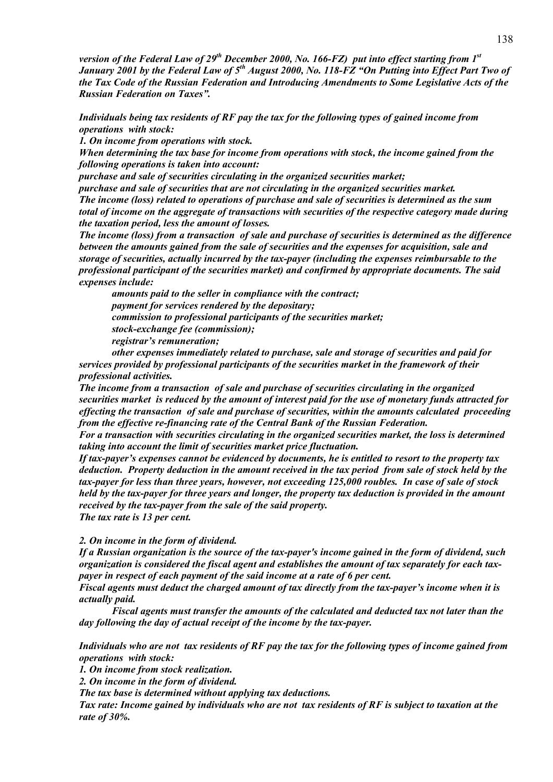*version of the Federal Law of 29th December 2000, No. 166-FZ) put into effect starting from 1st January 2001 by the Federal Law of 5th August 2000, No. 118-FZ "On Putting into Effect Part Two of the Tax Code of the Russian Federation and Introducing Amendments to Some Legislative Acts of the Russian Federation on Taxes".* 

*Individuals being tax residents of RF pay the tax for the following types of gained income from operations with stock:* 

*1. On income from operations with stock.* 

*When determining the tax base for income from operations with stock, the income gained from the following operations is taken into account:* 

*purchase and sale of securities circulating in the organized securities market;*

*purchase and sale of securities that are not circulating in the organized securities market.*

*The income (loss) related to operations of purchase and sale of securities is determined as the sum total of income on the aggregate of transactions with securities of the respective category made during the taxation period, less the amount of losses.*

*The income (loss) from a transaction of sale and purchase of securities is determined as the difference between the amounts gained from the sale of securities and the expenses for acquisition, sale and storage of securities, actually incurred by the tax-payer (including the expenses reimbursable to the professional participant of the securities market) and confirmed by appropriate documents. The said expenses include:*

 *amounts paid to the seller in compliance with the contract; payment for services rendered by the depositary; commission to professional participants of the securities market; stock-exchange fee (commission); registrar's remuneration;* 

 *other expenses immediately related to purchase, sale and storage of securities and paid for services provided by professional participants of the securities market in the framework of their professional activities.* 

*The income from a transaction of sale and purchase of securities circulating in the organized securities market is reduced by the amount of interest paid for the use of monetary funds attracted for effecting the transaction of sale and purchase of securities, within the amounts calculated proceeding from the effective re-financing rate of the Central Bank of the Russian Federation.* 

*For a transaction with securities circulating in the organized securities market, the loss is determined taking into account the limit of securities market price fluctuation.* 

*If tax-payer's expenses cannot be evidenced by documents, he is entitled to resort to the property tax deduction. Property deduction in the amount received in the tax period from sale of stock held by the tax-payer for less than three years, however, not exceeding 125,000 roubles. In case of sale of stock held by the tax-payer for three years and longer, the property tax deduction is provided in the amount received by the tax-payer from the sale of the said property. The tax rate is 13 per cent.* 

*2. On income in the form of dividend.* 

*If a Russian organization is the source of the tax-payer's income gained in the form of dividend, such organization is considered the fiscal agent and establishes the amount of tax separately for each taxpayer in respect of each payment of the said income at a rate of 6 per cent.* 

*Fiscal agents must deduct the charged amount of tax directly from the tax-payer's income when it is actually paid.* 

 *Fiscal agents must transfer the amounts of the calculated and deducted tax not later than the day following the day of actual receipt of the income by the tax-payer.* 

*Individuals who are not tax residents of RF pay the tax for the following types of income gained from operations with stock:* 

*1. On income from stock realization.* 

*2. On income in the form of dividend.* 

*The tax base is determined without applying tax deductions.* 

*Tax rate: Income gained by individuals who are not tax residents of RF is subject to taxation at the rate of 30%.*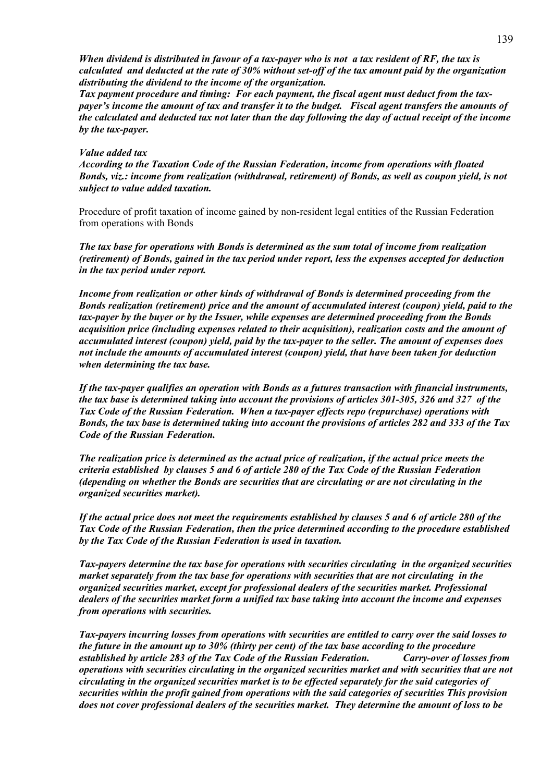*When dividend is distributed in favour of a tax-payer who is not a tax resident of RF, the tax is calculated and deducted at the rate of 30% without set-off of the tax amount paid by the organization distributing the dividend to the income of the organization.* 

*Tax payment procedure and timing: For each payment, the fiscal agent must deduct from the taxpayer's income the amount of tax and transfer it to the budget. Fiscal agent transfers the amounts of the calculated and deducted tax not later than the day following the day of actual receipt of the income by the tax-payer.* 

## *Value added tax*

*According to the Taxation Code of the Russian Federation, income from operations with floated Bonds, viz.: income from realization (withdrawal, retirement) of Bonds, as well as coupon yield, is not subject to value added taxation.* 

Procedure of profit taxation of income gained by non-resident legal entities of the Russian Federation from operations with Bonds

*The tax base for operations with Bonds is determined as the sum total of income from realization (retirement) of Bonds, gained in the tax period under report, less the expenses accepted for deduction in the tax period under report.* 

*Income from realization or other kinds of withdrawal of Bonds is determined proceeding from the Bonds realization (retirement) price and the amount of accumulated interest (coupon) yield, paid to the tax-payer by the buyer or by the Issuer, while expenses are determined proceeding from the Bonds acquisition price (including expenses related to their acquisition), realization costs and the amount of accumulated interest (coupon) yield, paid by the tax-payer to the seller. The amount of expenses does not include the amounts of accumulated interest (coupon) yield, that have been taken for deduction when determining the tax base.* 

*If the tax-payer qualifies an operation with Bonds as a futures transaction with financial instruments, the tax base is determined taking into account the provisions of articles 301-305, 326 and 327 of the Tax Code of the Russian Federation. When a tax-payer effects repo (repurchase) operations with Bonds, the tax base is determined taking into account the provisions of articles 282 and 333 of the Tax Code of the Russian Federation.* 

*The realization price is determined as the actual price of realization, if the actual price meets the criteria established by clauses 5 and 6 of article 280 of the Tax Code of the Russian Federation (depending on whether the Bonds are securities that are circulating or are not circulating in the organized securities market).* 

*If the actual price does not meet the requirements established by clauses 5 and 6 of article 280 of the Tax Code of the Russian Federation, then the price determined according to the procedure established by the Tax Code of the Russian Federation is used in taxation.* 

*Tax-payers determine the tax base for operations with securities circulating in the organized securities market separately from the tax base for operations with securities that are not circulating in the organized securities market, except for professional dealers of the securities market. Professional dealers of the securities market form a unified tax base taking into account the income and expenses from operations with securities.* 

*Tax-payers incurring losses from operations with securities are entitled to carry over the said losses to the future in the amount up to 30% (thirty per cent) of the tax base according to the procedure established by article 283 of the Tax Code of the Russian Federation. Carry-over of losses from operations with securities circulating in the organized securities market and with securities that are not circulating in the organized securities market is to be effected separately for the said categories of securities within the profit gained from operations with the said categories of securities This provision does not cover professional dealers of the securities market. They determine the amount of loss to be*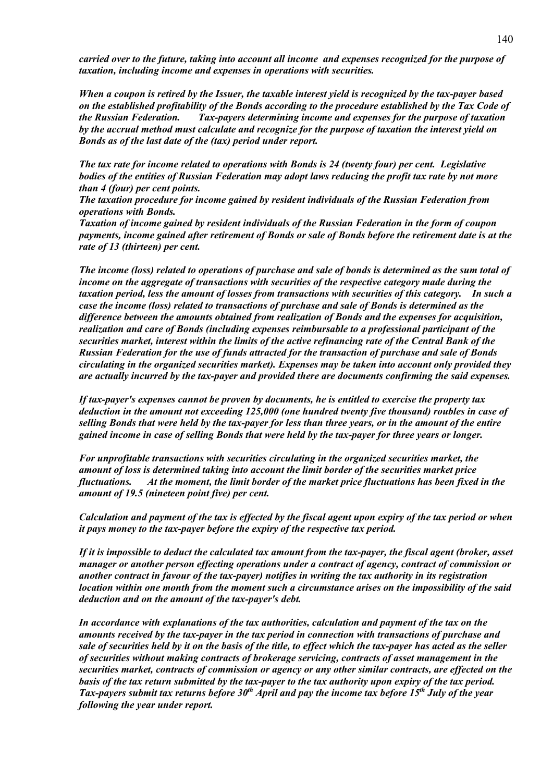*carried over to the future, taking into account all income and expenses recognized for the purpose of taxation, including income and expenses in operations with securities.* 

*When a coupon is retired by the Issuer, the taxable interest yield is recognized by the tax-payer based on the established profitability of the Bonds according to the procedure established by the Tax Code of the Russian Federation. Tax-payers determining income and expenses for the purpose of taxation by the accrual method must calculate and recognize for the purpose of taxation the interest yield on Bonds as of the last date of the (tax) period under report.* 

*The tax rate for income related to operations with Bonds is 24 (twenty four) per cent. Legislative bodies of the entities of Russian Federation may adopt laws reducing the profit tax rate by not more than 4 (four) per cent points.* 

*The taxation procedure for income gained by resident individuals of the Russian Federation from operations with Bonds.* 

*Taxation of income gained by resident individuals of the Russian Federation in the form of coupon payments, income gained after retirement of Bonds or sale of Bonds before the retirement date is at the rate of 13 (thirteen) per cent.* 

*The income (loss) related to operations of purchase and sale of bonds is determined as the sum total of income on the aggregate of transactions with securities of the respective category made during the taxation period, less the amount of losses from transactions with securities of this category. In such a case the income (loss) related to transactions of purchase and sale of Bonds is determined as the difference between the amounts obtained from realization of Bonds and the expenses for acquisition, realization and care of Bonds (including expenses reimbursable to a professional participant of the securities market, interest within the limits of the active refinancing rate of the Central Bank of the Russian Federation for the use of funds attracted for the transaction of purchase and sale of Bonds circulating in the organized securities market). Expenses may be taken into account only provided they are actually incurred by the tax-payer and provided there are documents confirming the said expenses.* 

*If tax-payer's expenses cannot be proven by documents, he is entitled to exercise the property tax deduction in the amount not exceeding 125,000 (one hundred twenty five thousand) roubles in case of selling Bonds that were held by the tax-payer for less than three years, or in the amount of the entire gained income in case of selling Bonds that were held by the tax-payer for three years or longer.* 

*For unprofitable transactions with securities circulating in the organized securities market, the amount of loss is determined taking into account the limit border of the securities market price fluctuations. At the moment, the limit border of the market price fluctuations has been fixed in the amount of 19.5 (nineteen point five) per cent.* 

*Calculation and payment of the tax is effected by the fiscal agent upon expiry of the tax period or when it pays money to the tax-payer before the expiry of the respective tax period.* 

*If it is impossible to deduct the calculated tax amount from the tax-payer, the fiscal agent (broker, asset manager or another person effecting operations under a contract of agency, contract of commission or another contract in favour of the tax-payer) notifies in writing the tax authority in its registration location within one month from the moment such a circumstance arises on the impossibility of the said deduction and on the amount of the tax-payer's debt.* 

*In accordance with explanations of the tax authorities, calculation and payment of the tax on the amounts received by the tax-payer in the tax period in connection with transactions of purchase and sale of securities held by it on the basis of the title, to effect which the tax-payer has acted as the seller of securities without making contracts of brokerage servicing, contracts of asset management in the securities market, contracts of commission or agency or any other similar contracts, are effected on the basis of the tax return submitted by the tax-payer to the tax authority upon expiry of the tax period. Tax-payers submit tax returns before 30th April and pay the income tax before 15th July of the year following the year under report.*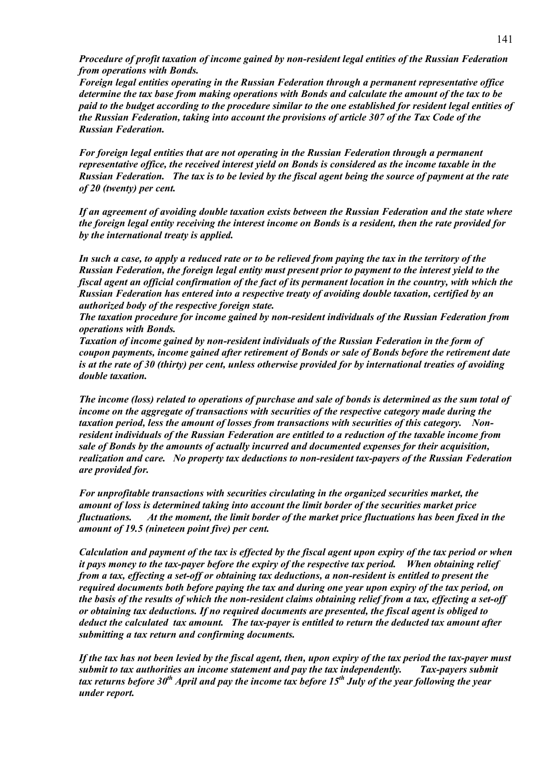*Procedure of profit taxation of income gained by non-resident legal entities of the Russian Federation from operations with Bonds.* 

*Foreign legal entities operating in the Russian Federation through a permanent representative office determine the tax base from making operations with Bonds and calculate the amount of the tax to be paid to the budget according to the procedure similar to the one established for resident legal entities of the Russian Federation, taking into account the provisions of article 307 of the Tax Code of the Russian Federation.* 

*For foreign legal entities that are not operating in the Russian Federation through a permanent representative office, the received interest yield on Bonds is considered as the income taxable in the Russian Federation. The tax is to be levied by the fiscal agent being the source of payment at the rate of 20 (twenty) per cent.* 

*If an agreement of avoiding double taxation exists between the Russian Federation and the state where the foreign legal entity receiving the interest income on Bonds is a resident, then the rate provided for by the international treaty is applied.* 

*In such a case, to apply a reduced rate or to be relieved from paying the tax in the territory of the Russian Federation, the foreign legal entity must present prior to payment to the interest yield to the fiscal agent an official confirmation of the fact of its permanent location in the country, with which the Russian Federation has entered into a respective treaty of avoiding double taxation, certified by an authorized body of the respective foreign state.* 

*The taxation procedure for income gained by non-resident individuals of the Russian Federation from operations with Bonds.* 

*Taxation of income gained by non-resident individuals of the Russian Federation in the form of coupon payments, income gained after retirement of Bonds or sale of Bonds before the retirement date is at the rate of 30 (thirty) per cent, unless otherwise provided for by international treaties of avoiding double taxation.* 

*The income (loss) related to operations of purchase and sale of bonds is determined as the sum total of income on the aggregate of transactions with securities of the respective category made during the taxation period, less the amount of losses from transactions with securities of this category. Nonresident individuals of the Russian Federation are entitled to a reduction of the taxable income from sale of Bonds by the amounts of actually incurred and documented expenses for their acquisition, realization and care. No property tax deductions to non-resident tax-payers of the Russian Federation are provided for.* 

*For unprofitable transactions with securities circulating in the organized securities market, the amount of loss is determined taking into account the limit border of the securities market price fluctuations. At the moment, the limit border of the market price fluctuations has been fixed in the amount of 19.5 (nineteen point five) per cent.* 

*Calculation and payment of the tax is effected by the fiscal agent upon expiry of the tax period or when it pays money to the tax-payer before the expiry of the respective tax period. When obtaining relief from a tax, effecting a set-off or obtaining tax deductions, a non-resident is entitled to present the required documents both before paying the tax and during one year upon expiry of the tax period, on the basis of the results of which the non-resident claims obtaining relief from a tax, effecting a set-off or obtaining tax deductions. If no required documents are presented, the fiscal agent is obliged to deduct the calculated tax amount. The tax-payer is entitled to return the deducted tax amount after submitting a tax return and confirming documents.* 

*If the tax has not been levied by the fiscal agent, then, upon expiry of the tax period the tax-payer must submit to tax authorities an income statement and pay the tax independently. Tax-payers submit tax returns before 30th April and pay the income tax before 15th July of the year following the year under report.*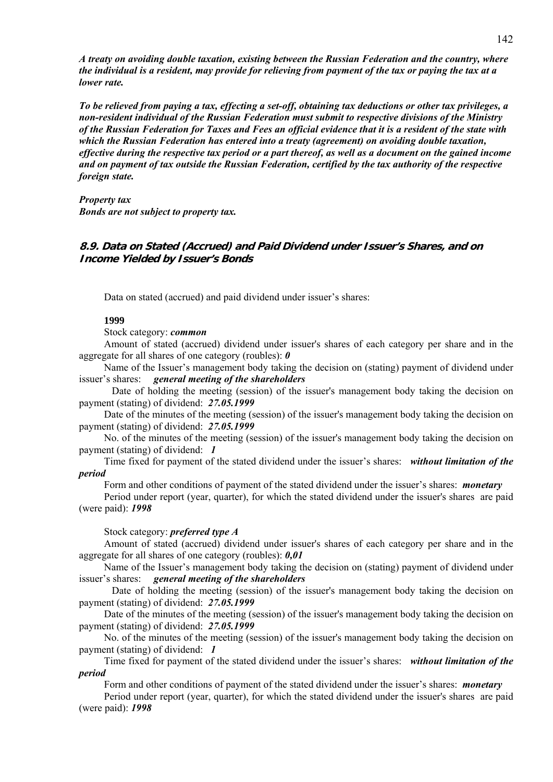*A treaty on avoiding double taxation, existing between the Russian Federation and the country, where the individual is a resident, may provide for relieving from payment of the tax or paying the tax at a lower rate.* 

*To be relieved from paying a tax, effecting a set-off, obtaining tax deductions or other tax privileges, a non-resident individual of the Russian Federation must submit to respective divisions of the Ministry of the Russian Federation for Taxes and Fees an official evidence that it is a resident of the state with which the Russian Federation has entered into a treaty (agreement) on avoiding double taxation, effective during the respective tax period or a part thereof, as well as a document on the gained income and on payment of tax outside the Russian Federation, certified by the tax authority of the respective foreign state.* 

*Property tax Bonds are not subject to property tax.* 

# **8.9. Data on Stated (Accrued) and Paid Dividend under Issuer's Shares, and on Income Yielded by Issuer's Bonds**

Data on stated (accrued) and paid dividend under issuer's shares:

#### **1999**

Stock category: *common*

Amount of stated (accrued) dividend under issuer's shares of each category per share and in the aggregate for all shares of one category (roubles): *0*

Name of the Issuer's management body taking the decision on (stating) payment of dividend under issuer's shares: *general meeting of the shareholders*

 Date of holding the meeting (session) of the issuer's management body taking the decision on payment (stating) of dividend: *27.05.1999*

Date of the minutes of the meeting (session) of the issuer's management body taking the decision on payment (stating) of dividend: *27.05.1999*

No. of the minutes of the meeting (session) of the issuer's management body taking the decision on payment (stating) of dividend: *1*

Time fixed for payment of the stated dividend under the issuer's shares: *without limitation of the period* 

Form and other conditions of payment of the stated dividend under the issuer's shares: *monetary*

Period under report (year, quarter), for which the stated dividend under the issuer's shares are paid (were paid): *1998*

Stock category: *preferred type A*

Amount of stated (accrued) dividend under issuer's shares of each category per share and in the aggregate for all shares of one category (roubles): *0,01*

Name of the Issuer's management body taking the decision on (stating) payment of dividend under issuer's shares: *general meeting of the shareholders*

 Date of holding the meeting (session) of the issuer's management body taking the decision on payment (stating) of dividend: *27.05.1999*

Date of the minutes of the meeting (session) of the issuer's management body taking the decision on payment (stating) of dividend: *27.05.1999*

No. of the minutes of the meeting (session) of the issuer's management body taking the decision on payment (stating) of dividend: *1*

Time fixed for payment of the stated dividend under the issuer's shares: *without limitation of the period* 

Form and other conditions of payment of the stated dividend under the issuer's shares: *monetary*

Period under report (year, quarter), for which the stated dividend under the issuer's shares are paid (were paid): *1998*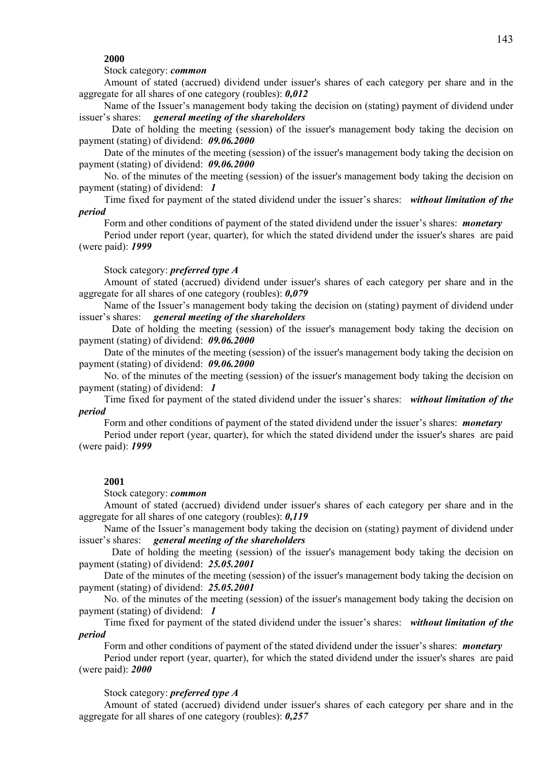## **2000**

## Stock category: *common*

Amount of stated (accrued) dividend under issuer's shares of each category per share and in the aggregate for all shares of one category (roubles): *0,012*

Name of the Issuer's management body taking the decision on (stating) payment of dividend under issuer's shares: *general meeting of the shareholders*

 Date of holding the meeting (session) of the issuer's management body taking the decision on payment (stating) of dividend: *09.06.2000*

Date of the minutes of the meeting (session) of the issuer's management body taking the decision on payment (stating) of dividend: *09.06.2000*

No. of the minutes of the meeting (session) of the issuer's management body taking the decision on payment (stating) of dividend: *1*

Time fixed for payment of the stated dividend under the issuer's shares: *without limitation of the period* 

Form and other conditions of payment of the stated dividend under the issuer's shares: *monetary*

Period under report (year, quarter), for which the stated dividend under the issuer's shares are paid (were paid): *1999*

#### Stock category: *preferred type A*

Amount of stated (accrued) dividend under issuer's shares of each category per share and in the aggregate for all shares of one category (roubles): *0,079*

Name of the Issuer's management body taking the decision on (stating) payment of dividend under issuer's shares: *general meeting of the shareholders*

 Date of holding the meeting (session) of the issuer's management body taking the decision on payment (stating) of dividend: *09.06.2000*

Date of the minutes of the meeting (session) of the issuer's management body taking the decision on payment (stating) of dividend: *09.06.2000*

No. of the minutes of the meeting (session) of the issuer's management body taking the decision on payment (stating) of dividend: *1*

Time fixed for payment of the stated dividend under the issuer's shares: *without limitation of the period* 

Form and other conditions of payment of the stated dividend under the issuer's shares: *monetary*

Period under report (year, quarter), for which the stated dividend under the issuer's shares are paid (were paid): *1999*

#### **2001**

Stock category: *common*

Amount of stated (accrued) dividend under issuer's shares of each category per share and in the aggregate for all shares of one category (roubles): *0,119*

Name of the Issuer's management body taking the decision on (stating) payment of dividend under issuer's shares: *general meeting of the shareholders*

 Date of holding the meeting (session) of the issuer's management body taking the decision on payment (stating) of dividend: *25.05.2001*

Date of the minutes of the meeting (session) of the issuer's management body taking the decision on payment (stating) of dividend: *25.05.2001*

No. of the minutes of the meeting (session) of the issuer's management body taking the decision on payment (stating) of dividend: *1*

Time fixed for payment of the stated dividend under the issuer's shares: *without limitation of the period* 

Form and other conditions of payment of the stated dividend under the issuer's shares: *monetary*

Period under report (year, quarter), for which the stated dividend under the issuer's shares are paid (were paid): *2000*

#### Stock category: *preferred type A*

Amount of stated (accrued) dividend under issuer's shares of each category per share and in the aggregate for all shares of one category (roubles): *0,257*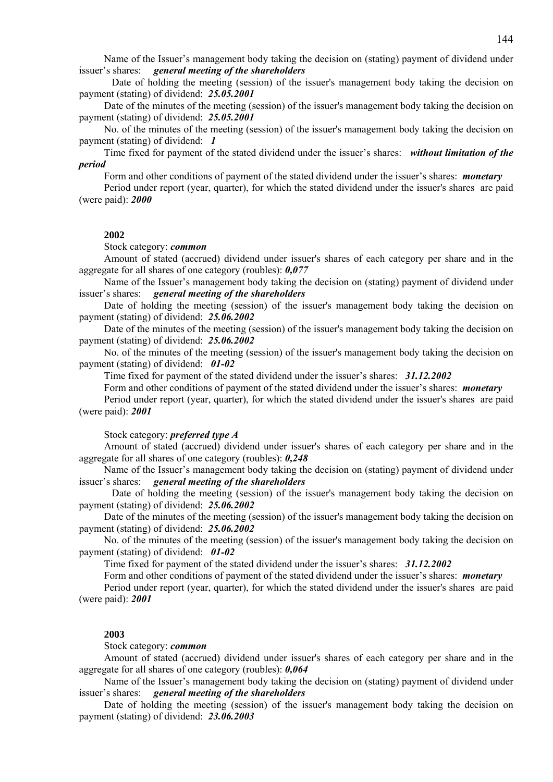Name of the Issuer's management body taking the decision on (stating) payment of dividend under issuer's shares: *general meeting of the shareholders*

 Date of holding the meeting (session) of the issuer's management body taking the decision on payment (stating) of dividend: *25.05.2001*

Date of the minutes of the meeting (session) of the issuer's management body taking the decision on payment (stating) of dividend: *25.05.2001*

No. of the minutes of the meeting (session) of the issuer's management body taking the decision on payment (stating) of dividend: *1*

Time fixed for payment of the stated dividend under the issuer's shares: *without limitation of the period* 

Form and other conditions of payment of the stated dividend under the issuer's shares: *monetary*

Period under report (year, quarter), for which the stated dividend under the issuer's shares are paid (were paid): *2000*

# **2002**

Stock category: *common*

Amount of stated (accrued) dividend under issuer's shares of each category per share and in the aggregate for all shares of one category (roubles): *0,077*

Name of the Issuer's management body taking the decision on (stating) payment of dividend under issuer's shares: *general meeting of the shareholders*

Date of holding the meeting (session) of the issuer's management body taking the decision on payment (stating) of dividend: *25.06.2002*

Date of the minutes of the meeting (session) of the issuer's management body taking the decision on payment (stating) of dividend: *25.06.2002*

No. of the minutes of the meeting (session) of the issuer's management body taking the decision on payment (stating) of dividend: *01-02*

Time fixed for payment of the stated dividend under the issuer's shares: *31.12.2002*

Form and other conditions of payment of the stated dividend under the issuer's shares: *monetary*

Period under report (year, quarter), for which the stated dividend under the issuer's shares are paid (were paid): *2001*

Stock category: *preferred type A*

Amount of stated (accrued) dividend under issuer's shares of each category per share and in the aggregate for all shares of one category (roubles): *0,248*

Name of the Issuer's management body taking the decision on (stating) payment of dividend under issuer's shares: *general meeting of the shareholders*

 Date of holding the meeting (session) of the issuer's management body taking the decision on payment (stating) of dividend: *25.06.2002*

Date of the minutes of the meeting (session) of the issuer's management body taking the decision on payment (stating) of dividend: *25.06.2002*

No. of the minutes of the meeting (session) of the issuer's management body taking the decision on payment (stating) of dividend: *01-02*

Time fixed for payment of the stated dividend under the issuer's shares: *31.12.2002*

Form and other conditions of payment of the stated dividend under the issuer's shares: *monetary*

Period under report (year, quarter), for which the stated dividend under the issuer's shares are paid (were paid): *2001*

# **2003**

Stock category: *common*

Amount of stated (accrued) dividend under issuer's shares of each category per share and in the aggregate for all shares of one category (roubles): *0,064*

Name of the Issuer's management body taking the decision on (stating) payment of dividend under issuer's shares: *general meeting of the shareholders*

Date of holding the meeting (session) of the issuer's management body taking the decision on payment (stating) of dividend: *23.06.2003*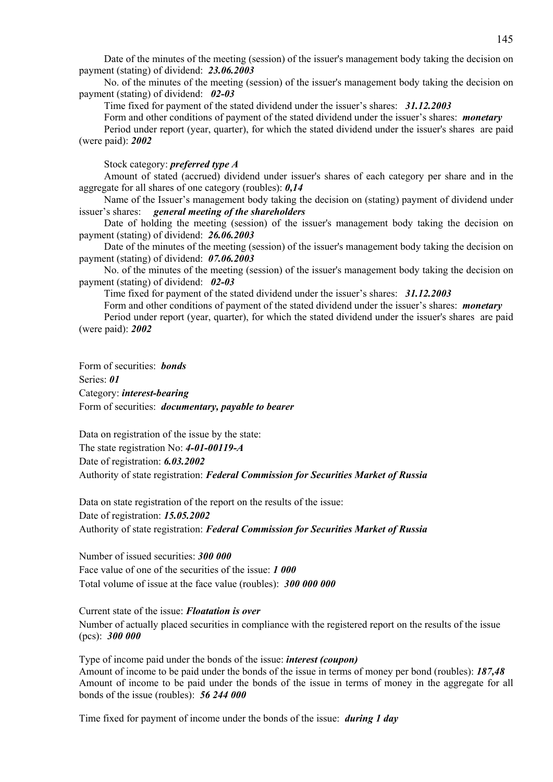Date of the minutes of the meeting (session) of the issuer's management body taking the decision on payment (stating) of dividend: *23.06.2003*

No. of the minutes of the meeting (session) of the issuer's management body taking the decision on payment (stating) of dividend: *02-03*

Time fixed for payment of the stated dividend under the issuer's shares: *31.12.2003*

Form and other conditions of payment of the stated dividend under the issuer's shares: *monetary*

Period under report (year, quarter), for which the stated dividend under the issuer's shares are paid (were paid): *2002*

Stock category: *preferred type A*

Amount of stated (accrued) dividend under issuer's shares of each category per share and in the aggregate for all shares of one category (roubles): *0,14*

Name of the Issuer's management body taking the decision on (stating) payment of dividend under issuer's shares: *general meeting of the shareholders*

Date of holding the meeting (session) of the issuer's management body taking the decision on payment (stating) of dividend: *26.06.2003*

Date of the minutes of the meeting (session) of the issuer's management body taking the decision on payment (stating) of dividend: *07.06.2003*

No. of the minutes of the meeting (session) of the issuer's management body taking the decision on payment (stating) of dividend: *02-03*

Time fixed for payment of the stated dividend under the issuer's shares: *31.12.2003*

Form and other conditions of payment of the stated dividend under the issuer's shares: *monetary* Period under report (year, quarter), for which the stated dividend under the issuer's shares are paid (were paid): *2002*

Form of securities: *bonds* Series: *01* Category: *interest-bearing* Form of securities: *documentary, payable to bearer*

Data on registration of the issue by the state: The state registration No: *4-01-00119-A* Date of registration: *6.03.2002* Authority of state registration: *Federal Commission for Securities Market of Russia*

Data on state registration of the report on the results of the issue: Date of registration: *15.05.2002* Authority of state registration: *Federal Commission for Securities Market of Russia*

Number of issued securities: *300 000* Face value of one of the securities of the issue: *1 000* Total volume of issue at the face value (roubles): *300 000 000*

Current state of the issue: *Floatation is over* Number of actually placed securities in compliance with the registered report on the results of the issue (pcs): *300 000*

Type of income paid under the bonds of the issue: *interest (coupon)* Amount of income to be paid under the bonds of the issue in terms of money per bond (roubles): *187,48* Amount of income to be paid under the bonds of the issue in terms of money in the aggregate for all bonds of the issue (roubles): *56 244 000*

Time fixed for payment of income under the bonds of the issue: *during 1 day*